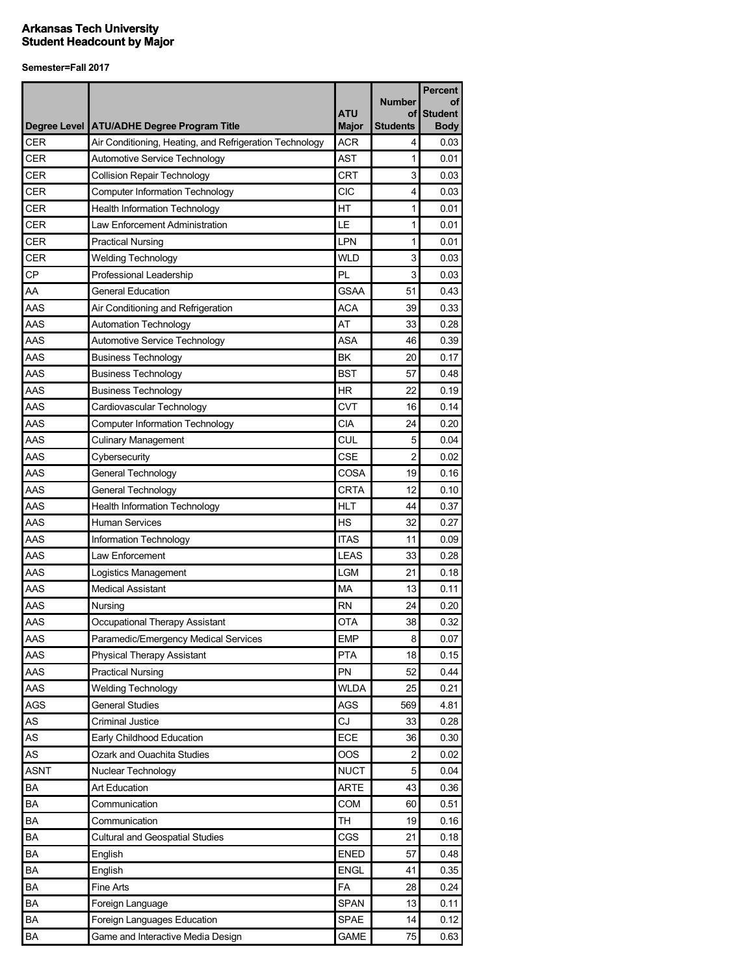|             |                                                                        |                            |                                        | <b>Percent</b>                      |
|-------------|------------------------------------------------------------------------|----------------------------|----------------------------------------|-------------------------------------|
|             | Degree Level   ATU/ADHE Degree Program Title                           | <b>ATU</b><br><b>Major</b> | <b>Number</b><br>οf<br><b>Students</b> | оf<br><b>Student</b><br><b>Body</b> |
| CER         | Air Conditioning, Heating, and Refrigeration Technology                | <b>ACR</b>                 | 4                                      | 0.03                                |
| CER         | Automotive Service Technology                                          | <b>AST</b>                 | 1                                      | 0.01                                |
| CER         | <b>Collision Repair Technology</b>                                     | <b>CRT</b>                 | 3                                      | 0.03                                |
| <b>CER</b>  | <b>Computer Information Technology</b>                                 | CIC                        | 4                                      | 0.03                                |
| <b>CER</b>  |                                                                        | HT                         | $\mathbf{1}$                           | 0.01                                |
| <b>CER</b>  | <b>Health Information Technology</b><br>Law Enforcement Administration | LE                         | 1                                      | 0.01                                |
| CER         |                                                                        | <b>LPN</b>                 | 1                                      |                                     |
| <b>CER</b>  | <b>Practical Nursing</b>                                               | <b>WLD</b>                 | 3                                      | 0.01                                |
| <b>CP</b>   | <b>Welding Technology</b>                                              | PL                         | 3                                      | 0.03                                |
|             | Professional Leadership                                                | <b>GSAA</b>                |                                        | 0.03                                |
| AA          | <b>General Education</b>                                               |                            | 51                                     | 0.43                                |
| AAS<br>AAS  | Air Conditioning and Refrigeration                                     | <b>ACA</b><br>AT           | 39                                     | 0.33                                |
|             | Automation Technology                                                  |                            | 33                                     | 0.28                                |
| AAS         | Automotive Service Technology                                          | <b>ASA</b>                 | 46                                     | 0.39                                |
| AAS         | <b>Business Technology</b>                                             | BK                         | 20                                     | 0.17                                |
| AAS         | <b>Business Technology</b>                                             | <b>BST</b>                 | 57                                     | 0.48                                |
| AAS         | <b>Business Technology</b>                                             | <b>HR</b>                  | 22                                     | 0.19                                |
| AAS         | Cardiovascular Technology                                              | <b>CVT</b>                 | 16                                     | 0.14                                |
| AAS         | <b>Computer Information Technology</b>                                 | <b>CIA</b>                 | 24                                     | 0.20                                |
| AAS         | <b>Culinary Management</b>                                             | CUL                        | 5                                      | 0.04                                |
| AAS         | Cybersecurity                                                          | <b>CSE</b>                 | 2                                      | 0.02                                |
| AAS         | General Technology                                                     | COSA                       | 19                                     | 0.16                                |
| AAS         | General Technology                                                     | <b>CRTA</b>                | 12                                     | 0.10                                |
| AAS         | <b>Health Information Technology</b>                                   | <b>HLT</b>                 | 44                                     | 0.37                                |
| AAS         | <b>Human Services</b>                                                  | <b>HS</b>                  | 32                                     | 0.27                                |
| AAS         | Information Technology                                                 | <b>ITAS</b>                | 11                                     | 0.09                                |
| AAS         | Law Enforcement                                                        | <b>LEAS</b>                | 33                                     | 0.28                                |
| AAS         | Logistics Management                                                   | <b>LGM</b>                 | 21                                     | 0.18                                |
| AAS         | <b>Medical Assistant</b>                                               | <b>MA</b>                  | 13                                     | 0.11                                |
| AAS         | Nursing                                                                | <b>RN</b>                  | 24                                     | 0.20                                |
| AAS         | Occupational Therapy Assistant                                         | <b>OTA</b>                 | 38                                     | 0.32                                |
| AAS         | Paramedic/Emergency Medical Services                                   | EMP                        | 8                                      | 0.07                                |
| AAS         | Physical Therapy Assistant                                             | <b>PTA</b>                 | 18                                     | 0.15                                |
| AAS         | <b>Practical Nursing</b>                                               | PN                         | 52                                     | 0.44                                |
| AAS         | <b>Welding Technology</b>                                              | <b>WLDA</b>                | 25                                     | 0.21                                |
| AGS         | <b>General Studies</b>                                                 | AGS                        | 569                                    | 4.81                                |
| AS          | <b>Criminal Justice</b>                                                | CJ                         | 33                                     | 0.28                                |
| AS          | Early Childhood Education                                              | ECE                        | 36                                     | 0.30                                |
| AS          | Ozark and Ouachita Studies                                             | OOS                        | $\overline{c}$                         | 0.02                                |
| <b>ASNT</b> | Nuclear Technology                                                     | <b>NUCT</b>                | 5                                      | 0.04                                |
| BA          | Art Education                                                          | <b>ARTE</b>                | 43                                     | 0.36                                |
| BA          | Communication                                                          | COM                        | 60                                     | 0.51                                |
| BA          | Communication                                                          | <b>TH</b>                  | 19                                     | 0.16                                |
| BA          | <b>Cultural and Geospatial Studies</b>                                 | CGS                        | 21                                     | 0.18                                |
| BA          | English                                                                | <b>ENED</b>                | 57                                     | 0.48                                |
| BA          | English                                                                | <b>ENGL</b>                | 41                                     | 0.35                                |
| BA          | Fine Arts                                                              | FA                         | 28                                     | 0.24                                |
| BA          | Foreign Language                                                       | <b>SPAN</b>                | 13                                     | 0.11                                |
| BA          | Foreign Languages Education                                            | <b>SPAE</b>                | 14                                     | 0.12                                |
| BA          | Game and Interactive Media Design                                      | <b>GAME</b>                | 75                                     | 0.63                                |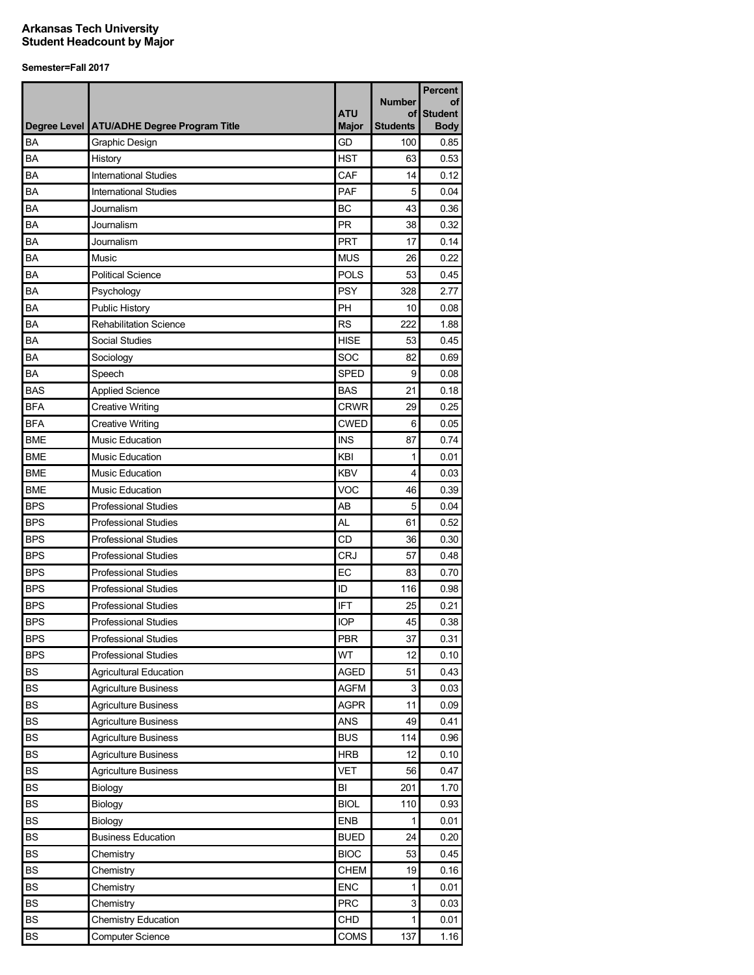|                        |                                              |                            |                    | <b>Percent</b>                |
|------------------------|----------------------------------------------|----------------------------|--------------------|-------------------------------|
|                        |                                              |                            | <b>Number</b>      | οf                            |
|                        | Degree Level   ATU/ADHE Degree Program Title | <b>ATU</b><br><b>Major</b> | οf<br>Students     | <b>Student</b><br><b>Body</b> |
| <b>BA</b>              | <b>Graphic Design</b>                        | GD                         | 100                | 0.85                          |
| <b>BA</b>              | History                                      | <b>HST</b>                 | 63                 | 0.53                          |
| BA                     | <b>International Studies</b>                 | CAF                        | 14                 | 0.12                          |
| BA                     | <b>International Studies</b>                 | PAF                        | 5                  | 0.04                          |
| BA                     | Journalism                                   | <b>BC</b>                  | 43                 | 0.36                          |
| BA                     | Journalism                                   | <b>PR</b>                  | 38                 | 0.32                          |
| BA                     | Journalism                                   | <b>PRT</b>                 | 17                 | 0.14                          |
| BA                     | Music                                        | <b>MUS</b>                 | 26                 | 0.22                          |
| BA                     | <b>Political Science</b>                     | <b>POLS</b>                | 53                 | 0.45                          |
| BA                     | Psychology                                   | <b>PSY</b>                 | 328                | 2.77                          |
| BA                     | <b>Public History</b>                        | PH                         | 10                 | 0.08                          |
| BA                     | <b>Rehabilitation Science</b>                | <b>RS</b>                  | 222                | 1.88                          |
| BA                     | Social Studies                               | <b>HISE</b>                | 53                 | 0.45                          |
| BA                     | Sociology                                    | SOC                        | 82                 | 0.69                          |
| BA                     | Speech                                       | <b>SPED</b>                | 9                  | 0.08                          |
| <b>BAS</b>             | <b>Applied Science</b>                       | <b>BAS</b>                 | 21                 | 0.18                          |
| <b>BFA</b>             | <b>Creative Writing</b>                      | <b>CRWR</b>                | 29                 | 0.25                          |
| <b>BFA</b>             | <b>Creative Writing</b>                      | <b>CWED</b>                | 6                  | 0.05                          |
| <b>BME</b>             | <b>Music Education</b>                       | <b>INS</b>                 | 87                 | 0.74                          |
| <b>BME</b>             | <b>Music Education</b>                       | KBI                        | 1                  | 0.01                          |
| <b>BME</b>             | <b>Music Education</b>                       | <b>KBV</b>                 | 4                  | 0.03                          |
| <b>BME</b>             | <b>Music Education</b>                       | VOC                        | 46                 | 0.39                          |
| <b>BPS</b>             | <b>Professional Studies</b>                  | AB                         | 5                  | 0.04                          |
| <b>BPS</b>             | <b>Professional Studies</b>                  | AL                         | 61                 | 0.52                          |
| <b>BPS</b>             | <b>Professional Studies</b>                  | CD                         | 36                 | 0.30                          |
| <b>BPS</b>             | <b>Professional Studies</b>                  | <b>CRJ</b>                 | 57                 | 0.48                          |
| <b>BPS</b>             | <b>Professional Studies</b>                  | EC                         | 83                 | 0.70                          |
| <b>BPS</b>             | <b>Professional Studies</b>                  | ID                         | 116                | 0.98                          |
| <b>BPS</b>             | <b>Professional Studies</b>                  | <b>IFT</b>                 | 25                 | 0.21                          |
| <b>BPS</b>             | <b>Professional Studies</b>                  | <b>IOP</b>                 | 45                 | 0.38                          |
| <b>BPS</b>             | Professional Studies                         | <b>PBR</b>                 | 37                 | 0.31                          |
| <b>BPS</b>             | <b>Professional Studies</b>                  | WT                         | 12                 | 0.10                          |
| <b>BS</b>              | Agricultural Education                       | AGED                       | 51                 | 0.43                          |
| <b>BS</b>              | <b>Agriculture Business</b>                  | AGFM                       | 3                  | 0.03                          |
| <b>BS</b>              | <b>Agriculture Business</b>                  | AGPR                       | 11                 | 0.09                          |
| <b>BS</b>              | <b>Agriculture Business</b>                  | ANS                        | 49                 | 0.41                          |
| <b>BS</b>              | <b>Agriculture Business</b>                  | <b>BUS</b>                 | 114                | 0.96                          |
| <b>BS</b>              | <b>Agriculture Business</b>                  | <b>HRB</b>                 | 12                 | 0.10                          |
| <b>BS</b>              | <b>Agriculture Business</b>                  | <b>VET</b>                 | 56                 | 0.47                          |
| <b>BS</b>              | Biology                                      | BI                         | 201                | 1.70                          |
| <b>BS</b>              | Biology                                      | <b>BIOL</b>                | 110                | 0.93                          |
| <b>BS</b>              |                                              | ENB                        | 1                  | 0.01                          |
| BS                     | Biology<br><b>Business Education</b>         | <b>BUED</b>                | 24                 | 0.20                          |
| BS                     |                                              | <b>BIOC</b>                | 53                 |                               |
|                        | Chemistry                                    |                            |                    | 0.45                          |
| <b>BS</b><br><b>BS</b> | Chemistry                                    | <b>CHEM</b>                | 19<br>$\mathbf{1}$ | 0.16                          |
|                        | Chemistry                                    | <b>ENC</b>                 |                    | 0.01                          |
| BS                     | Chemistry                                    | <b>PRC</b>                 | 3                  | 0.03                          |
| <b>BS</b>              | <b>Chemistry Education</b>                   | CHD                        | $\mathbf{1}$       | 0.01                          |
| BS                     | <b>Computer Science</b>                      | COMS                       | 137                | 1.16                          |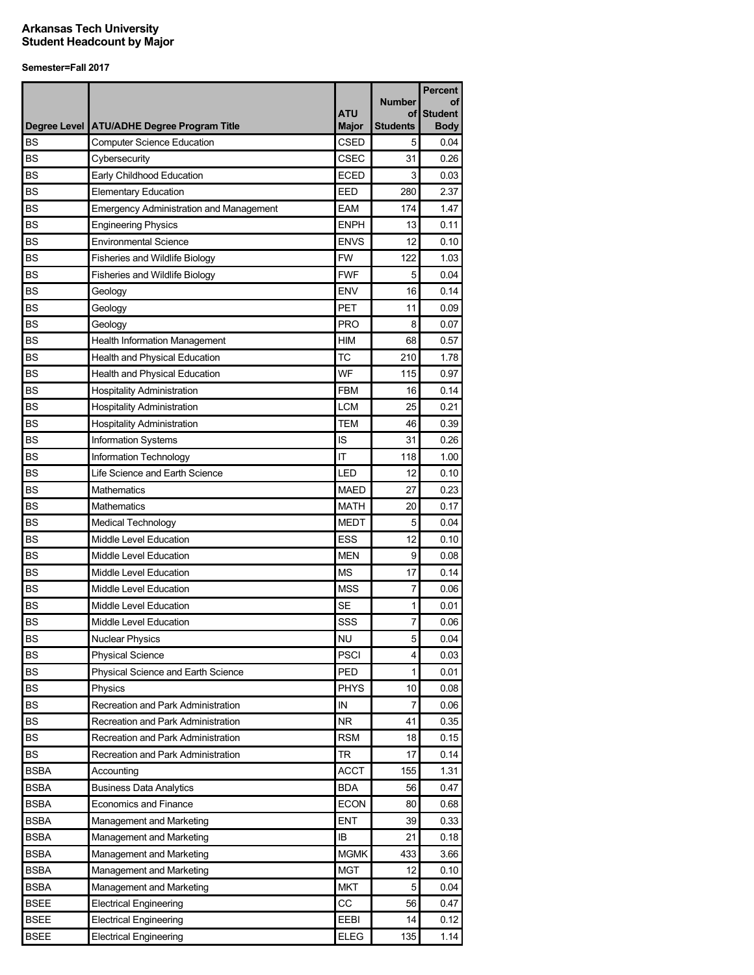| <b>Number</b><br><b>ATU</b><br>οf<br>Degree Level   ATU/ADHE Degree Program Title<br><b>Major</b><br><b>Students</b><br><b>CSED</b><br><b>BS</b><br><b>Computer Science Education</b><br>5 | οf<br><b>Student</b><br><b>Body</b><br>0.04<br>0.26 |
|--------------------------------------------------------------------------------------------------------------------------------------------------------------------------------------------|-----------------------------------------------------|
|                                                                                                                                                                                            |                                                     |
|                                                                                                                                                                                            |                                                     |
|                                                                                                                                                                                            |                                                     |
| <b>CSEC</b><br><b>BS</b><br>Cybersecurity<br>31                                                                                                                                            |                                                     |
| <b>BS</b><br>Early Childhood Education<br><b>ECED</b><br>3                                                                                                                                 | 0.03                                                |
| <b>BS</b><br><b>Elementary Education</b><br>EED<br>280                                                                                                                                     | 2.37                                                |
| <b>BS</b><br><b>Emergency Administration and Management</b><br><b>EAM</b><br>174                                                                                                           | 1.47                                                |
| <b>BS</b><br><b>ENPH</b><br>13<br><b>Engineering Physics</b>                                                                                                                               | 0.11                                                |
| BS<br><b>ENVS</b><br>12<br><b>Environmental Science</b>                                                                                                                                    | 0.10                                                |
| <b>FW</b><br><b>BS</b><br><b>Fisheries and Wildlife Biology</b><br>122                                                                                                                     | 1.03                                                |
| <b>FWF</b><br><b>BS</b><br>5<br>Fisheries and Wildlife Biology                                                                                                                             | 0.04                                                |
| <b>BS</b><br><b>ENV</b><br>16<br>Geology                                                                                                                                                   | 0.14                                                |
| <b>BS</b><br><b>PET</b><br>Geology<br>11                                                                                                                                                   | 0.09                                                |
| <b>BS</b><br><b>PRO</b><br>Geology<br>8                                                                                                                                                    | 0.07                                                |
| <b>BS</b><br><b>HIM</b><br>Health Information Management<br>68                                                                                                                             | 0.57                                                |
| <b>TC</b><br><b>BS</b><br>210<br>Health and Physical Education                                                                                                                             | 1.78                                                |
| <b>BS</b><br>WF<br>115<br>Health and Physical Education                                                                                                                                    | 0.97                                                |
| <b>BS</b><br><b>FBM</b><br>16<br><b>Hospitality Administration</b>                                                                                                                         | 0.14                                                |
| <b>BS</b><br><b>LCM</b><br><b>Hospitality Administration</b><br>25                                                                                                                         | 0.21                                                |
| <b>BS</b><br><b>TEM</b><br>46<br><b>Hospitality Administration</b>                                                                                                                         | 0.39                                                |
| <b>BS</b><br>IS<br><b>Information Systems</b><br>31                                                                                                                                        | 0.26                                                |
| <b>BS</b><br>IT<br>Information Technology<br>118                                                                                                                                           | 1.00                                                |
| LED<br><b>BS</b><br>Life Science and Earth Science<br>12                                                                                                                                   | 0.10                                                |
| <b>MAED</b><br><b>BS</b><br>Mathematics<br>27                                                                                                                                              | 0.23                                                |
| <b>BS</b><br><b>MATH</b><br>Mathematics<br>20                                                                                                                                              | 0.17                                                |
| <b>BS</b><br><b>MEDT</b><br>5<br><b>Medical Technology</b>                                                                                                                                 | 0.04                                                |
| ESS<br><b>BS</b><br>Middle Level Education<br>12                                                                                                                                           | 0.10                                                |
| <b>MEN</b><br><b>BS</b><br>9<br>Middle Level Education                                                                                                                                     | 0.08                                                |
| <b>BS</b><br><b>MS</b><br>Middle Level Education<br>17                                                                                                                                     | 0.14                                                |
| <b>BS</b><br><b>MSS</b><br>Middle Level Education<br>7                                                                                                                                     | 0.06                                                |
| <b>BS</b><br><b>SE</b><br>Middle Level Education<br>1                                                                                                                                      | 0.01                                                |
| <b>BS</b><br>SSS<br>7<br>Middle Level Education                                                                                                                                            | 0.06                                                |
| <b>BS</b><br><b>NU</b><br><b>Nuclear Physics</b><br>5                                                                                                                                      | 0.04                                                |
| <b>PSCI</b><br><b>BS</b><br><b>Physical Science</b><br>4                                                                                                                                   | 0.03                                                |
| <b>BS</b><br>Physical Science and Earth Science<br><b>PED</b><br>1                                                                                                                         | 0.01                                                |
| <b>BS</b><br><b>PHYS</b><br>Physics<br>10                                                                                                                                                  | 0.08                                                |
| IN<br>BS<br>Recreation and Park Administration<br>7                                                                                                                                        | 0.06                                                |
| <b>BS</b><br><b>NR</b><br>Recreation and Park Administration<br>41                                                                                                                         | 0.35                                                |
| <b>BS</b><br><b>RSM</b><br>Recreation and Park Administration<br>18                                                                                                                        | 0.15                                                |
| <b>BS</b><br>TR<br>Recreation and Park Administration<br>17                                                                                                                                | 0.14                                                |
| <b>BSBA</b><br><b>ACCT</b><br>Accounting<br>155                                                                                                                                            | 1.31                                                |
| <b>BSBA</b><br><b>Business Data Analytics</b><br>BDA<br>56                                                                                                                                 | 0.47                                                |
| <b>BSBA</b><br><b>ECON</b><br><b>Economics and Finance</b><br>80                                                                                                                           | 0.68                                                |
| <b>ENT</b><br>BSBA<br>39<br>Management and Marketing                                                                                                                                       | 0.33                                                |
| <b>BSBA</b><br>IB<br>21<br>Management and Marketing                                                                                                                                        | 0.18                                                |
| BSBA<br>Mgmk<br>433<br>Management and Marketing                                                                                                                                            | 3.66                                                |
| <b>BSBA</b><br><b>MGT</b><br>Management and Marketing<br>12                                                                                                                                | 0.10                                                |
| BSBA<br>MKT<br>5<br>Management and Marketing                                                                                                                                               | 0.04                                                |
| CC<br><b>BSEE</b><br>56<br><b>Electrical Engineering</b>                                                                                                                                   | 0.47                                                |
| <b>BSEE</b><br>EEBI<br><b>Electrical Engineering</b><br>14                                                                                                                                 | 0.12                                                |
| <b>BSEE</b><br><b>ELEG</b><br>135<br><b>Electrical Engineering</b>                                                                                                                         | 1.14                                                |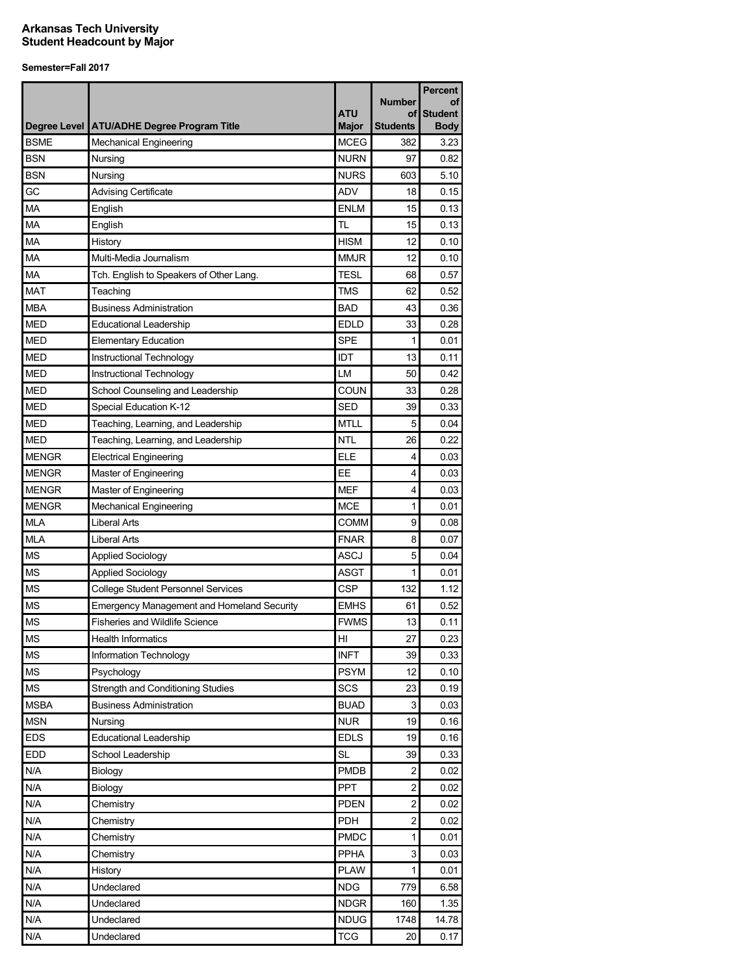|              |                                                   | <b>ATU</b>   | <b>Number</b><br>οf     | <b>Percent</b><br>οf<br><b>Student</b> |
|--------------|---------------------------------------------------|--------------|-------------------------|----------------------------------------|
|              | Degree Level   ATU/ADHE Degree Program Title      | <b>Major</b> | <b>Students</b>         | <b>Body</b>                            |
| <b>BSME</b>  | <b>Mechanical Engineering</b>                     | <b>MCEG</b>  | 382                     | 3.23                                   |
| <b>BSN</b>   | Nursing                                           | <b>NURN</b>  | 97                      | 0.82                                   |
| <b>BSN</b>   | Nursing                                           | <b>NURS</b>  | 603                     | 5.10                                   |
| GC           | <b>Advising Certificate</b>                       | <b>ADV</b>   | 18                      | 0.15                                   |
| MA           | English                                           | <b>ENLM</b>  | 15                      | 0.13                                   |
| MA           | English                                           | TL           | 15                      | 0.13                                   |
| MA           | History                                           | <b>HISM</b>  | 12                      | 0.10                                   |
| MA           | Multi-Media Journalism                            | <b>MMJR</b>  | 12                      | 0.10                                   |
| MA           | Tch. English to Speakers of Other Lang.           | <b>TESL</b>  | 68                      | 0.57                                   |
| <b>MAT</b>   | Teaching                                          | <b>TMS</b>   | 62                      | 0.52                                   |
| <b>MBA</b>   | <b>Business Administration</b>                    | <b>BAD</b>   | 43                      | 0.36                                   |
| <b>MED</b>   | <b>Educational Leadership</b>                     | <b>EDLD</b>  | 33                      | 0.28                                   |
| <b>MED</b>   | <b>Elementary Education</b>                       | <b>SPE</b>   | 1                       | 0.01                                   |
| <b>MED</b>   | Instructional Technology                          | IDT          | 13                      | 0.11                                   |
| <b>MED</b>   | Instructional Technology                          | LM           | 50                      | 0.42                                   |
| <b>MED</b>   | School Counseling and Leadership                  | COUN         | 33                      | 0.28                                   |
| <b>MED</b>   | Special Education K-12                            | <b>SED</b>   | 39                      | 0.33                                   |
| <b>MED</b>   | Teaching, Learning, and Leadership                | <b>MTLL</b>  | 5                       | 0.04                                   |
| <b>MED</b>   | Teaching, Learning, and Leadership                | <b>NTL</b>   | 26                      | 0.22                                   |
| <b>MENGR</b> | <b>Electrical Engineering</b>                     | <b>ELE</b>   | 4                       | 0.03                                   |
| <b>MENGR</b> | Master of Engineering                             | EE           | 4                       | 0.03                                   |
| <b>MENGR</b> | Master of Engineering                             | <b>MEF</b>   | 4                       | 0.03                                   |
| <b>MENGR</b> | <b>Mechanical Engineering</b>                     | MCE          | 1                       | 0.01                                   |
| <b>MLA</b>   | <b>Liberal Arts</b>                               | <b>COMM</b>  | 9                       | 0.08                                   |
| <b>MLA</b>   | <b>Liberal Arts</b>                               | <b>FNAR</b>  | 8                       | 0.07                                   |
| <b>MS</b>    | <b>Applied Sociology</b>                          | ASCJ         | 5                       | 0.04                                   |
| <b>MS</b>    | <b>Applied Sociology</b>                          | <b>ASGT</b>  | 1                       | 0.01                                   |
| <b>MS</b>    | <b>College Student Personnel Services</b>         | <b>CSP</b>   | 132                     | 1.12                                   |
| <b>MS</b>    | <b>Emergency Management and Homeland Security</b> | <b>EMHS</b>  | 61                      | 0.52                                   |
| <b>MS</b>    | <b>Fisheries and Wildlife Science</b>             | <b>FWMS</b>  | 13                      | 0.11                                   |
| <b>MS</b>    | <b>Health Informatics</b>                         | H            | 27                      | 0.23                                   |
| <b>MS</b>    | Information Technology                            | <b>INFT</b>  | 39                      | 0.33                                   |
| <b>MS</b>    | Psychology                                        | <b>PSYM</b>  | 12                      | 0.10                                   |
| <b>MS</b>    | Strength and Conditioning Studies                 | SCS          | 23                      | 0.19                                   |
| <b>MSBA</b>  | <b>Business Administration</b>                    | <b>BUAD</b>  | 3                       | 0.03                                   |
| <b>MSN</b>   |                                                   | <b>NUR</b>   | 19                      | 0.16                                   |
| <b>EDS</b>   | Nursing<br>Educational Leadership                 | <b>EDLS</b>  | 19                      | 0.16                                   |
| <b>EDD</b>   |                                                   | <b>SL</b>    |                         | 0.33                                   |
|              | School Leadership                                 |              | 39                      |                                        |
| N/A          | Biology                                           | <b>PMDB</b>  | $\overline{2}$          | 0.02                                   |
| N/A          | Biology                                           | <b>PPT</b>   | $\overline{\mathbf{c}}$ | 0.02                                   |
| N/A          | Chemistry                                         | <b>PDEN</b>  | $\overline{c}$          | 0.02                                   |
| N/A          | Chemistry                                         | <b>PDH</b>   | $\overline{\mathbf{c}}$ | 0.02                                   |
| N/A          | Chemistry                                         | <b>PMDC</b>  | 1                       | 0.01                                   |
| N/A          | Chemistry                                         | PPHA         | $\mathsf 3$             | 0.03                                   |
| N/A          | History                                           | <b>PLAW</b>  | 1                       | 0.01                                   |
| N/A          | Undeclared                                        | <b>NDG</b>   | 779                     | 6.58                                   |
| N/A          | Undeclared                                        | <b>NDGR</b>  | 160                     | 1.35                                   |
| N/A          | Undeclared                                        | NDUG         | 1748                    | 14.78                                  |
| N/A          | Undeclared                                        | <b>TCG</b>   | 20                      | 0.17                                   |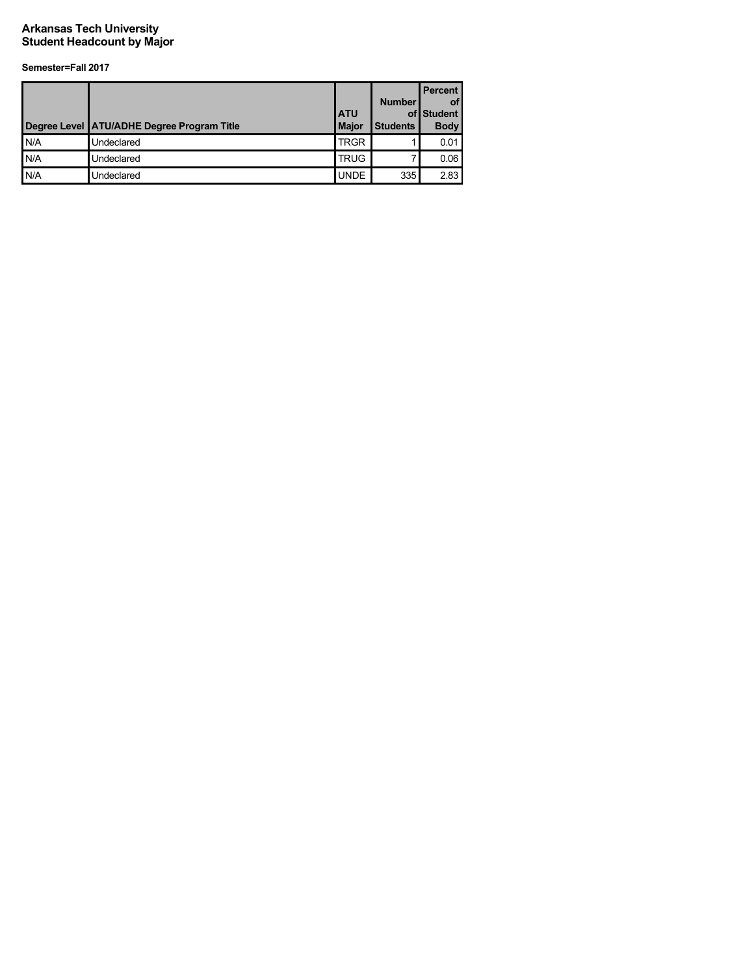|      | Degree Level ATU/ADHE Degree Program Title | <b>ATU</b><br><b>Major</b> | <b>Number</b><br><b>Students</b> | <b>Percent</b><br><b>of</b><br>of Student<br><b>Body</b> |
|------|--------------------------------------------|----------------------------|----------------------------------|----------------------------------------------------------|
| IN/A | Undeclared                                 | <b>TRGR</b>                |                                  | 0.01                                                     |
| IN/A | Undeclared                                 | <b>TRUG</b>                |                                  | 0.06                                                     |
| N/A  | Undeclared                                 | <b>UNDE</b>                | 335                              | 2.83                                                     |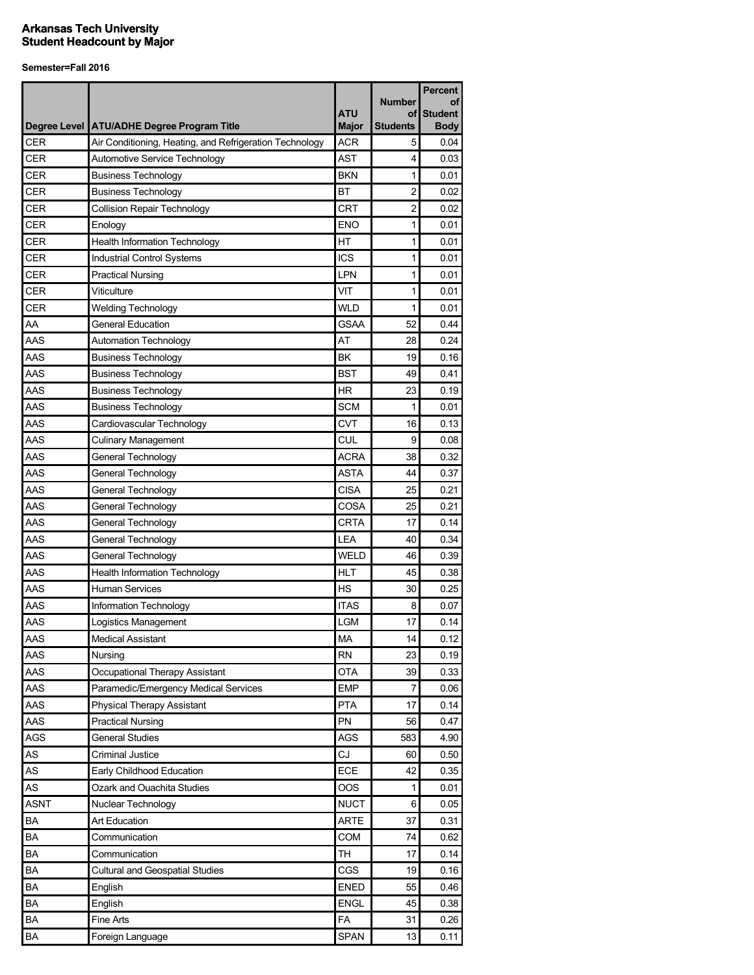|             |                                                         | <b>ATU</b>   | <b>Number</b><br>οf | <b>Percent</b><br>οf<br><b>Student</b> |
|-------------|---------------------------------------------------------|--------------|---------------------|----------------------------------------|
|             | Degree Level   ATU/ADHE Degree Program Title            | <b>Major</b> | <b>Students</b>     | <b>Body</b>                            |
| <b>CER</b>  | Air Conditioning, Heating, and Refrigeration Technology | <b>ACR</b>   | 5                   | 0.04                                   |
| <b>CER</b>  | Automotive Service Technology                           | <b>AST</b>   | 4                   | 0.03                                   |
| <b>CER</b>  | <b>Business Technology</b>                              | <b>BKN</b>   | 1                   | 0.01                                   |
| <b>CER</b>  | <b>Business Technology</b>                              | BT           | 2                   | 0.02                                   |
| CER         | <b>Collision Repair Technology</b>                      | <b>CRT</b>   | 2                   | 0.02                                   |
| <b>CER</b>  | Enology                                                 | <b>ENO</b>   | 1                   | 0.01                                   |
| <b>CER</b>  | <b>Health Information Technology</b>                    | HT           | 1                   | 0.01                                   |
| <b>CER</b>  | Industrial Control Systems                              | <b>ICS</b>   | 1                   | 0.01                                   |
| <b>CER</b>  | <b>Practical Nursing</b>                                | LPN          | 1                   | 0.01                                   |
| <b>CER</b>  | Viticulture                                             | VIT          | 1                   | 0.01                                   |
| <b>CER</b>  | <b>Welding Technology</b>                               | <b>WLD</b>   | 1                   | 0.01                                   |
| AA          | <b>General Education</b>                                | <b>GSAA</b>  | 52                  | 0.44                                   |
| AAS         | <b>Automation Technology</b>                            | AT           | 28                  | 0.24                                   |
| AAS         | <b>Business Technology</b>                              | BK           | 19                  | 0.16                                   |
| AAS         | <b>Business Technology</b>                              | <b>BST</b>   | 49                  | 0.41                                   |
| AAS         | <b>Business Technology</b>                              | <b>HR</b>    | 23                  | 0.19                                   |
| AAS         | <b>Business Technology</b>                              | <b>SCM</b>   | 1                   | 0.01                                   |
| AAS         | Cardiovascular Technology                               | <b>CVT</b>   | 16                  | 0.13                                   |
| AAS         | <b>Culinary Management</b>                              | <b>CUL</b>   | 9                   | 0.08                                   |
| AAS         | General Technology                                      | <b>ACRA</b>  | 38                  | 0.32                                   |
| AAS         | General Technology                                      | <b>ASTA</b>  | 44                  | 0.37                                   |
| AAS         | General Technology                                      | <b>CISA</b>  | 25                  | 0.21                                   |
| AAS         | General Technology                                      | COSA         | 25                  | 0.21                                   |
| AAS         | General Technology                                      | <b>CRTA</b>  | 17                  | 0.14                                   |
| AAS         | General Technology                                      | LEA          | 40                  | 0.34                                   |
| AAS         | General Technology                                      | WELD         | 46                  | 0.39                                   |
| AAS         | <b>Health Information Technology</b>                    | <b>HLT</b>   | 45                  | 0.38                                   |
| AAS         | <b>Human Services</b>                                   | <b>HS</b>    | 30                  | 0.25                                   |
| AAS         | Information Technology                                  | <b>ITAS</b>  | 8                   | 0.07                                   |
| AAS         | Logistics Management                                    | <b>LGM</b>   | 17                  | 0.14                                   |
| AAS         | <b>Medical Assistant</b>                                | MA           | 14                  | 0.12                                   |
| AAS         | Nursing                                                 | <b>RN</b>    | 23                  | 0.19                                   |
| AAS         | Occupational Therapy Assistant                          | <b>OTA</b>   | 39                  | 0.33                                   |
| AAS         | Paramedic/Emergency Medical Services                    | <b>EMP</b>   | 7                   | 0.06                                   |
| AAS         | <b>Physical Therapy Assistant</b>                       | <b>PTA</b>   | 17                  | 0.14                                   |
| AAS         | <b>Practical Nursing</b>                                | PN           | 56                  | 0.47                                   |
| <b>AGS</b>  | <b>General Studies</b>                                  | <b>AGS</b>   | 583                 | 4.90                                   |
| AS          | <b>Criminal Justice</b>                                 | CJ           | 60                  | 0.50                                   |
| AS          | Early Childhood Education                               | ECE          | 42                  | 0.35                                   |
| AS          | Ozark and Ouachita Studies                              | <b>OOS</b>   | 1                   | 0.01                                   |
| <b>ASNT</b> | Nuclear Technology                                      | <b>NUCT</b>  | 6                   | 0.05                                   |
| BA          | Art Education                                           | <b>ARTE</b>  | 37                  | 0.31                                   |
| BA          | Communication                                           | COM          | 74                  | 0.62                                   |
| BA          | Communication                                           | TН           | 17                  | 0.14                                   |
| BA          |                                                         | CGS          | 19                  | 0.16                                   |
| BA          | <b>Cultural and Geospatial Studies</b><br>English       | <b>ENED</b>  | 55                  | 0.46                                   |
| BA          |                                                         | <b>ENGL</b>  |                     |                                        |
|             | English                                                 |              | 45                  | 0.38                                   |
| BA<br>BA    | Fine Arts                                               | FA<br>SPAN   | 31<br>13            | 0.26                                   |
|             | Foreign Language                                        |              |                     | 0.11                                   |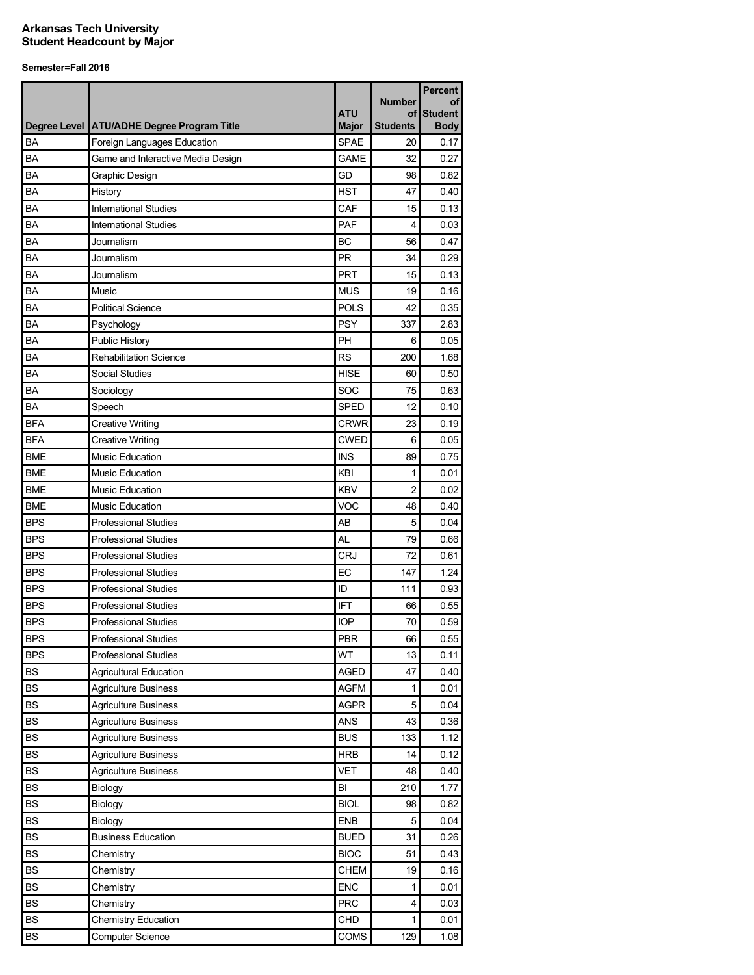|            |                                              | <b>ATU</b>   | <b>Number</b><br>οf | <b>Percent</b><br>οf<br><b>Student</b> |
|------------|----------------------------------------------|--------------|---------------------|----------------------------------------|
|            | Degree Level   ATU/ADHE Degree Program Title | <b>Major</b> | <b>Students</b>     | <b>Body</b>                            |
| BA         | Foreign Languages Education                  | <b>SPAE</b>  | 20                  | 0.17                                   |
| <b>BA</b>  | Game and Interactive Media Design            | <b>GAME</b>  | 32                  | 0.27                                   |
| BA         | Graphic Design                               | GD           | 98                  | 0.82                                   |
| BA         | History                                      | <b>HST</b>   | 47                  | 0.40                                   |
| BA         | <b>International Studies</b>                 | CAF          | 15                  | 0.13                                   |
| BA         | <b>International Studies</b>                 | PAF          | 4                   | 0.03                                   |
| BA         | Journalism                                   | ВC           | 56                  | 0.47                                   |
| BA         | Journalism                                   | <b>PR</b>    | 34                  | 0.29                                   |
| BA         | Journalism                                   | <b>PRT</b>   | 15                  | 0.13                                   |
| BA         | Music                                        | <b>MUS</b>   | 19                  | 0.16                                   |
| BA         | <b>Political Science</b>                     | <b>POLS</b>  | 42                  | 0.35                                   |
| BA         | Psychology                                   | <b>PSY</b>   | 337                 | 2.83                                   |
| BA         | <b>Public History</b>                        | PH           | 6                   | 0.05                                   |
| BA         | <b>Rehabilitation Science</b>                | <b>RS</b>    | 200                 | 1.68                                   |
| BA         | Social Studies                               | <b>HISE</b>  | 60                  | 0.50                                   |
| BA         | Sociology                                    | SOC          | 75                  | 0.63                                   |
| BA         | Speech                                       | <b>SPED</b>  | 12                  | 0.10                                   |
| <b>BFA</b> | <b>Creative Writing</b>                      | <b>CRWR</b>  | 23                  | 0.19                                   |
| <b>BFA</b> | <b>Creative Writing</b>                      | <b>CWED</b>  | 6                   | 0.05                                   |
| <b>BME</b> | <b>Music Education</b>                       | <b>INS</b>   | 89                  | 0.75                                   |
| <b>BME</b> | <b>Music Education</b>                       | KBI          | 1                   | 0.01                                   |
| <b>BME</b> | <b>Music Education</b>                       | <b>KBV</b>   | 2                   | 0.02                                   |
| <b>BME</b> | <b>Music Education</b>                       | VOC          | 48                  | 0.40                                   |
| <b>BPS</b> | <b>Professional Studies</b>                  | AB           | 5                   | 0.04                                   |
| <b>BPS</b> | <b>Professional Studies</b>                  | AL           | 79                  | 0.66                                   |
| <b>BPS</b> | <b>Professional Studies</b>                  | <b>CRJ</b>   | 72                  | 0.61                                   |
| <b>BPS</b> | <b>Professional Studies</b>                  | EC           | 147                 | 1.24                                   |
| <b>BPS</b> | <b>Professional Studies</b>                  | ID           | 111                 | 0.93                                   |
| <b>BPS</b> | <b>Professional Studies</b>                  | <b>IFT</b>   | 66                  | 0.55                                   |
| <b>BPS</b> | <b>Professional Studies</b>                  | <b>IOP</b>   | 70                  | 0.59                                   |
| <b>BPS</b> | <b>Professional Studies</b>                  | <b>PBR</b>   | 66                  | 0.55                                   |
| <b>BPS</b> | <b>Professional Studies</b>                  | WT           | 13                  | 0.11                                   |
| <b>BS</b>  | <b>Agricultural Education</b>                | AGED         | 47                  | 0.40                                   |
| <b>BS</b>  | <b>Agriculture Business</b>                  | <b>AGFM</b>  | 1                   | 0.01                                   |
| <b>BS</b>  | <b>Agriculture Business</b>                  | <b>AGPR</b>  | 5                   | 0.04                                   |
| <b>BS</b>  | <b>Agriculture Business</b>                  | ANS          | 43                  | 0.36                                   |
| <b>BS</b>  |                                              | <b>BUS</b>   | 133                 | 1.12                                   |
| <b>BS</b>  | <b>Agriculture Business</b>                  | <b>HRB</b>   |                     |                                        |
|            | <b>Agriculture Business</b>                  |              | 14                  | 0.12                                   |
| <b>BS</b>  | <b>Agriculture Business</b>                  | <b>VET</b>   | 48                  | 0.40                                   |
| <b>BS</b>  | Biology                                      | BI           | 210                 | 1.77                                   |
| <b>BS</b>  | Biology                                      | <b>BIOL</b>  | 98                  | 0.82                                   |
| <b>BS</b>  | Biology                                      | ENB          | 5                   | 0.04                                   |
| BS         | <b>Business Education</b>                    | <b>BUED</b>  | 31                  | 0.26                                   |
| BS         | Chemistry                                    | <b>BIOC</b>  | 51                  | 0.43                                   |
| <b>BS</b>  | Chemistry                                    | <b>CHEM</b>  | 19                  | 0.16                                   |
| <b>BS</b>  | Chemistry                                    | <b>ENC</b>   | 1                   | 0.01                                   |
| BS         | Chemistry                                    | <b>PRC</b>   | 4                   | 0.03                                   |
| <b>BS</b>  | <b>Chemistry Education</b>                   | CHD          | 1                   | 0.01                                   |
| BS         | <b>Computer Science</b>                      | COMS         | 129                 | 1.08                                   |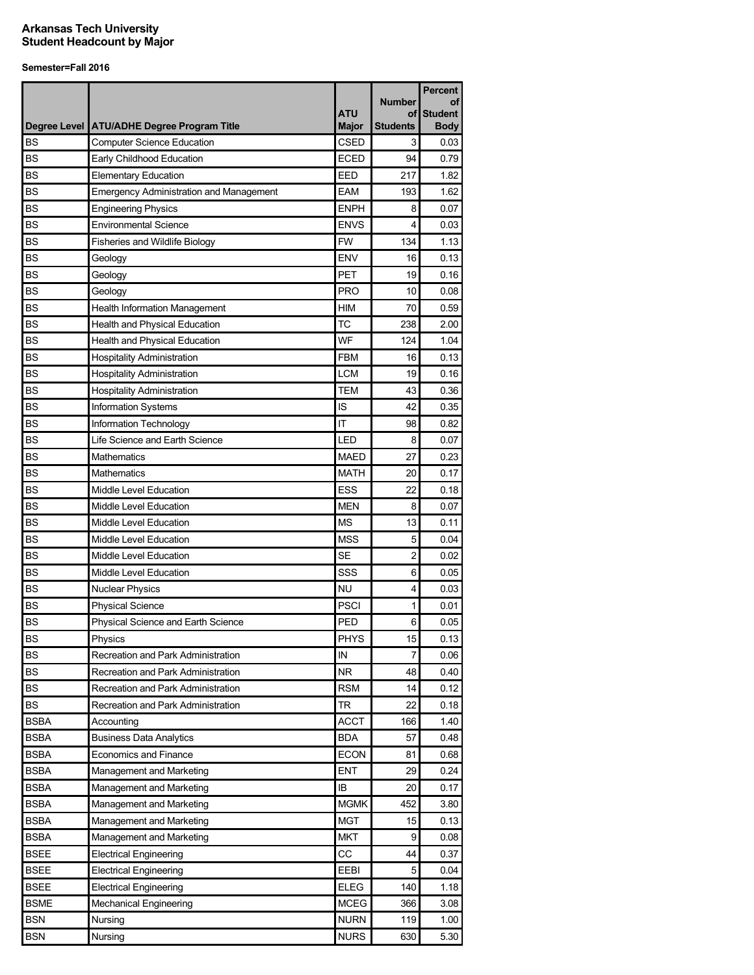|             |                                                |                            |                | <b>Percent</b>                |
|-------------|------------------------------------------------|----------------------------|----------------|-------------------------------|
|             |                                                |                            | <b>Number</b>  | οf                            |
|             | Degree Level   ATU/ADHE Degree Program Title   | <b>ATU</b><br><b>Major</b> | οf<br>Students | <b>Student</b><br><b>Body</b> |
| <b>BS</b>   | <b>Computer Science Education</b>              | <b>CSED</b>                | 3              | 0.03                          |
| <b>BS</b>   | Early Childhood Education                      | <b>ECED</b>                | 94             | 0.79                          |
| <b>BS</b>   | <b>Elementary Education</b>                    | EED                        | 217            | 1.82                          |
| <b>BS</b>   | <b>Emergency Administration and Management</b> | <b>EAM</b>                 | 193            | 1.62                          |
| <b>BS</b>   | <b>Engineering Physics</b>                     | <b>ENPH</b>                | 8              | 0.07                          |
| <b>BS</b>   | <b>Environmental Science</b>                   | <b>ENVS</b>                | 4              | 0.03                          |
| <b>BS</b>   | Fisheries and Wildlife Biology                 | <b>FW</b>                  | 134            | 1.13                          |
| <b>BS</b>   | Geology                                        | <b>ENV</b>                 | 16             | 0.13                          |
| <b>BS</b>   | Geology                                        | PET                        | 19             | 0.16                          |
| <b>BS</b>   | Geology                                        | <b>PRO</b>                 | 10             | 0.08                          |
| <b>BS</b>   | Health Information Management                  | <b>HIM</b>                 | 70             | 0.59                          |
| <b>BS</b>   | Health and Physical Education                  | <b>TC</b>                  | 238            | 2.00                          |
| <b>BS</b>   | Health and Physical Education                  | WF                         | 124            | 1.04                          |
| <b>BS</b>   | <b>Hospitality Administration</b>              | <b>FBM</b>                 | 16             | 0.13                          |
| <b>BS</b>   | <b>Hospitality Administration</b>              | <b>LCM</b>                 | 19             | 0.16                          |
| <b>BS</b>   | <b>Hospitality Administration</b>              | <b>TEM</b>                 | 43             | 0.36                          |
| <b>BS</b>   | Information Systems                            | IS                         | 42             | 0.35                          |
| <b>BS</b>   | Information Technology                         | IT                         | 98             | 0.82                          |
| <b>BS</b>   | Life Science and Earth Science                 | LED                        | 8              | 0.07                          |
| <b>BS</b>   | Mathematics                                    | <b>MAED</b>                | 27             | 0.23                          |
| <b>BS</b>   | Mathematics                                    | <b>MATH</b>                | 20             | 0.17                          |
| <b>BS</b>   | Middle Level Education                         | <b>ESS</b>                 | 22             | 0.18                          |
| <b>BS</b>   | Middle Level Education                         | MEN                        | 8              | 0.07                          |
| <b>BS</b>   | Middle Level Education                         | <b>MS</b>                  | 13             | 0.11                          |
| <b>BS</b>   | Middle Level Education                         | <b>MSS</b>                 | 5              | 0.04                          |
| <b>BS</b>   | Middle Level Education                         | <b>SE</b>                  | $\overline{c}$ | 0.02                          |
| <b>BS</b>   | Middle Level Education                         | SSS                        | 6              | 0.05                          |
| <b>BS</b>   | <b>Nuclear Physics</b>                         | NU                         | 4              | 0.03                          |
| <b>BS</b>   | <b>Physical Science</b>                        | <b>PSCI</b>                | 1              | 0.01                          |
| <b>BS</b>   | Physical Science and Earth Science             | PED                        | 6              | 0.05                          |
| <b>BS</b>   | Physics                                        | <b>PHYS</b>                | 15             | 0.13                          |
| <b>BS</b>   | Recreation and Park Administration             | IN                         | 7              | 0.06                          |
| <b>BS</b>   | Recreation and Park Administration             | NR.                        | 48             | 0.40                          |
| <b>BS</b>   | Recreation and Park Administration             | <b>RSM</b>                 | 14             | 0.12                          |
| <b>BS</b>   | Recreation and Park Administration             | TR                         | 22             | 0.18                          |
| <b>BSBA</b> | Accounting                                     | <b>ACCT</b>                | 166            | 1.40                          |
| <b>BSBA</b> | <b>Business Data Analytics</b>                 | <b>BDA</b>                 | 57             | 0.48                          |
| <b>BSBA</b> | Economics and Finance                          | <b>ECON</b>                | 81             | 0.68                          |
| BSBA        | Management and Marketing                       | <b>ENT</b>                 | 29             | 0.24                          |
| <b>BSBA</b> | Management and Marketing                       | IB                         | 20             | 0.17                          |
| <b>BSBA</b> | Management and Marketing                       | <b>MGMK</b>                | 452            | 3.80                          |
| BSBA        | Management and Marketing                       | MGT                        | 15             | 0.13                          |
| <b>BSBA</b> | Management and Marketing                       | <b>MKT</b>                 | 9              | 0.08                          |
| <b>BSEE</b> | <b>Electrical Engineering</b>                  | CС                         | 44             | 0.37                          |
| <b>BSEE</b> | <b>Electrical Engineering</b>                  | <b>EEBI</b>                | 5              | 0.04                          |
| <b>BSEE</b> | <b>Electrical Engineering</b>                  | <b>ELEG</b>                | 140            | 1.18                          |
| <b>BSME</b> | Mechanical Engineering                         | <b>MCEG</b>                | 366            | 3.08                          |
| <b>BSN</b>  | Nursing                                        | NURN                       | 119            | 1.00                          |
| <b>BSN</b>  | Nursing                                        | <b>NURS</b>                | 630            | 5.30                          |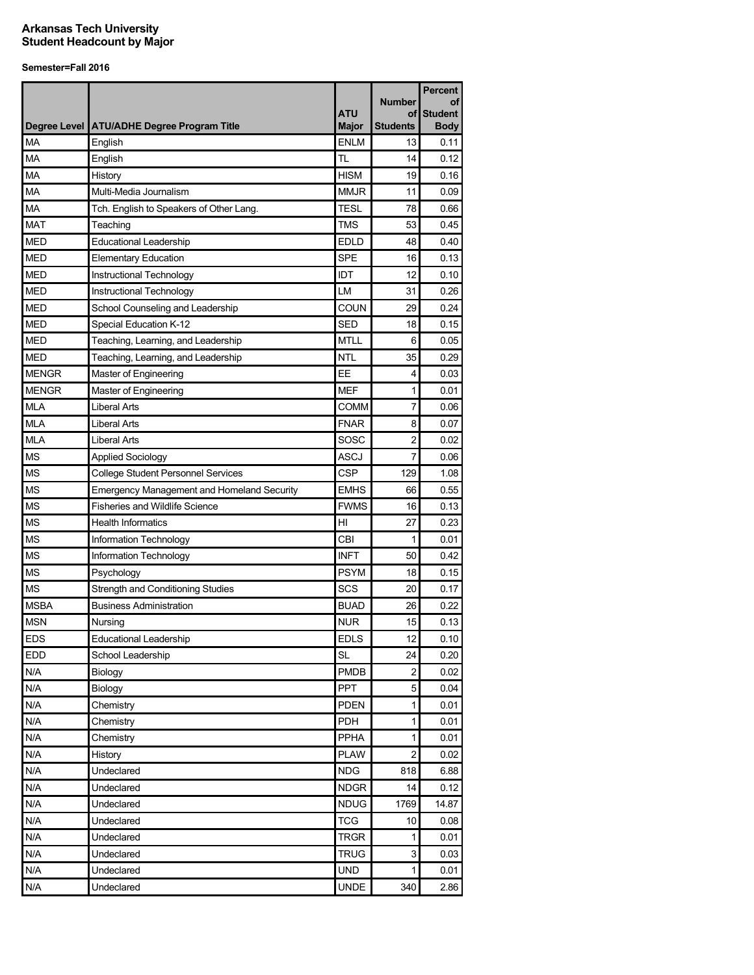| <b>ATU</b><br><b>Student</b><br>οf<br>Degree Level   ATU/ADHE Degree Program Title<br><b>Major</b><br><b>Students</b><br><b>Body</b><br><b>MA</b><br><b>ENLM</b><br>English<br>13<br>0.11<br>MA<br>TL<br>English<br>14<br>0.12<br>MA<br><b>HISM</b><br>History<br>19<br>0.16<br>МA<br>Multi-Media Journalism<br><b>MMJR</b><br>0.09<br>11<br>MA<br>Tch. English to Speakers of Other Lang.<br>TESL<br>78<br>0.66<br><b>MAT</b><br>TMS<br>53<br>Teaching<br>0.45<br><b>MED</b><br>48<br><b>Educational Leadership</b><br>EDLD<br>0.40<br><b>SPE</b><br><b>MED</b><br>0.13<br><b>Elementary Education</b><br>16<br><b>MED</b><br>IDT<br>12<br>Instructional Technology<br>0.10<br><b>MED</b><br>LM<br>Instructional Technology<br>31<br>0.26<br><b>MED</b><br>COUN<br>School Counseling and Leadership<br>29<br>0.24<br><b>MED</b><br>Special Education K-12<br><b>SED</b><br>18<br>0.15<br><b>MED</b><br>Teaching, Learning, and Leadership<br><b>MTLL</b><br>6<br>0.05<br><b>MED</b><br>Teaching, Learning, and Leadership<br><b>NTL</b><br>0.29<br>35<br><b>MENGR</b><br>Master of Engineering<br>EE<br>0.03<br>4<br><b>MEF</b><br><b>MENGR</b><br>$\mathbf{1}$<br>0.01<br>Master of Engineering<br>COMM<br><b>MLA</b><br><b>Liberal Arts</b><br>7<br>0.06<br><b>MLA</b><br><b>FNAR</b><br>Liberal Arts<br>8<br>0.07<br><b>MLA</b><br><b>Liberal Arts</b><br>SOSC<br>$\overline{c}$<br>0.02<br><b>MS</b><br><b>ASCJ</b><br>7<br><b>Applied Sociology</b><br>0.06<br><b>CSP</b><br><b>MS</b><br><b>College Student Personnel Services</b><br>129<br>1.08<br><b>MS</b><br><b>EMHS</b><br><b>Emergency Management and Homeland Security</b><br>66<br>0.55<br><b>MS</b><br><b>Fisheries and Wildlife Science</b><br><b>FWMS</b><br>16<br>0.13<br><b>MS</b><br><b>Health Informatics</b><br>HI<br>27<br>0.23<br><b>MS</b><br>CBI<br>Information Technology<br>1<br>0.01<br><b>MS</b><br><b>INFT</b><br>Information Technology<br>50<br>0.42<br><b>MS</b><br><b>PSYM</b><br>Psychology<br>18<br>0.15<br><b>MS</b><br>SCS<br>Strength and Conditioning Studies<br>20<br>0.17<br><b>MSBA</b><br><b>Business Administration</b><br><b>BUAD</b><br>0.22<br>26<br><b>MSN</b><br><b>NUR</b><br>15<br>0.13<br>Nursing<br><b>EDS</b><br>Educational Leadership<br><b>EDLS</b><br>12<br>0.10<br><b>EDD</b><br>School Leadership<br><b>SL</b><br>24<br>0.20<br><b>PMDB</b><br>N/A<br>Biology<br>2<br>0.02<br>PPT<br>5<br>N/A<br>Biology<br>0.04<br>N/A<br>Chemistry<br><b>PDEN</b><br>$\mathbf{1}$<br>0.01<br>N/A<br><b>PDH</b><br>$\mathbf{1}$<br>Chemistry<br>0.01<br>PPHA<br>N/A<br>Chemistry<br>$\mathbf{1}$<br>0.01<br><b>PLAW</b><br>$\overline{2}$<br>N/A<br>History<br>0.02<br>N/A<br>Undeclared<br><b>NDG</b><br>818<br>6.88<br>N/A<br>Undeclared<br><b>NDGR</b><br>14<br>N/A<br><b>NDUG</b><br>1769<br>Undeclared<br>14.87<br><b>TCG</b><br>N/A<br>Undeclared<br>10<br>0.08<br>N/A<br>Undeclared<br><b>TRGR</b><br>0.01<br>1<br>N/A<br><b>TRUG</b><br>3<br>Undeclared<br>0.03<br>N/A<br>Undeclared<br><b>UND</b><br>1<br>0.01 |     |            |             | <b>Number</b> | <b>Percent</b><br>οf |
|--------------------------------------------------------------------------------------------------------------------------------------------------------------------------------------------------------------------------------------------------------------------------------------------------------------------------------------------------------------------------------------------------------------------------------------------------------------------------------------------------------------------------------------------------------------------------------------------------------------------------------------------------------------------------------------------------------------------------------------------------------------------------------------------------------------------------------------------------------------------------------------------------------------------------------------------------------------------------------------------------------------------------------------------------------------------------------------------------------------------------------------------------------------------------------------------------------------------------------------------------------------------------------------------------------------------------------------------------------------------------------------------------------------------------------------------------------------------------------------------------------------------------------------------------------------------------------------------------------------------------------------------------------------------------------------------------------------------------------------------------------------------------------------------------------------------------------------------------------------------------------------------------------------------------------------------------------------------------------------------------------------------------------------------------------------------------------------------------------------------------------------------------------------------------------------------------------------------------------------------------------------------------------------------------------------------------------------------------------------------------------------------------------------------------------------------------------------------------------------------------------------------------------------------------------------------------------------------------------------------------------------------------------------------------------------------------------------------------------------------------------------------------------------------------------------------------------------------------------------------------------------------------------------------------------------------------------------------------------------------------------------------------|-----|------------|-------------|---------------|----------------------|
|                                                                                                                                                                                                                                                                                                                                                                                                                                                                                                                                                                                                                                                                                                                                                                                                                                                                                                                                                                                                                                                                                                                                                                                                                                                                                                                                                                                                                                                                                                                                                                                                                                                                                                                                                                                                                                                                                                                                                                                                                                                                                                                                                                                                                                                                                                                                                                                                                                                                                                                                                                                                                                                                                                                                                                                                                                                                                                                                                                                                                          |     |            |             |               |                      |
|                                                                                                                                                                                                                                                                                                                                                                                                                                                                                                                                                                                                                                                                                                                                                                                                                                                                                                                                                                                                                                                                                                                                                                                                                                                                                                                                                                                                                                                                                                                                                                                                                                                                                                                                                                                                                                                                                                                                                                                                                                                                                                                                                                                                                                                                                                                                                                                                                                                                                                                                                                                                                                                                                                                                                                                                                                                                                                                                                                                                                          |     |            |             |               |                      |
|                                                                                                                                                                                                                                                                                                                                                                                                                                                                                                                                                                                                                                                                                                                                                                                                                                                                                                                                                                                                                                                                                                                                                                                                                                                                                                                                                                                                                                                                                                                                                                                                                                                                                                                                                                                                                                                                                                                                                                                                                                                                                                                                                                                                                                                                                                                                                                                                                                                                                                                                                                                                                                                                                                                                                                                                                                                                                                                                                                                                                          |     |            |             |               |                      |
|                                                                                                                                                                                                                                                                                                                                                                                                                                                                                                                                                                                                                                                                                                                                                                                                                                                                                                                                                                                                                                                                                                                                                                                                                                                                                                                                                                                                                                                                                                                                                                                                                                                                                                                                                                                                                                                                                                                                                                                                                                                                                                                                                                                                                                                                                                                                                                                                                                                                                                                                                                                                                                                                                                                                                                                                                                                                                                                                                                                                                          |     |            |             |               |                      |
|                                                                                                                                                                                                                                                                                                                                                                                                                                                                                                                                                                                                                                                                                                                                                                                                                                                                                                                                                                                                                                                                                                                                                                                                                                                                                                                                                                                                                                                                                                                                                                                                                                                                                                                                                                                                                                                                                                                                                                                                                                                                                                                                                                                                                                                                                                                                                                                                                                                                                                                                                                                                                                                                                                                                                                                                                                                                                                                                                                                                                          |     |            |             |               |                      |
|                                                                                                                                                                                                                                                                                                                                                                                                                                                                                                                                                                                                                                                                                                                                                                                                                                                                                                                                                                                                                                                                                                                                                                                                                                                                                                                                                                                                                                                                                                                                                                                                                                                                                                                                                                                                                                                                                                                                                                                                                                                                                                                                                                                                                                                                                                                                                                                                                                                                                                                                                                                                                                                                                                                                                                                                                                                                                                                                                                                                                          |     |            |             |               |                      |
|                                                                                                                                                                                                                                                                                                                                                                                                                                                                                                                                                                                                                                                                                                                                                                                                                                                                                                                                                                                                                                                                                                                                                                                                                                                                                                                                                                                                                                                                                                                                                                                                                                                                                                                                                                                                                                                                                                                                                                                                                                                                                                                                                                                                                                                                                                                                                                                                                                                                                                                                                                                                                                                                                                                                                                                                                                                                                                                                                                                                                          |     |            |             |               |                      |
|                                                                                                                                                                                                                                                                                                                                                                                                                                                                                                                                                                                                                                                                                                                                                                                                                                                                                                                                                                                                                                                                                                                                                                                                                                                                                                                                                                                                                                                                                                                                                                                                                                                                                                                                                                                                                                                                                                                                                                                                                                                                                                                                                                                                                                                                                                                                                                                                                                                                                                                                                                                                                                                                                                                                                                                                                                                                                                                                                                                                                          |     |            |             |               |                      |
|                                                                                                                                                                                                                                                                                                                                                                                                                                                                                                                                                                                                                                                                                                                                                                                                                                                                                                                                                                                                                                                                                                                                                                                                                                                                                                                                                                                                                                                                                                                                                                                                                                                                                                                                                                                                                                                                                                                                                                                                                                                                                                                                                                                                                                                                                                                                                                                                                                                                                                                                                                                                                                                                                                                                                                                                                                                                                                                                                                                                                          |     |            |             |               |                      |
|                                                                                                                                                                                                                                                                                                                                                                                                                                                                                                                                                                                                                                                                                                                                                                                                                                                                                                                                                                                                                                                                                                                                                                                                                                                                                                                                                                                                                                                                                                                                                                                                                                                                                                                                                                                                                                                                                                                                                                                                                                                                                                                                                                                                                                                                                                                                                                                                                                                                                                                                                                                                                                                                                                                                                                                                                                                                                                                                                                                                                          |     |            |             |               |                      |
|                                                                                                                                                                                                                                                                                                                                                                                                                                                                                                                                                                                                                                                                                                                                                                                                                                                                                                                                                                                                                                                                                                                                                                                                                                                                                                                                                                                                                                                                                                                                                                                                                                                                                                                                                                                                                                                                                                                                                                                                                                                                                                                                                                                                                                                                                                                                                                                                                                                                                                                                                                                                                                                                                                                                                                                                                                                                                                                                                                                                                          |     |            |             |               |                      |
|                                                                                                                                                                                                                                                                                                                                                                                                                                                                                                                                                                                                                                                                                                                                                                                                                                                                                                                                                                                                                                                                                                                                                                                                                                                                                                                                                                                                                                                                                                                                                                                                                                                                                                                                                                                                                                                                                                                                                                                                                                                                                                                                                                                                                                                                                                                                                                                                                                                                                                                                                                                                                                                                                                                                                                                                                                                                                                                                                                                                                          |     |            |             |               |                      |
|                                                                                                                                                                                                                                                                                                                                                                                                                                                                                                                                                                                                                                                                                                                                                                                                                                                                                                                                                                                                                                                                                                                                                                                                                                                                                                                                                                                                                                                                                                                                                                                                                                                                                                                                                                                                                                                                                                                                                                                                                                                                                                                                                                                                                                                                                                                                                                                                                                                                                                                                                                                                                                                                                                                                                                                                                                                                                                                                                                                                                          |     |            |             |               |                      |
|                                                                                                                                                                                                                                                                                                                                                                                                                                                                                                                                                                                                                                                                                                                                                                                                                                                                                                                                                                                                                                                                                                                                                                                                                                                                                                                                                                                                                                                                                                                                                                                                                                                                                                                                                                                                                                                                                                                                                                                                                                                                                                                                                                                                                                                                                                                                                                                                                                                                                                                                                                                                                                                                                                                                                                                                                                                                                                                                                                                                                          |     |            |             |               |                      |
|                                                                                                                                                                                                                                                                                                                                                                                                                                                                                                                                                                                                                                                                                                                                                                                                                                                                                                                                                                                                                                                                                                                                                                                                                                                                                                                                                                                                                                                                                                                                                                                                                                                                                                                                                                                                                                                                                                                                                                                                                                                                                                                                                                                                                                                                                                                                                                                                                                                                                                                                                                                                                                                                                                                                                                                                                                                                                                                                                                                                                          |     |            |             |               |                      |
|                                                                                                                                                                                                                                                                                                                                                                                                                                                                                                                                                                                                                                                                                                                                                                                                                                                                                                                                                                                                                                                                                                                                                                                                                                                                                                                                                                                                                                                                                                                                                                                                                                                                                                                                                                                                                                                                                                                                                                                                                                                                                                                                                                                                                                                                                                                                                                                                                                                                                                                                                                                                                                                                                                                                                                                                                                                                                                                                                                                                                          |     |            |             |               |                      |
|                                                                                                                                                                                                                                                                                                                                                                                                                                                                                                                                                                                                                                                                                                                                                                                                                                                                                                                                                                                                                                                                                                                                                                                                                                                                                                                                                                                                                                                                                                                                                                                                                                                                                                                                                                                                                                                                                                                                                                                                                                                                                                                                                                                                                                                                                                                                                                                                                                                                                                                                                                                                                                                                                                                                                                                                                                                                                                                                                                                                                          |     |            |             |               |                      |
|                                                                                                                                                                                                                                                                                                                                                                                                                                                                                                                                                                                                                                                                                                                                                                                                                                                                                                                                                                                                                                                                                                                                                                                                                                                                                                                                                                                                                                                                                                                                                                                                                                                                                                                                                                                                                                                                                                                                                                                                                                                                                                                                                                                                                                                                                                                                                                                                                                                                                                                                                                                                                                                                                                                                                                                                                                                                                                                                                                                                                          |     |            |             |               |                      |
|                                                                                                                                                                                                                                                                                                                                                                                                                                                                                                                                                                                                                                                                                                                                                                                                                                                                                                                                                                                                                                                                                                                                                                                                                                                                                                                                                                                                                                                                                                                                                                                                                                                                                                                                                                                                                                                                                                                                                                                                                                                                                                                                                                                                                                                                                                                                                                                                                                                                                                                                                                                                                                                                                                                                                                                                                                                                                                                                                                                                                          |     |            |             |               |                      |
|                                                                                                                                                                                                                                                                                                                                                                                                                                                                                                                                                                                                                                                                                                                                                                                                                                                                                                                                                                                                                                                                                                                                                                                                                                                                                                                                                                                                                                                                                                                                                                                                                                                                                                                                                                                                                                                                                                                                                                                                                                                                                                                                                                                                                                                                                                                                                                                                                                                                                                                                                                                                                                                                                                                                                                                                                                                                                                                                                                                                                          |     |            |             |               |                      |
|                                                                                                                                                                                                                                                                                                                                                                                                                                                                                                                                                                                                                                                                                                                                                                                                                                                                                                                                                                                                                                                                                                                                                                                                                                                                                                                                                                                                                                                                                                                                                                                                                                                                                                                                                                                                                                                                                                                                                                                                                                                                                                                                                                                                                                                                                                                                                                                                                                                                                                                                                                                                                                                                                                                                                                                                                                                                                                                                                                                                                          |     |            |             |               |                      |
|                                                                                                                                                                                                                                                                                                                                                                                                                                                                                                                                                                                                                                                                                                                                                                                                                                                                                                                                                                                                                                                                                                                                                                                                                                                                                                                                                                                                                                                                                                                                                                                                                                                                                                                                                                                                                                                                                                                                                                                                                                                                                                                                                                                                                                                                                                                                                                                                                                                                                                                                                                                                                                                                                                                                                                                                                                                                                                                                                                                                                          |     |            |             |               |                      |
|                                                                                                                                                                                                                                                                                                                                                                                                                                                                                                                                                                                                                                                                                                                                                                                                                                                                                                                                                                                                                                                                                                                                                                                                                                                                                                                                                                                                                                                                                                                                                                                                                                                                                                                                                                                                                                                                                                                                                                                                                                                                                                                                                                                                                                                                                                                                                                                                                                                                                                                                                                                                                                                                                                                                                                                                                                                                                                                                                                                                                          |     |            |             |               |                      |
|                                                                                                                                                                                                                                                                                                                                                                                                                                                                                                                                                                                                                                                                                                                                                                                                                                                                                                                                                                                                                                                                                                                                                                                                                                                                                                                                                                                                                                                                                                                                                                                                                                                                                                                                                                                                                                                                                                                                                                                                                                                                                                                                                                                                                                                                                                                                                                                                                                                                                                                                                                                                                                                                                                                                                                                                                                                                                                                                                                                                                          |     |            |             |               |                      |
|                                                                                                                                                                                                                                                                                                                                                                                                                                                                                                                                                                                                                                                                                                                                                                                                                                                                                                                                                                                                                                                                                                                                                                                                                                                                                                                                                                                                                                                                                                                                                                                                                                                                                                                                                                                                                                                                                                                                                                                                                                                                                                                                                                                                                                                                                                                                                                                                                                                                                                                                                                                                                                                                                                                                                                                                                                                                                                                                                                                                                          |     |            |             |               |                      |
|                                                                                                                                                                                                                                                                                                                                                                                                                                                                                                                                                                                                                                                                                                                                                                                                                                                                                                                                                                                                                                                                                                                                                                                                                                                                                                                                                                                                                                                                                                                                                                                                                                                                                                                                                                                                                                                                                                                                                                                                                                                                                                                                                                                                                                                                                                                                                                                                                                                                                                                                                                                                                                                                                                                                                                                                                                                                                                                                                                                                                          |     |            |             |               |                      |
|                                                                                                                                                                                                                                                                                                                                                                                                                                                                                                                                                                                                                                                                                                                                                                                                                                                                                                                                                                                                                                                                                                                                                                                                                                                                                                                                                                                                                                                                                                                                                                                                                                                                                                                                                                                                                                                                                                                                                                                                                                                                                                                                                                                                                                                                                                                                                                                                                                                                                                                                                                                                                                                                                                                                                                                                                                                                                                                                                                                                                          |     |            |             |               |                      |
|                                                                                                                                                                                                                                                                                                                                                                                                                                                                                                                                                                                                                                                                                                                                                                                                                                                                                                                                                                                                                                                                                                                                                                                                                                                                                                                                                                                                                                                                                                                                                                                                                                                                                                                                                                                                                                                                                                                                                                                                                                                                                                                                                                                                                                                                                                                                                                                                                                                                                                                                                                                                                                                                                                                                                                                                                                                                                                                                                                                                                          |     |            |             |               |                      |
|                                                                                                                                                                                                                                                                                                                                                                                                                                                                                                                                                                                                                                                                                                                                                                                                                                                                                                                                                                                                                                                                                                                                                                                                                                                                                                                                                                                                                                                                                                                                                                                                                                                                                                                                                                                                                                                                                                                                                                                                                                                                                                                                                                                                                                                                                                                                                                                                                                                                                                                                                                                                                                                                                                                                                                                                                                                                                                                                                                                                                          |     |            |             |               |                      |
|                                                                                                                                                                                                                                                                                                                                                                                                                                                                                                                                                                                                                                                                                                                                                                                                                                                                                                                                                                                                                                                                                                                                                                                                                                                                                                                                                                                                                                                                                                                                                                                                                                                                                                                                                                                                                                                                                                                                                                                                                                                                                                                                                                                                                                                                                                                                                                                                                                                                                                                                                                                                                                                                                                                                                                                                                                                                                                                                                                                                                          |     |            |             |               |                      |
|                                                                                                                                                                                                                                                                                                                                                                                                                                                                                                                                                                                                                                                                                                                                                                                                                                                                                                                                                                                                                                                                                                                                                                                                                                                                                                                                                                                                                                                                                                                                                                                                                                                                                                                                                                                                                                                                                                                                                                                                                                                                                                                                                                                                                                                                                                                                                                                                                                                                                                                                                                                                                                                                                                                                                                                                                                                                                                                                                                                                                          |     |            |             |               |                      |
|                                                                                                                                                                                                                                                                                                                                                                                                                                                                                                                                                                                                                                                                                                                                                                                                                                                                                                                                                                                                                                                                                                                                                                                                                                                                                                                                                                                                                                                                                                                                                                                                                                                                                                                                                                                                                                                                                                                                                                                                                                                                                                                                                                                                                                                                                                                                                                                                                                                                                                                                                                                                                                                                                                                                                                                                                                                                                                                                                                                                                          |     |            |             |               |                      |
|                                                                                                                                                                                                                                                                                                                                                                                                                                                                                                                                                                                                                                                                                                                                                                                                                                                                                                                                                                                                                                                                                                                                                                                                                                                                                                                                                                                                                                                                                                                                                                                                                                                                                                                                                                                                                                                                                                                                                                                                                                                                                                                                                                                                                                                                                                                                                                                                                                                                                                                                                                                                                                                                                                                                                                                                                                                                                                                                                                                                                          |     |            |             |               |                      |
|                                                                                                                                                                                                                                                                                                                                                                                                                                                                                                                                                                                                                                                                                                                                                                                                                                                                                                                                                                                                                                                                                                                                                                                                                                                                                                                                                                                                                                                                                                                                                                                                                                                                                                                                                                                                                                                                                                                                                                                                                                                                                                                                                                                                                                                                                                                                                                                                                                                                                                                                                                                                                                                                                                                                                                                                                                                                                                                                                                                                                          |     |            |             |               |                      |
|                                                                                                                                                                                                                                                                                                                                                                                                                                                                                                                                                                                                                                                                                                                                                                                                                                                                                                                                                                                                                                                                                                                                                                                                                                                                                                                                                                                                                                                                                                                                                                                                                                                                                                                                                                                                                                                                                                                                                                                                                                                                                                                                                                                                                                                                                                                                                                                                                                                                                                                                                                                                                                                                                                                                                                                                                                                                                                                                                                                                                          |     |            |             |               |                      |
|                                                                                                                                                                                                                                                                                                                                                                                                                                                                                                                                                                                                                                                                                                                                                                                                                                                                                                                                                                                                                                                                                                                                                                                                                                                                                                                                                                                                                                                                                                                                                                                                                                                                                                                                                                                                                                                                                                                                                                                                                                                                                                                                                                                                                                                                                                                                                                                                                                                                                                                                                                                                                                                                                                                                                                                                                                                                                                                                                                                                                          |     |            |             |               |                      |
|                                                                                                                                                                                                                                                                                                                                                                                                                                                                                                                                                                                                                                                                                                                                                                                                                                                                                                                                                                                                                                                                                                                                                                                                                                                                                                                                                                                                                                                                                                                                                                                                                                                                                                                                                                                                                                                                                                                                                                                                                                                                                                                                                                                                                                                                                                                                                                                                                                                                                                                                                                                                                                                                                                                                                                                                                                                                                                                                                                                                                          |     |            |             |               |                      |
|                                                                                                                                                                                                                                                                                                                                                                                                                                                                                                                                                                                                                                                                                                                                                                                                                                                                                                                                                                                                                                                                                                                                                                                                                                                                                                                                                                                                                                                                                                                                                                                                                                                                                                                                                                                                                                                                                                                                                                                                                                                                                                                                                                                                                                                                                                                                                                                                                                                                                                                                                                                                                                                                                                                                                                                                                                                                                                                                                                                                                          |     |            |             |               |                      |
|                                                                                                                                                                                                                                                                                                                                                                                                                                                                                                                                                                                                                                                                                                                                                                                                                                                                                                                                                                                                                                                                                                                                                                                                                                                                                                                                                                                                                                                                                                                                                                                                                                                                                                                                                                                                                                                                                                                                                                                                                                                                                                                                                                                                                                                                                                                                                                                                                                                                                                                                                                                                                                                                                                                                                                                                                                                                                                                                                                                                                          |     |            |             |               |                      |
|                                                                                                                                                                                                                                                                                                                                                                                                                                                                                                                                                                                                                                                                                                                                                                                                                                                                                                                                                                                                                                                                                                                                                                                                                                                                                                                                                                                                                                                                                                                                                                                                                                                                                                                                                                                                                                                                                                                                                                                                                                                                                                                                                                                                                                                                                                                                                                                                                                                                                                                                                                                                                                                                                                                                                                                                                                                                                                                                                                                                                          |     |            |             |               |                      |
|                                                                                                                                                                                                                                                                                                                                                                                                                                                                                                                                                                                                                                                                                                                                                                                                                                                                                                                                                                                                                                                                                                                                                                                                                                                                                                                                                                                                                                                                                                                                                                                                                                                                                                                                                                                                                                                                                                                                                                                                                                                                                                                                                                                                                                                                                                                                                                                                                                                                                                                                                                                                                                                                                                                                                                                                                                                                                                                                                                                                                          |     |            |             |               |                      |
|                                                                                                                                                                                                                                                                                                                                                                                                                                                                                                                                                                                                                                                                                                                                                                                                                                                                                                                                                                                                                                                                                                                                                                                                                                                                                                                                                                                                                                                                                                                                                                                                                                                                                                                                                                                                                                                                                                                                                                                                                                                                                                                                                                                                                                                                                                                                                                                                                                                                                                                                                                                                                                                                                                                                                                                                                                                                                                                                                                                                                          |     |            |             |               | 0.12                 |
|                                                                                                                                                                                                                                                                                                                                                                                                                                                                                                                                                                                                                                                                                                                                                                                                                                                                                                                                                                                                                                                                                                                                                                                                                                                                                                                                                                                                                                                                                                                                                                                                                                                                                                                                                                                                                                                                                                                                                                                                                                                                                                                                                                                                                                                                                                                                                                                                                                                                                                                                                                                                                                                                                                                                                                                                                                                                                                                                                                                                                          |     |            |             |               |                      |
|                                                                                                                                                                                                                                                                                                                                                                                                                                                                                                                                                                                                                                                                                                                                                                                                                                                                                                                                                                                                                                                                                                                                                                                                                                                                                                                                                                                                                                                                                                                                                                                                                                                                                                                                                                                                                                                                                                                                                                                                                                                                                                                                                                                                                                                                                                                                                                                                                                                                                                                                                                                                                                                                                                                                                                                                                                                                                                                                                                                                                          |     |            |             |               |                      |
|                                                                                                                                                                                                                                                                                                                                                                                                                                                                                                                                                                                                                                                                                                                                                                                                                                                                                                                                                                                                                                                                                                                                                                                                                                                                                                                                                                                                                                                                                                                                                                                                                                                                                                                                                                                                                                                                                                                                                                                                                                                                                                                                                                                                                                                                                                                                                                                                                                                                                                                                                                                                                                                                                                                                                                                                                                                                                                                                                                                                                          |     |            |             |               |                      |
|                                                                                                                                                                                                                                                                                                                                                                                                                                                                                                                                                                                                                                                                                                                                                                                                                                                                                                                                                                                                                                                                                                                                                                                                                                                                                                                                                                                                                                                                                                                                                                                                                                                                                                                                                                                                                                                                                                                                                                                                                                                                                                                                                                                                                                                                                                                                                                                                                                                                                                                                                                                                                                                                                                                                                                                                                                                                                                                                                                                                                          |     |            |             |               |                      |
|                                                                                                                                                                                                                                                                                                                                                                                                                                                                                                                                                                                                                                                                                                                                                                                                                                                                                                                                                                                                                                                                                                                                                                                                                                                                                                                                                                                                                                                                                                                                                                                                                                                                                                                                                                                                                                                                                                                                                                                                                                                                                                                                                                                                                                                                                                                                                                                                                                                                                                                                                                                                                                                                                                                                                                                                                                                                                                                                                                                                                          |     |            |             |               |                      |
|                                                                                                                                                                                                                                                                                                                                                                                                                                                                                                                                                                                                                                                                                                                                                                                                                                                                                                                                                                                                                                                                                                                                                                                                                                                                                                                                                                                                                                                                                                                                                                                                                                                                                                                                                                                                                                                                                                                                                                                                                                                                                                                                                                                                                                                                                                                                                                                                                                                                                                                                                                                                                                                                                                                                                                                                                                                                                                                                                                                                                          | N/A | Undeclared | <b>UNDE</b> | 340           | 2.86                 |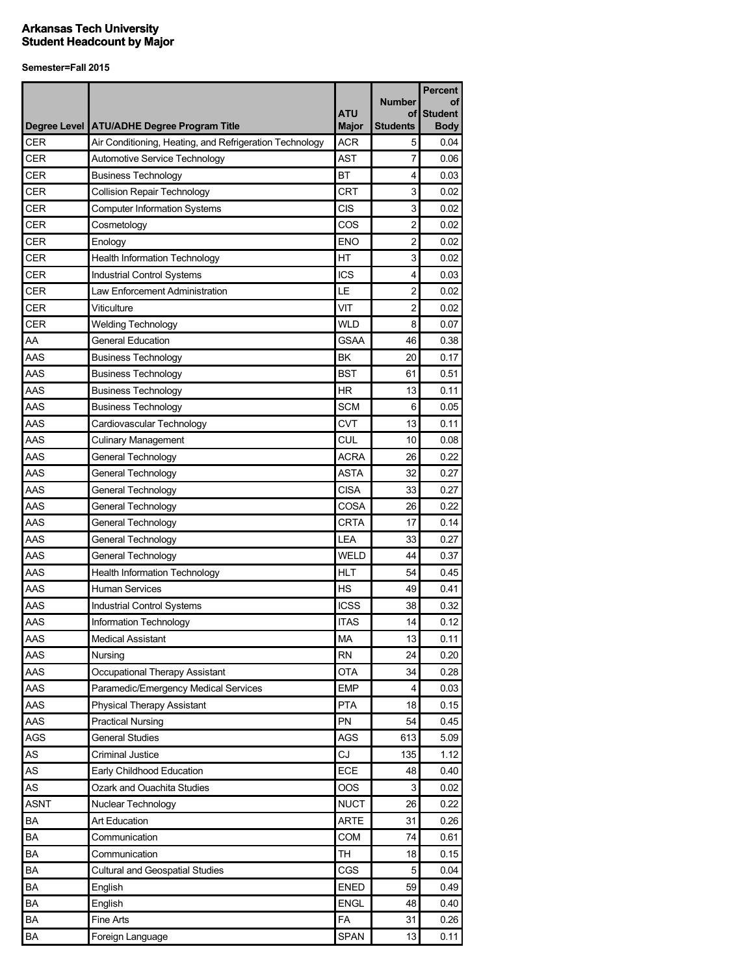|             |                                                              |                            |                                 | <b>Percent</b>                      |
|-------------|--------------------------------------------------------------|----------------------------|---------------------------------|-------------------------------------|
|             | Degree Level   ATU/ADHE Degree Program Title                 | <b>ATU</b><br><b>Major</b> | <b>Number</b><br>οf<br>Students | οf<br><b>Student</b><br><b>Body</b> |
| <b>CER</b>  | Air Conditioning, Heating, and Refrigeration Technology      | <b>ACR</b>                 | 5                               | 0.04                                |
| CER         | Automotive Service Technology                                | <b>AST</b>                 | 7                               | 0.06                                |
| CER         | <b>Business Technology</b>                                   | <b>BT</b>                  | 4                               | 0.03                                |
| <b>CER</b>  | <b>Collision Repair Technology</b>                           | <b>CRT</b>                 | 3                               | 0.02                                |
| <b>CER</b>  | <b>Computer Information Systems</b>                          | CIS                        | 3                               | 0.02                                |
| <b>CER</b>  | Cosmetology                                                  | COS                        | $\overline{c}$                  | 0.02                                |
| <b>CER</b>  | Enology                                                      | <b>ENO</b>                 | $\overline{c}$                  | 0.02                                |
| <b>CER</b>  | <b>Health Information Technology</b>                         | HT                         | 3                               | 0.02                                |
| CER         |                                                              | <b>ICS</b>                 | 4                               | 0.03                                |
| CER         | Industrial Control Systems<br>Law Enforcement Administration | LE                         | $\overline{c}$                  | 0.02                                |
| <b>CER</b>  | Viticulture                                                  | VIT                        | 2                               | 0.02                                |
| <b>CER</b>  |                                                              | <b>WLD</b>                 | 8                               | 0.07                                |
| AA          | <b>Welding Technology</b><br><b>General Education</b>        | <b>GSAA</b>                | 46                              | 0.38                                |
| AAS         |                                                              |                            |                                 |                                     |
| AAS         | <b>Business Technology</b>                                   | ΒK                         | 20                              | 0.17                                |
|             | <b>Business Technology</b>                                   | BST                        | 61                              | 0.51                                |
| AAS         | <b>Business Technology</b>                                   | <b>HR</b>                  | 13                              | 0.11                                |
| AAS         | <b>Business Technology</b>                                   | <b>SCM</b>                 | 6                               | 0.05                                |
| AAS         | Cardiovascular Technology                                    | <b>CVT</b>                 | 13                              | 0.11                                |
| AAS         | <b>Culinary Management</b>                                   | CUL                        | 10                              | 0.08                                |
| AAS         | General Technology                                           | <b>ACRA</b>                | 26                              | 0.22                                |
| AAS         | General Technology                                           | <b>ASTA</b>                | 32                              | 0.27                                |
| AAS         | General Technology                                           | <b>CISA</b>                | 33                              | 0.27                                |
| AAS         | General Technology                                           | COSA                       | 26                              | 0.22                                |
| AAS         | General Technology                                           | <b>CRTA</b>                | 17                              | 0.14                                |
| AAS         | General Technology                                           | LEA                        | 33                              | 0.27                                |
| AAS         | General Technology                                           | <b>WELD</b>                | 44                              | 0.37                                |
| AAS         | <b>Health Information Technology</b>                         | HLT                        | 54                              | 0.45                                |
| AAS         | <b>Human Services</b>                                        | <b>HS</b>                  | 49                              | 0.41                                |
| AAS         | Industrial Control Systems                                   | <b>ICSS</b>                | 38                              | 0.32                                |
| AAS         | Information Technology                                       | <b>ITAS</b>                | 14                              | 0.12                                |
| AAS         | <b>Medical Assistant</b>                                     | MA                         | 13                              | 0.11                                |
| AAS         | Nursing                                                      | <b>RN</b>                  | 24                              | 0.20                                |
| <b>AAS</b>  | Occupational Therapy Assistant                               | <b>OTA</b>                 | 34                              | 0.28                                |
| AAS         | Paramedic/Emergency Medical Services                         | <b>EMP</b>                 | 4                               | 0.03                                |
| AAS         | <b>Physical Therapy Assistant</b>                            | PTA                        | 18                              | 0.15                                |
| AAS         | <b>Practical Nursing</b>                                     | PN                         | 54                              | 0.45                                |
| AGS         | <b>General Studies</b>                                       | AGS                        | 613                             | 5.09                                |
| AS          | <b>Criminal Justice</b>                                      | CJ                         | 135                             | 1.12                                |
| AS          | Early Childhood Education                                    | ECE                        | 48                              | 0.40                                |
| AS          | Ozark and Ouachita Studies                                   | OOS                        | 3                               | 0.02                                |
| <b>ASNT</b> | Nuclear Technology                                           | <b>NUCT</b>                | 26                              | 0.22                                |
| BA          | Art Education                                                | <b>ARTE</b>                | 31                              | 0.26                                |
| BA          | Communication                                                | COM                        | 74                              | 0.61                                |
| BA          | Communication                                                | <b>TH</b>                  | 18                              | 0.15                                |
| BA          | <b>Cultural and Geospatial Studies</b>                       | CGS                        | 5                               | 0.04                                |
| BA          | English                                                      | <b>ENED</b>                | 59                              | 0.49                                |
| BA          | English                                                      | <b>ENGL</b>                | 48                              | 0.40                                |
| BA          | Fine Arts                                                    | <b>FA</b>                  | 31                              | 0.26                                |
| BA          | Foreign Language                                             | <b>SPAN</b>                | 13                              | 0.11                                |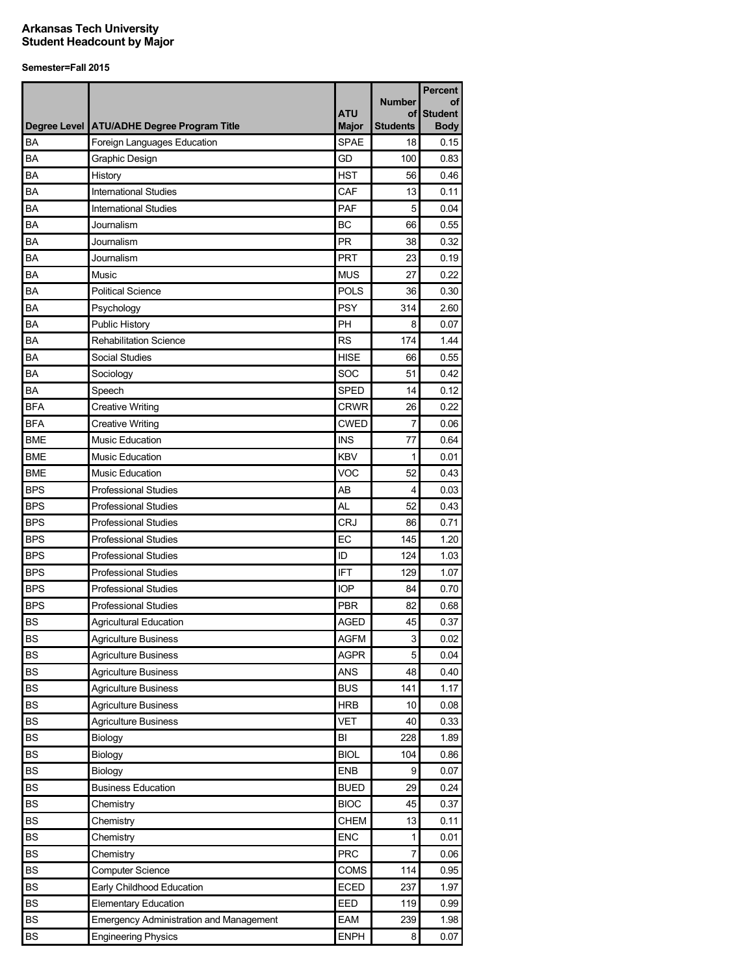|            |                                                |                            | <b>Number</b>         | <b>Percent</b><br>οf          |
|------------|------------------------------------------------|----------------------------|-----------------------|-------------------------------|
|            | Degree Level   ATU/ADHE Degree Program Title   | <b>ATU</b><br><b>Major</b> | οf<br><b>Students</b> | <b>Student</b><br><b>Body</b> |
| BA         | Foreign Languages Education                    | <b>SPAE</b>                | 18                    | 0.15                          |
| <b>BA</b>  | Graphic Design                                 | GD                         | 100                   | 0.83                          |
| BA         | History                                        | <b>HST</b>                 | 56                    | 0.46                          |
| BA         | <b>International Studies</b>                   | CAF                        | 13                    | 0.11                          |
| BA         | <b>International Studies</b>                   | PAF                        | 5                     | 0.04                          |
| BA         | Journalism                                     | <b>BC</b>                  | 66                    | 0.55                          |
| BA         | Journalism                                     | <b>PR</b>                  | 38                    | 0.32                          |
| BA         | Journalism                                     | <b>PRT</b>                 | 23                    | 0.19                          |
| BA         | Music                                          | <b>MUS</b>                 | 27                    | 0.22                          |
| BA         | <b>Political Science</b>                       | <b>POLS</b>                | 36                    | 0.30                          |
| BA         | Psychology                                     | <b>PSY</b>                 | 314                   | 2.60                          |
| BA         | Public History                                 | PH                         | 8                     | 0.07                          |
| BA         | <b>Rehabilitation Science</b>                  | <b>RS</b>                  | 174                   | 1.44                          |
| BA         | Social Studies                                 | <b>HISE</b>                | 66                    | 0.55                          |
| BA         | Sociology                                      | SOC                        | 51                    | 0.42                          |
| BA         | Speech                                         | <b>SPED</b>                | 14                    | 0.12                          |
| BFA        | <b>Creative Writing</b>                        | <b>CRWR</b>                | 26                    | 0.22                          |
| <b>BFA</b> | <b>Creative Writing</b>                        | <b>CWED</b>                | 7                     | 0.06                          |
| <b>BME</b> | <b>Music Education</b>                         | INS                        | 77                    | 0.64                          |
| <b>BME</b> | <b>Music Education</b>                         | <b>KBV</b>                 | 1                     | 0.01                          |
| <b>BME</b> | <b>Music Education</b>                         | VOC                        | 52                    | 0.43                          |
| <b>BPS</b> | <b>Professional Studies</b>                    | AB                         | 4                     | 0.03                          |
| <b>BPS</b> | <b>Professional Studies</b>                    | AL                         | 52                    | 0.43                          |
| <b>BPS</b> | <b>Professional Studies</b>                    | <b>CRJ</b>                 | 86                    | 0.71                          |
| <b>BPS</b> | <b>Professional Studies</b>                    | EC                         | 145                   | 1.20                          |
| <b>BPS</b> | <b>Professional Studies</b>                    | ID                         | 124                   | 1.03                          |
| <b>BPS</b> | <b>Professional Studies</b>                    | <b>IFT</b>                 | 129                   | 1.07                          |
| <b>BPS</b> | <b>Professional Studies</b>                    | <b>IOP</b>                 | 84                    | 0.70                          |
| <b>BPS</b> | <b>Professional Studies</b>                    | <b>PBR</b>                 | 82                    | 0.68                          |
| <b>BS</b>  | <b>Agricultural Education</b>                  | <b>AGED</b>                | 45                    | 0.37                          |
| <b>BS</b>  | <b>Agriculture Business</b>                    | <b>AGFM</b>                | 3                     | 0.02                          |
| <b>BS</b>  | <b>Agriculture Business</b>                    | <b>AGPR</b>                | 5                     | 0.04                          |
| <b>BS</b>  | <b>Agriculture Business</b>                    | <b>ANS</b>                 | 48                    | 0.40                          |
| <b>BS</b>  | <b>Agriculture Business</b>                    | <b>BUS</b>                 | 141                   | 1.17                          |
| <b>BS</b>  | <b>Agriculture Business</b>                    | <b>HRB</b>                 | 10                    | 0.08                          |
| <b>BS</b>  | <b>Agriculture Business</b>                    | <b>VET</b>                 | 40                    | 0.33                          |
| <b>BS</b>  | Biology                                        | BI                         | 228                   | 1.89                          |
| <b>BS</b>  | Biology                                        | <b>BIOL</b>                | 104                   | 0.86                          |
| <b>BS</b>  | Biology                                        | <b>ENB</b>                 | 9                     | 0.07                          |
| <b>BS</b>  | <b>Business Education</b>                      | <b>BUED</b>                | 29                    | 0.24                          |
| <b>BS</b>  | Chemistry                                      | <b>BIOC</b>                | 45                    | 0.37                          |
| <b>BS</b>  | Chemistry                                      | CHEM                       | 13                    | 0.11                          |
| BS         | Chemistry                                      | <b>ENC</b>                 | 1                     | 0.01                          |
| BS         | Chemistry                                      | <b>PRC</b>                 | 7                     | 0.06                          |
| <b>BS</b>  | <b>Computer Science</b>                        | COMS                       | 114                   | 0.95                          |
| BS         | Early Childhood Education                      | ECED                       | 237                   | 1.97                          |
| BS         | <b>Elementary Education</b>                    | EED                        | 119                   | 0.99                          |
| <b>BS</b>  | <b>Emergency Administration and Management</b> | EAM                        | 239                   | 1.98                          |
| BS         | <b>Engineering Physics</b>                     | <b>ENPH</b>                | 8                     | 0.07                          |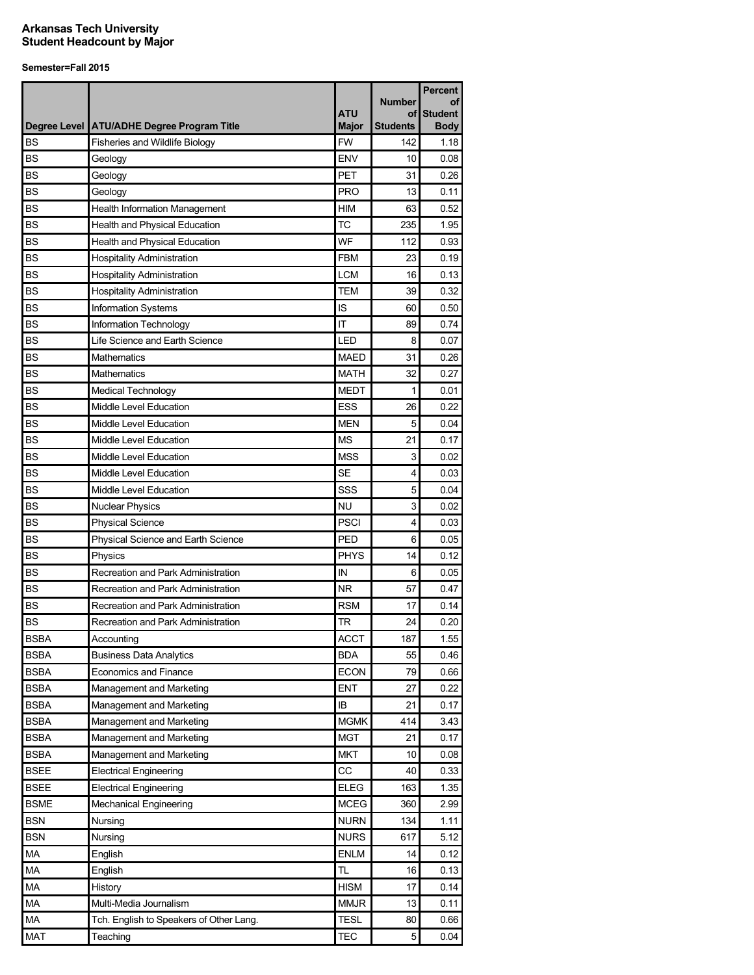|             |                                              |              |                     | Percent              |
|-------------|----------------------------------------------|--------------|---------------------|----------------------|
|             |                                              | <b>ATU</b>   | <b>Number</b><br>οf | οf<br><b>Student</b> |
|             | Degree Level   ATU/ADHE Degree Program Title | <b>Major</b> | <b>Students</b>     | <b>Body</b>          |
| <b>BS</b>   | <b>Fisheries and Wildlife Biology</b>        | <b>FW</b>    | 142                 | 1.18                 |
| <b>BS</b>   | Geology                                      | <b>ENV</b>   | 10                  | 0.08                 |
| <b>BS</b>   | Geology                                      | <b>PET</b>   | 31                  | 0.26                 |
| <b>BS</b>   | Geology                                      | <b>PRO</b>   | 13                  | 0.11                 |
| <b>BS</b>   | Health Information Management                | <b>HIM</b>   | 63                  | 0.52                 |
| <b>BS</b>   | Health and Physical Education                | <b>TC</b>    | 235                 | 1.95                 |
| BS          | Health and Physical Education                | WF           | 112                 | 0.93                 |
| <b>BS</b>   | <b>Hospitality Administration</b>            | <b>FBM</b>   | 23                  | 0.19                 |
| <b>BS</b>   | <b>Hospitality Administration</b>            | <b>LCM</b>   | 16                  | 0.13                 |
| <b>BS</b>   | <b>Hospitality Administration</b>            | <b>TEM</b>   | 39                  | 0.32                 |
| <b>BS</b>   | <b>Information Systems</b>                   | IS           | 60                  | 0.50                 |
| <b>BS</b>   | Information Technology                       | IT           | 89                  | 0.74                 |
| <b>BS</b>   | Life Science and Earth Science               | LED          | 8                   | 0.07                 |
| <b>BS</b>   | <b>Mathematics</b>                           | <b>MAED</b>  | 31                  | 0.26                 |
| <b>BS</b>   | Mathematics                                  | <b>MATH</b>  | 32                  | 0.27                 |
| <b>BS</b>   | <b>Medical Technology</b>                    | <b>MEDT</b>  | 1                   | 0.01                 |
| <b>BS</b>   | Middle Level Education                       | ESS          | 26                  | 0.22                 |
| <b>BS</b>   | Middle Level Education                       | <b>MEN</b>   | 5                   | 0.04                 |
| <b>BS</b>   | Middle Level Education                       | ΜS           | 21                  | 0.17                 |
| <b>BS</b>   | Middle Level Education                       | <b>MSS</b>   | 3                   | 0.02                 |
| <b>BS</b>   | Middle Level Education                       | <b>SE</b>    | 4                   | 0.03                 |
| <b>BS</b>   | Middle Level Education                       | SSS          | 5                   | 0.04                 |
| <b>BS</b>   | <b>Nuclear Physics</b>                       | NU           | 3                   | 0.02                 |
| <b>BS</b>   | <b>Physical Science</b>                      | <b>PSCI</b>  | 4                   | 0.03                 |
| <b>BS</b>   | Physical Science and Earth Science           | <b>PED</b>   | 6                   | 0.05                 |
| <b>BS</b>   | Physics                                      | <b>PHYS</b>  | 14                  | 0.12                 |
| <b>BS</b>   | Recreation and Park Administration           | IN           | 6                   | 0.05                 |
| <b>BS</b>   | Recreation and Park Administration           | <b>NR</b>    | 57                  | 0.47                 |
| <b>BS</b>   | Recreation and Park Administration           | <b>RSM</b>   | 17                  | 0.14                 |
| <b>BS</b>   | Recreation and Park Administration           | <b>TR</b>    | 24                  | 0.20                 |
| <b>BSBA</b> | Accounting                                   | <b>ACCT</b>  | 187                 | 1.55                 |
| <b>BSBA</b> | <b>Business Data Analytics</b>               | BDA          | 55                  | 0.46                 |
| <b>BSBA</b> | Economics and Finance                        | <b>ECON</b>  | 79                  | 0.66                 |
| <b>BSBA</b> | Management and Marketing                     | <b>ENT</b>   | 27                  | 0.22                 |
| <b>BSBA</b> | Management and Marketing                     | IB           | 21                  | 0.17                 |
| <b>BSBA</b> | Management and Marketing                     | <b>MGMK</b>  | 414                 | 3.43                 |
| <b>BSBA</b> | Management and Marketing                     | <b>MGT</b>   | 21                  | 0.17                 |
| <b>BSBA</b> | Management and Marketing                     | <b>MKT</b>   | 10                  | 0.08                 |
| <b>BSEE</b> | <b>Electrical Engineering</b>                | CC           | 40                  | 0.33                 |
| <b>BSEE</b> | <b>Electrical Engineering</b>                | <b>ELEG</b>  | 163                 | 1.35                 |
| <b>BSME</b> | <b>Mechanical Engineering</b>                | <b>MCEG</b>  | 360                 | 2.99                 |
| <b>BSN</b>  | Nursing                                      | NURN         | 134                 | 1.11                 |
| <b>BSN</b>  | Nursing                                      | <b>NURS</b>  | 617                 | 5.12                 |
| МA          | English                                      | <b>ENLM</b>  | 14                  | 0.12                 |
| MA          | English                                      | TL           | 16                  | 0.13                 |
| МA          | History                                      | <b>HISM</b>  | 17                  | 0.14                 |
| MA          | Multi-Media Journalism                       | <b>MMJR</b>  | 13                  | 0.11                 |
| MA          | Tch. English to Speakers of Other Lang.      | <b>TESL</b>  | 80                  | 0.66                 |
| <b>MAT</b>  | Teaching                                     | <b>TEC</b>   | 5                   | 0.04                 |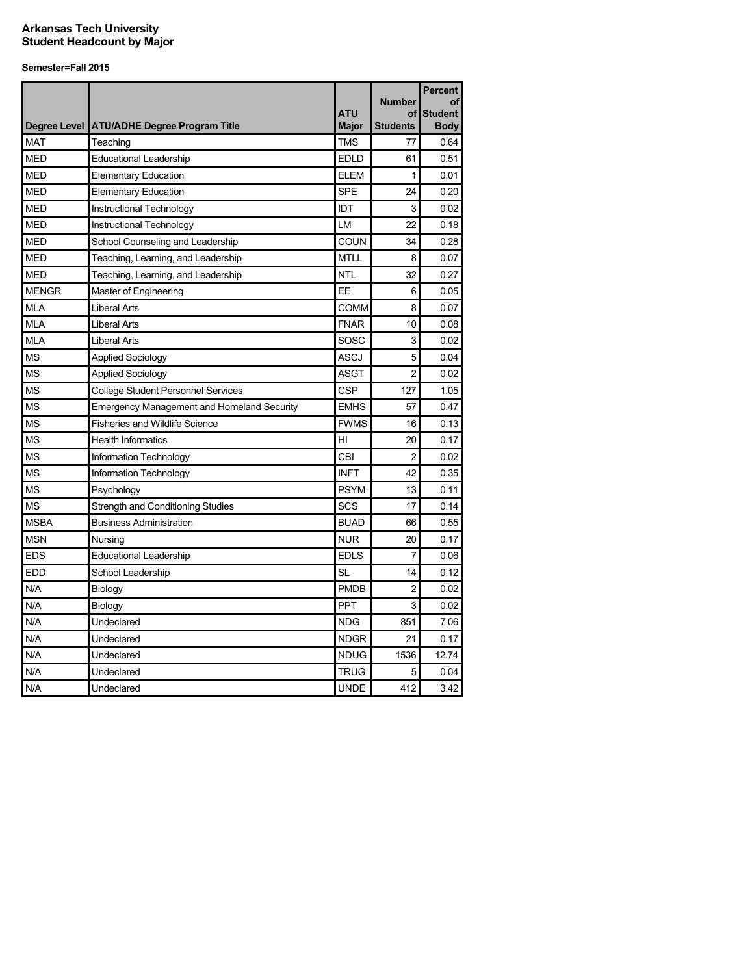|              |                                                   |              | <b>Number</b>   | <b>Percent</b><br>οf |
|--------------|---------------------------------------------------|--------------|-----------------|----------------------|
|              |                                                   | <b>ATU</b>   | οf              | <b>Student</b>       |
|              | Degree Level ATU/ADHE Degree Program Title        | <b>Major</b> | <b>Students</b> | <b>Body</b>          |
| <b>MAT</b>   | Teaching                                          | TMS          | 77              | 0.64                 |
| <b>MED</b>   | <b>Educational Leadership</b>                     | <b>EDLD</b>  | 61              | 0.51                 |
| <b>MED</b>   | <b>Elementary Education</b>                       | <b>ELEM</b>  | $\mathbf{1}$    | 0.01                 |
| <b>MED</b>   | <b>Elementary Education</b>                       | <b>SPE</b>   | 24              | 0.20                 |
| <b>MED</b>   | Instructional Technology                          | IDT          | 3               | 0.02                 |
| <b>MED</b>   | Instructional Technology                          | LM           | 22              | 0.18                 |
| <b>MED</b>   | School Counseling and Leadership                  | <b>COUN</b>  | 34              | 0.28                 |
| <b>MED</b>   | Teaching, Learning, and Leadership                | <b>MTLL</b>  | 8               | 0.07                 |
| <b>MED</b>   | Teaching, Learning, and Leadership                | <b>NTL</b>   | 32              | 0.27                 |
| <b>MENGR</b> | Master of Engineering                             | EE           | 6               | 0.05                 |
| <b>MLA</b>   | Liberal Arts                                      | COMM         | 8               | 0.07                 |
| <b>MLA</b>   | <b>Liberal Arts</b>                               | <b>FNAR</b>  | 10              | 0.08                 |
| <b>MLA</b>   | <b>Liberal Arts</b>                               | SOSC         | 3               | 0.02                 |
| <b>MS</b>    | <b>Applied Sociology</b>                          | ASCJ         | 5               | 0.04                 |
| <b>MS</b>    | <b>Applied Sociology</b>                          | ASGT         | 2               | 0.02                 |
| <b>MS</b>    | <b>College Student Personnel Services</b>         | CSP          | 127             | 1.05                 |
| <b>MS</b>    | <b>Emergency Management and Homeland Security</b> | <b>EMHS</b>  | 57              | 0.47                 |
| <b>MS</b>    | <b>Fisheries and Wildlife Science</b>             | <b>FWMS</b>  | 16              | 0.13                 |
| <b>MS</b>    | <b>Health Informatics</b>                         | HI           | 20              | 0.17                 |
| <b>MS</b>    | Information Technology                            | CBI          | 2               | 0.02                 |
| <b>MS</b>    | Information Technology                            | <b>INFT</b>  | 42              | 0.35                 |
| ΜS           | Psychology                                        | <b>PSYM</b>  | 13              | 0.11                 |
| <b>MS</b>    | Strength and Conditioning Studies                 | SCS          | 17              | 0.14                 |
| <b>MSBA</b>  | <b>Business Administration</b>                    | <b>BUAD</b>  | 66              | 0.55                 |
| <b>MSN</b>   | Nursing                                           | <b>NUR</b>   | 20              | 0.17                 |
| <b>EDS</b>   | <b>Educational Leadership</b>                     | <b>EDLS</b>  | 7               | 0.06                 |
| <b>EDD</b>   | School Leadership                                 | SL           | 14              | 0.12                 |
| N/A          | Biology                                           | <b>PMDB</b>  | 2               | 0.02                 |
| N/A          | Biology                                           | <b>PPT</b>   | 3               | 0.02                 |
| N/A          | Undeclared                                        | <b>NDG</b>   | 851             | 7.06                 |
| N/A          | Undeclared                                        | <b>NDGR</b>  | 21              | 0.17                 |
| N/A          | Undeclared                                        | <b>NDUG</b>  | 1536            | 12.74                |
| N/A          | Undeclared                                        | TRUG         | 5               | 0.04                 |
| N/A          | Undeclared                                        | <b>UNDE</b>  | 412             | 3.42                 |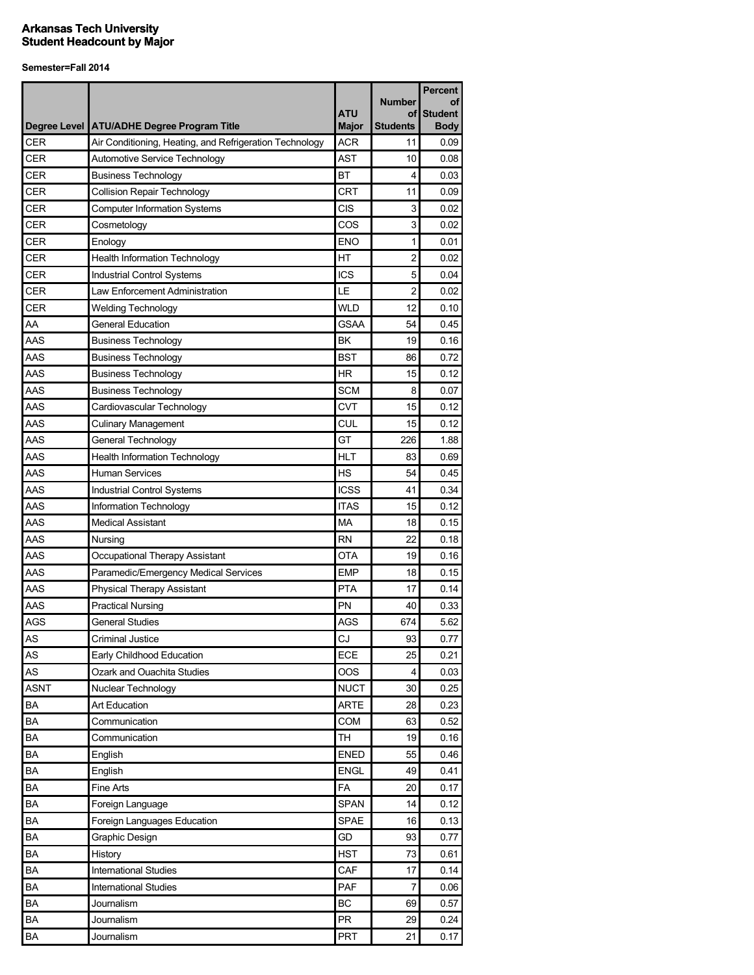|             |                                                         |              |                     | <b>Percent</b>       |
|-------------|---------------------------------------------------------|--------------|---------------------|----------------------|
|             |                                                         | <b>ATU</b>   | <b>Number</b><br>οf | οf<br><b>Student</b> |
|             | Degree Level ATU/ADHE Degree Program Title              | <b>Major</b> | <b>Students</b>     | <b>Body</b>          |
| <b>CER</b>  | Air Conditioning, Heating, and Refrigeration Technology | <b>ACR</b>   | 11                  | 0.09                 |
| CER         | Automotive Service Technology                           | <b>AST</b>   | 10                  | 0.08                 |
| <b>CER</b>  | <b>Business Technology</b>                              | BT           | 4                   | 0.03                 |
| CER         | <b>Collision Repair Technology</b>                      | <b>CRT</b>   | 11                  | 0.09                 |
| CER         | <b>Computer Information Systems</b>                     | <b>CIS</b>   | 3                   | 0.02                 |
| <b>CER</b>  | Cosmetology                                             | COS          | 3                   | 0.02                 |
| <b>CER</b>  | Enology                                                 | <b>ENO</b>   | 1                   | 0.01                 |
| <b>CER</b>  | <b>Health Information Technology</b>                    | HT           | $\overline{c}$      | 0.02                 |
| <b>CER</b>  | Industrial Control Systems                              | <b>ICS</b>   | 5                   | 0.04                 |
| <b>CER</b>  | Law Enforcement Administration                          | LE           | $\overline{c}$      | 0.02                 |
| <b>CER</b>  | <b>Welding Technology</b>                               | <b>WLD</b>   | 12                  | 0.10                 |
| AA          | <b>General Education</b>                                | <b>GSAA</b>  | 54                  | 0.45                 |
| AAS         | <b>Business Technology</b>                              | <b>BK</b>    | 19                  | 0.16                 |
| AAS         | <b>Business Technology</b>                              | <b>BST</b>   | 86                  | 0.72                 |
| AAS         | <b>Business Technology</b>                              | <b>HR</b>    | 15                  | 0.12                 |
| AAS         | <b>Business Technology</b>                              | <b>SCM</b>   | 8                   | 0.07                 |
| AAS         | Cardiovascular Technology                               | <b>CVT</b>   | 15                  | 0.12                 |
| AAS         | <b>Culinary Management</b>                              | <b>CUL</b>   | 15                  | 0.12                 |
| AAS         | General Technology                                      | GT           | 226                 | 1.88                 |
| AAS         | <b>Health Information Technology</b>                    | <b>HLT</b>   | 83                  | 0.69                 |
| AAS         | <b>Human Services</b>                                   | <b>HS</b>    | 54                  | 0.45                 |
| AAS         | Industrial Control Systems                              | <b>ICSS</b>  | 41                  | 0.34                 |
| AAS         | Information Technology                                  | <b>ITAS</b>  | 15                  | 0.12                 |
| AAS         | <b>Medical Assistant</b>                                | <b>MA</b>    | 18                  | 0.15                 |
| AAS         | Nursing                                                 | <b>RN</b>    | 22                  | 0.18                 |
| AAS         | Occupational Therapy Assistant                          | OTA          | 19                  | 0.16                 |
| AAS         | Paramedic/Emergency Medical Services                    | <b>EMP</b>   | 18                  | 0.15                 |
| AAS         | <b>Physical Therapy Assistant</b>                       | <b>PTA</b>   | 17                  | 0.14                 |
| AAS         | <b>Practical Nursing</b>                                | PN           | 40                  | 0.33                 |
| AGS         | General Studies                                         | <b>AGS</b>   | 674                 | 5.62                 |
| AS          | <b>Criminal Justice</b>                                 | CJ           | 93                  | 0.77                 |
| AS          | Early Childhood Education                               | ECE          | 25                  | 0.21                 |
| AS          | Ozark and Ouachita Studies                              | OOS          | 4                   | 0.03                 |
| <b>ASNT</b> | Nuclear Technology                                      | <b>NUCT</b>  | 30                  | 0.25                 |
| ΒA          | <b>Art Education</b>                                    | <b>ARTE</b>  | 28                  | 0.23                 |
| <b>BA</b>   | Communication                                           | COM          | 63                  | 0.52                 |
| BA          | Communication                                           | <b>TH</b>    | 19                  | 0.16                 |
| BA          | English                                                 | <b>ENED</b>  | 55                  | 0.46                 |
| BA          | English                                                 | <b>ENGL</b>  | 49                  | 0.41                 |
| BA          | Fine Arts                                               | <b>FA</b>    | 20                  | 0.17                 |
| BA          | Foreign Language                                        | <b>SPAN</b>  | 14                  | 0.12                 |
| BA          | Foreign Languages Education                             | <b>SPAE</b>  | 16                  | 0.13                 |
| BA          | Graphic Design                                          | GD           | 93                  | 0.77                 |
| BA          | History                                                 | HST          | 73                  | 0.61                 |
| BA          | <b>International Studies</b>                            | CAF          | 17                  | 0.14                 |
| BA          | <b>International Studies</b>                            | PAF          | 7                   | 0.06                 |
| BA          | Journalism                                              | <b>BC</b>    | 69                  | 0.57                 |
| BA          | Journalism                                              | <b>PR</b>    | 29                  | 0.24                 |
| BA          | Journalism                                              | PRT          | 21                  | 0.17                 |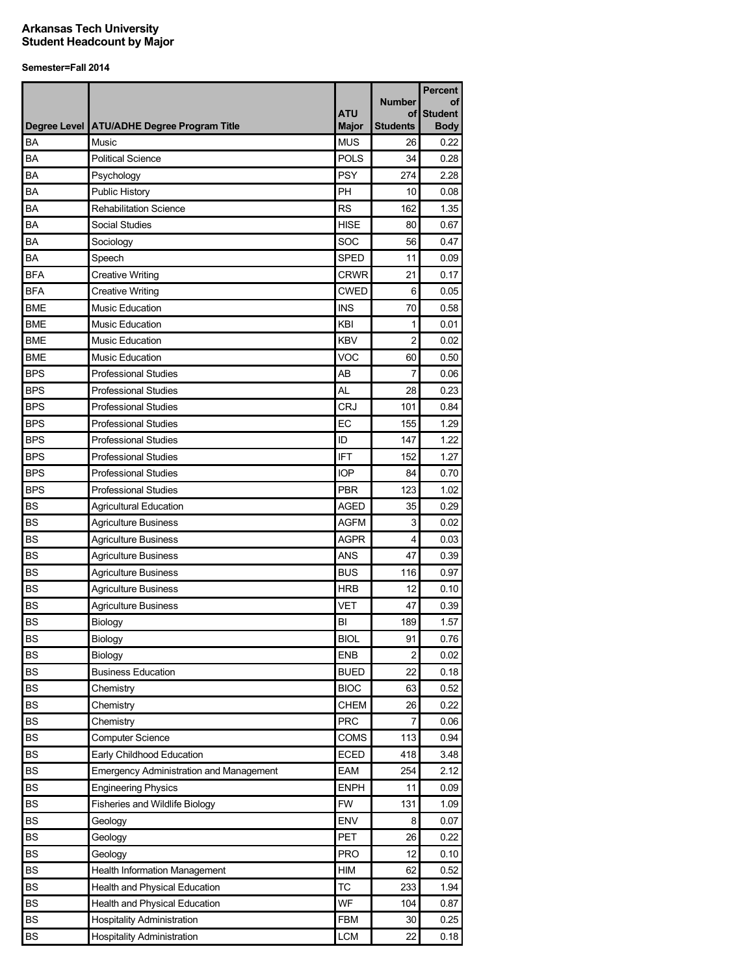|            |                                                | <b>ATU</b>   | <b>Number</b><br>οf | <b>Percent</b><br>οf<br><b>Student</b> |
|------------|------------------------------------------------|--------------|---------------------|----------------------------------------|
|            | Degree Level ATU/ADHE Degree Program Title     | <b>Major</b> | <b>Students</b>     | <b>Body</b>                            |
| BA         | Music                                          | <b>MUS</b>   | 26                  | 0.22                                   |
| <b>BA</b>  | <b>Political Science</b>                       | <b>POLS</b>  | 34                  | 0.28                                   |
| BA         | Psychology                                     | <b>PSY</b>   | 274                 | 2.28                                   |
| BA         | Public History                                 | PH           | 10                  | 0.08                                   |
| BA         | <b>Rehabilitation Science</b>                  | <b>RS</b>    | 162                 | 1.35                                   |
| BA         | Social Studies                                 | <b>HISE</b>  | 80                  | 0.67                                   |
| BA         | Sociology                                      | SOC          | 56                  | 0.47                                   |
| BA         | Speech                                         | <b>SPED</b>  | 11                  | 0.09                                   |
| <b>BFA</b> | <b>Creative Writing</b>                        | <b>CRWR</b>  | 21                  | 0.17                                   |
| <b>BFA</b> | <b>Creative Writing</b>                        | <b>CWED</b>  | 6                   | 0.05                                   |
| <b>BME</b> | <b>Music Education</b>                         | <b>INS</b>   | 70                  | 0.58                                   |
| <b>BME</b> | <b>Music Education</b>                         | KBI          | 1                   | 0.01                                   |
| <b>BME</b> | Music Education                                | <b>KBV</b>   | $\overline{2}$      | 0.02                                   |
| <b>BME</b> | <b>Music Education</b>                         | VOC          | 60                  | 0.50                                   |
| <b>BPS</b> | <b>Professional Studies</b>                    | AB           | $\overline{7}$      | 0.06                                   |
| <b>BPS</b> | <b>Professional Studies</b>                    | <b>AL</b>    | 28                  | 0.23                                   |
| <b>BPS</b> | <b>Professional Studies</b>                    | <b>CRJ</b>   | 101                 | 0.84                                   |
| <b>BPS</b> | <b>Professional Studies</b>                    | EC           | 155                 | 1.29                                   |
| <b>BPS</b> | <b>Professional Studies</b>                    | ID           | 147                 | 1.22                                   |
| <b>BPS</b> | <b>Professional Studies</b>                    | <b>IFT</b>   | 152                 | 1.27                                   |
| <b>BPS</b> | <b>Professional Studies</b>                    | <b>IOP</b>   | 84                  | 0.70                                   |
| <b>BPS</b> | <b>Professional Studies</b>                    | <b>PBR</b>   | 123                 | 1.02                                   |
| <b>BS</b>  | <b>Agricultural Education</b>                  | <b>AGED</b>  | 35                  | 0.29                                   |
| <b>BS</b>  | <b>Agriculture Business</b>                    | <b>AGFM</b>  | 3                   | 0.02                                   |
| <b>BS</b>  | <b>Agriculture Business</b>                    | <b>AGPR</b>  | 4                   | 0.03                                   |
| <b>BS</b>  | <b>Agriculture Business</b>                    | <b>ANS</b>   | 47                  | 0.39                                   |
| <b>BS</b>  | <b>Agriculture Business</b>                    | <b>BUS</b>   | 116                 | 0.97                                   |
| <b>BS</b>  | <b>Agriculture Business</b>                    | <b>HRB</b>   | 12                  | 0.10                                   |
| <b>BS</b>  | <b>Agriculture Business</b>                    | <b>VET</b>   | 47                  | 0.39                                   |
| <b>BS</b>  | Biology                                        | BI           | 189                 | 1.57                                   |
| <b>BS</b>  | Biology                                        | <b>BIOL</b>  | 91                  | 0.76                                   |
| <b>BS</b>  | Biology                                        | <b>ENB</b>   | 2                   | 0.02                                   |
| <b>BS</b>  | <b>Business Education</b>                      | <b>BUED</b>  | 22                  | 0.18                                   |
| <b>BS</b>  | Chemistry                                      | <b>BIOC</b>  | 63                  | 0.52                                   |
| <b>BS</b>  | Chemistry                                      | <b>CHEM</b>  | 26                  | 0.22                                   |
| BS         | Chemistry                                      | <b>PRC</b>   | 7                   | 0.06                                   |
| <b>BS</b>  | <b>Computer Science</b>                        | COMS         | 113                 | 0.94                                   |
| <b>BS</b>  | Early Childhood Education                      | <b>ECED</b>  | 418                 | 3.48                                   |
| <b>BS</b>  | <b>Emergency Administration and Management</b> | EAM          | 254                 | 2.12                                   |
| <b>BS</b>  | <b>Engineering Physics</b>                     | <b>ENPH</b>  | 11                  | 0.09                                   |
| <b>BS</b>  | Fisheries and Wildlife Biology                 | <b>FW</b>    | 131                 | 1.09                                   |
| <b>BS</b>  | Geology                                        | <b>ENV</b>   | 8                   | 0.07                                   |
| BS         | Geology                                        | PET          | 26                  | 0.22                                   |
| BS         | Geology                                        | PRO          | 12                  | 0.10                                   |
| BS         | Health Information Management                  | HIM          | 62                  | 0.52                                   |
| BS         | Health and Physical Education                  | ТC           | 233                 | 1.94                                   |
| BS         | Health and Physical Education                  | WF           | 104                 | 0.87                                   |
| BS         | <b>Hospitality Administration</b>              | <b>FBM</b>   | 30                  | 0.25                                   |
| BS         | <b>Hospitality Administration</b>              | <b>LCM</b>   | 22                  | 0.18                                   |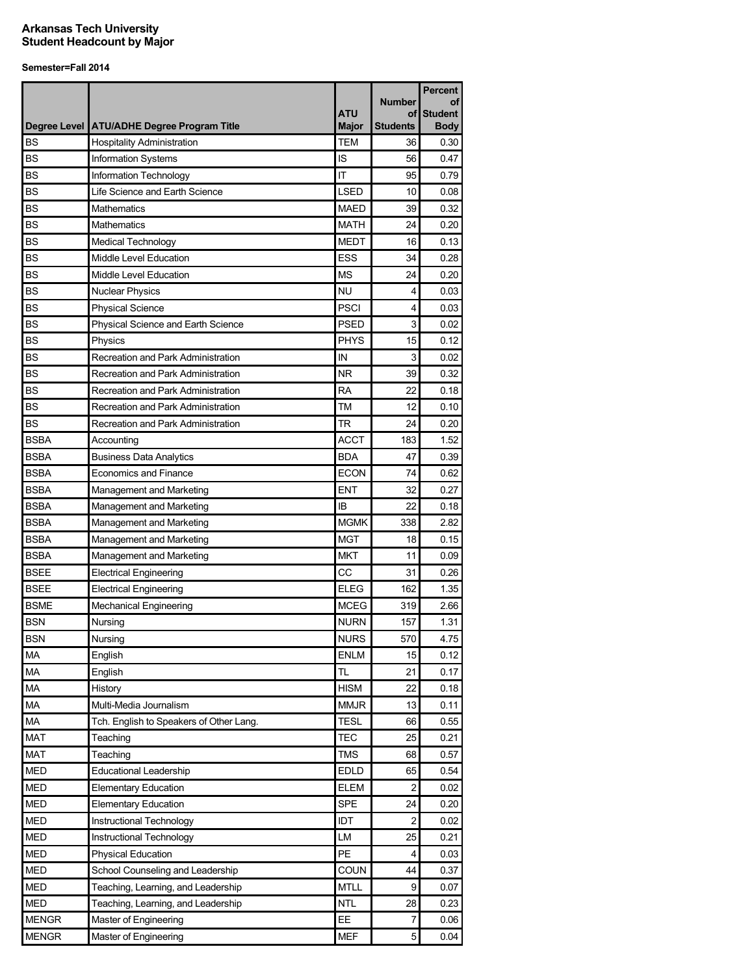|              |                                              |              |                     | <b>Percent</b>       |
|--------------|----------------------------------------------|--------------|---------------------|----------------------|
|              |                                              | <b>ATU</b>   | <b>Number</b><br>οf | οf<br><b>Student</b> |
|              | Degree Level   ATU/ADHE Degree Program Title | <b>Major</b> | Students            | <b>Body</b>          |
| <b>BS</b>    | <b>Hospitality Administration</b>            | <b>TEM</b>   | 36                  | 0.30                 |
| <b>BS</b>    | Information Systems                          | IS           | 56                  | 0.47                 |
| <b>BS</b>    | Information Technology                       | ΙT           | 95                  | 0.79                 |
| <b>BS</b>    | Life Science and Earth Science               | <b>LSED</b>  | 10                  | 0.08                 |
| <b>BS</b>    | Mathematics                                  | <b>MAED</b>  | 39                  | 0.32                 |
| <b>BS</b>    | Mathematics                                  | <b>MATH</b>  | 24                  | 0.20                 |
| <b>BS</b>    | <b>Medical Technology</b>                    | <b>MEDT</b>  | 16                  | 0.13                 |
| <b>BS</b>    | Middle Level Education                       | <b>ESS</b>   | 34                  | 0.28                 |
| <b>BS</b>    | Middle Level Education                       | <b>MS</b>    | 24                  | 0.20                 |
| <b>BS</b>    | <b>Nuclear Physics</b>                       | NU           | 4                   | 0.03                 |
| <b>BS</b>    | <b>Physical Science</b>                      | <b>PSCI</b>  | 4                   | 0.03                 |
| <b>BS</b>    | Physical Science and Earth Science           | <b>PSED</b>  | 3                   | 0.02                 |
| <b>BS</b>    | Physics                                      | <b>PHYS</b>  | 15                  | 0.12                 |
| <b>BS</b>    | Recreation and Park Administration           | IN           | 3                   | 0.02                 |
| <b>BS</b>    | Recreation and Park Administration           | <b>NR</b>    | 39                  | 0.32                 |
| <b>BS</b>    | Recreation and Park Administration           | <b>RA</b>    | 22                  | 0.18                 |
| <b>BS</b>    | Recreation and Park Administration           | TM           | 12                  | 0.10                 |
| <b>BS</b>    | Recreation and Park Administration           | TR           | 24                  | 0.20                 |
| <b>BSBA</b>  | Accounting                                   | <b>ACCT</b>  | 183                 | 1.52                 |
| <b>BSBA</b>  | <b>Business Data Analytics</b>               | <b>BDA</b>   | 47                  | 0.39                 |
| <b>BSBA</b>  | <b>Economics and Finance</b>                 | <b>ECON</b>  | 74                  | 0.62                 |
| <b>BSBA</b>  | Management and Marketing                     | ENT          | 32                  | 0.27                 |
| <b>BSBA</b>  | Management and Marketing                     | ΙB           | 22                  | 0.18                 |
| <b>BSBA</b>  | Management and Marketing                     | <b>MGMK</b>  | 338                 | 2.82                 |
| <b>BSBA</b>  | Management and Marketing                     | MGT          | 18                  | 0.15                 |
| <b>BSBA</b>  | Management and Marketing                     | <b>MKT</b>   | 11                  | 0.09                 |
| <b>BSEE</b>  | <b>Electrical Engineering</b>                | CC           | 31                  | 0.26                 |
| <b>BSEE</b>  | <b>Electrical Engineering</b>                | <b>ELEG</b>  | 162                 | 1.35                 |
| <b>BSME</b>  | <b>Mechanical Engineering</b>                | <b>MCEG</b>  | 319                 | 2.66                 |
| <b>BSN</b>   | Nursing                                      | <b>NURN</b>  | 157                 | 1.31                 |
| <b>BSN</b>   | Nursing                                      | <b>NURS</b>  | 570                 | 4.75                 |
| MA           | English                                      | <b>ENLM</b>  | 15                  | 0.12                 |
| MA           | English                                      | TL           | 21                  | 0.17                 |
| MA           | History                                      | <b>HISM</b>  | 22                  | 0.18                 |
| MA           | Multi-Media Journalism                       | <b>MMJR</b>  | 13                  | 0.11                 |
| MA           | Tch. English to Speakers of Other Lang.      | <b>TESL</b>  | 66                  | 0.55                 |
| <b>MAT</b>   | Teaching                                     | TEC          | 25                  | 0.21                 |
| <b>MAT</b>   | Teaching                                     | <b>TMS</b>   | 68                  | 0.57                 |
| <b>MED</b>   | <b>Educational Leadership</b>                | EDLD         | 65                  | 0.54                 |
| <b>MED</b>   | <b>Elementary Education</b>                  | <b>ELEM</b>  | 2                   | 0.02                 |
| <b>MED</b>   | <b>Elementary Education</b>                  | <b>SPE</b>   | 24                  | 0.20                 |
| <b>MED</b>   | Instructional Technology                     | IDT          | 2                   | 0.02                 |
| <b>MED</b>   | Instructional Technology                     | LM           | 25                  | 0.21                 |
| <b>MED</b>   | <b>Physical Education</b>                    | PE           | 4                   | 0.03                 |
| <b>MED</b>   | School Counseling and Leadership             | COUN         | 44                  | 0.37                 |
| <b>MED</b>   | Teaching, Learning, and Leadership           | <b>MTLL</b>  | 9                   | 0.07                 |
| MED          | Teaching, Learning, and Leadership           | <b>NTL</b>   | 28                  | 0.23                 |
| <b>MENGR</b> | Master of Engineering                        | EE.          | 7                   | 0.06                 |
| <b>MENGR</b> | Master of Engineering                        | <b>MEF</b>   | 5                   | 0.04                 |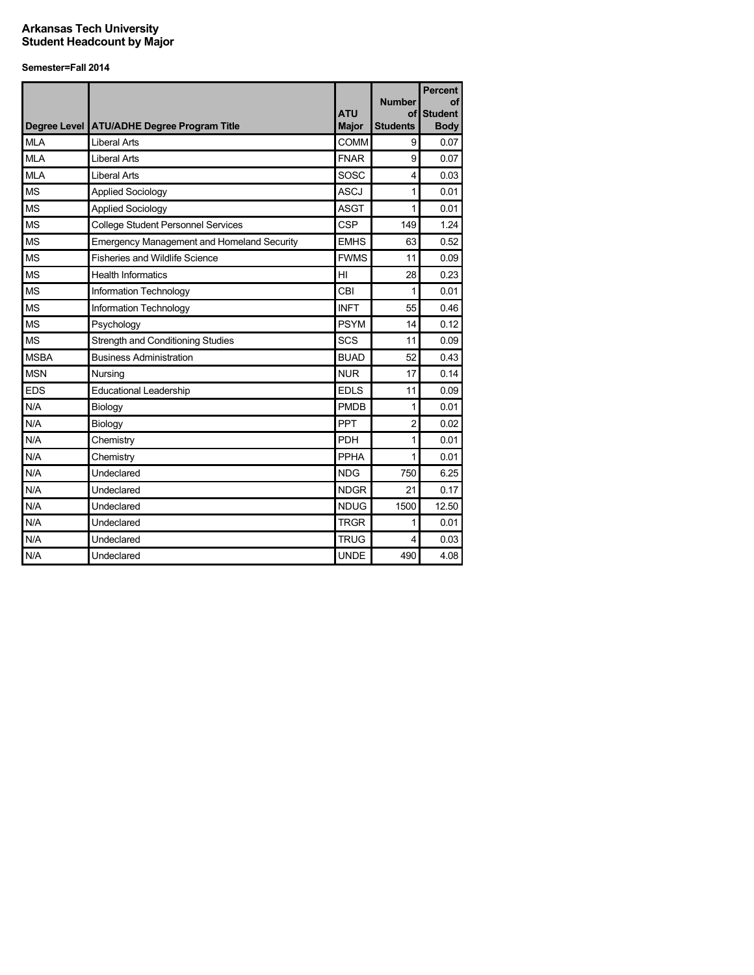|             | Degree Level ATU/ADHE Degree Program Title        | <b>ATU</b><br><b>Major</b> | <b>Number</b><br>Οf<br><b>Students</b> | <b>Percent</b><br>οf<br><b>Student</b><br><b>Body</b> |
|-------------|---------------------------------------------------|----------------------------|----------------------------------------|-------------------------------------------------------|
| <b>MLA</b>  | <b>Liberal Arts</b>                               | COMM                       | 9                                      | 0.07                                                  |
| <b>MLA</b>  | <b>Liberal Arts</b>                               | <b>FNAR</b>                | 9                                      | 0.07                                                  |
| <b>MLA</b>  | <b>Liberal Arts</b>                               | SOSC                       | 4                                      | 0.03                                                  |
| <b>MS</b>   | <b>Applied Sociology</b>                          | <b>ASCJ</b>                | 1                                      | 0.01                                                  |
| <b>MS</b>   | <b>Applied Sociology</b>                          | <b>ASGT</b>                | 1                                      | 0.01                                                  |
| <b>MS</b>   | <b>College Student Personnel Services</b>         | <b>CSP</b>                 | 149                                    | 1.24                                                  |
| <b>MS</b>   | <b>Emergency Management and Homeland Security</b> | <b>EMHS</b>                | 63                                     | 0.52                                                  |
| <b>MS</b>   | <b>Fisheries and Wildlife Science</b>             | <b>FWMS</b>                | 11                                     | 0.09                                                  |
| <b>MS</b>   | <b>Health Informatics</b>                         | HI                         | 28                                     | 0.23                                                  |
| <b>MS</b>   | Information Technology                            | CBI                        | 1                                      | 0.01                                                  |
| <b>MS</b>   | Information Technology                            | <b>INFT</b>                | 55                                     | 0.46                                                  |
| <b>MS</b>   | Psychology                                        | <b>PSYM</b>                | 14                                     | 0.12                                                  |
| <b>MS</b>   | <b>Strength and Conditioning Studies</b>          | SCS                        | 11                                     | 0.09                                                  |
| <b>MSBA</b> | <b>Business Administration</b>                    | <b>BUAD</b>                | 52                                     | 0.43                                                  |
| <b>MSN</b>  | Nursing                                           | <b>NUR</b>                 | 17                                     | 0.14                                                  |
| <b>EDS</b>  | Educational Leadership                            | <b>EDLS</b>                | 11                                     | 0.09                                                  |
| N/A         | Biology                                           | <b>PMDB</b>                | 1                                      | 0.01                                                  |
| N/A         | Biology                                           | PPT                        | $\overline{2}$                         | 0.02                                                  |
| N/A         | Chemistry                                         | <b>PDH</b>                 | 1                                      | 0.01                                                  |
| N/A         | Chemistry                                         | PPHA                       | 1                                      | 0.01                                                  |
| N/A         | Undeclared                                        | <b>NDG</b>                 | 750                                    | 6.25                                                  |
| N/A         | Undeclared                                        | <b>NDGR</b>                | 21                                     | 0.17                                                  |
| N/A         | Undeclared                                        | <b>NDUG</b>                | 1500                                   | 12.50                                                 |
| N/A         | Undeclared                                        | <b>TRGR</b>                | 1                                      | 0.01                                                  |
| N/A         | Undeclared                                        | <b>TRUG</b>                | 4                                      | 0.03                                                  |
| N/A         | Undeclared                                        | <b>UNDE</b>                | 490                                    | 4.08                                                  |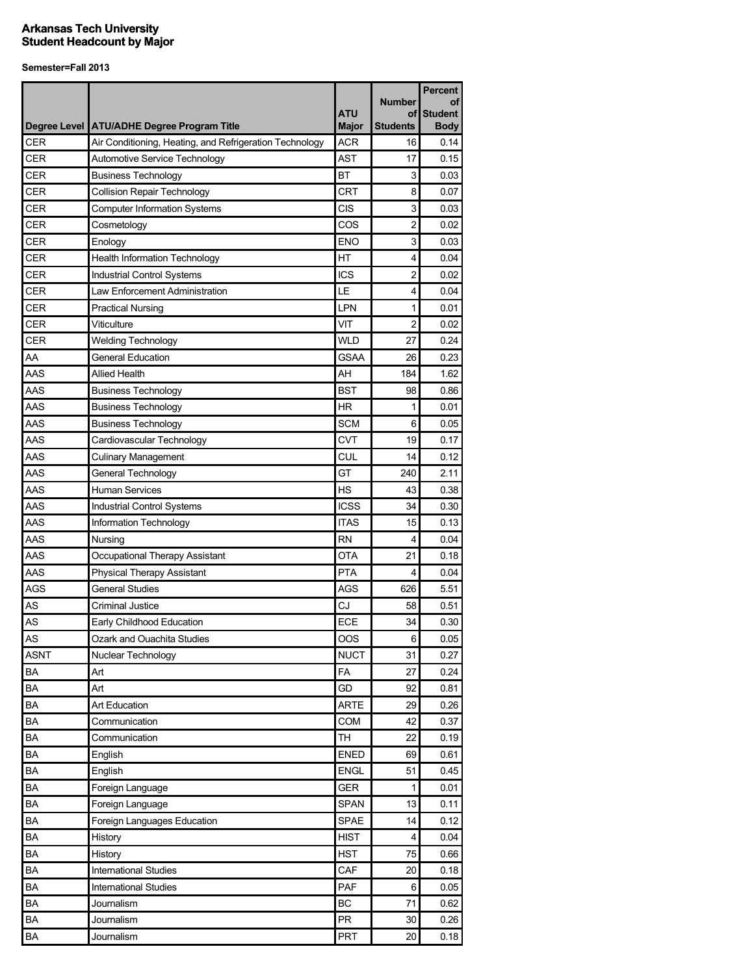|             |                                                                                                         |                            | <b>Number</b>         | <b>Percent</b><br>οf |
|-------------|---------------------------------------------------------------------------------------------------------|----------------------------|-----------------------|----------------------|
|             |                                                                                                         | <b>ATU</b><br><b>Major</b> | οf<br><b>Students</b> | <b>Student</b>       |
| CER         | Degree Level   ATU/ADHE Degree Program Title<br>Air Conditioning, Heating, and Refrigeration Technology | <b>ACR</b>                 | 16                    | <b>Body</b><br>0.14  |
| CER         | Automotive Service Technology                                                                           | <b>AST</b>                 | 17                    | 0.15                 |
| CER         | <b>Business Technology</b>                                                                              | <b>BT</b>                  | 3                     | 0.03                 |
| <b>CER</b>  | <b>Collision Repair Technology</b>                                                                      | CRT                        | 8                     | 0.07                 |
| <b>CER</b>  | <b>Computer Information Systems</b>                                                                     | CIS                        | 3                     | 0.03                 |
| CER         | Cosmetology                                                                                             | COS                        | $\overline{c}$        | 0.02                 |
| <b>CER</b>  | Enology                                                                                                 | <b>ENO</b>                 | 3                     | 0.03                 |
| <b>CER</b>  | <b>Health Information Technology</b>                                                                    | HT                         | 4                     | 0.04                 |
| CER         | Industrial Control Systems                                                                              | <b>ICS</b>                 | 2                     | 0.02                 |
| CER         | Law Enforcement Administration                                                                          | LE                         | 4                     | 0.04                 |
| <b>CER</b>  | <b>Practical Nursing</b>                                                                                | LPN                        | 1                     | 0.01                 |
| <b>CER</b>  | Viticulture                                                                                             | VIT                        | 2                     | 0.02                 |
| <b>CER</b>  | <b>Welding Technology</b>                                                                               | <b>WLD</b>                 | 27                    | 0.24                 |
| AA          | <b>General Education</b>                                                                                | <b>GSAA</b>                | 26                    | 0.23                 |
| AAS         | <b>Allied Health</b>                                                                                    | AH                         | 184                   | 1.62                 |
| AAS         | <b>Business Technology</b>                                                                              | <b>BST</b>                 | 98                    | 0.86                 |
| AAS         |                                                                                                         | <b>HR</b>                  | 1                     | 0.01                 |
| AAS         | <b>Business Technology</b><br><b>Business Technology</b>                                                | <b>SCM</b>                 | 6                     | 0.05                 |
| AAS         | Cardiovascular Technology                                                                               | <b>CVT</b>                 | 19                    | 0.17                 |
| AAS         | <b>Culinary Management</b>                                                                              | <b>CUL</b>                 | 14                    | 0.12                 |
| AAS         |                                                                                                         | GT                         | 240                   | 2.11                 |
| AAS         | General Technology<br>Human Services                                                                    | НS                         | 43                    | 0.38                 |
| AAS         | <b>Industrial Control Systems</b>                                                                       | <b>ICSS</b>                | 34                    | 0.30                 |
| AAS         | Information Technology                                                                                  | <b>ITAS</b>                | 15                    | 0.13                 |
| AAS         | Nursing                                                                                                 | <b>RN</b>                  | 4                     | 0.04                 |
| AAS         | Occupational Therapy Assistant                                                                          | <b>OTA</b>                 | 21                    | 0.18                 |
| AAS         | Physical Therapy Assistant                                                                              | <b>PTA</b>                 | 4                     | 0.04                 |
| <b>AGS</b>  | <b>General Studies</b>                                                                                  | <b>AGS</b>                 | 626                   | 5.51                 |
| AS          | Criminal Justice                                                                                        | CJ                         | 58                    | 0.51                 |
| AS          | Early Childhood Education                                                                               | <b>ECE</b>                 | 34                    | 0.30                 |
| AS          | Ozark and Ouachita Studies                                                                              | OOS                        | 6                     | 0.05                 |
| <b>ASNT</b> | Nuclear Technology                                                                                      | <b>NUCT</b>                | 31                    | 0.27                 |
| BA          | Art                                                                                                     | FA                         | 27                    | 0.24                 |
| <b>BA</b>   | Art                                                                                                     | GD                         | 92                    | 0.81                 |
| BA          | Art Education                                                                                           | <b>ARTE</b>                | 29                    | 0.26                 |
| BA          | Communication                                                                                           | COM                        | 42                    | 0.37                 |
| ΒA          | Communication                                                                                           | <b>TH</b>                  | 22                    | 0.19                 |
| BA          | English                                                                                                 | <b>ENED</b>                | 69                    | 0.61                 |
| BA          | English                                                                                                 | <b>ENGL</b>                | 51                    | 0.45                 |
| BA          | Foreign Language                                                                                        | <b>GER</b>                 | 1                     | 0.01                 |
| BA          | Foreign Language                                                                                        | <b>SPAN</b>                | 13                    | 0.11                 |
| BA          | Foreign Languages Education                                                                             | <b>SPAE</b>                | 14                    | 0.12                 |
| BA          | History                                                                                                 | <b>HIST</b>                | 4                     | 0.04                 |
| BA          | History                                                                                                 | <b>HST</b>                 | 75                    | 0.66                 |
| BA          | International Studies                                                                                   | CAF                        | 20                    | 0.18                 |
| BA          | <b>International Studies</b>                                                                            | PAF                        | 6                     | 0.05                 |
| BA          | Journalism                                                                                              | <b>BC</b>                  | 71                    | 0.62                 |
| BA          | Journalism                                                                                              | <b>PR</b>                  | 30                    | 0.26                 |
| BA          | Journalism                                                                                              | PRT                        | 20                    | 0.18                 |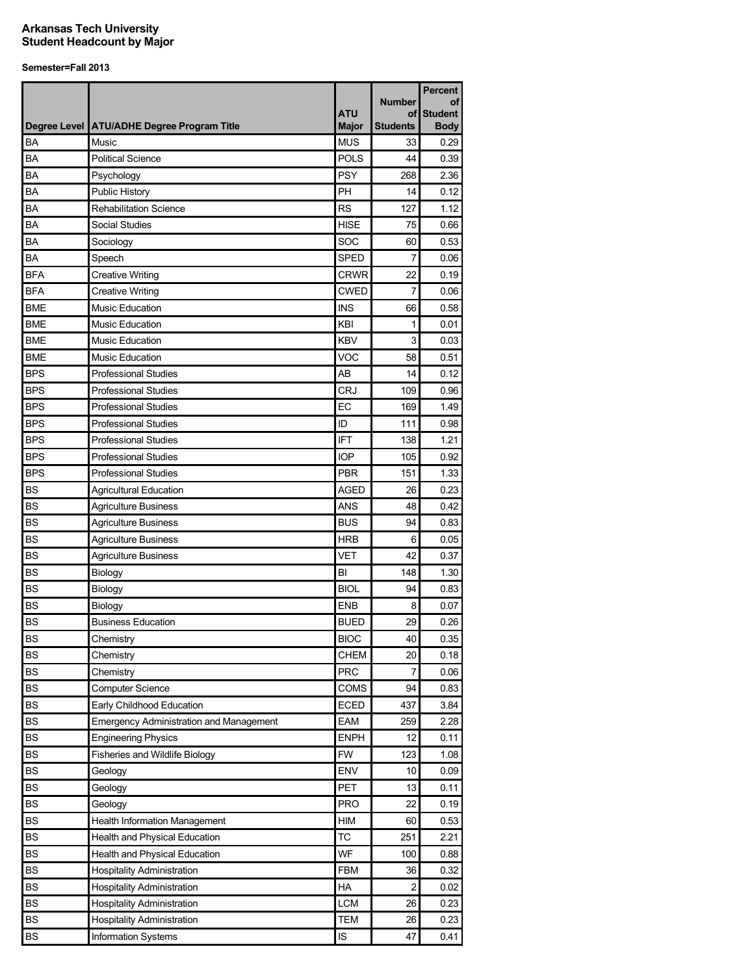|            |                                                |                            |                       | <b>Percent</b>                |
|------------|------------------------------------------------|----------------------------|-----------------------|-------------------------------|
|            |                                                |                            | <b>Number</b>         | οf                            |
|            | Degree Level ATU/ADHE Degree Program Title     | <b>ATU</b><br><b>Major</b> | οf<br><b>Students</b> | <b>Student</b><br><b>Body</b> |
| BA         | Music                                          | <b>MUS</b>                 | 33                    | 0.29                          |
| BA         | <b>Political Science</b>                       | <b>POLS</b>                | 44                    | 0.39                          |
| BA         | Psychology                                     | <b>PSY</b>                 | 268                   | 2.36                          |
| BA         | Public History                                 | PH                         | 14                    | 0.12                          |
| BA         | <b>Rehabilitation Science</b>                  | <b>RS</b>                  | 127                   | 1.12                          |
| BA         | Social Studies                                 | <b>HISE</b>                | 75                    | 0.66                          |
| BA         | Sociology                                      | SOC                        | 60                    | 0.53                          |
| BA         | Speech                                         | <b>SPED</b>                | 7                     | 0.06                          |
| <b>BFA</b> | <b>Creative Writing</b>                        | <b>CRWR</b>                | 22                    | 0.19                          |
| <b>BFA</b> | <b>Creative Writing</b>                        | <b>CWED</b>                | 7                     | 0.06                          |
| <b>BME</b> | <b>Music Education</b>                         | <b>INS</b>                 | 66                    | 0.58                          |
| <b>BME</b> | <b>Music Education</b>                         | KBI                        | 1                     | 0.01                          |
| <b>BME</b> | <b>Music Education</b>                         | <b>KBV</b>                 | 3                     | 0.03                          |
| <b>BME</b> | <b>Music Education</b>                         | VOC                        | 58                    | 0.51                          |
| <b>BPS</b> | <b>Professional Studies</b>                    | AB                         | 14                    | 0.12                          |
| <b>BPS</b> | <b>Professional Studies</b>                    | <b>CRJ</b>                 |                       |                               |
| <b>BPS</b> |                                                |                            | 109                   | 0.96                          |
|            | <b>Professional Studies</b>                    | EC                         | 169<br>111            | 1.49                          |
| <b>BPS</b> | <b>Professional Studies</b>                    | ID                         |                       | 0.98                          |
| <b>BPS</b> | <b>Professional Studies</b>                    | <b>IFT</b>                 | 138                   | 1.21                          |
| <b>BPS</b> | <b>Professional Studies</b>                    | <b>IOP</b>                 | 105                   | 0.92                          |
| <b>BPS</b> | <b>Professional Studies</b>                    | <b>PBR</b>                 | 151                   | 1.33                          |
| <b>BS</b>  | <b>Agricultural Education</b>                  | <b>AGED</b>                | 26                    | 0.23                          |
| <b>BS</b>  | <b>Agriculture Business</b>                    | <b>ANS</b>                 | 48                    | 0.42                          |
| <b>BS</b>  | <b>Agriculture Business</b>                    | <b>BUS</b>                 | 94                    | 0.83                          |
| <b>BS</b>  | <b>Agriculture Business</b>                    | <b>HRB</b>                 | 6                     | 0.05                          |
| <b>BS</b>  | <b>Agriculture Business</b>                    | <b>VET</b>                 | 42                    | 0.37                          |
| <b>BS</b>  | Biology                                        | BI                         | 148                   | 1.30                          |
| <b>BS</b>  | Biology                                        | <b>BIOL</b>                | 94                    | 0.83                          |
| <b>BS</b>  | Biology                                        | <b>ENB</b>                 | 8                     | 0.07                          |
| <b>BS</b>  | <b>Business Education</b>                      | <b>BUED</b>                | 29                    | 0.26                          |
| BS         | Chemistry                                      | <b>BIOC</b>                | 40                    | 0.35                          |
| <b>BS</b>  | Chemistry                                      | <b>CHEM</b>                | 20                    | 0.18                          |
| <b>BS</b>  | Chemistry                                      | <b>PRC</b>                 | 7                     | 0.06                          |
| <b>BS</b>  | <b>Computer Science</b>                        | <b>COMS</b>                | 94                    | 0.83                          |
| ВS         | Early Childhood Education                      | <b>ECED</b>                | 437                   | 3.84                          |
| <b>BS</b>  | <b>Emergency Administration and Management</b> | EAM                        | 259                   | 2.28                          |
| <b>BS</b>  | <b>Engineering Physics</b>                     | <b>ENPH</b>                | 12                    | 0.11                          |
| BS         | Fisheries and Wildlife Biology                 | <b>FW</b>                  | 123                   | 1.08                          |
| BS         | Geology                                        | <b>ENV</b>                 | 10                    | 0.09                          |
| BS         | Geology                                        | PET                        | 13                    | 0.11                          |
| BS         | Geology                                        | <b>PRO</b>                 | 22                    | 0.19                          |
| <b>BS</b>  | <b>Health Information Management</b>           | HIM                        | 60                    | 0.53                          |
| <b>BS</b>  | Health and Physical Education                  | <b>TC</b>                  | 251                   | 2.21                          |
| <b>BS</b>  | Health and Physical Education                  | WF                         | 100                   | 0.88                          |
| <b>BS</b>  | <b>Hospitality Administration</b>              | <b>FBM</b>                 | 36                    | 0.32                          |
| <b>BS</b>  | <b>Hospitality Administration</b>              | HA                         | $\overline{2}$        | 0.02                          |
| <b>BS</b>  | <b>Hospitality Administration</b>              | <b>LCM</b>                 | 26                    | 0.23                          |
| BS         | <b>Hospitality Administration</b>              | <b>TEM</b>                 | 26                    | 0.23                          |
| BS         | Information Systems                            | IS                         | 47                    | 0.41                          |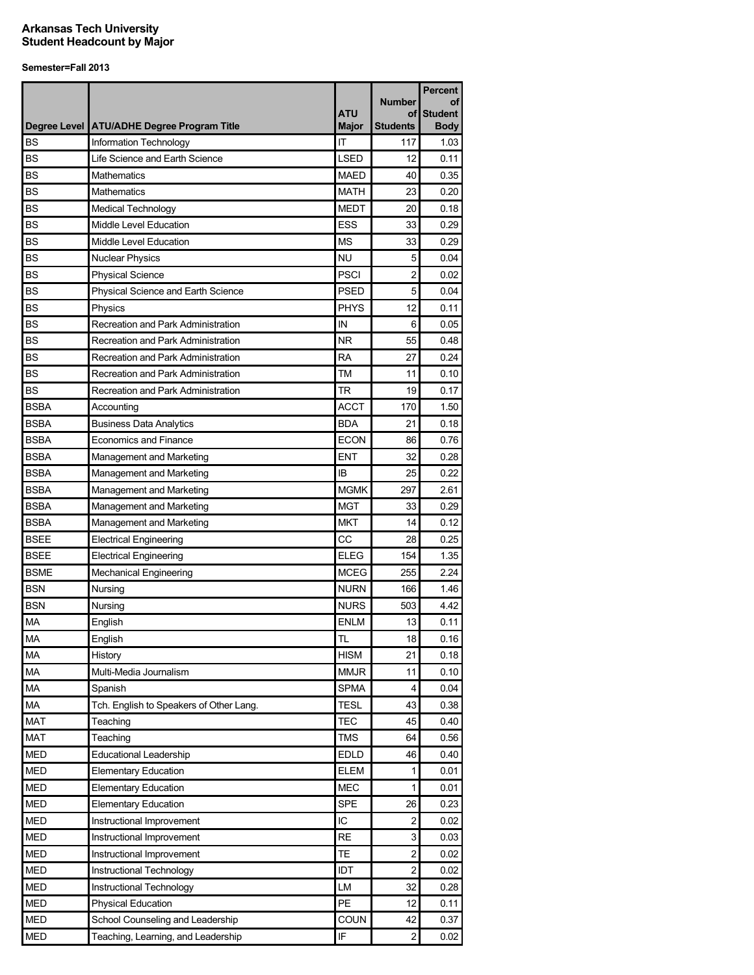|             |                                              |                            | <b>Number</b>         | <b>Percent</b><br>οf |
|-------------|----------------------------------------------|----------------------------|-----------------------|----------------------|
|             |                                              | <b>ATU</b><br><b>Major</b> | οf<br><b>Students</b> | <b>Student</b>       |
| <b>BS</b>   | Degree Level   ATU/ADHE Degree Program Title | IT                         | 117                   | <b>Body</b>          |
|             | Information Technology                       |                            |                       | 1.03                 |
| <b>BS</b>   | Life Science and Earth Science               | <b>LSED</b>                | 12                    | 0.11                 |
| <b>BS</b>   | Mathematics                                  | <b>MAED</b>                | 40                    | 0.35                 |
| <b>BS</b>   | Mathematics                                  | <b>MATH</b>                | 23                    | 0.20                 |
| <b>BS</b>   | <b>Medical Technology</b>                    | <b>MEDT</b>                | 20                    | 0.18                 |
| <b>BS</b>   | Middle Level Education                       | <b>ESS</b>                 | 33                    | 0.29                 |
| <b>BS</b>   | Middle Level Education                       | <b>MS</b>                  | 33                    | 0.29                 |
| <b>BS</b>   | <b>Nuclear Physics</b>                       | NU                         | 5                     | 0.04                 |
| <b>BS</b>   | <b>Physical Science</b>                      | <b>PSCI</b>                | 2                     | 0.02                 |
| <b>BS</b>   | Physical Science and Earth Science           | <b>PSED</b>                | 5                     | 0.04                 |
| <b>BS</b>   | Physics                                      | <b>PHYS</b>                | 12                    | 0.11                 |
| <b>BS</b>   | Recreation and Park Administration           | IN                         | 6                     | 0.05                 |
| <b>BS</b>   | Recreation and Park Administration           | <b>NR</b>                  | 55                    | 0.48                 |
| <b>BS</b>   | Recreation and Park Administration           | <b>RA</b>                  | 27                    | 0.24                 |
| <b>BS</b>   | Recreation and Park Administration           | TM                         | 11                    | 0.10                 |
| <b>BS</b>   | Recreation and Park Administration           | <b>TR</b>                  | 19                    | 0.17                 |
| <b>BSBA</b> | Accounting                                   | <b>ACCT</b>                | 170                   | 1.50                 |
| <b>BSBA</b> | <b>Business Data Analytics</b>               | <b>BDA</b>                 | 21                    | 0.18                 |
| <b>BSBA</b> | <b>Economics and Finance</b>                 | <b>ECON</b>                | 86                    | 0.76                 |
| <b>BSBA</b> | Management and Marketing                     | <b>ENT</b>                 | 32                    | 0.28                 |
| <b>BSBA</b> | Management and Marketing                     | IB                         | 25                    | 0.22                 |
| <b>BSBA</b> | Management and Marketing                     | <b>MGMK</b>                | 297                   | 2.61                 |
| <b>BSBA</b> | Management and Marketing                     | <b>MGT</b>                 | 33                    | 0.29                 |
| <b>BSBA</b> | Management and Marketing                     | <b>MKT</b>                 | 14                    | 0.12                 |
| <b>BSEE</b> | <b>Electrical Engineering</b>                | CC                         | 28                    | 0.25                 |
| <b>BSEE</b> | <b>Electrical Engineering</b>                | <b>ELEG</b>                | 154                   | 1.35                 |
| <b>BSME</b> | <b>Mechanical Engineering</b>                | <b>MCEG</b>                | 255                   | 2.24                 |
| <b>BSN</b>  | Nursing                                      | <b>NURN</b>                | 166                   | 1.46                 |
| <b>BSN</b>  | Nursing                                      | <b>NURS</b>                | 503                   | 4.42                 |
| <b>MA</b>   | English                                      | <b>ENLM</b>                | 13                    | 0.11                 |
| MA          | English                                      | <b>TL</b>                  | 18                    | 0.16                 |
| <b>MA</b>   | History                                      | <b>HISM</b>                | 21                    | 0.18                 |
| MA          | Multi-Media Journalism                       | <b>MMJR</b>                | 11                    | 0.10                 |
| MA          | Spanish                                      | <b>SPMA</b>                | 4                     | 0.04                 |
| MA          | Tch. English to Speakers of Other Lang.      | <b>TESL</b>                | 43                    | 0.38                 |
| <b>MAT</b>  | Teaching                                     | <b>TEC</b>                 | 45                    | 0.40                 |
| <b>MAT</b>  | Teaching                                     | <b>TMS</b>                 | 64                    | 0.56                 |
| <b>MED</b>  | <b>Educational Leadership</b>                | <b>EDLD</b>                | 46                    | 0.40                 |
| <b>MED</b>  | <b>Elementary Education</b>                  | <b>ELEM</b>                | 1                     | 0.01                 |
| <b>MED</b>  | <b>Elementary Education</b>                  | <b>MEC</b>                 | 1                     | 0.01                 |
| <b>MED</b>  | <b>Elementary Education</b>                  | <b>SPE</b>                 | 26                    | 0.23                 |
| <b>MED</b>  | Instructional Improvement                    | IC                         | 2                     | 0.02                 |
| <b>MED</b>  | Instructional Improvement                    | <b>RE</b>                  | 3                     | 0.03                 |
| <b>MED</b>  | Instructional Improvement                    | TE                         | $\boldsymbol{2}$      | 0.02                 |
| <b>MED</b>  | Instructional Technology                     | <b>IDT</b>                 | $\overline{c}$        | 0.02                 |
| <b>MED</b>  | Instructional Technology                     | LM                         | 32                    | 0.28                 |
| MED         | <b>Physical Education</b>                    | PE                         | 12                    | 0.11                 |
| <b>MED</b>  | School Counseling and Leadership             | COUN                       | 42                    | 0.37                 |
| <b>MED</b>  | Teaching, Learning, and Leadership           | IF                         | 2                     | 0.02                 |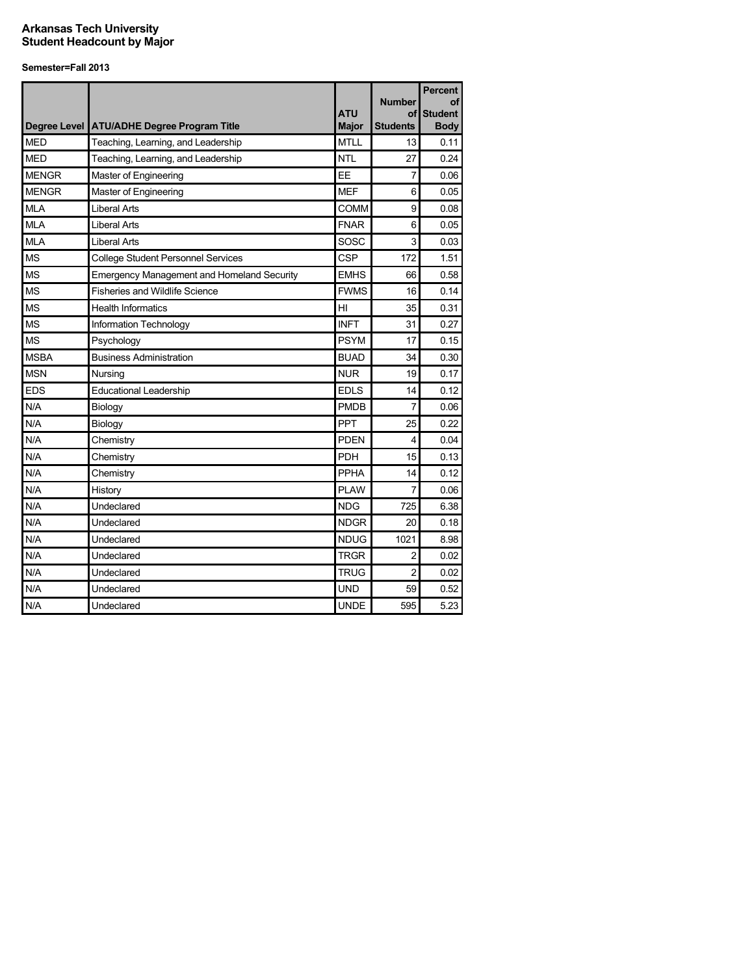|              | Degree Level ATU/ADHE Degree Program Title        | <b>ATU</b><br><b>Major</b> | <b>Number</b><br>Οf<br><b>Students</b> | <b>Percent</b><br>οf<br><b>Student</b><br><b>Body</b> |
|--------------|---------------------------------------------------|----------------------------|----------------------------------------|-------------------------------------------------------|
| <b>MFD</b>   | Teaching, Learning, and Leadership                | <b>MTLL</b>                | 13                                     | 0.11                                                  |
| <b>MED</b>   | Teaching, Learning, and Leadership                | <b>NTL</b>                 | 27                                     | 0.24                                                  |
| <b>MENGR</b> | Master of Engineering                             | EE                         | 7                                      | 0.06                                                  |
| <b>MENGR</b> | Master of Engineering                             | <b>MEF</b>                 | 6                                      | 0.05                                                  |
| <b>MLA</b>   | Liberal Arts                                      | <b>COMM</b>                | 9                                      | 0.08                                                  |
| <b>MLA</b>   | Liberal Arts                                      | <b>FNAR</b>                | 6                                      | 0.05                                                  |
| <b>MLA</b>   | <b>Liberal Arts</b>                               | SOSC                       | 3                                      | 0.03                                                  |
| <b>MS</b>    | <b>College Student Personnel Services</b>         | <b>CSP</b>                 | 172                                    | 1.51                                                  |
| MS           | <b>Emergency Management and Homeland Security</b> | <b>EMHS</b>                | 66                                     | 0.58                                                  |
| <b>MS</b>    | <b>Fisheries and Wildlife Science</b>             | <b>FWMS</b>                | 16                                     | 0.14                                                  |
| <b>MS</b>    | <b>Health Informatics</b>                         | HI                         | 35                                     | 0.31                                                  |
| <b>MS</b>    | Information Technology                            | <b>INFT</b>                | 31                                     | 0.27                                                  |
| <b>MS</b>    | Psychology                                        | <b>PSYM</b>                | 17                                     | 0.15                                                  |
| <b>MSBA</b>  | <b>Business Administration</b>                    | <b>BUAD</b>                | 34                                     | 0.30                                                  |
| <b>MSN</b>   | Nursing                                           | <b>NUR</b>                 | 19                                     | 0.17                                                  |
| <b>EDS</b>   | <b>Educational Leadership</b>                     | <b>EDLS</b>                | 14                                     | 0.12                                                  |
| N/A          | Biology                                           | <b>PMDB</b>                | 7                                      | 0.06                                                  |
| N/A          | Biology                                           | PPT                        | 25                                     | 0.22                                                  |
| N/A          | Chemistry                                         | <b>PDEN</b>                | 4                                      | 0.04                                                  |
| N/A          | Chemistry                                         | <b>PDH</b>                 | 15                                     | 0.13                                                  |
| N/A          | Chemistry                                         | PPHA                       | 14                                     | 0.12                                                  |
| N/A          | History                                           | <b>PLAW</b>                | 7                                      | 0.06                                                  |
| N/A          | Undeclared                                        | <b>NDG</b>                 | 725                                    | 6.38                                                  |
| N/A          | Undeclared                                        | <b>NDGR</b>                | 20                                     | 0.18                                                  |
| N/A          | Undeclared                                        | <b>NDUG</b>                | 1021                                   | 8.98                                                  |
| N/A          | Undeclared                                        | <b>TRGR</b>                | $\overline{c}$                         | 0.02                                                  |
| N/A          | Undeclared                                        | <b>TRUG</b>                | $\overline{2}$                         | 0.02                                                  |
| N/A          | Undeclared                                        | <b>UND</b>                 | 59                                     | 0.52                                                  |
| N/A          | Undeclared                                        | <b>UNDE</b>                | 595                                    | 5.23                                                  |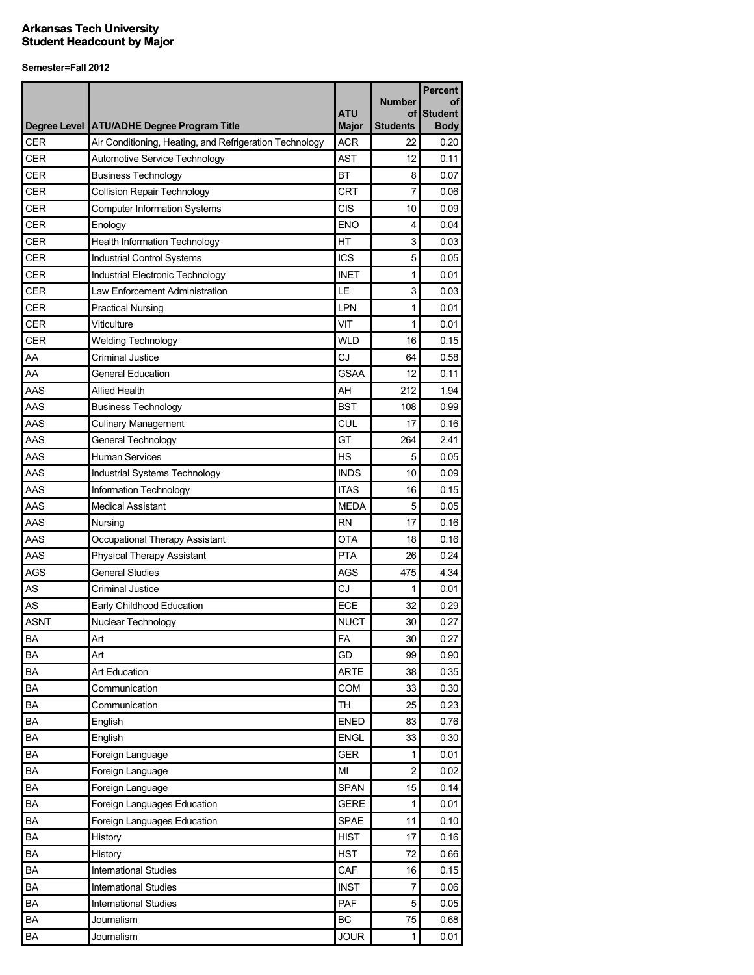|             |                                                         |                   |                     | <b>Percent</b>       |
|-------------|---------------------------------------------------------|-------------------|---------------------|----------------------|
|             |                                                         | <b>ATU</b>        | <b>Number</b><br>οf | οf<br><b>Student</b> |
|             | Degree Level   ATU/ADHE Degree Program Title            | <b>Major</b>      | <b>Students</b>     | <b>Body</b>          |
| <b>CER</b>  | Air Conditioning, Heating, and Refrigeration Technology | <b>ACR</b>        | 22                  | 0.20                 |
| <b>CER</b>  | Automotive Service Technology                           | <b>AST</b>        | 12                  | 0.11                 |
| <b>CER</b>  | <b>Business Technology</b>                              | <b>BT</b>         | 8                   | 0.07                 |
| <b>CER</b>  | <b>Collision Repair Technology</b>                      | <b>CRT</b>        | 7                   | 0.06                 |
| <b>CER</b>  | <b>Computer Information Systems</b>                     | <b>CIS</b>        | 10                  | 0.09                 |
| <b>CER</b>  | Enology                                                 | <b>ENO</b>        | 4                   | 0.04                 |
| <b>CER</b>  | <b>Health Information Technology</b>                    | HT                | 3                   | 0.03                 |
| <b>CER</b>  | Industrial Control Systems                              | <b>ICS</b>        | 5                   | 0.05                 |
| CER         | Industrial Electronic Technology                        | <b>INET</b>       | 1                   | 0.01                 |
| <b>CER</b>  | Law Enforcement Administration                          | LE                | 3                   | 0.03                 |
| <b>CER</b>  | <b>Practical Nursing</b>                                | LPN               | 1                   | 0.01                 |
| <b>CER</b>  | Viticulture                                             | VIT               | 1                   | 0.01                 |
| <b>CER</b>  | <b>Welding Technology</b>                               | <b>WLD</b>        | 16                  | 0.15                 |
| AA          | Criminal Justice                                        | CJ                | 64                  | 0.58                 |
| AA          | General Education                                       | <b>GSAA</b>       | 12                  | 0.11                 |
| AAS         | <b>Allied Health</b>                                    | AH                | 212                 | 1.94                 |
| AAS         | <b>Business Technology</b>                              | <b>BST</b>        | 108                 | 0.99                 |
| AAS         | <b>Culinary Management</b>                              | <b>CUL</b>        | 17                  | 0.16                 |
| AAS         | General Technology                                      | GT                | 264                 | 2.41                 |
| AAS         | Human Services                                          | <b>HS</b>         | 5                   | 0.05                 |
| AAS         | Industrial Systems Technology                           | <b>INDS</b>       | 10                  | 0.09                 |
| AAS         | Information Technology                                  | <b>ITAS</b>       | 16                  | 0.15                 |
| AAS         | <b>Medical Assistant</b>                                | <b>MEDA</b>       | 5                   | 0.05                 |
| AAS         | Nursing                                                 | <b>RN</b>         | 17                  | 0.16                 |
| AAS         | Occupational Therapy Assistant                          | <b>OTA</b>        | 18                  | 0.16                 |
| AAS         | <b>Physical Therapy Assistant</b>                       | <b>PTA</b>        | 26                  | 0.24                 |
| AGS         | <b>General Studies</b>                                  | AGS               | 475                 | 4.34                 |
| AS          | <b>Criminal Justice</b>                                 | CJ                | 1                   | 0.01                 |
| AS          | Early Childhood Education                               | ECE               | 32                  | 0.29                 |
| <b>ASNT</b> | Nuclear Technology                                      | <b>NUCT</b>       | 30                  | 0.27                 |
| <b>BA</b>   | Art                                                     | FA                | 30                  | 0.27                 |
| <b>BA</b>   | Art                                                     | GD                | 99                  | 0.90                 |
| BA          | Art Education                                           | <b>ARTE</b>       | 38                  | 0.35                 |
| BA          | Communication                                           | COM               | 33                  | 0.30                 |
| BA          | Communication                                           | TН                | 25                  | 0.23                 |
| BA          | English                                                 | <b>ENED</b>       | 83                  | 0.76                 |
| BA          | English                                                 | <b>ENGL</b>       | 33                  | 0.30                 |
| BA          | Foreign Language                                        | <b>GER</b>        | 1                   | 0.01                 |
| BA          | Foreign Language                                        | MI                | $\overline{c}$      | 0.02                 |
| BA          | Foreign Language                                        | <b>SPAN</b>       | 15                  | 0.14                 |
| BA          | Foreign Languages Education                             | <b>GERE</b>       | 1                   | 0.01                 |
| BA          | Foreign Languages Education                             | <b>SPAE</b>       | 11                  | 0.10                 |
| BA          | History                                                 | <b>HIST</b>       | 17                  | 0.16                 |
| BA          | History                                                 | <b>HST</b>        | 72                  | 0.66                 |
| BA          | <b>International Studies</b>                            | CAF               | 16                  | 0.15                 |
| BA          | <b>International Studies</b>                            | <b>INST</b>       | 7                   | 0.06                 |
| BA          | <b>International Studies</b>                            | PAF               | 5                   |                      |
|             |                                                         |                   |                     | 0.05                 |
| BA<br>BA    | Journalism                                              | BC<br><b>JOUR</b> | 75<br>1             | 0.68<br>0.01         |
|             | Journalism                                              |                   |                     |                      |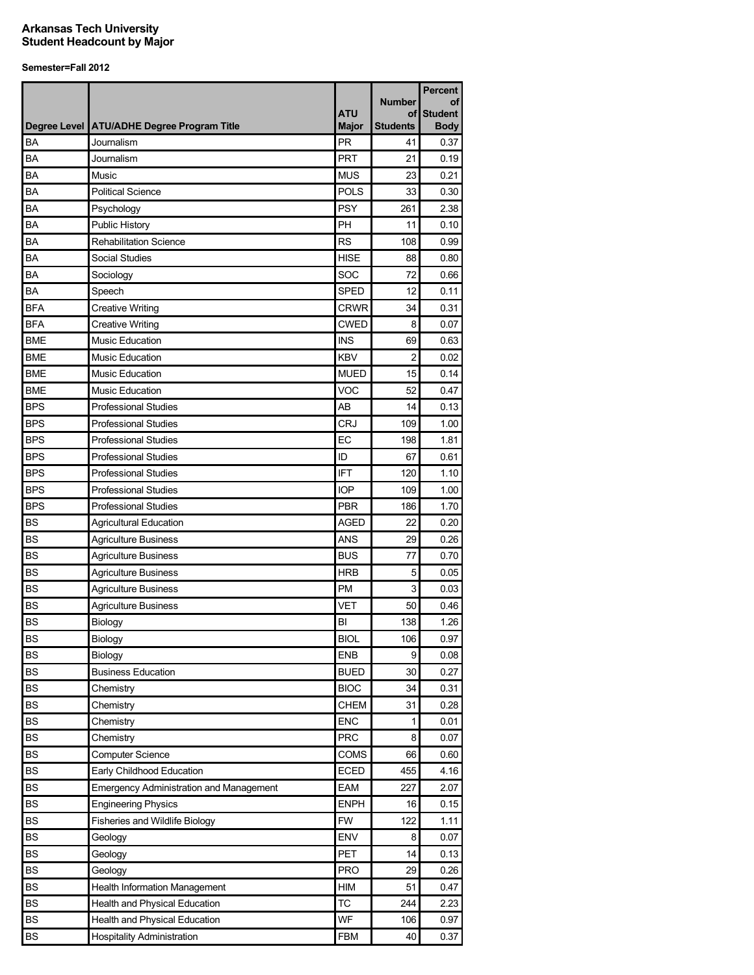|            |                                                | <b>ATU</b>   | <b>Number</b><br>οf | Percent<br>οf<br><b>Student</b> |
|------------|------------------------------------------------|--------------|---------------------|---------------------------------|
|            | Degree Level   ATU/ADHE Degree Program Title   | <b>Major</b> | <b>Students</b>     | <b>Body</b>                     |
| BA         | Journalism                                     | PR           | 41                  | 0.37                            |
| BA         | Journalism                                     | <b>PRT</b>   | 21                  | 0.19                            |
| BA         | Music                                          | <b>MUS</b>   | 23                  | 0.21                            |
| BA         | <b>Political Science</b>                       | <b>POLS</b>  | 33                  | 0.30                            |
| BA         | Psychology                                     | <b>PSY</b>   | 261                 | 2.38                            |
| BA         | <b>Public History</b>                          | PH           | 11                  | 0.10                            |
| BA         | <b>Rehabilitation Science</b>                  | <b>RS</b>    | 108                 | 0.99                            |
| BA         | Social Studies                                 | <b>HISE</b>  | 88                  | 0.80                            |
| BA         | Sociology                                      | SOC          | 72                  | 0.66                            |
| <b>BA</b>  | Speech                                         | <b>SPED</b>  | 12                  | 0.11                            |
| <b>BFA</b> | <b>Creative Writing</b>                        | <b>CRWR</b>  | 34                  | 0.31                            |
| <b>BFA</b> | <b>Creative Writing</b>                        | <b>CWED</b>  | 8                   | 0.07                            |
| <b>BME</b> | Music Education                                | <b>INS</b>   | 69                  | 0.63                            |
| <b>BME</b> | <b>Music Education</b>                         | <b>KBV</b>   | $\overline{c}$      | 0.02                            |
| <b>BME</b> | <b>Music Education</b>                         | <b>MUED</b>  | 15                  | 0.14                            |
| <b>BME</b> | <b>Music Education</b>                         | VOC          | 52                  | 0.47                            |
| <b>BPS</b> | <b>Professional Studies</b>                    | AB           | 14                  | 0.13                            |
| <b>BPS</b> | <b>Professional Studies</b>                    | <b>CRJ</b>   | 109                 | 1.00                            |
| <b>BPS</b> | <b>Professional Studies</b>                    | EC           | 198                 | 1.81                            |
| <b>BPS</b> | <b>Professional Studies</b>                    | ID           | 67                  | 0.61                            |
| <b>BPS</b> | <b>Professional Studies</b>                    | <b>IFT</b>   | 120                 | 1.10                            |
| <b>BPS</b> | <b>Professional Studies</b>                    | <b>IOP</b>   | 109                 | 1.00                            |
| <b>BPS</b> | <b>Professional Studies</b>                    | <b>PBR</b>   | 186                 | 1.70                            |
| <b>BS</b>  | <b>Agricultural Education</b>                  | <b>AGED</b>  | 22                  | 0.20                            |
| <b>BS</b>  | <b>Agriculture Business</b>                    | <b>ANS</b>   | 29                  | 0.26                            |
| <b>BS</b>  | <b>Agriculture Business</b>                    | <b>BUS</b>   | 77                  | 0.70                            |
| <b>BS</b>  | <b>Agriculture Business</b>                    | <b>HRB</b>   | 5                   | 0.05                            |
| <b>BS</b>  | <b>Agriculture Business</b>                    | <b>PM</b>    | 3                   | 0.03                            |
| <b>BS</b>  | <b>Agriculture Business</b>                    | <b>VET</b>   | 50                  | 0.46                            |
| <b>BS</b>  | Biology                                        | BI           | 138                 | 1.26                            |
| <b>BS</b>  | Biology                                        | <b>BIOL</b>  | 106                 | 0.97                            |
| <b>BS</b>  | Biology                                        | <b>ENB</b>   | 9                   | 0.08                            |
| <b>BS</b>  |                                                | <b>BUED</b>  |                     |                                 |
|            | <b>Business Education</b>                      |              | 30                  | 0.27                            |
| <b>BS</b>  | Chemistry                                      | <b>BIOC</b>  | 34                  | 0.31                            |
| <b>BS</b>  | Chemistry                                      | <b>CHEM</b>  | 31                  | 0.28                            |
| <b>BS</b>  | Chemistry                                      | <b>ENC</b>   | 1                   | 0.01                            |
| <b>BS</b>  | Chemistry                                      | <b>PRC</b>   | 8                   | 0.07                            |
| <b>BS</b>  | <b>Computer Science</b>                        | COMS         | 66                  | 0.60                            |
| <b>BS</b>  | Early Childhood Education                      | <b>ECED</b>  | 455                 | 4.16                            |
| <b>BS</b>  | <b>Emergency Administration and Management</b> | EAM          | 227                 | 2.07                            |
| <b>BS</b>  | <b>Engineering Physics</b>                     | <b>ENPH</b>  | 16                  | 0.15                            |
| <b>BS</b>  | Fisheries and Wildlife Biology                 | <b>FW</b>    | 122                 | 1.11                            |
| <b>BS</b>  | Geology                                        | ENV          | 8                   | 0.07                            |
| <b>BS</b>  | Geology                                        | <b>PET</b>   | 14                  | 0.13                            |
| <b>BS</b>  | Geology                                        | <b>PRO</b>   | 29                  | 0.26                            |
| <b>BS</b>  | Health Information Management                  | HIM          | 51                  | 0.47                            |
| <b>BS</b>  | Health and Physical Education                  | <b>TC</b>    | 244                 | 2.23                            |
| <b>BS</b>  | Health and Physical Education                  | WF           | 106                 | 0.97                            |
| BS         | <b>Hospitality Administration</b>              | <b>FBM</b>   | 40                  | 0.37                            |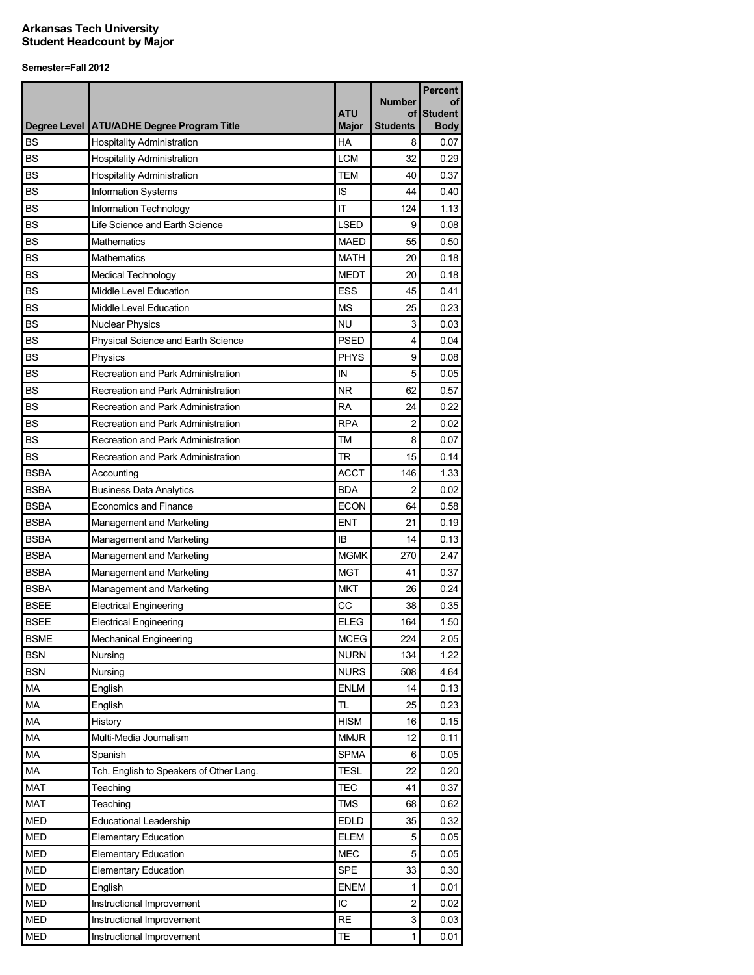|             |                                              |                     |                       | <b>Percent</b>                |
|-------------|----------------------------------------------|---------------------|-----------------------|-------------------------------|
|             |                                              |                     | <b>Number</b>         | οf                            |
|             | Degree Level   ATU/ADHE Degree Program Title | ATU<br><b>Major</b> | οf<br><b>Students</b> | <b>Student</b><br><b>Body</b> |
| <b>BS</b>   | <b>Hospitality Administration</b>            | HA                  | 8                     | 0.07                          |
| <b>BS</b>   | <b>Hospitality Administration</b>            | <b>LCM</b>          | 32                    | 0.29                          |
| <b>BS</b>   | <b>Hospitality Administration</b>            | <b>TEM</b>          | 40                    | 0.37                          |
| <b>BS</b>   | Information Systems                          | IS                  | 44                    | 0.40                          |
| <b>BS</b>   | Information Technology                       | IT                  | 124                   | 1.13                          |
| <b>BS</b>   | Life Science and Earth Science               | <b>LSED</b>         | 9                     | 0.08                          |
| <b>BS</b>   | <b>Mathematics</b>                           | <b>MAED</b>         | 55                    | 0.50                          |
| <b>BS</b>   | <b>Mathematics</b>                           | <b>MATH</b>         | 20                    | 0.18                          |
| <b>BS</b>   | Medical Technology                           | <b>MEDT</b>         | 20                    | 0.18                          |
| <b>BS</b>   | Middle Level Education                       | <b>ESS</b>          | 45                    | 0.41                          |
| <b>BS</b>   | Middle Level Education                       | ΜS                  | 25                    | 0.23                          |
| <b>BS</b>   | <b>Nuclear Physics</b>                       | <b>NU</b>           | 3                     | 0.03                          |
| <b>BS</b>   | Physical Science and Earth Science           | <b>PSED</b>         | 4                     | 0.04                          |
| <b>BS</b>   | Physics                                      | <b>PHYS</b>         | 9                     | 0.08                          |
| <b>BS</b>   | Recreation and Park Administration           | IN                  | 5                     | 0.05                          |
| <b>BS</b>   | Recreation and Park Administration           | ΝR                  | 62                    | 0.57                          |
| BS          | Recreation and Park Administration           | RA                  | 24                    | 0.22                          |
| <b>BS</b>   | Recreation and Park Administration           | <b>RPA</b>          | $\overline{c}$        | 0.02                          |
| <b>BS</b>   | Recreation and Park Administration           | ТM                  | 8                     | 0.07                          |
| <b>BS</b>   | Recreation and Park Administration           | <b>TR</b>           | 15                    | 0.14                          |
| <b>BSBA</b> | Accounting                                   | <b>ACCT</b>         | 146                   | 1.33                          |
| <b>BSBA</b> | <b>Business Data Analytics</b>               | <b>BDA</b>          | 2                     | 0.02                          |
| <b>BSBA</b> | <b>Economics and Finance</b>                 | <b>ECON</b>         | 64                    | 0.58                          |
| <b>BSBA</b> | Management and Marketing                     | ENT                 | 21                    | 0.19                          |
| <b>BSBA</b> | Management and Marketing                     | IB                  | 14                    | 0.13                          |
| <b>BSBA</b> | Management and Marketing                     | <b>MGMK</b>         | 270                   | 2.47                          |
| <b>BSBA</b> | Management and Marketing                     | <b>MGT</b>          | 41                    | 0.37                          |
| <b>BSBA</b> | Management and Marketing                     | <b>MKT</b>          | 26                    | 0.24                          |
| <b>BSEE</b> | <b>Electrical Engineering</b>                | CC                  | 38                    | 0.35                          |
| <b>BSEE</b> | <b>Electrical Engineering</b>                | <b>ELEG</b>         | 164                   | 1.50                          |
| <b>BSME</b> | <b>Mechanical Engineering</b>                | <b>MCEG</b>         | 224                   | 2.05                          |
| <b>BSN</b>  | Nursing                                      | <b>NURN</b>         | 134                   | 1.22                          |
| <b>BSN</b>  | Nursing                                      | <b>NURS</b>         | 508                   | 4.64                          |
| МA          | English                                      | <b>ENLM</b>         | 14                    | 0.13                          |
| MA          | English                                      | TL                  | 25                    | 0.23                          |
| МA          | History                                      | <b>HISM</b>         | 16                    | 0.15                          |
| MA          | Multi-Media Journalism                       | <b>MMJR</b>         | 12                    | 0.11                          |
| МA          | Spanish                                      | <b>SPMA</b>         | 6                     | 0.05                          |
| MA          | Tch. English to Speakers of Other Lang.      | <b>TESL</b>         | 22                    | 0.20                          |
| <b>MAT</b>  | Teaching                                     | <b>TEC</b>          | 41                    | 0.37                          |
| MAT         | Teaching                                     | <b>TMS</b>          | 68                    | 0.62                          |
| <b>MED</b>  | <b>Educational Leadership</b>                | <b>EDLD</b>         | 35                    | 0.32                          |
| <b>MED</b>  | <b>Elementary Education</b>                  | ELEM                | 5                     | 0.05                          |
| <b>MED</b>  | <b>Elementary Education</b>                  | <b>MEC</b>          | 5                     | 0.05                          |
| <b>MED</b>  | <b>Elementary Education</b>                  | <b>SPE</b>          | 33                    | 0.30                          |
| <b>MED</b>  | English                                      | <b>ENEM</b>         | $\mathbf{1}$          | 0.01                          |
| <b>MED</b>  | Instructional Improvement                    | IC                  | $\overline{c}$        | 0.02                          |
| <b>MED</b>  | Instructional Improvement                    | RE                  | 3                     | 0.03                          |
| <b>MED</b>  | Instructional Improvement                    | TE                  | $\mathbf{1}$          | 0.01                          |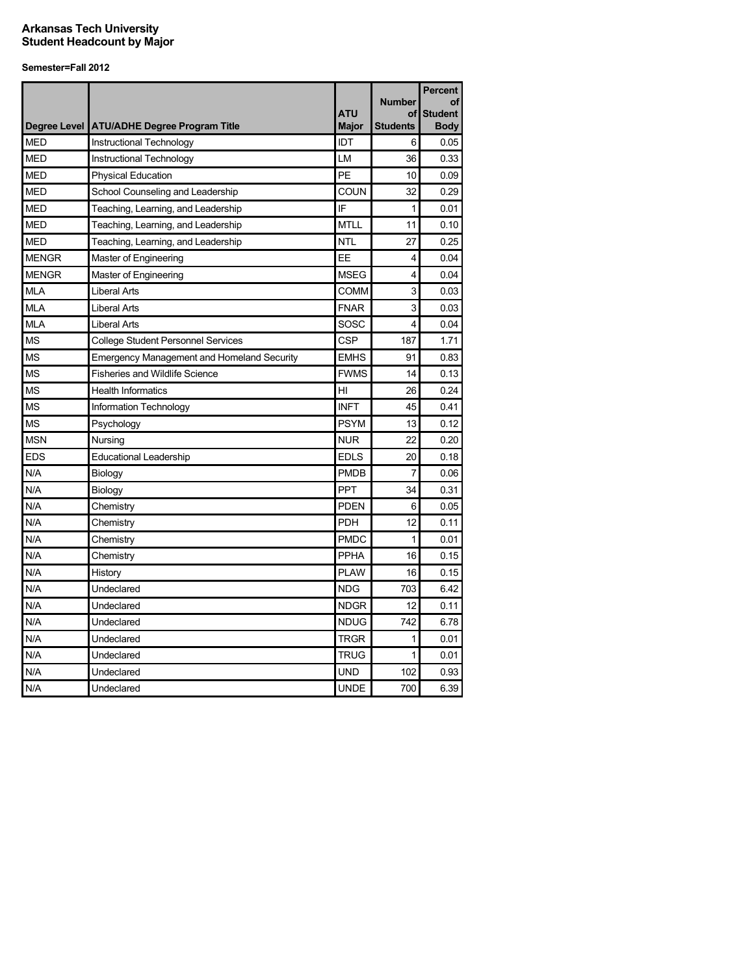|              |                                                   |              | <b>Number</b>   | <b>Percent</b><br>οf |
|--------------|---------------------------------------------------|--------------|-----------------|----------------------|
|              |                                                   | <b>ATU</b>   | οf              | <b>Student</b>       |
|              | Degree Level ATU/ADHE Degree Program Title        | <b>Major</b> | <b>Students</b> | <b>Body</b>          |
| <b>MED</b>   | Instructional Technology                          | IDT          | 6               | 0.05                 |
| <b>MED</b>   | Instructional Technology                          | LM           | 36              | 0.33                 |
| <b>MED</b>   | <b>Physical Education</b>                         | PE           | 10              | 0.09                 |
| <b>MED</b>   | School Counseling and Leadership                  | COUN         | 32              | 0.29                 |
| <b>MED</b>   | Teaching, Learning, and Leadership                | IF           | 1               | 0.01                 |
| <b>MED</b>   | Teaching, Learning, and Leadership                | <b>MTLL</b>  | 11              | 0.10                 |
| MED          | Teaching, Learning, and Leadership                | <b>NTL</b>   | 27              | 0.25                 |
| <b>MENGR</b> | Master of Engineering                             | EE           | 4               | 0.04                 |
| <b>MENGR</b> | Master of Engineering                             | <b>MSEG</b>  | 4               | 0.04                 |
| <b>MLA</b>   | <b>Liberal Arts</b>                               | <b>COMM</b>  | 3               | 0.03                 |
| <b>MLA</b>   | <b>Liberal Arts</b>                               | <b>FNAR</b>  | 3               | 0.03                 |
| <b>MLA</b>   | <b>Liberal Arts</b>                               | SOSC         | 4               | 0.04                 |
| <b>MS</b>    | <b>College Student Personnel Services</b>         | CSP          | 187             | 1.71                 |
| <b>MS</b>    | <b>Emergency Management and Homeland Security</b> | <b>EMHS</b>  | 91              | 0.83                 |
| <b>MS</b>    | <b>Fisheries and Wildlife Science</b>             | <b>FWMS</b>  | 14              | 0.13                 |
| <b>MS</b>    | <b>Health Informatics</b>                         | HI           | 26              | 0.24                 |
| <b>MS</b>    | Information Technology                            | <b>INFT</b>  | 45              | 0.41                 |
| <b>MS</b>    | Psychology                                        | <b>PSYM</b>  | 13              | 0.12                 |
| <b>MSN</b>   | Nursing                                           | <b>NUR</b>   | 22              | 0.20                 |
| <b>EDS</b>   | <b>Educational Leadership</b>                     | <b>EDLS</b>  | 20              | 0.18                 |
| N/A          | Biology                                           | <b>PMDB</b>  | 7               | 0.06                 |
| N/A          | Biology                                           | <b>PPT</b>   | 34              | 0.31                 |
| N/A          | Chemistry                                         | <b>PDEN</b>  | 6               | 0.05                 |
| N/A          | Chemistry                                         | <b>PDH</b>   | 12              | 0.11                 |
| N/A          | Chemistry                                         | <b>PMDC</b>  | $\mathbf{1}$    | 0.01                 |
| N/A          | Chemistry                                         | <b>PPHA</b>  | 16              | 0.15                 |
| N/A          | History                                           | <b>PLAW</b>  | 16              | 0.15                 |
| N/A          | Undeclared                                        | <b>NDG</b>   | 703             | 6.42                 |
| N/A          | Undeclared                                        | <b>NDGR</b>  | 12              | 0.11                 |
| N/A          | Undeclared                                        | <b>NDUG</b>  | 742             | 6.78                 |
| N/A          | Undeclared                                        | <b>TRGR</b>  | 1               | 0.01                 |
| N/A          | Undeclared                                        | <b>TRUG</b>  | 1               | 0.01                 |
| N/A          | Undeclared                                        | UND          | 102             | 0.93                 |
| N/A          | Undeclared                                        | <b>UNDE</b>  | 700             | 6.39                 |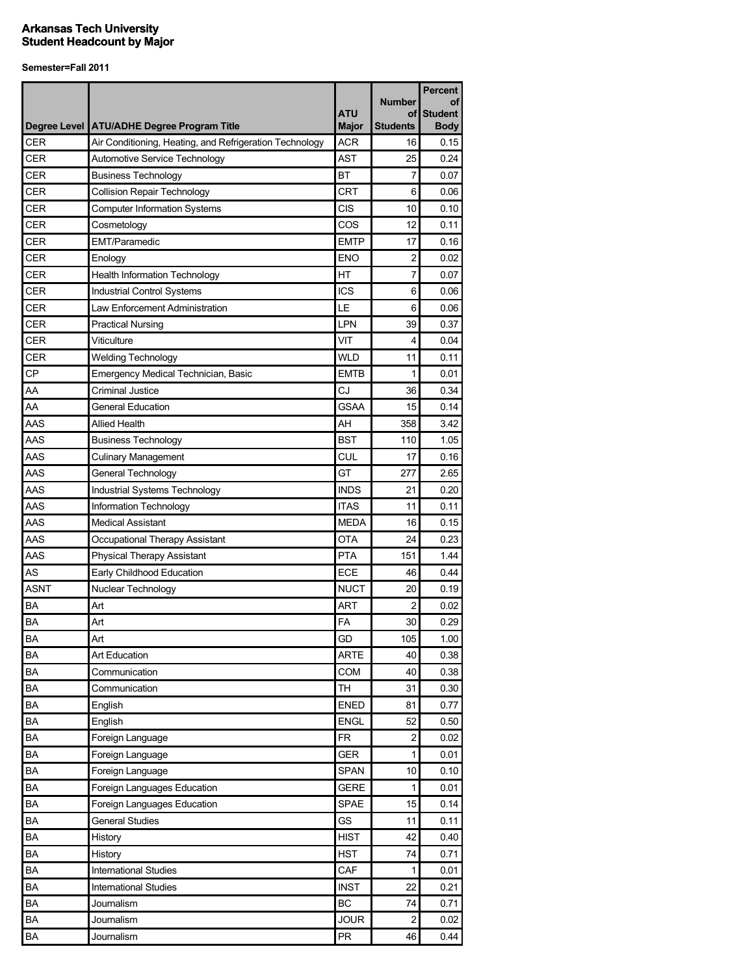|             |                                                         | <b>ATU</b>   | <b>Number</b><br>οf | <b>Percent</b><br>οf<br><b>Student</b> |
|-------------|---------------------------------------------------------|--------------|---------------------|----------------------------------------|
|             | Degree Level ATU/ADHE Degree Program Title              | <b>Major</b> | <b>Students</b>     | <b>Body</b>                            |
| CER         | Air Conditioning, Heating, and Refrigeration Technology | <b>ACR</b>   | 16                  | 0.15                                   |
| CER         | Automotive Service Technology                           | <b>AST</b>   | 25                  | 0.24                                   |
| CER         | <b>Business Technology</b>                              | <b>BT</b>    | 7                   | 0.07                                   |
| <b>CER</b>  | <b>Collision Repair Technology</b>                      | <b>CRT</b>   | 6                   | 0.06                                   |
| CER         | <b>Computer Information Systems</b>                     | <b>CIS</b>   | 10                  | 0.10                                   |
| <b>CER</b>  | Cosmetology                                             | COS          | 12                  | 0.11                                   |
| <b>CER</b>  | <b>EMT/Paramedic</b>                                    | <b>EMTP</b>  | 17                  | 0.16                                   |
| <b>CER</b>  | Enology                                                 | <b>ENO</b>   | 2                   | 0.02                                   |
| CER         | <b>Health Information Technology</b>                    | HT           | 7                   | 0.07                                   |
| <b>CER</b>  | <b>Industrial Control Systems</b>                       | <b>ICS</b>   | 6                   | 0.06                                   |
| <b>CER</b>  | Law Enforcement Administration                          | LE           | 6                   | 0.06                                   |
| <b>CER</b>  | <b>Practical Nursing</b>                                | LPN          | 39                  | 0.37                                   |
| <b>CER</b>  | Viticulture                                             | VIT          | 4                   | 0.04                                   |
| CER         | <b>Welding Technology</b>                               | <b>WLD</b>   | 11                  | 0.11                                   |
| <b>CP</b>   | <b>Emergency Medical Technician, Basic</b>              | <b>EMTB</b>  | 1                   | 0.01                                   |
| AA          | <b>Criminal Justice</b>                                 | CJ           | 36                  | 0.34                                   |
| AA          | <b>General Education</b>                                | <b>GSAA</b>  | 15                  | 0.14                                   |
| AAS         | <b>Allied Health</b>                                    | AH           | 358                 | 3.42                                   |
| AAS         | <b>Business Technology</b>                              | <b>BST</b>   | 110                 | 1.05                                   |
| AAS         | <b>Culinary Management</b>                              | <b>CUL</b>   | 17                  | 0.16                                   |
| AAS         | General Technology                                      | GT           | 277                 | 2.65                                   |
| AAS         | Industrial Systems Technology                           | <b>INDS</b>  | 21                  | 0.20                                   |
| AAS         | Information Technology                                  | <b>ITAS</b>  | 11                  | 0.11                                   |
| AAS         | <b>Medical Assistant</b>                                | <b>MEDA</b>  | 16                  | 0.15                                   |
| AAS         | Occupational Therapy Assistant                          | <b>OTA</b>   | 24                  | 0.23                                   |
| AAS         | <b>Physical Therapy Assistant</b>                       | <b>PTA</b>   | 151                 | 1.44                                   |
| AS          | Early Childhood Education                               | <b>ECE</b>   | 46                  | 0.44                                   |
| <b>ASNT</b> | Nuclear Technology                                      | <b>NUCT</b>  | 20                  | 0.19                                   |
| ВA          | Art                                                     | ART          | 2                   | 0.02                                   |
| <b>BA</b>   | Art                                                     | FA           | 30                  | 0.29                                   |
| BA          | Art                                                     | GD           | 105                 | 1.00                                   |
| BA          | Art Education                                           | <b>ARTE</b>  | 40                  | 0.38                                   |
| BA          | Communication                                           | COM          | 40                  | 0.38                                   |
| BA          | Communication                                           | <b>TH</b>    | 31                  | 0.30                                   |
| BA          | English                                                 | <b>ENED</b>  | 81                  | 0.77                                   |
| BA          | English                                                 | <b>ENGL</b>  | 52                  | 0.50                                   |
| BA          | Foreign Language                                        | <b>FR</b>    | $\overline{c}$      | 0.02                                   |
| <b>BA</b>   | Foreign Language                                        | <b>GER</b>   | 1                   | 0.01                                   |
| BA          | Foreign Language                                        | <b>SPAN</b>  | 10                  | 0.10                                   |
| BA          | Foreign Languages Education                             | <b>GERE</b>  | 1                   | 0.01                                   |
| BA          | Foreign Languages Education                             | <b>SPAE</b>  | 15                  | 0.14                                   |
| BA          | <b>General Studies</b>                                  | GS           | 11                  | 0.11                                   |
| BA          | History                                                 | <b>HIST</b>  | 42                  | 0.40                                   |
| BA          | History                                                 | <b>HST</b>   | 74                  | 0.71                                   |
| BA          | <b>International Studies</b>                            | CAF          | 1                   | 0.01                                   |
| BA          | <b>International Studies</b>                            | <b>INST</b>  | 22                  | 0.21                                   |
| BA          | Journalism                                              | BC           | 74                  | 0.71                                   |
| BA          | Journalism                                              | <b>JOUR</b>  | 2                   | 0.02                                   |
| BA          | Journalism                                              | ${\sf PR}$   | 46                  | 0.44                                   |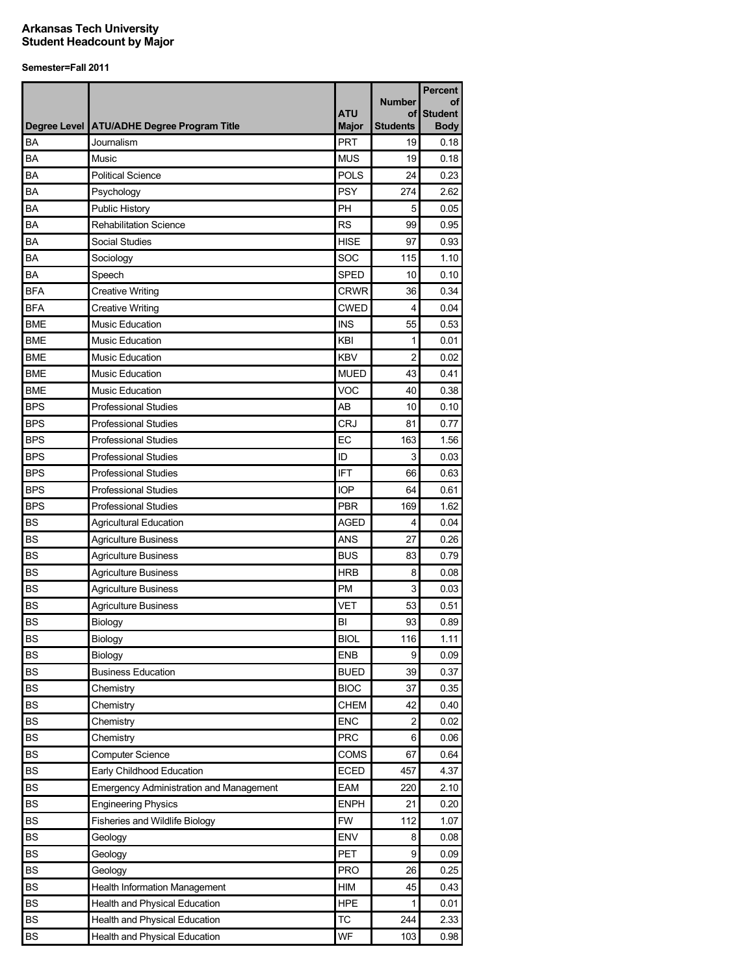|            |                                                | <b>ATU</b>                 | <b>Number</b><br>οf | <b>Percent</b><br>οf<br><b>Student</b> |
|------------|------------------------------------------------|----------------------------|---------------------|----------------------------------------|
|            | Degree Level   ATU/ADHE Degree Program Title   | <b>Major</b><br><b>PRT</b> | <b>Students</b>     | <b>Body</b>                            |
| BA<br>BA   | Journalism<br>Music                            | <b>MUS</b>                 | 19<br>19            | 0.18<br>0.18                           |
| BA         |                                                | <b>POLS</b>                | 24                  | 0.23                                   |
|            | <b>Political Science</b>                       | <b>PSY</b>                 |                     |                                        |
| BA         | Psychology                                     |                            | 274                 | 2.62                                   |
| BA         | Public History                                 | PH                         | 5                   | 0.05                                   |
| BA         | <b>Rehabilitation Science</b>                  | <b>RS</b>                  | 99                  | 0.95                                   |
| BA         | Social Studies                                 | <b>HISE</b>                | 97                  | 0.93                                   |
| <b>BA</b>  | Sociology                                      | SOC                        | 115                 | 1.10                                   |
| BA         | Speech                                         | <b>SPED</b>                | 10                  | 0.10                                   |
| <b>BFA</b> | <b>Creative Writing</b>                        | <b>CRWR</b>                | 36                  | 0.34                                   |
| <b>BFA</b> | <b>Creative Writing</b>                        | <b>CWED</b>                | 4                   | 0.04                                   |
| <b>BME</b> | <b>Music Education</b>                         | <b>INS</b>                 | 55                  | 0.53                                   |
| <b>BME</b> | <b>Music Education</b>                         | KBI                        | 1                   | 0.01                                   |
| <b>BME</b> | <b>Music Education</b>                         | <b>KBV</b>                 | $\overline{2}$      | 0.02                                   |
| <b>BME</b> | <b>Music Education</b>                         | <b>MUED</b>                | 43                  | 0.41                                   |
| <b>BME</b> | <b>Music Education</b>                         | VOC                        | 40                  | 0.38                                   |
| <b>BPS</b> | <b>Professional Studies</b>                    | AB                         | 10                  | 0.10                                   |
| <b>BPS</b> | <b>Professional Studies</b>                    | <b>CRJ</b>                 | 81                  | 0.77                                   |
| <b>BPS</b> | <b>Professional Studies</b>                    | EC                         | 163                 | 1.56                                   |
| <b>BPS</b> | <b>Professional Studies</b>                    | ID                         | 3                   | 0.03                                   |
| <b>BPS</b> | <b>Professional Studies</b>                    | <b>IFT</b>                 | 66                  | 0.63                                   |
| <b>BPS</b> | <b>Professional Studies</b>                    | <b>IOP</b>                 | 64                  | 0.61                                   |
| <b>BPS</b> | <b>Professional Studies</b>                    | <b>PBR</b>                 | 169                 | 1.62                                   |
| <b>BS</b>  | <b>Agricultural Education</b>                  | <b>AGED</b>                | 4                   | 0.04                                   |
| <b>BS</b>  | <b>Agriculture Business</b>                    | <b>ANS</b>                 | 27                  | 0.26                                   |
| <b>BS</b>  | <b>Agriculture Business</b>                    | <b>BUS</b>                 | 83                  | 0.79                                   |
| <b>BS</b>  | <b>Agriculture Business</b>                    | <b>HRB</b>                 | 8                   | 0.08                                   |
| <b>BS</b>  | <b>Agriculture Business</b>                    | <b>PM</b>                  | 3                   | 0.03                                   |
| <b>BS</b>  | <b>Agriculture Business</b>                    | <b>VET</b>                 | 53                  | 0.51                                   |
| <b>BS</b>  | Biology                                        | BI                         | 93                  | 0.89                                   |
| <b>BS</b>  | Biology                                        | <b>BIOL</b>                | 116                 | 1.11                                   |
| <b>BS</b>  | Biology                                        | <b>ENB</b>                 | 9                   | 0.09                                   |
| <b>BS</b>  | <b>Business Education</b>                      | <b>BUED</b>                | 39                  | 0.37                                   |
| <b>BS</b>  | Chemistry                                      | <b>BIOC</b>                | 37                  | 0.35                                   |
| <b>BS</b>  | Chemistry                                      | <b>CHEM</b>                | 42                  | 0.40                                   |
| <b>BS</b>  | Chemistry                                      | <b>ENC</b>                 | $\overline{2}$      | 0.02                                   |
| <b>BS</b>  | Chemistry                                      | <b>PRC</b>                 | 6                   | 0.06                                   |
| <b>BS</b>  | Computer Science                               | COMS                       | 67                  | 0.64                                   |
| <b>BS</b>  | Early Childhood Education                      | <b>ECED</b>                | 457                 | 4.37                                   |
| <b>BS</b>  | <b>Emergency Administration and Management</b> | EAM                        | 220                 | 2.10                                   |
| <b>BS</b>  | <b>Engineering Physics</b>                     | <b>ENPH</b>                | 21                  | 0.20                                   |
| <b>BS</b>  | Fisheries and Wildlife Biology                 | <b>FW</b>                  | 112                 | 1.07                                   |
| <b>BS</b>  | Geology                                        | ENV                        | 8                   | 0.08                                   |
| <b>BS</b>  | Geology                                        | <b>PET</b>                 | 9                   | 0.09                                   |
| <b>BS</b>  | Geology                                        | <b>PRO</b>                 | 26                  | 0.25                                   |
| <b>BS</b>  | Health Information Management                  | HIM                        | 45                  | 0.43                                   |
| <b>BS</b>  | Health and Physical Education                  | <b>HPE</b>                 | 1                   | 0.01                                   |
| <b>BS</b>  | Health and Physical Education                  | ТC                         | 244                 | 2.33                                   |
| BS         | Health and Physical Education                  | WF                         | 103                 | 0.98                                   |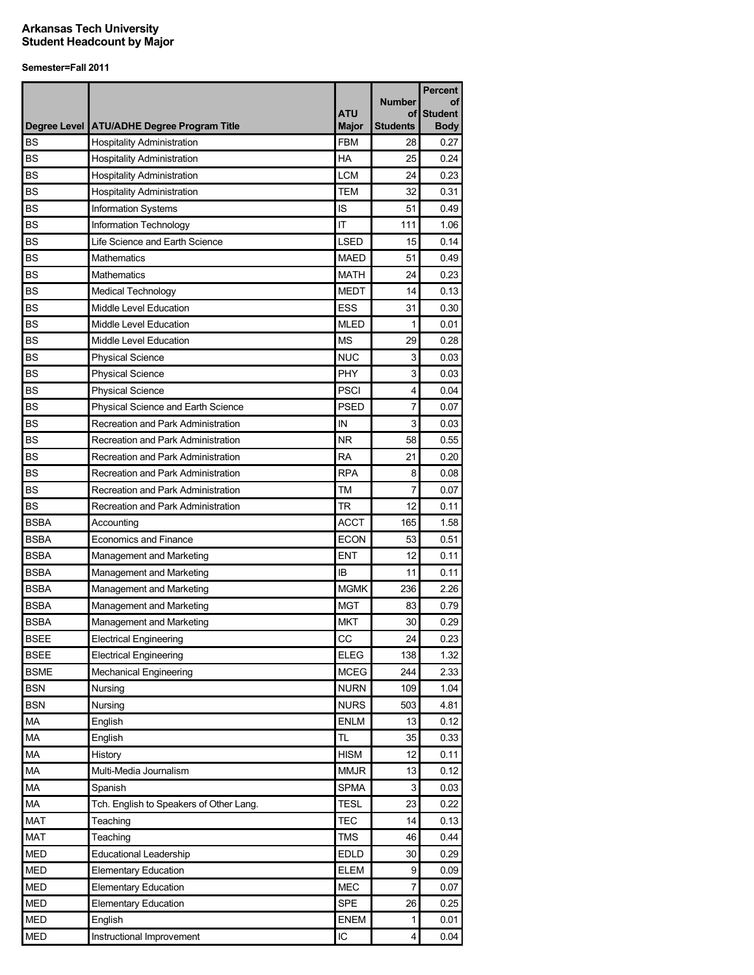|             |                                              |                            | <b>Number</b>         | Percent<br>οf                 |
|-------------|----------------------------------------------|----------------------------|-----------------------|-------------------------------|
|             | Degree Level   ATU/ADHE Degree Program Title | <b>ATU</b><br><b>Major</b> | οf<br><b>Students</b> | <b>Student</b><br><b>Body</b> |
| <b>BS</b>   | <b>Hospitality Administration</b>            | <b>FBM</b>                 | 28                    | 0.27                          |
| <b>BS</b>   | <b>Hospitality Administration</b>            | <b>HA</b>                  | 25                    | 0.24                          |
| <b>BS</b>   | <b>Hospitality Administration</b>            | <b>LCM</b>                 | 24                    | 0.23                          |
| <b>BS</b>   | <b>Hospitality Administration</b>            | <b>TEM</b>                 | 32                    | 0.31                          |
| <b>BS</b>   | Information Systems                          | IS                         | 51                    | 0.49                          |
| <b>BS</b>   | Information Technology                       | IT                         | 111                   | 1.06                          |
| <b>BS</b>   | Life Science and Earth Science               | <b>LSED</b>                | 15                    | 0.14                          |
| <b>BS</b>   | <b>Mathematics</b>                           | <b>MAED</b>                | 51                    | 0.49                          |
| <b>BS</b>   | <b>Mathematics</b>                           | <b>MATH</b>                | 24                    | 0.23                          |
| <b>BS</b>   | Medical Technology                           | <b>MEDT</b>                | 14                    | 0.13                          |
| <b>BS</b>   | Middle Level Education                       | <b>ESS</b>                 | 31                    | 0.30                          |
| <b>BS</b>   | Middle Level Education                       | <b>MLED</b>                | 1                     | 0.01                          |
| <b>BS</b>   | Middle Level Education                       | <b>MS</b>                  | 29                    | 0.28                          |
| <b>BS</b>   | <b>Physical Science</b>                      | <b>NUC</b>                 | 3                     | 0.03                          |
| <b>BS</b>   | <b>Physical Science</b>                      | <b>PHY</b>                 | 3                     | 0.03                          |
| <b>BS</b>   | <b>Physical Science</b>                      | <b>PSCI</b>                | 4                     | 0.04                          |
| <b>BS</b>   | Physical Science and Earth Science           | <b>PSED</b>                | 7                     | 0.07                          |
| <b>BS</b>   | Recreation and Park Administration           | IN                         | 3                     | 0.03                          |
| <b>BS</b>   | Recreation and Park Administration           | <b>NR</b>                  | 58                    | 0.55                          |
| <b>BS</b>   | Recreation and Park Administration           | <b>RA</b>                  | 21                    | 0.20                          |
| <b>BS</b>   | Recreation and Park Administration           | <b>RPA</b>                 | 8                     | 0.08                          |
| <b>BS</b>   | Recreation and Park Administration           | <b>TM</b>                  | 7                     | 0.07                          |
| <b>BS</b>   | Recreation and Park Administration           | TR                         | 12                    | 0.11                          |
| <b>BSBA</b> | Accounting                                   | <b>ACCT</b>                | 165                   | 1.58                          |
| <b>BSBA</b> | <b>Economics and Finance</b>                 | <b>ECON</b>                | 53                    | 0.51                          |
| <b>BSBA</b> | Management and Marketing                     | <b>ENT</b>                 | 12                    | 0.11                          |
| <b>BSBA</b> | Management and Marketing                     | IB                         | 11                    | 0.11                          |
| <b>BSBA</b> | Management and Marketing                     | <b>MGMK</b>                | 236                   | 2.26                          |
| <b>BSBA</b> | Management and Marketing                     | <b>MGT</b>                 | 83                    | 0.79                          |
| <b>BSBA</b> | Management and Marketing                     | <b>MKT</b>                 | 30                    | 0.29                          |
| <b>BSEE</b> | <b>Electrical Engineering</b>                | СC                         | 24                    | 0.23                          |
| <b>BSEE</b> | <b>Electrical Engineering</b>                | <b>ELEG</b>                | 138                   | 1.32                          |
| <b>BSME</b> | <b>Mechanical Engineering</b>                | <b>MCEG</b>                | 244                   | 2.33                          |
| <b>BSN</b>  | Nursing                                      | <b>NURN</b>                | 109                   | 1.04                          |
| <b>BSN</b>  | Nursing                                      | <b>NURS</b>                | 503                   | 4.81                          |
| MA          | English                                      | <b>ENLM</b>                | 13                    | 0.12                          |
| MA          | English                                      | TL                         | 35                    | 0.33                          |
| MA          | History                                      | <b>HISM</b>                | 12                    | 0.11                          |
| MA          | Multi-Media Journalism                       | <b>MMJR</b>                | 13                    | 0.12                          |
| MA          | Spanish                                      | <b>SPMA</b>                | 3                     | 0.03                          |
| MA          | Tch. English to Speakers of Other Lang.      | <b>TESL</b>                | 23                    | 0.22                          |
| <b>MAT</b>  | Teaching                                     | <b>TEC</b>                 | 14                    | 0.13                          |
| <b>MAT</b>  | Teaching                                     | <b>TMS</b>                 | 46                    | 0.44                          |
| <b>MED</b>  | <b>Educational Leadership</b>                | <b>EDLD</b>                | 30                    | 0.29                          |
| <b>MED</b>  | <b>Elementary Education</b>                  | <b>ELEM</b>                | 9                     | 0.09                          |
| <b>MED</b>  | <b>Elementary Education</b>                  | <b>MEC</b>                 | $\overline{7}$        | 0.07                          |
| MED         | <b>Elementary Education</b>                  | SPE                        | 26                    | 0.25                          |
| <b>MED</b>  | English                                      | ENEM                       | 1                     | 0.01                          |
| <b>MED</b>  | Instructional Improvement                    | $\sf IC$                   | 4                     | 0.04                          |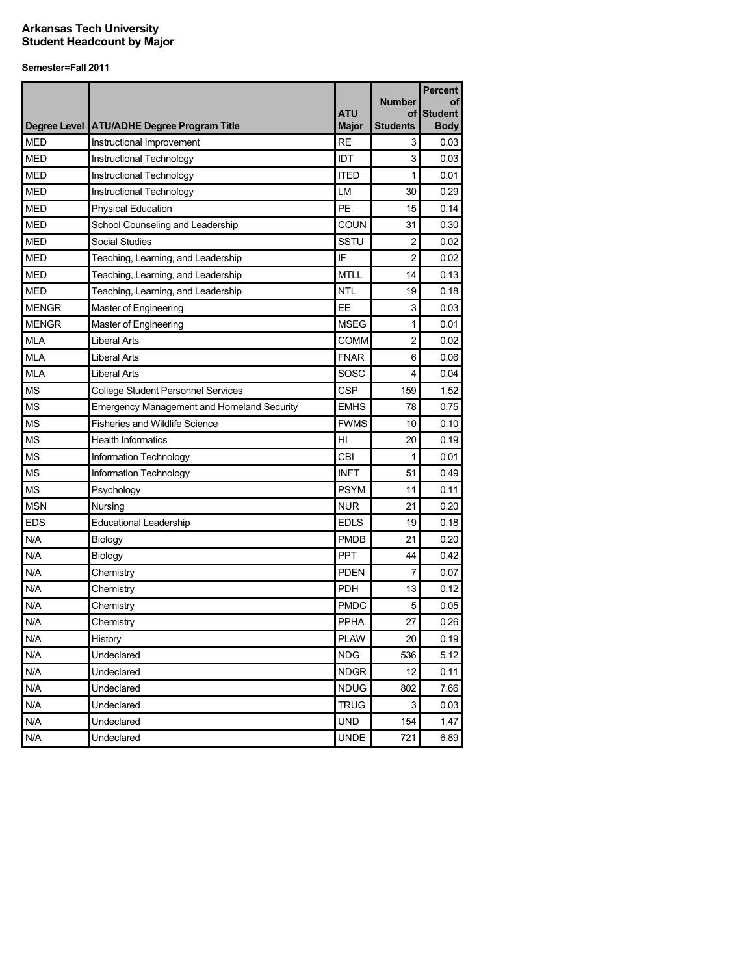|              |                                                   |              |                     | <b>Percent</b>       |
|--------------|---------------------------------------------------|--------------|---------------------|----------------------|
|              |                                                   | <b>ATU</b>   | <b>Number</b><br>οf | οf<br><b>Student</b> |
|              | Degree Level ATU/ADHE Degree Program Title        | <b>Major</b> | <b>Students</b>     | <b>Body</b>          |
| <b>MED</b>   | Instructional Improvement                         | <b>RE</b>    | 3                   | 0.03                 |
| <b>MED</b>   | Instructional Technology                          | IDT          | 3                   | 0.03                 |
| <b>MED</b>   | Instructional Technology                          | <b>ITED</b>  | 1                   | 0.01                 |
| <b>MED</b>   | Instructional Technology                          | LM           | 30                  | 0.29                 |
| <b>MED</b>   | <b>Physical Education</b>                         | PE           | 15                  | 0.14                 |
| <b>MED</b>   | School Counseling and Leadership                  | COUN         | 31                  | 0.30                 |
| <b>MED</b>   | Social Studies                                    | SSTU         | 2                   | 0.02                 |
| <b>MED</b>   | Teaching, Learning, and Leadership                | IF           | 2                   | 0.02                 |
| <b>MED</b>   | Teaching, Learning, and Leadership                | <b>MTLL</b>  | 14                  | 0.13                 |
| <b>MED</b>   | Teaching, Learning, and Leadership                | <b>NTL</b>   | 19                  | 0.18                 |
| <b>MENGR</b> | Master of Engineering                             | EE           | 3                   | 0.03                 |
| <b>MENGR</b> | Master of Engineering                             | <b>MSEG</b>  | 1                   | 0.01                 |
| <b>MLA</b>   | <b>Liberal Arts</b>                               | <b>COMM</b>  | 2                   | 0.02                 |
| <b>MLA</b>   | <b>Liberal Arts</b>                               | <b>FNAR</b>  | 6                   | 0.06                 |
| <b>MLA</b>   | <b>Liberal Arts</b>                               | SOSC         | 4                   | 0.04                 |
| <b>MS</b>    | <b>College Student Personnel Services</b>         | CSP          | 159                 | 1.52                 |
| <b>MS</b>    | <b>Emergency Management and Homeland Security</b> | <b>EMHS</b>  | 78                  | 0.75                 |
| <b>MS</b>    | <b>Fisheries and Wildlife Science</b>             | <b>FWMS</b>  | 10                  | 0.10                 |
| <b>MS</b>    | <b>Health Informatics</b>                         | HI           | 20                  | 0.19                 |
| <b>MS</b>    | Information Technology                            | CBI          | 1                   | 0.01                 |
| <b>MS</b>    | Information Technology                            | <b>INFT</b>  | 51                  | 0.49                 |
| <b>MS</b>    | Psychology                                        | <b>PSYM</b>  | 11                  | 0.11                 |
| <b>MSN</b>   | Nursing                                           | <b>NUR</b>   | 21                  | 0.20                 |
| <b>EDS</b>   | <b>Educational Leadership</b>                     | <b>EDLS</b>  | 19                  | 0.18                 |
| N/A          | Biology                                           | <b>PMDB</b>  | 21                  | 0.20                 |
| N/A          | Biology                                           | PPT          | 44                  | 0.42                 |
| N/A          | Chemistry                                         | <b>PDEN</b>  | 7                   | 0.07                 |
| N/A          | Chemistry                                         | PDH          | 13                  | 0.12                 |
| N/A          | Chemistry                                         | <b>PMDC</b>  | 5                   | 0.05                 |
| N/A          | Chemistry                                         | PPHA         | 27                  | 0.26                 |
| N/A          | History                                           | <b>PLAW</b>  | 20                  | 0.19                 |
| N/A          | Undeclared                                        | <b>NDG</b>   | 536                 | 5.12                 |
| N/A          | Undeclared                                        | <b>NDGR</b>  | 12                  | 0.11                 |
| N/A          | Undeclared                                        | <b>NDUG</b>  | 802                 | 7.66                 |
| N/A          | Undeclared                                        | <b>TRUG</b>  | 3                   | 0.03                 |
| N/A          | Undeclared                                        | <b>UND</b>   | 154                 | 1.47                 |
| N/A          | Undeclared                                        | <b>UNDE</b>  | 721                 | 6.89                 |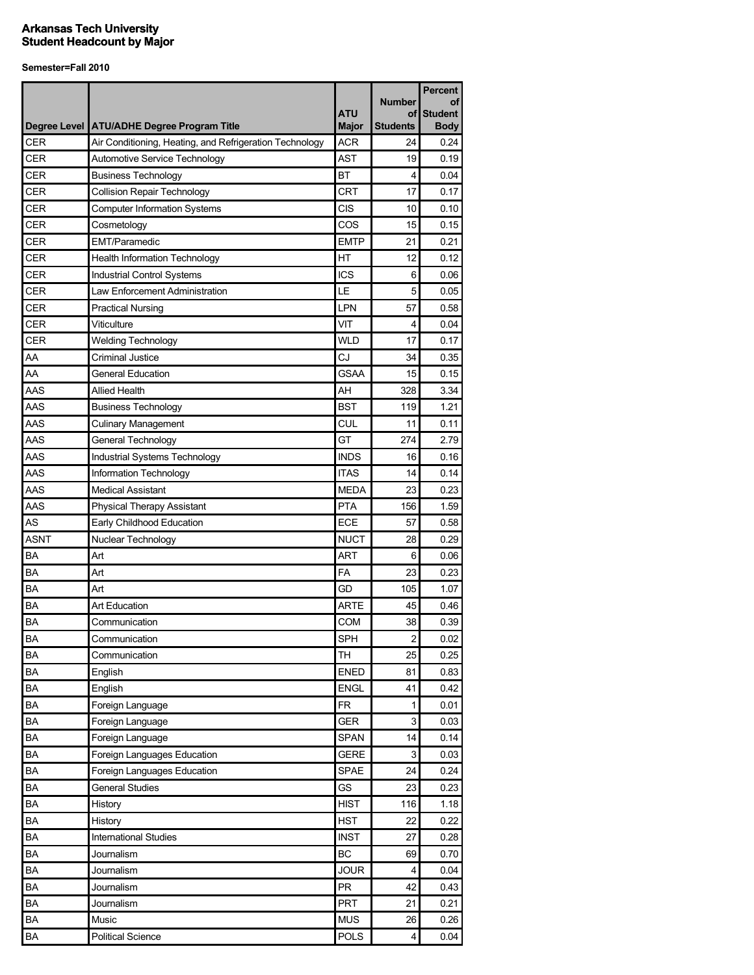|             |                                                         |              |                     | <b>Percent</b>       |
|-------------|---------------------------------------------------------|--------------|---------------------|----------------------|
|             |                                                         | <b>ATU</b>   | <b>Number</b><br>οf | οf<br><b>Student</b> |
|             | Degree Level   ATU/ADHE Degree Program Title            | <b>Major</b> | <b>Students</b>     | <b>Body</b>          |
| <b>CER</b>  | Air Conditioning, Heating, and Refrigeration Technology | <b>ACR</b>   | 24                  | 0.24                 |
| <b>CER</b>  | Automotive Service Technology                           | <b>AST</b>   | 19                  | 0.19                 |
| <b>CER</b>  | <b>Business Technology</b>                              | <b>BT</b>    | 4                   | 0.04                 |
| <b>CER</b>  | <b>Collision Repair Technology</b>                      | <b>CRT</b>   | 17                  | 0.17                 |
| <b>CER</b>  | <b>Computer Information Systems</b>                     | <b>CIS</b>   | 10                  | 0.10                 |
| <b>CER</b>  | Cosmetology                                             | COS          | 15                  | 0.15                 |
| <b>CER</b>  | <b>EMT/Paramedic</b>                                    | <b>EMTP</b>  | 21                  | 0.21                 |
| <b>CER</b>  | <b>Health Information Technology</b>                    | HT           | 12                  | 0.12                 |
| CER         | <b>Industrial Control Systems</b>                       | <b>ICS</b>   | 6                   | 0.06                 |
| <b>CER</b>  | Law Enforcement Administration                          | LE           | 5                   | 0.05                 |
| <b>CER</b>  | <b>Practical Nursing</b>                                | LPN          | 57                  | 0.58                 |
| <b>CER</b>  | Viticulture                                             | VIT          | 4                   | 0.04                 |
| <b>CER</b>  | <b>Welding Technology</b>                               | <b>WLD</b>   | 17                  | 0.17                 |
| AA          | Criminal Justice                                        | CJ           | 34                  | 0.35                 |
| AA          | <b>General Education</b>                                | <b>GSAA</b>  | 15                  | 0.15                 |
| AAS         | <b>Allied Health</b>                                    | AH           | 328                 | 3.34                 |
| AAS         | <b>Business Technology</b>                              | <b>BST</b>   | 119                 | 1.21                 |
| AAS         | <b>Culinary Management</b>                              | CUL          | 11                  | 0.11                 |
| AAS         | General Technology                                      | GT           | 274                 | 2.79                 |
| AAS         | Industrial Systems Technology                           | <b>INDS</b>  | 16                  | 0.16                 |
| AAS         | Information Technology                                  | <b>ITAS</b>  | 14                  | 0.14                 |
| AAS         | <b>Medical Assistant</b>                                | <b>MEDA</b>  | 23                  | 0.23                 |
| AAS         | Physical Therapy Assistant                              | <b>PTA</b>   | 156                 | 1.59                 |
| <b>AS</b>   | Early Childhood Education                               | <b>ECE</b>   | 57                  | 0.58                 |
| <b>ASNT</b> | Nuclear Technology                                      | <b>NUCT</b>  | 28                  | 0.29                 |
| BA          | Art                                                     | <b>ART</b>   | 6                   | 0.06                 |
| BA          | Art                                                     | <b>FA</b>    | 23                  | 0.23                 |
| BA          | Art                                                     | GD           | 105                 | 1.07                 |
| ΒA          | <b>Art Education</b>                                    | <b>ARTE</b>  | 45                  | 0.46                 |
| <b>BA</b>   | Communication                                           | COM          | 38                  | 0.39                 |
| <b>BA</b>   | Communication                                           | <b>SPH</b>   | $\overline{a}$      | 0.02                 |
| BA          | Communication                                           | <b>TH</b>    | 25                  | 0.25                 |
| BA          | English                                                 | <b>ENED</b>  | 81                  | 0.83                 |
| BA          | English                                                 | <b>ENGL</b>  | 41                  | 0.42                 |
| BA          | Foreign Language                                        | <b>FR</b>    | 1                   | 0.01                 |
| BA          | Foreign Language                                        | GER          | 3                   | 0.03                 |
| BA          | Foreign Language                                        | SPAN         | 14                  | 0.14                 |
| BA          | Foreign Languages Education                             | <b>GERE</b>  | 3                   | 0.03                 |
| BA          | Foreign Languages Education                             | <b>SPAE</b>  | 24                  | 0.24                 |
| BA          | <b>General Studies</b>                                  | GS           | 23                  | 0.23                 |
| BA          | History                                                 | <b>HIST</b>  | 116                 | 1.18                 |
| BA          | History                                                 | <b>HST</b>   | 22                  | 0.22                 |
| BA          | <b>International Studies</b>                            | <b>INST</b>  | 27                  | 0.28                 |
| BA          | Journalism                                              | BC           | 69                  | 0.70                 |
| BA          | Journalism                                              | <b>JOUR</b>  | 4                   | 0.04                 |
|             |                                                         |              |                     |                      |
| BA          | Journalism                                              | PR           | 42                  | 0.43                 |
| BA          | Journalism                                              | PRT          | 21                  | 0.21                 |
| BA          | Music                                                   | <b>MUS</b>   | 26                  | 0.26                 |
| BA          | <b>Political Science</b>                                | <b>POLS</b>  | 4                   | 0.04                 |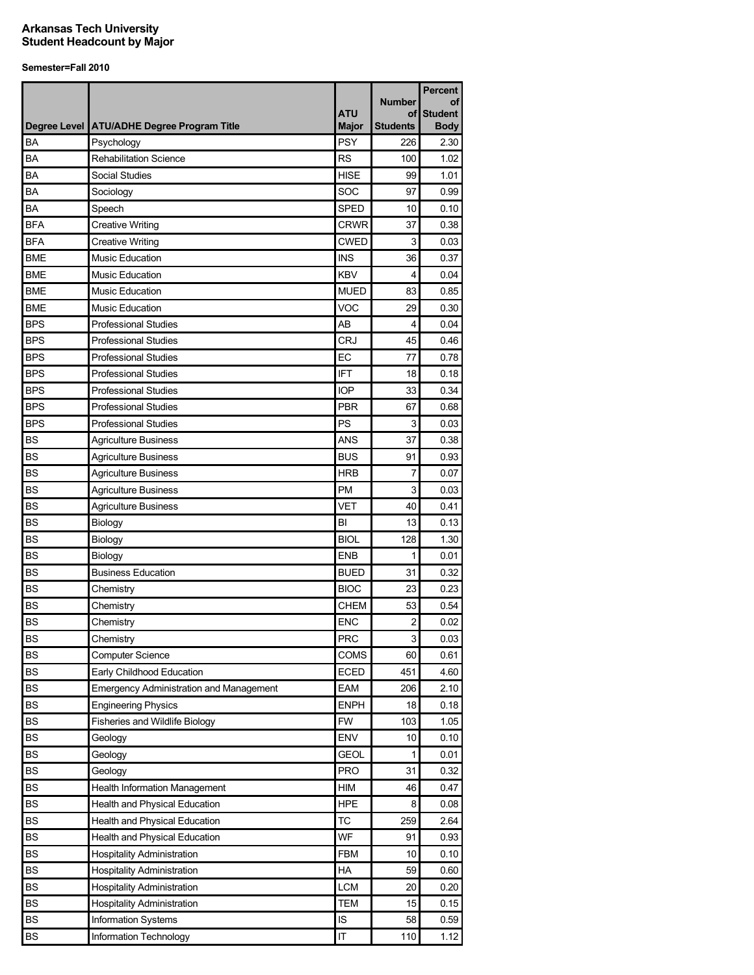|            |                                                | <b>ATU</b>   | <b>Number</b><br>οf | <b>Percent</b><br>οf<br><b>Student</b> |
|------------|------------------------------------------------|--------------|---------------------|----------------------------------------|
|            | Degree Level ATU/ADHE Degree Program Title     | <b>Major</b> | <b>Students</b>     | <b>Body</b>                            |
| BA         | Psychology                                     | <b>PSY</b>   | 226                 | 2.30                                   |
| BA         | <b>Rehabilitation Science</b>                  | <b>RS</b>    | 100                 | 1.02                                   |
| BA         | Social Studies                                 | <b>HISE</b>  | 99                  | 1.01                                   |
| BA         | Sociology                                      | SOC          | 97                  | 0.99                                   |
| BA         | Speech                                         | <b>SPED</b>  | 10                  | 0.10                                   |
| <b>BFA</b> | <b>Creative Writing</b>                        | <b>CRWR</b>  | 37                  | 0.38                                   |
| <b>BFA</b> | <b>Creative Writing</b>                        | <b>CWED</b>  | 3                   | 0.03                                   |
| <b>BME</b> | Music Education                                | <b>INS</b>   | 36                  | 0.37                                   |
| <b>BME</b> | <b>Music Education</b>                         | <b>KBV</b>   | 4                   | 0.04                                   |
| <b>BME</b> | Music Education                                | <b>MUED</b>  | 83                  | 0.85                                   |
| <b>BME</b> | <b>Music Education</b>                         | <b>VOC</b>   | 29                  | 0.30                                   |
| <b>BPS</b> | <b>Professional Studies</b>                    | AB           | 4                   | 0.04                                   |
| <b>BPS</b> | <b>Professional Studies</b>                    | <b>CRJ</b>   | 45                  | 0.46                                   |
| <b>BPS</b> | <b>Professional Studies</b>                    | EC           | 77                  | 0.78                                   |
| <b>BPS</b> | <b>Professional Studies</b>                    | <b>IFT</b>   | 18                  | 0.18                                   |
| <b>BPS</b> | <b>Professional Studies</b>                    | <b>IOP</b>   | 33                  | 0.34                                   |
| <b>BPS</b> | <b>Professional Studies</b>                    | <b>PBR</b>   | 67                  | 0.68                                   |
| <b>BPS</b> | <b>Professional Studies</b>                    | PS           | 3                   | 0.03                                   |
| BS         | <b>Agriculture Business</b>                    | <b>ANS</b>   | 37                  | 0.38                                   |
| <b>BS</b>  | <b>Agriculture Business</b>                    | <b>BUS</b>   | 91                  | 0.93                                   |
| <b>BS</b>  | <b>Agriculture Business</b>                    | <b>HRB</b>   | 7                   | 0.07                                   |
| BS         | <b>Agriculture Business</b>                    | PM           | 3                   | 0.03                                   |
| <b>BS</b>  | <b>Agriculture Business</b>                    | <b>VET</b>   | 40                  | 0.41                                   |
| <b>BS</b>  | Biology                                        | BI           | 13                  | 0.13                                   |
| <b>BS</b>  | Biology                                        | <b>BIOL</b>  | 128                 | 1.30                                   |
| <b>BS</b>  | Biology                                        | <b>ENB</b>   | 1                   | 0.01                                   |
| <b>BS</b>  | <b>Business Education</b>                      | <b>BUED</b>  | 31                  | 0.32                                   |
| <b>BS</b>  | Chemistry                                      | <b>BIOC</b>  | 23                  | 0.23                                   |
| BS         | Chemistry                                      | CHEM         | 53                  | 0.54                                   |
| <b>BS</b>  | Chemistry                                      | <b>ENC</b>   | 2                   | 0.02                                   |
| BS         | Chemistry                                      | <b>PRC</b>   | 3                   | 0.03                                   |
| <b>BS</b>  | <b>Computer Science</b>                        | COMS         | 60                  | 0.61                                   |
| BS         | Early Childhood Education                      | <b>ECED</b>  | 451                 | 4.60                                   |
| BS         | <b>Emergency Administration and Management</b> | EAM          | 206                 | 2.10                                   |
| BS         | <b>Engineering Physics</b>                     | <b>ENPH</b>  | 18                  | 0.18                                   |
| BS         | Fisheries and Wildlife Biology                 | <b>FW</b>    | 103                 | 1.05                                   |
| <b>BS</b>  | Geology                                        | <b>ENV</b>   | 10                  | 0.10                                   |
| <b>BS</b>  | Geology                                        | <b>GEOL</b>  | 1                   | 0.01                                   |
| BS         | Geology                                        | <b>PRO</b>   | 31                  | 0.32                                   |
| <b>BS</b>  | <b>Health Information Management</b>           | HIM          | 46                  | 0.47                                   |
| <b>BS</b>  | Health and Physical Education                  | <b>HPE</b>   | 8                   | 0.08                                   |
| <b>BS</b>  | Health and Physical Education                  | <b>TC</b>    | 259                 | 2.64                                   |
| <b>BS</b>  | Health and Physical Education                  | WF           | 91                  | 0.93                                   |
| <b>BS</b>  | <b>Hospitality Administration</b>              | FBM          | 10                  | 0.10                                   |
| <b>BS</b>  | <b>Hospitality Administration</b>              | HA           | 59                  | 0.60                                   |
| <b>BS</b>  | Hospitality Administration                     | <b>LCM</b>   | 20                  | 0.20                                   |
| <b>BS</b>  | <b>Hospitality Administration</b>              | <b>TEM</b>   | 15                  | 0.15                                   |
| BS         | Information Systems                            | IS           | 58                  | 0.59                                   |
| BS         | Information Technology                         | IT           | 110                 | 1.12                                   |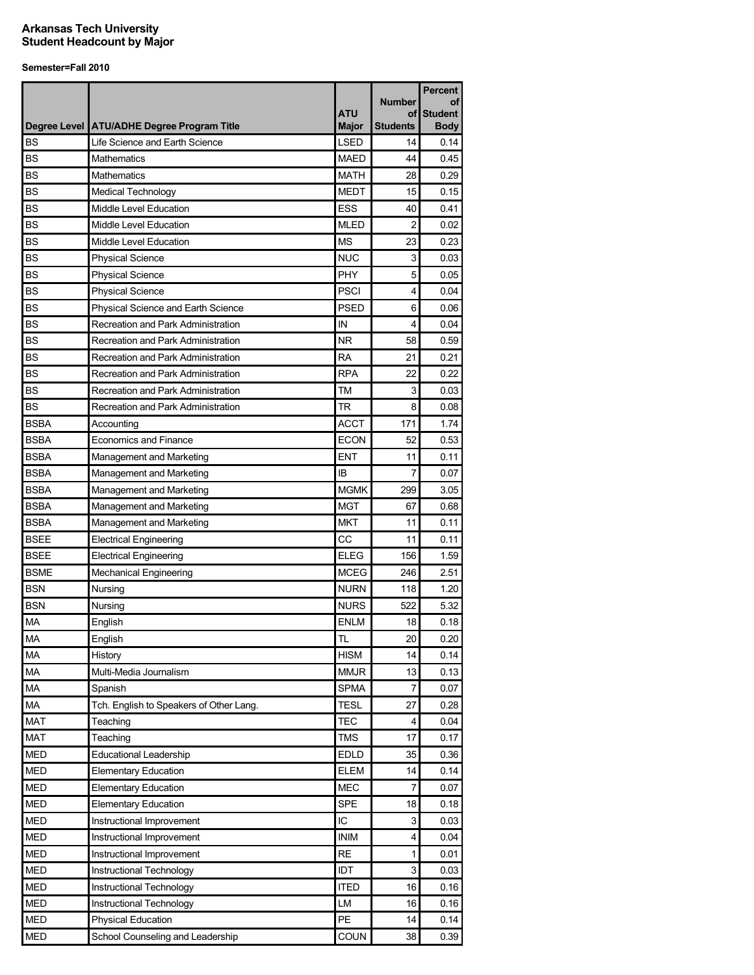|             |                                              | <b>ATU</b>   | <b>Number</b><br>οf | <b>Percent</b><br>οf<br><b>Student</b> |
|-------------|----------------------------------------------|--------------|---------------------|----------------------------------------|
|             | Degree Level   ATU/ADHE Degree Program Title | <b>Major</b> | <b>Students</b>     | <b>Body</b>                            |
| <b>BS</b>   | Life Science and Earth Science               | <b>LSED</b>  | 14                  | 0.14                                   |
| <b>BS</b>   | Mathematics                                  | <b>MAED</b>  | 44                  | 0.45                                   |
| <b>BS</b>   | Mathematics                                  | <b>MATH</b>  | 28                  | 0.29                                   |
| <b>BS</b>   | <b>Medical Technology</b>                    | <b>MEDT</b>  | 15                  | 0.15                                   |
| <b>BS</b>   | Middle Level Education                       | <b>ESS</b>   | 40                  | 0.41                                   |
| <b>BS</b>   | Middle Level Education                       | <b>MLED</b>  | $\overline{2}$      | 0.02                                   |
| <b>BS</b>   | Middle Level Education                       | <b>MS</b>    | 23                  | 0.23                                   |
| <b>BS</b>   | <b>Physical Science</b>                      | <b>NUC</b>   | 3                   | 0.03                                   |
| <b>BS</b>   | <b>Physical Science</b>                      | PHY          | 5                   | 0.05                                   |
| <b>BS</b>   | <b>Physical Science</b>                      | <b>PSCI</b>  | 4                   | 0.04                                   |
| <b>BS</b>   | Physical Science and Earth Science           | <b>PSED</b>  | 6                   | 0.06                                   |
| <b>BS</b>   | Recreation and Park Administration           | IN           | 4                   | 0.04                                   |
| <b>BS</b>   | Recreation and Park Administration           | <b>NR</b>    | 58                  | 0.59                                   |
| <b>BS</b>   | Recreation and Park Administration           | <b>RA</b>    | 21                  | 0.21                                   |
| <b>BS</b>   | Recreation and Park Administration           | <b>RPA</b>   | 22                  | 0.22                                   |
| <b>BS</b>   | Recreation and Park Administration           | TM           | 3                   | 0.03                                   |
| <b>BS</b>   | Recreation and Park Administration           | <b>TR</b>    | 8                   | 0.08                                   |
| <b>BSBA</b> | Accounting                                   | <b>ACCT</b>  | 171                 | 1.74                                   |
| <b>BSBA</b> | <b>Economics and Finance</b>                 | <b>ECON</b>  | 52                  | 0.53                                   |
| <b>BSBA</b> | Management and Marketing                     | <b>ENT</b>   | 11                  | 0.11                                   |
| <b>BSBA</b> | Management and Marketing                     | IB           | 7                   | 0.07                                   |
| <b>BSBA</b> | Management and Marketing                     | <b>MGMK</b>  | 299                 | 3.05                                   |
| <b>BSBA</b> | Management and Marketing                     | <b>MGT</b>   | 67                  | 0.68                                   |
| <b>BSBA</b> | Management and Marketing                     | <b>MKT</b>   | 11                  | 0.11                                   |
| <b>BSEE</b> | <b>Electrical Engineering</b>                | CC           | 11                  | 0.11                                   |
| <b>BSEE</b> | <b>Electrical Engineering</b>                | <b>ELEG</b>  | 156                 | 1.59                                   |
| <b>BSME</b> | <b>Mechanical Engineering</b>                | <b>MCEG</b>  | 246                 | 2.51                                   |
| <b>BSN</b>  | Nursing                                      | <b>NURN</b>  | 118                 | 1.20                                   |
| <b>BSN</b>  | Nursing                                      | <b>NURS</b>  | 522                 | 5.32                                   |
| <b>MA</b>   | English                                      | <b>ENLM</b>  | 18                  | 0.18                                   |
| <b>MA</b>   | English                                      | <b>TL</b>    | 20                  | 0.20                                   |
| <b>MA</b>   | History                                      | <b>HISM</b>  | 14                  | 0.14                                   |
| MA          | Multi-Media Journalism                       | <b>MMJR</b>  | 13                  | 0.13                                   |
| MA          | Spanish                                      | <b>SPMA</b>  | 7                   | 0.07                                   |
| MA          | Tch. English to Speakers of Other Lang.      | <b>TESL</b>  | 27                  | 0.28                                   |
| <b>MAT</b>  | Teaching                                     | <b>TEC</b>   | 4                   | 0.04                                   |
| <b>MAT</b>  | Teaching                                     | <b>TMS</b>   | 17                  | 0.17                                   |
| <b>MED</b>  | <b>Educational Leadership</b>                | <b>EDLD</b>  | 35                  | 0.36                                   |
| <b>MED</b>  | <b>Elementary Education</b>                  | <b>ELEM</b>  | 14                  | 0.14                                   |
| <b>MED</b>  | <b>Elementary Education</b>                  | <b>MEC</b>   | 7                   | 0.07                                   |
| <b>MED</b>  | Elementary Education                         | <b>SPE</b>   | 18                  | 0.18                                   |
| <b>MED</b>  | Instructional Improvement                    | IC           | 3                   | 0.03                                   |
| <b>MED</b>  | Instructional Improvement                    | <b>INIM</b>  | 4                   | 0.04                                   |
| <b>MED</b>  | Instructional Improvement                    | <b>RE</b>    | 1                   | 0.01                                   |
| <b>MED</b>  | Instructional Technology                     | <b>IDT</b>   | 3                   | 0.03                                   |
| <b>MED</b>  | Instructional Technology                     | <b>ITED</b>  | 16                  | 0.16                                   |
| <b>MED</b>  | Instructional Technology                     | LM           | 16                  | 0.16                                   |
| <b>MED</b>  | <b>Physical Education</b>                    | <b>PE</b>    | 14                  | 0.14                                   |
| <b>MED</b>  | School Counseling and Leadership             | COUN         | 38                  | 0.39                                   |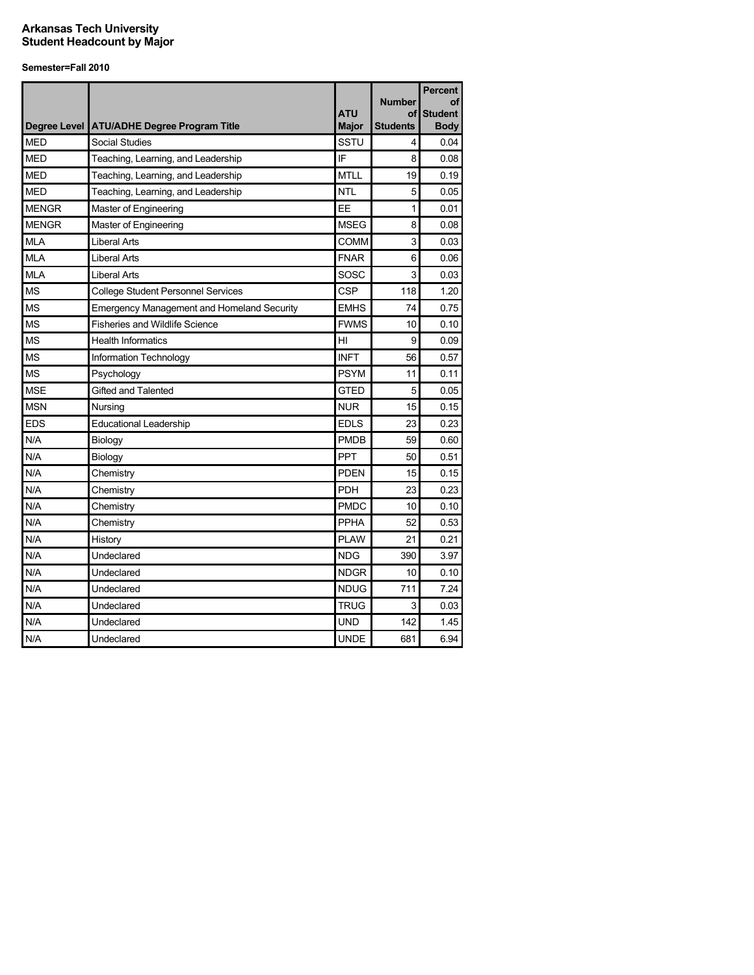| Degree Level | <b>ATU/ADHE Degree Program Title</b>              | <b>ATU</b><br><b>Major</b> | <b>Number</b><br>οf<br>Students | <b>Percent</b><br>оf<br><b>Student</b><br><b>Body</b> |
|--------------|---------------------------------------------------|----------------------------|---------------------------------|-------------------------------------------------------|
| <b>MED</b>   | Social Studies                                    | SSTU                       | 4                               | 0.04                                                  |
| <b>MED</b>   | Teaching, Learning, and Leadership                | IF                         | 8                               | 0.08                                                  |
| <b>MED</b>   | Teaching, Learning, and Leadership                | <b>MTLL</b>                | 19                              | 0.19                                                  |
| <b>MED</b>   | Teaching, Learning, and Leadership                | <b>NTL</b>                 | 5                               | 0.05                                                  |
| <b>MENGR</b> | Master of Engineering                             | EE                         | $\mathbf{1}$                    | 0.01                                                  |
| <b>MENGR</b> | Master of Engineering                             | <b>MSEG</b>                | 8                               | 0.08                                                  |
| <b>MLA</b>   | <b>Liberal Arts</b>                               | <b>COMM</b>                | 3                               | 0.03                                                  |
| <b>MLA</b>   | Liberal Arts                                      | <b>FNAR</b>                | 6                               | 0.06                                                  |
| <b>MLA</b>   | <b>Liberal Arts</b>                               | SOSC                       | 3                               | 0.03                                                  |
| <b>MS</b>    | <b>College Student Personnel Services</b>         | CSP                        | 118                             | 1.20                                                  |
| <b>MS</b>    | <b>Emergency Management and Homeland Security</b> | <b>EMHS</b>                | 74                              | 0.75                                                  |
| <b>MS</b>    | <b>Fisheries and Wildlife Science</b>             | <b>FWMS</b>                | 10                              | 0.10                                                  |
| <b>MS</b>    | <b>Health Informatics</b>                         | HI                         | 9                               | 0.09                                                  |
| <b>MS</b>    | Information Technology                            | <b>INFT</b>                | 56                              | 0.57                                                  |
| <b>MS</b>    | Psychology                                        | <b>PSYM</b>                | 11                              | 0.11                                                  |
| <b>MSE</b>   | Gifted and Talented                               | <b>GTED</b>                | 5                               | 0.05                                                  |
| <b>MSN</b>   | Nursing                                           | <b>NUR</b>                 | 15                              | 0.15                                                  |
| <b>EDS</b>   | <b>Educational Leadership</b>                     | <b>EDLS</b>                | 23                              | 0.23                                                  |
| N/A          | Biology                                           | <b>PMDB</b>                | 59                              | 0.60                                                  |
| N/A          | Biology                                           | <b>PPT</b>                 | 50                              | 0.51                                                  |
| N/A          | Chemistry                                         | <b>PDEN</b>                | 15                              | 0.15                                                  |
| N/A          | Chemistry                                         | <b>PDH</b>                 | 23                              | 0.23                                                  |
| N/A          | Chemistry                                         | <b>PMDC</b>                | 10                              | 0.10                                                  |
| N/A          | Chemistry                                         | PPHA                       | 52                              | 0.53                                                  |
| N/A          | History                                           | <b>PLAW</b>                | 21                              | 0.21                                                  |
| N/A          | Undeclared                                        | <b>NDG</b>                 | 390                             | 3.97                                                  |
| N/A          | Undeclared                                        | <b>NDGR</b>                | 10                              | 0.10                                                  |
| N/A          | Undeclared                                        | <b>NDUG</b>                | 711                             | 7.24                                                  |
| N/A          | Undeclared                                        | <b>TRUG</b>                | 3                               | 0.03                                                  |
| N/A          | Undeclared                                        | UND                        | 142                             | 1.45                                                  |
| N/A          | Undeclared                                        | <b>UNDE</b>                | 681                             | 6.94                                                  |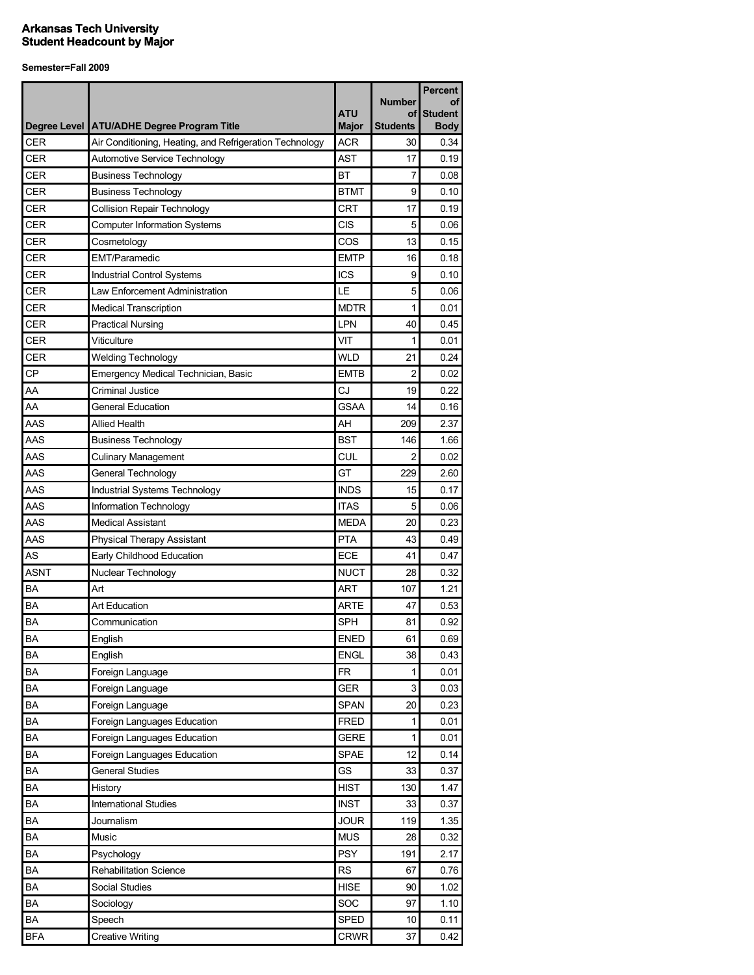| <b>ATU</b><br><b>Student</b><br>οf<br>Degree Level ATU/ADHE Degree Program Title<br><b>Major</b><br><b>Students</b><br><b>ACR</b><br><b>CER</b><br>Air Conditioning, Heating, and Refrigeration Technology<br>30<br><b>CER</b><br><b>AST</b><br>17<br>Automotive Service Technology<br><b>CER</b><br><b>BT</b><br><b>Business Technology</b><br>7<br><b>CER</b><br><b>BTMT</b><br>9<br><b>Business Technology</b><br><b>CRT</b><br>CER<br><b>Collision Repair Technology</b><br>17<br><b>CER</b><br>CIS<br>5<br><b>Computer Information Systems</b><br><b>CER</b><br>COS<br>13<br>Cosmetology<br><b>CER</b><br><b>EMTP</b><br><b>EMT/Paramedic</b><br>16<br><b>CER</b><br><b>ICS</b><br>9<br><b>Industrial Control Systems</b><br><b>CER</b><br>LE<br>5<br>Law Enforcement Administration<br><b>CER</b><br><b>MDTR</b><br><b>Medical Transcription</b><br>1<br><b>CER</b><br><b>LPN</b><br><b>Practical Nursing</b><br>40<br><b>CER</b><br>Viticulture<br>VIT<br>1<br><b>CER</b><br><b>WLD</b><br>21<br><b>Welding Technology</b><br><b>CP</b><br><b>EMTB</b><br>2<br><b>Emergency Medical Technician, Basic</b><br>AA<br><b>Criminal Justice</b><br>CJ<br>19<br>AA<br><b>GSAA</b><br><b>General Education</b><br>14<br>AAS<br><b>Allied Health</b><br>AH<br>209<br>AAS<br><b>BST</b><br><b>Business Technology</b><br>146<br>AAS<br>CUL<br>2<br><b>Culinary Management</b><br>0.02<br>AAS<br>GT<br>General Technology<br>229<br>2.60<br>AAS<br><b>INDS</b><br>Industrial Systems Technology<br>15<br>0.17<br>AAS<br>Information Technology<br><b>ITAS</b><br>5<br>0.06<br>AAS<br><b>Medical Assistant</b><br><b>MEDA</b><br>20<br>0.23<br>AAS<br><b>PTA</b><br>43<br><b>Physical Therapy Assistant</b><br>AS<br>Early Childhood Education<br>ECE<br>41 |             |                    |             |               | <b>Percent</b> |
|---------------------------------------------------------------------------------------------------------------------------------------------------------------------------------------------------------------------------------------------------------------------------------------------------------------------------------------------------------------------------------------------------------------------------------------------------------------------------------------------------------------------------------------------------------------------------------------------------------------------------------------------------------------------------------------------------------------------------------------------------------------------------------------------------------------------------------------------------------------------------------------------------------------------------------------------------------------------------------------------------------------------------------------------------------------------------------------------------------------------------------------------------------------------------------------------------------------------------------------------------------------------------------------------------------------------------------------------------------------------------------------------------------------------------------------------------------------------------------------------------------------------------------------------------------------------------------------------------------------------------------------------------------------------------------------------------------------------------------------------------------|-------------|--------------------|-------------|---------------|----------------|
|                                                                                                                                                                                                                                                                                                                                                                                                                                                                                                                                                                                                                                                                                                                                                                                                                                                                                                                                                                                                                                                                                                                                                                                                                                                                                                                                                                                                                                                                                                                                                                                                                                                                                                                                                         |             |                    |             | <b>Number</b> | οf             |
|                                                                                                                                                                                                                                                                                                                                                                                                                                                                                                                                                                                                                                                                                                                                                                                                                                                                                                                                                                                                                                                                                                                                                                                                                                                                                                                                                                                                                                                                                                                                                                                                                                                                                                                                                         |             |                    |             |               | <b>Body</b>    |
|                                                                                                                                                                                                                                                                                                                                                                                                                                                                                                                                                                                                                                                                                                                                                                                                                                                                                                                                                                                                                                                                                                                                                                                                                                                                                                                                                                                                                                                                                                                                                                                                                                                                                                                                                         |             |                    |             |               | 0.34           |
|                                                                                                                                                                                                                                                                                                                                                                                                                                                                                                                                                                                                                                                                                                                                                                                                                                                                                                                                                                                                                                                                                                                                                                                                                                                                                                                                                                                                                                                                                                                                                                                                                                                                                                                                                         |             |                    |             |               | 0.19           |
|                                                                                                                                                                                                                                                                                                                                                                                                                                                                                                                                                                                                                                                                                                                                                                                                                                                                                                                                                                                                                                                                                                                                                                                                                                                                                                                                                                                                                                                                                                                                                                                                                                                                                                                                                         |             |                    |             |               | 0.08           |
|                                                                                                                                                                                                                                                                                                                                                                                                                                                                                                                                                                                                                                                                                                                                                                                                                                                                                                                                                                                                                                                                                                                                                                                                                                                                                                                                                                                                                                                                                                                                                                                                                                                                                                                                                         |             |                    |             |               | 0.10           |
|                                                                                                                                                                                                                                                                                                                                                                                                                                                                                                                                                                                                                                                                                                                                                                                                                                                                                                                                                                                                                                                                                                                                                                                                                                                                                                                                                                                                                                                                                                                                                                                                                                                                                                                                                         |             |                    |             |               | 0.19           |
|                                                                                                                                                                                                                                                                                                                                                                                                                                                                                                                                                                                                                                                                                                                                                                                                                                                                                                                                                                                                                                                                                                                                                                                                                                                                                                                                                                                                                                                                                                                                                                                                                                                                                                                                                         |             |                    |             |               | 0.06           |
|                                                                                                                                                                                                                                                                                                                                                                                                                                                                                                                                                                                                                                                                                                                                                                                                                                                                                                                                                                                                                                                                                                                                                                                                                                                                                                                                                                                                                                                                                                                                                                                                                                                                                                                                                         |             |                    |             |               | 0.15           |
|                                                                                                                                                                                                                                                                                                                                                                                                                                                                                                                                                                                                                                                                                                                                                                                                                                                                                                                                                                                                                                                                                                                                                                                                                                                                                                                                                                                                                                                                                                                                                                                                                                                                                                                                                         |             |                    |             |               | 0.18           |
|                                                                                                                                                                                                                                                                                                                                                                                                                                                                                                                                                                                                                                                                                                                                                                                                                                                                                                                                                                                                                                                                                                                                                                                                                                                                                                                                                                                                                                                                                                                                                                                                                                                                                                                                                         |             |                    |             |               | 0.10           |
|                                                                                                                                                                                                                                                                                                                                                                                                                                                                                                                                                                                                                                                                                                                                                                                                                                                                                                                                                                                                                                                                                                                                                                                                                                                                                                                                                                                                                                                                                                                                                                                                                                                                                                                                                         |             |                    |             |               | 0.06           |
|                                                                                                                                                                                                                                                                                                                                                                                                                                                                                                                                                                                                                                                                                                                                                                                                                                                                                                                                                                                                                                                                                                                                                                                                                                                                                                                                                                                                                                                                                                                                                                                                                                                                                                                                                         |             |                    |             |               | 0.01           |
|                                                                                                                                                                                                                                                                                                                                                                                                                                                                                                                                                                                                                                                                                                                                                                                                                                                                                                                                                                                                                                                                                                                                                                                                                                                                                                                                                                                                                                                                                                                                                                                                                                                                                                                                                         |             |                    |             |               | 0.45           |
|                                                                                                                                                                                                                                                                                                                                                                                                                                                                                                                                                                                                                                                                                                                                                                                                                                                                                                                                                                                                                                                                                                                                                                                                                                                                                                                                                                                                                                                                                                                                                                                                                                                                                                                                                         |             |                    |             |               | 0.01           |
|                                                                                                                                                                                                                                                                                                                                                                                                                                                                                                                                                                                                                                                                                                                                                                                                                                                                                                                                                                                                                                                                                                                                                                                                                                                                                                                                                                                                                                                                                                                                                                                                                                                                                                                                                         |             |                    |             |               | 0.24           |
|                                                                                                                                                                                                                                                                                                                                                                                                                                                                                                                                                                                                                                                                                                                                                                                                                                                                                                                                                                                                                                                                                                                                                                                                                                                                                                                                                                                                                                                                                                                                                                                                                                                                                                                                                         |             |                    |             |               | 0.02           |
|                                                                                                                                                                                                                                                                                                                                                                                                                                                                                                                                                                                                                                                                                                                                                                                                                                                                                                                                                                                                                                                                                                                                                                                                                                                                                                                                                                                                                                                                                                                                                                                                                                                                                                                                                         |             |                    |             |               | 0.22           |
|                                                                                                                                                                                                                                                                                                                                                                                                                                                                                                                                                                                                                                                                                                                                                                                                                                                                                                                                                                                                                                                                                                                                                                                                                                                                                                                                                                                                                                                                                                                                                                                                                                                                                                                                                         |             |                    |             |               | 0.16           |
|                                                                                                                                                                                                                                                                                                                                                                                                                                                                                                                                                                                                                                                                                                                                                                                                                                                                                                                                                                                                                                                                                                                                                                                                                                                                                                                                                                                                                                                                                                                                                                                                                                                                                                                                                         |             |                    |             |               | 2.37           |
|                                                                                                                                                                                                                                                                                                                                                                                                                                                                                                                                                                                                                                                                                                                                                                                                                                                                                                                                                                                                                                                                                                                                                                                                                                                                                                                                                                                                                                                                                                                                                                                                                                                                                                                                                         |             |                    |             |               | 1.66           |
|                                                                                                                                                                                                                                                                                                                                                                                                                                                                                                                                                                                                                                                                                                                                                                                                                                                                                                                                                                                                                                                                                                                                                                                                                                                                                                                                                                                                                                                                                                                                                                                                                                                                                                                                                         |             |                    |             |               |                |
|                                                                                                                                                                                                                                                                                                                                                                                                                                                                                                                                                                                                                                                                                                                                                                                                                                                                                                                                                                                                                                                                                                                                                                                                                                                                                                                                                                                                                                                                                                                                                                                                                                                                                                                                                         |             |                    |             |               |                |
|                                                                                                                                                                                                                                                                                                                                                                                                                                                                                                                                                                                                                                                                                                                                                                                                                                                                                                                                                                                                                                                                                                                                                                                                                                                                                                                                                                                                                                                                                                                                                                                                                                                                                                                                                         |             |                    |             |               |                |
|                                                                                                                                                                                                                                                                                                                                                                                                                                                                                                                                                                                                                                                                                                                                                                                                                                                                                                                                                                                                                                                                                                                                                                                                                                                                                                                                                                                                                                                                                                                                                                                                                                                                                                                                                         |             |                    |             |               |                |
|                                                                                                                                                                                                                                                                                                                                                                                                                                                                                                                                                                                                                                                                                                                                                                                                                                                                                                                                                                                                                                                                                                                                                                                                                                                                                                                                                                                                                                                                                                                                                                                                                                                                                                                                                         |             |                    |             |               |                |
|                                                                                                                                                                                                                                                                                                                                                                                                                                                                                                                                                                                                                                                                                                                                                                                                                                                                                                                                                                                                                                                                                                                                                                                                                                                                                                                                                                                                                                                                                                                                                                                                                                                                                                                                                         |             |                    |             |               | 0.49           |
|                                                                                                                                                                                                                                                                                                                                                                                                                                                                                                                                                                                                                                                                                                                                                                                                                                                                                                                                                                                                                                                                                                                                                                                                                                                                                                                                                                                                                                                                                                                                                                                                                                                                                                                                                         |             |                    |             |               | 0.47           |
|                                                                                                                                                                                                                                                                                                                                                                                                                                                                                                                                                                                                                                                                                                                                                                                                                                                                                                                                                                                                                                                                                                                                                                                                                                                                                                                                                                                                                                                                                                                                                                                                                                                                                                                                                         | <b>ASNT</b> | Nuclear Technology | <b>NUCT</b> | 28            | 0.32           |
| <b>ART</b><br>BA<br>Art<br>107                                                                                                                                                                                                                                                                                                                                                                                                                                                                                                                                                                                                                                                                                                                                                                                                                                                                                                                                                                                                                                                                                                                                                                                                                                                                                                                                                                                                                                                                                                                                                                                                                                                                                                                          |             |                    |             |               | 1.21           |
| <b>ARTE</b><br>BA<br>Art Education<br>47                                                                                                                                                                                                                                                                                                                                                                                                                                                                                                                                                                                                                                                                                                                                                                                                                                                                                                                                                                                                                                                                                                                                                                                                                                                                                                                                                                                                                                                                                                                                                                                                                                                                                                                |             |                    |             |               | 0.53           |
| <b>SPH</b><br>BA<br>81<br>Communication                                                                                                                                                                                                                                                                                                                                                                                                                                                                                                                                                                                                                                                                                                                                                                                                                                                                                                                                                                                                                                                                                                                                                                                                                                                                                                                                                                                                                                                                                                                                                                                                                                                                                                                 |             |                    |             |               | 0.92           |
| BA<br>English<br><b>ENED</b><br>61                                                                                                                                                                                                                                                                                                                                                                                                                                                                                                                                                                                                                                                                                                                                                                                                                                                                                                                                                                                                                                                                                                                                                                                                                                                                                                                                                                                                                                                                                                                                                                                                                                                                                                                      |             |                    |             |               | 0.69           |
| BA<br><b>ENGL</b><br>English<br>38                                                                                                                                                                                                                                                                                                                                                                                                                                                                                                                                                                                                                                                                                                                                                                                                                                                                                                                                                                                                                                                                                                                                                                                                                                                                                                                                                                                                                                                                                                                                                                                                                                                                                                                      |             |                    |             |               | 0.43           |
| ${\sf FR}$<br>BA<br>Foreign Language<br>1                                                                                                                                                                                                                                                                                                                                                                                                                                                                                                                                                                                                                                                                                                                                                                                                                                                                                                                                                                                                                                                                                                                                                                                                                                                                                                                                                                                                                                                                                                                                                                                                                                                                                                               |             |                    |             |               | 0.01           |
| BA<br>Foreign Language<br>GER<br>3                                                                                                                                                                                                                                                                                                                                                                                                                                                                                                                                                                                                                                                                                                                                                                                                                                                                                                                                                                                                                                                                                                                                                                                                                                                                                                                                                                                                                                                                                                                                                                                                                                                                                                                      |             |                    |             |               | 0.03           |
| BA<br>Foreign Language<br><b>SPAN</b><br>20                                                                                                                                                                                                                                                                                                                                                                                                                                                                                                                                                                                                                                                                                                                                                                                                                                                                                                                                                                                                                                                                                                                                                                                                                                                                                                                                                                                                                                                                                                                                                                                                                                                                                                             |             |                    |             |               | 0.23           |
| BA<br>Foreign Languages Education<br><b>FRED</b><br>1                                                                                                                                                                                                                                                                                                                                                                                                                                                                                                                                                                                                                                                                                                                                                                                                                                                                                                                                                                                                                                                                                                                                                                                                                                                                                                                                                                                                                                                                                                                                                                                                                                                                                                   |             |                    |             |               | 0.01           |
| Foreign Languages Education<br><b>GERE</b><br>BA<br>1                                                                                                                                                                                                                                                                                                                                                                                                                                                                                                                                                                                                                                                                                                                                                                                                                                                                                                                                                                                                                                                                                                                                                                                                                                                                                                                                                                                                                                                                                                                                                                                                                                                                                                   |             |                    |             |               | 0.01           |
| Foreign Languages Education<br><b>SPAE</b><br>12<br>BA                                                                                                                                                                                                                                                                                                                                                                                                                                                                                                                                                                                                                                                                                                                                                                                                                                                                                                                                                                                                                                                                                                                                                                                                                                                                                                                                                                                                                                                                                                                                                                                                                                                                                                  |             |                    |             |               | 0.14           |
| GS<br>BA<br><b>General Studies</b><br>33                                                                                                                                                                                                                                                                                                                                                                                                                                                                                                                                                                                                                                                                                                                                                                                                                                                                                                                                                                                                                                                                                                                                                                                                                                                                                                                                                                                                                                                                                                                                                                                                                                                                                                                |             |                    |             |               | 0.37           |
| BA<br><b>HIST</b><br>130<br>History                                                                                                                                                                                                                                                                                                                                                                                                                                                                                                                                                                                                                                                                                                                                                                                                                                                                                                                                                                                                                                                                                                                                                                                                                                                                                                                                                                                                                                                                                                                                                                                                                                                                                                                     |             |                    |             |               | 1.47           |
| BA<br>International Studies<br><b>INST</b><br>33                                                                                                                                                                                                                                                                                                                                                                                                                                                                                                                                                                                                                                                                                                                                                                                                                                                                                                                                                                                                                                                                                                                                                                                                                                                                                                                                                                                                                                                                                                                                                                                                                                                                                                        |             |                    |             |               | 0.37           |
| <b>JOUR</b><br>BA<br>Journalism<br>119                                                                                                                                                                                                                                                                                                                                                                                                                                                                                                                                                                                                                                                                                                                                                                                                                                                                                                                                                                                                                                                                                                                                                                                                                                                                                                                                                                                                                                                                                                                                                                                                                                                                                                                  |             |                    |             |               | 1.35           |
| BA<br>Music<br><b>MUS</b><br>28                                                                                                                                                                                                                                                                                                                                                                                                                                                                                                                                                                                                                                                                                                                                                                                                                                                                                                                                                                                                                                                                                                                                                                                                                                                                                                                                                                                                                                                                                                                                                                                                                                                                                                                         |             |                    |             |               | 0.32           |
| BA<br><b>PSY</b><br>Psychology<br>191                                                                                                                                                                                                                                                                                                                                                                                                                                                                                                                                                                                                                                                                                                                                                                                                                                                                                                                                                                                                                                                                                                                                                                                                                                                                                                                                                                                                                                                                                                                                                                                                                                                                                                                   |             |                    |             |               | 2.17           |
| BA<br>Rehabilitation Science<br><b>RS</b><br>67                                                                                                                                                                                                                                                                                                                                                                                                                                                                                                                                                                                                                                                                                                                                                                                                                                                                                                                                                                                                                                                                                                                                                                                                                                                                                                                                                                                                                                                                                                                                                                                                                                                                                                         |             |                    |             |               | 0.76           |
| BA<br>Social Studies<br><b>HISE</b><br>90                                                                                                                                                                                                                                                                                                                                                                                                                                                                                                                                                                                                                                                                                                                                                                                                                                                                                                                                                                                                                                                                                                                                                                                                                                                                                                                                                                                                                                                                                                                                                                                                                                                                                                               |             |                    |             |               | 1.02           |
| SOC<br>BA<br>97<br>Sociology                                                                                                                                                                                                                                                                                                                                                                                                                                                                                                                                                                                                                                                                                                                                                                                                                                                                                                                                                                                                                                                                                                                                                                                                                                                                                                                                                                                                                                                                                                                                                                                                                                                                                                                            |             |                    |             |               | 1.10           |
| BA<br><b>SPED</b><br>Speech<br>10                                                                                                                                                                                                                                                                                                                                                                                                                                                                                                                                                                                                                                                                                                                                                                                                                                                                                                                                                                                                                                                                                                                                                                                                                                                                                                                                                                                                                                                                                                                                                                                                                                                                                                                       |             |                    |             |               | 0.11           |
| <b>BFA</b><br><b>Creative Writing</b><br><b>CRWR</b><br>37                                                                                                                                                                                                                                                                                                                                                                                                                                                                                                                                                                                                                                                                                                                                                                                                                                                                                                                                                                                                                                                                                                                                                                                                                                                                                                                                                                                                                                                                                                                                                                                                                                                                                              |             |                    |             |               | 0.42           |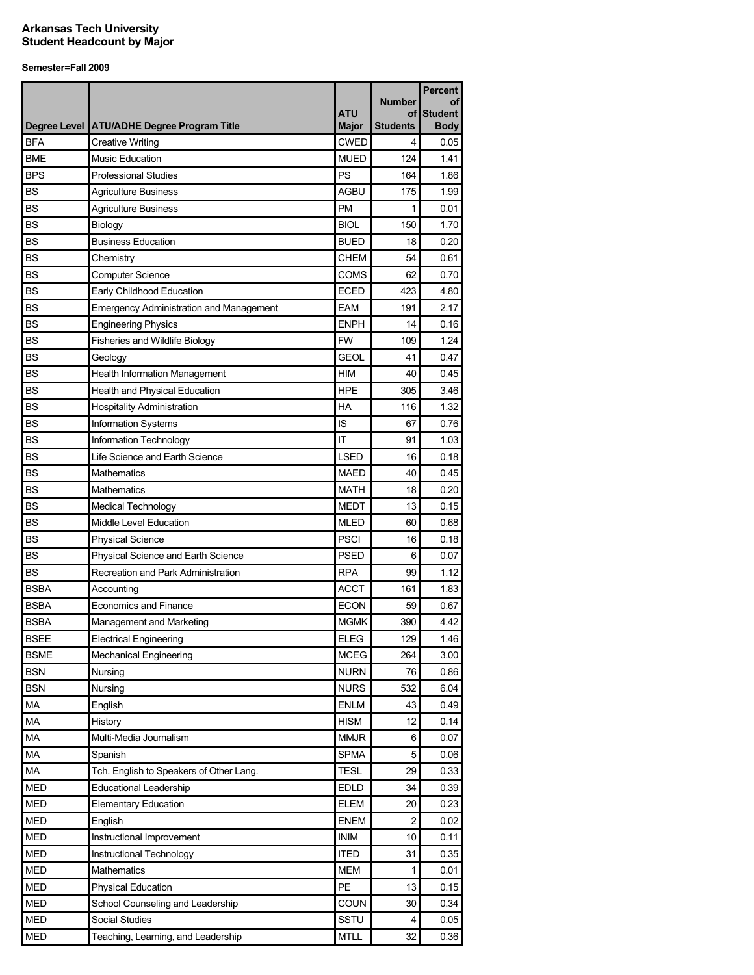|             |                                                |                            |                       | Percent                       |
|-------------|------------------------------------------------|----------------------------|-----------------------|-------------------------------|
|             |                                                |                            | <b>Number</b>         | οf                            |
|             | Degree Level   ATU/ADHE Degree Program Title   | <b>ATU</b><br><b>Major</b> | of<br><b>Students</b> | <b>Student</b><br><b>Body</b> |
| <b>BFA</b>  | <b>Creative Writing</b>                        | <b>CWED</b>                | 4                     | 0.05                          |
| <b>BME</b>  | <b>Music Education</b>                         | <b>MUED</b>                | 124                   | 1.41                          |
| <b>BPS</b>  | <b>Professional Studies</b>                    | PS                         | 164                   | 1.86                          |
| <b>BS</b>   | <b>Agriculture Business</b>                    | <b>AGBU</b>                | 175                   | 1.99                          |
| <b>BS</b>   | <b>Agriculture Business</b>                    | <b>PM</b>                  | 1                     | 0.01                          |
| <b>BS</b>   | Biology                                        | <b>BIOL</b>                | 150                   | 1.70                          |
| <b>BS</b>   | <b>Business Education</b>                      | <b>BUED</b>                | 18                    | 0.20                          |
| <b>BS</b>   | Chemistry                                      | CHEM                       | 54                    | 0.61                          |
| <b>BS</b>   | <b>Computer Science</b>                        | <b>COMS</b>                | 62                    | 0.70                          |
| <b>BS</b>   | Early Childhood Education                      | <b>ECED</b>                | 423                   | 4.80                          |
| <b>BS</b>   | <b>Emergency Administration and Management</b> | <b>EAM</b>                 | 191                   | 2.17                          |
| <b>BS</b>   | <b>Engineering Physics</b>                     | <b>ENPH</b>                | 14                    | 0.16                          |
| <b>BS</b>   | <b>Fisheries and Wildlife Biology</b>          | <b>FW</b>                  | 109                   | 1.24                          |
| <b>BS</b>   | Geology                                        | <b>GEOL</b>                | 41                    | 0.47                          |
| <b>BS</b>   | <b>Health Information Management</b>           | HIM                        | 40                    | 0.45                          |
| <b>BS</b>   | Health and Physical Education                  | <b>HPE</b>                 | 305                   | 3.46                          |
| <b>BS</b>   | <b>Hospitality Administration</b>              | HA                         | 116                   | 1.32                          |
| <b>BS</b>   | Information Systems                            | IS                         | 67                    | 0.76                          |
| <b>BS</b>   | Information Technology                         | IT                         | 91                    | 1.03                          |
| <b>BS</b>   | Life Science and Earth Science                 | <b>LSED</b>                | 16                    | 0.18                          |
| <b>BS</b>   | Mathematics                                    | <b>MAED</b>                | 40                    | 0.45                          |
| <b>BS</b>   | Mathematics                                    | <b>MATH</b>                | 18                    | 0.20                          |
| <b>BS</b>   | Medical Technology                             | <b>MEDT</b>                | 13                    | 0.15                          |
| <b>BS</b>   | Middle Level Education                         | <b>MLED</b>                | 60                    | 0.68                          |
| <b>BS</b>   | Physical Science                               | <b>PSCI</b>                | 16                    | 0.18                          |
| <b>BS</b>   | Physical Science and Earth Science             | <b>PSED</b>                | 6                     | 0.07                          |
| <b>BS</b>   | Recreation and Park Administration             | <b>RPA</b>                 | 99                    | 1.12                          |
| <b>BSBA</b> | Accounting                                     | <b>ACCT</b>                | 161                   | 1.83                          |
| <b>BSBA</b> | <b>Economics and Finance</b>                   | <b>ECON</b>                | 59                    | 0.67                          |
| <b>BSBA</b> | Management and Marketing                       | <b>MGMK</b>                | 390                   | 4.42                          |
| <b>BSEE</b> | <b>Electrical Engineering</b>                  | <b>ELEG</b>                | 129                   | 1.46                          |
| <b>BSME</b> | <b>Mechanical Engineering</b>                  | <b>MCEG</b>                | 264                   | 3.00                          |
| <b>BSN</b>  | Nursing                                        | <b>NURN</b>                | 76                    | 0.86                          |
| <b>BSN</b>  | Nursing                                        | <b>NURS</b>                | 532                   | 6.04                          |
| MA          | English                                        | <b>ENLM</b>                | 43                    | 0.49                          |
| MA          | History                                        | <b>HISM</b>                | 12                    | 0.14                          |
| MA          | Multi-Media Journalism                         | <b>MMJR</b>                | 6                     | 0.07                          |
| <b>MA</b>   | Spanish                                        | <b>SPMA</b>                | 5                     | 0.06                          |
| MA          | Tch. English to Speakers of Other Lang.        | <b>TESL</b>                | 29                    | 0.33                          |
| <b>MED</b>  | <b>Educational Leadership</b>                  | <b>EDLD</b>                | 34                    | 0.39                          |
| <b>MED</b>  | <b>Elementary Education</b>                    | <b>ELEM</b>                | 20                    | 0.23                          |
| <b>MED</b>  | English                                        | <b>ENEM</b>                | $\overline{c}$        | 0.02                          |
| <b>MED</b>  | Instructional Improvement                      | <b>INIM</b>                | 10                    | 0.11                          |
| <b>MED</b>  | Instructional Technology                       | <b>ITED</b>                | 31                    | 0.35                          |
| <b>MED</b>  | Mathematics                                    | <b>MEM</b>                 | 1                     | 0.01                          |
| <b>MED</b>  | Physical Education                             | PE                         | 13                    | 0.15                          |
| <b>MED</b>  | School Counseling and Leadership               | COUN                       | 30                    | 0.34                          |
| <b>MED</b>  | Social Studies                                 | <b>SSTU</b>                | 4                     | 0.05                          |
| <b>MED</b>  | Teaching, Learning, and Leadership             | <b>MTLL</b>                | 32                    | 0.36                          |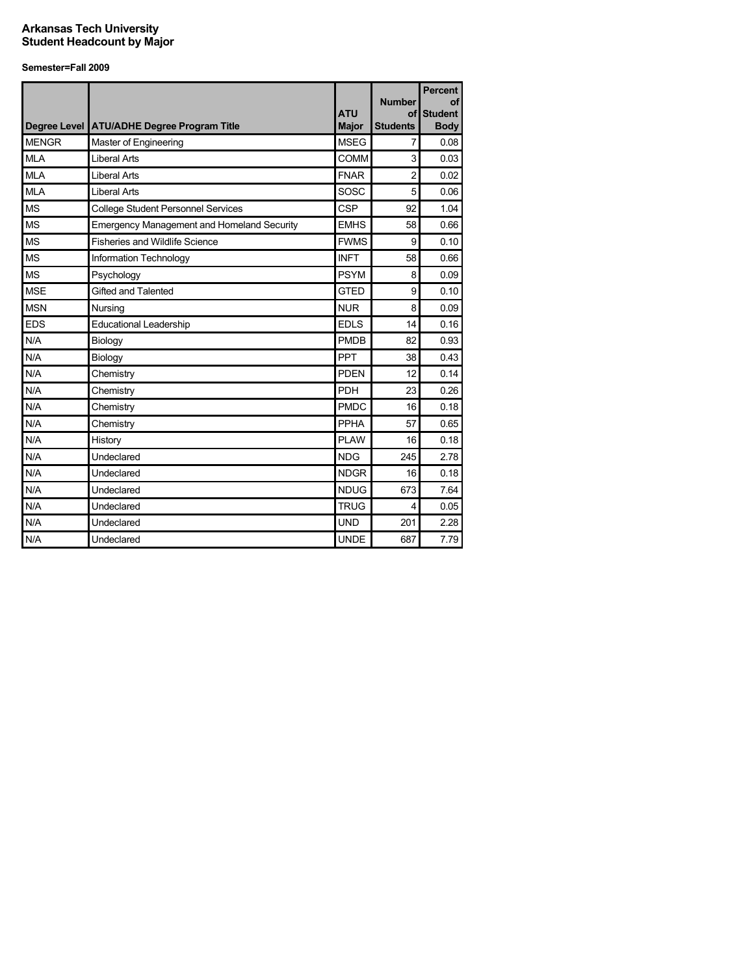| <b>Degree Level</b> | <b>ATU/ADHE Degree Program Title</b>              | <b>ATU</b><br><b>Major</b> | <b>Number</b><br>of<br><b>Students</b> | <b>Percent</b><br>οf<br><b>Student</b><br><b>Body</b> |
|---------------------|---------------------------------------------------|----------------------------|----------------------------------------|-------------------------------------------------------|
| <b>MENGR</b>        | Master of Engineering                             | <b>MSEG</b>                | 7                                      | 0.08                                                  |
| MI A                | <b>Liberal Arts</b>                               | COMM                       | 3                                      | 0.03                                                  |
| <b>MLA</b>          | <b>Liberal Arts</b>                               | <b>FNAR</b>                | $\overline{2}$                         | 0.02                                                  |
| <b>MLA</b>          | <b>Liberal Arts</b>                               | SOSC                       | 5                                      | 0.06                                                  |
| <b>MS</b>           | College Student Personnel Services                | <b>CSP</b>                 | 92                                     | 1.04                                                  |
| <b>MS</b>           | <b>Emergency Management and Homeland Security</b> | <b>EMHS</b>                | 58                                     | 0.66                                                  |
| <b>MS</b>           | <b>Fisheries and Wildlife Science</b>             | <b>FWMS</b>                | 9                                      | 0.10                                                  |
| <b>MS</b>           | Information Technology                            | <b>INFT</b>                | 58                                     | 0.66                                                  |
| <b>MS</b>           | Psychology                                        | <b>PSYM</b>                | 8                                      | 0.09                                                  |
| <b>MSE</b>          | Gifted and Talented                               | <b>GTED</b>                | 9                                      | 0.10                                                  |
| <b>MSN</b>          | Nursing                                           | <b>NUR</b>                 | 8                                      | 0.09                                                  |
| <b>EDS</b>          | <b>Educational Leadership</b>                     | <b>EDLS</b>                | 14                                     | 0.16                                                  |
| N/A                 | Biology                                           | <b>PMDB</b>                | 82                                     | 0.93                                                  |
| N/A                 | Biology                                           | <b>PPT</b>                 | 38                                     | 0.43                                                  |
| N/A                 | Chemistry                                         | <b>PDEN</b>                | 12                                     | 0.14                                                  |
| N/A                 | Chemistry                                         | <b>PDH</b>                 | 23                                     | 0.26                                                  |
| N/A                 | Chemistry                                         | <b>PMDC</b>                | 16                                     | 0.18                                                  |
| N/A                 | Chemistry                                         | PPHA                       | 57                                     | 0.65                                                  |
| N/A                 | History                                           | <b>PLAW</b>                | 16                                     | 0.18                                                  |
| N/A                 | Undeclared                                        | <b>NDG</b>                 | 245                                    | 2.78                                                  |
| N/A                 | Undeclared                                        | <b>NDGR</b>                | 16                                     | 0.18                                                  |
| N/A                 | Undeclared                                        | <b>NDUG</b>                | 673                                    | 7.64                                                  |
| N/A                 | Undeclared                                        | <b>TRUG</b>                | 4                                      | 0.05                                                  |
| N/A                 | Undeclared                                        | <b>UND</b>                 | 201                                    | 2.28                                                  |
| N/A                 | Undeclared                                        | <b>UNDE</b>                | 687                                    | 7.79                                                  |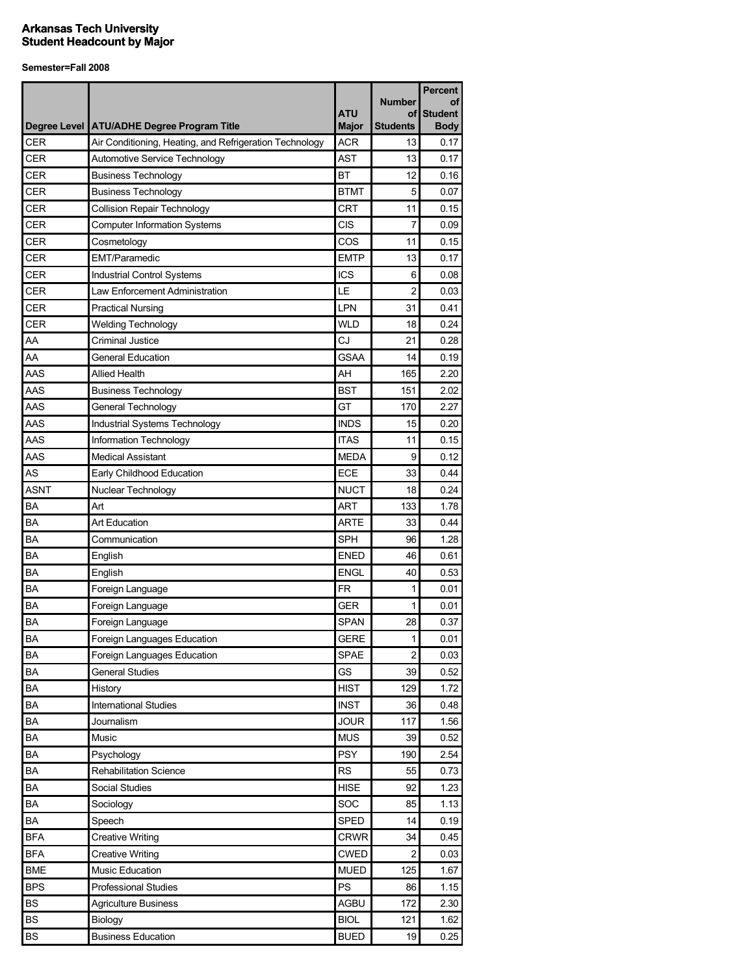|             |                                                         | <b>ATU</b>   | <b>Number</b><br>οf | <b>Percent</b><br>οf<br><b>Student</b> |
|-------------|---------------------------------------------------------|--------------|---------------------|----------------------------------------|
|             | Degree Level   ATU/ADHE Degree Program Title            | <b>Major</b> | <b>Students</b>     | <b>Body</b>                            |
| <b>CER</b>  | Air Conditioning, Heating, and Refrigeration Technology | <b>ACR</b>   | 13                  | 0.17                                   |
| <b>CER</b>  | Automotive Service Technology                           | <b>AST</b>   | 13                  | 0.17                                   |
| <b>CER</b>  | <b>Business Technology</b>                              | BT           | 12                  | 0.16                                   |
| <b>CER</b>  | <b>Business Technology</b>                              | <b>BTMT</b>  | 5                   | 0.07                                   |
| CER         | <b>Collision Repair Technology</b>                      | <b>CRT</b>   | 11                  | 0.15                                   |
| <b>CER</b>  | <b>Computer Information Systems</b>                     | CIS          | 7                   | 0.09                                   |
| <b>CER</b>  | Cosmetology                                             | COS          | 11                  | 0.15                                   |
| <b>CER</b>  | <b>EMT/Paramedic</b>                                    | <b>EMTP</b>  | 13                  | 0.17                                   |
| <b>CER</b>  | <b>Industrial Control Systems</b>                       | <b>ICS</b>   | 6                   | 0.08                                   |
| <b>CER</b>  | Law Enforcement Administration                          | LE           | $\overline{2}$      | 0.03                                   |
| <b>CER</b>  | <b>Practical Nursing</b>                                | LPN          | 31                  | 0.41                                   |
| <b>CER</b>  | <b>Welding Technology</b>                               | <b>WLD</b>   | 18                  | 0.24                                   |
| AA          | <b>Criminal Justice</b>                                 | CJ           | 21                  | 0.28                                   |
| AA          | <b>General Education</b>                                | <b>GSAA</b>  | 14                  | 0.19                                   |
| AAS         | <b>Allied Health</b>                                    | AH           | 165                 | 2.20                                   |
| AAS         | <b>Business Technology</b>                              | <b>BST</b>   | 151                 | 2.02                                   |
| AAS         | General Technology                                      | GT           | 170                 | 2.27                                   |
| AAS         | Industrial Systems Technology                           | <b>INDS</b>  | 15                  | 0.20                                   |
| AAS         | Information Technology                                  | <b>ITAS</b>  | 11                  | 0.15                                   |
| AAS         | <b>Medical Assistant</b>                                | <b>MEDA</b>  | 9                   | 0.12                                   |
| AS          | Early Childhood Education                               | <b>ECE</b>   | 33                  | 0.44                                   |
| <b>ASNT</b> | Nuclear Technology                                      | <b>NUCT</b>  | 18                  | 0.24                                   |
| ΒA          | Art                                                     | ART          | 133                 | 1.78                                   |
| BA          | <b>Art Education</b>                                    | ARTE         | 33                  | 0.44                                   |
| BA          | Communication                                           | <b>SPH</b>   | 96                  | 1.28                                   |
| BA          | English                                                 | <b>ENED</b>  | 46                  | 0.61                                   |
| BA          | English                                                 | <b>ENGL</b>  | 40                  | 0.53                                   |
| BA          | Foreign Language                                        | <b>FR</b>    | 1                   | 0.01                                   |
| ΒA          | Foreign Language                                        | <b>GER</b>   | 1                   | 0.01                                   |
| BA          | Foreign Language                                        | <b>SPAN</b>  | 28                  | 0.37                                   |
| BA          | Foreign Languages Education                             | <b>GERE</b>  | 1                   | 0.01                                   |
| BA          | Foreign Languages Education                             | <b>SPAE</b>  | 2                   | 0.03                                   |
| BA          | <b>General Studies</b>                                  | GS           | 39                  | 0.52                                   |
| BA          | History                                                 | <b>HIST</b>  | 129                 | 1.72                                   |
| BA          | <b>International Studies</b>                            | <b>INST</b>  | 36                  | 0.48                                   |
| BA          | Journalism                                              | <b>JOUR</b>  | 117                 | 1.56                                   |
| BA          | Music                                                   | <b>MUS</b>   | 39                  | 0.52                                   |
| BA          | Psychology                                              | <b>PSY</b>   | 190                 | 2.54                                   |
| BA          | Rehabilitation Science                                  | <b>RS</b>    | 55                  | 0.73                                   |
| BA          | Social Studies                                          | <b>HISE</b>  | 92                  | 1.23                                   |
| BA          | Sociology                                               | SOC          | 85                  | 1.13                                   |
| BA          | Speech                                                  | <b>SPED</b>  | 14                  | 0.19                                   |
| <b>BFA</b>  | <b>Creative Writing</b>                                 | <b>CRWR</b>  | 34                  | 0.45                                   |
| <b>BFA</b>  | <b>Creative Writing</b>                                 | <b>CWED</b>  | 2                   | 0.03                                   |
| <b>BME</b>  | Music Education                                         | <b>MUED</b>  | 125                 | 1.67                                   |
| <b>BPS</b>  | Professional Studies                                    | PS           | 86                  | 1.15                                   |
| <b>BS</b>   | <b>Agriculture Business</b>                             | AGBU         | 172                 | 2.30                                   |
| <b>BS</b>   | Biology                                                 | <b>BIOL</b>  | 121                 | 1.62                                   |
| <b>BS</b>   | <b>Business Education</b>                               | <b>BUED</b>  | 19                  | 0.25                                   |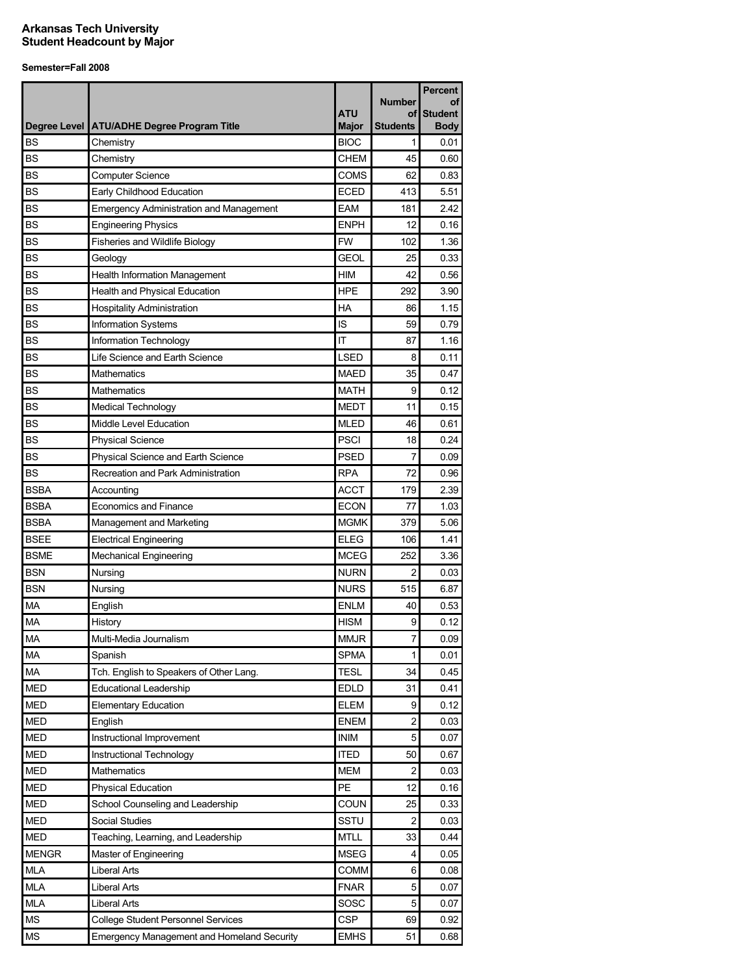|              |                                                |                     |                       | <b>Percent</b>                |
|--------------|------------------------------------------------|---------------------|-----------------------|-------------------------------|
|              |                                                |                     | Number                | οf                            |
| Degree Level | <b>ATU/ADHE Degree Program Title</b>           | ATU<br><b>Major</b> | of<br><b>Students</b> | <b>Student</b><br><b>Body</b> |
| <b>BS</b>    | Chemistry                                      | <b>BIOC</b>         | 1                     | 0.01                          |
| <b>BS</b>    | Chemistry                                      | <b>CHEM</b>         | 45                    | 0.60                          |
| <b>BS</b>    | <b>Computer Science</b>                        | COMS                | 62                    | 0.83                          |
| <b>BS</b>    | Early Childhood Education                      | <b>ECED</b>         | 413                   | 5.51                          |
| <b>BS</b>    | <b>Emergency Administration and Management</b> | <b>EAM</b>          | 181                   | 2.42                          |
| <b>BS</b>    | <b>Engineering Physics</b>                     | <b>ENPH</b>         | 12                    | 0.16                          |
| <b>BS</b>    | Fisheries and Wildlife Biology                 | <b>FW</b>           | 102                   | 1.36                          |
| <b>BS</b>    | Geology                                        | <b>GEOL</b>         | 25                    | 0.33                          |
| <b>BS</b>    | <b>Health Information Management</b>           | <b>HIM</b>          | 42                    | 0.56                          |
| <b>BS</b>    | Health and Physical Education                  | <b>HPE</b>          | 292                   | 3.90                          |
| <b>BS</b>    | <b>Hospitality Administration</b>              | <b>HA</b>           | 86                    | 1.15                          |
| <b>BS</b>    |                                                | IS                  | 59                    | 0.79                          |
| <b>BS</b>    | Information Systems                            | IT                  |                       |                               |
|              | Information Technology                         |                     | 87                    | 1.16                          |
| <b>BS</b>    | Life Science and Earth Science                 | <b>LSED</b>         | 8                     | 0.11                          |
| <b>BS</b>    | Mathematics                                    | <b>MAED</b>         | 35                    | 0.47                          |
| <b>BS</b>    | <b>Mathematics</b>                             | <b>MATH</b>         | 9                     | 0.12                          |
| BS           | Medical Technology                             | <b>MEDT</b>         | 11                    | 0.15                          |
| <b>BS</b>    | Middle Level Education                         | <b>MLED</b>         | 46                    | 0.61                          |
| <b>BS</b>    | <b>Physical Science</b>                        | <b>PSCI</b>         | 18                    | 0.24                          |
| <b>BS</b>    | Physical Science and Earth Science             | <b>PSED</b>         | 7                     | 0.09                          |
| <b>BS</b>    | Recreation and Park Administration             | <b>RPA</b>          | 72                    | 0.96                          |
| <b>BSBA</b>  | Accounting                                     | <b>ACCT</b>         | 179                   | 2.39                          |
| <b>BSBA</b>  | <b>Economics and Finance</b>                   | <b>ECON</b>         | 77                    | 1.03                          |
| <b>BSBA</b>  | Management and Marketing                       | <b>MGMK</b>         | 379                   | 5.06                          |
| <b>BSEE</b>  | <b>Electrical Engineering</b>                  | <b>ELEG</b>         | 106                   | 1.41                          |
| <b>BSME</b>  | <b>Mechanical Engineering</b>                  | <b>MCEG</b>         | 252                   | 3.36                          |
| <b>BSN</b>   | Nursing                                        | <b>NURN</b>         | $\overline{c}$        | 0.03                          |
| <b>BSN</b>   | Nursing                                        | <b>NURS</b>         | 515                   | 6.87                          |
| MA           | English                                        | <b>ENLM</b>         | 40                    | 0.53                          |
| <b>MA</b>    | History                                        | <b>HISM</b>         | 9                     | 0.12                          |
| MA           | Multi-Media Journalism                         | <b>MMJR</b>         | 7                     | 0.09                          |
| <b>MA</b>    | Spanish                                        | <b>SPMA</b>         | 1                     | 0.01                          |
| MA           | Tch. English to Speakers of Other Lang.        | <b>TESL</b>         | 34                    | 0.45                          |
| <b>MED</b>   | <b>Educational Leadership</b>                  | <b>EDLD</b>         | 31                    | 0.41                          |
| <b>MED</b>   | <b>Elementary Education</b>                    | <b>ELEM</b>         | 9                     | 0.12                          |
| <b>MED</b>   | English                                        | ENEM                | 2                     | 0.03                          |
| <b>MED</b>   | Instructional Improvement                      | <b>INIM</b>         | 5                     | 0.07                          |
| <b>MED</b>   | Instructional Technology                       | <b>ITED</b>         | 50                    | 0.67                          |
| <b>MED</b>   | Mathematics                                    | <b>MEM</b>          | 2                     | 0.03                          |
| <b>MED</b>   | <b>Physical Education</b>                      | PE                  | 12                    | 0.16                          |
| <b>MED</b>   | School Counseling and Leadership               | COUN                | 25                    | 0.33                          |
| MED          | Social Studies                                 | <b>SSTU</b>         | 2                     | 0.03                          |
| <b>MED</b>   | Teaching, Learning, and Leadership             | <b>MTLL</b>         | 33                    | 0.44                          |
| <b>MENGR</b> | Master of Engineering                          | <b>MSEG</b>         | 4                     | 0.05                          |
| <b>MLA</b>   | <b>Liberal Arts</b>                            | COMM                | 6                     | 0.08                          |
| <b>MLA</b>   | <b>Liberal Arts</b>                            | <b>FNAR</b>         | 5                     | 0.07                          |
| <b>MLA</b>   | <b>Liberal Arts</b>                            | SOSC                | 5                     | 0.07                          |
| MS           | <b>College Student Personnel Services</b>      | <b>CSP</b>          | 69                    | 0.92                          |
| <b>MS</b>    | Emergency Management and Homeland Security     | <b>EMHS</b>         | 51                    | 0.68                          |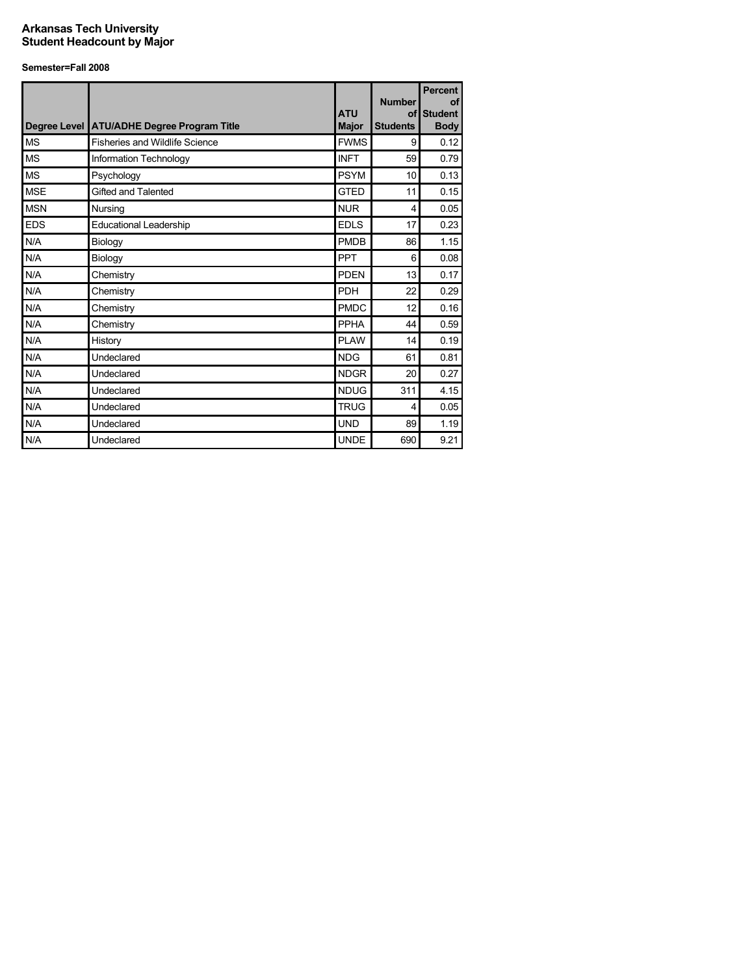|            | Degree Level ATU/ADHE Degree Program Title | <b>ATU</b><br><b>Major</b> | <b>Number</b><br>of<br><b>Students</b> | <b>Percent</b><br><b>of</b><br><b>Student</b><br><b>Body</b> |
|------------|--------------------------------------------|----------------------------|----------------------------------------|--------------------------------------------------------------|
| <b>MS</b>  | <b>Fisheries and Wildlife Science</b>      | <b>FWMS</b>                | 9                                      | 0.12                                                         |
| <b>MS</b>  | Information Technology                     | <b>INFT</b>                | 59                                     | 0.79                                                         |
| <b>MS</b>  | Psychology                                 | <b>PSYM</b>                | 10                                     | 0.13                                                         |
| <b>MSE</b> | Gifted and Talented                        | <b>GTED</b>                | 11                                     | 0.15                                                         |
| <b>MSN</b> | Nursing                                    | <b>NUR</b>                 | 4                                      | 0.05                                                         |
| <b>EDS</b> | Educational Leadership                     | <b>EDLS</b>                | 17                                     | 0.23                                                         |
| N/A        | Biology                                    | <b>PMDB</b>                | 86                                     | 1.15                                                         |
| N/A        | Biology                                    | <b>PPT</b>                 | 6                                      | 0.08                                                         |
| N/A        | Chemistry                                  | <b>PDEN</b>                | 13                                     | 0.17                                                         |
| N/A        | Chemistry                                  | PDH                        | 22                                     | 0.29                                                         |
| N/A        | Chemistry                                  | <b>PMDC</b>                | 12                                     | 0.16                                                         |
| N/A        | Chemistry                                  | <b>PPHA</b>                | 44                                     | 0.59                                                         |
| N/A        | History                                    | <b>PLAW</b>                | 14                                     | 0.19                                                         |
| N/A        | Undeclared                                 | <b>NDG</b>                 | 61                                     | 0.81                                                         |
| N/A        | Undeclared                                 | <b>NDGR</b>                | 20                                     | 0.27                                                         |
| N/A        | Undeclared                                 | <b>NDUG</b>                | 311                                    | 4.15                                                         |
| N/A        | Undeclared                                 | <b>TRUG</b>                | 4                                      | 0.05                                                         |
| N/A        | Undeclared                                 | <b>UND</b>                 | 89                                     | 1.19                                                         |
| N/A        | Undeclared                                 | <b>UNDE</b>                | 690                                    | 9.21                                                         |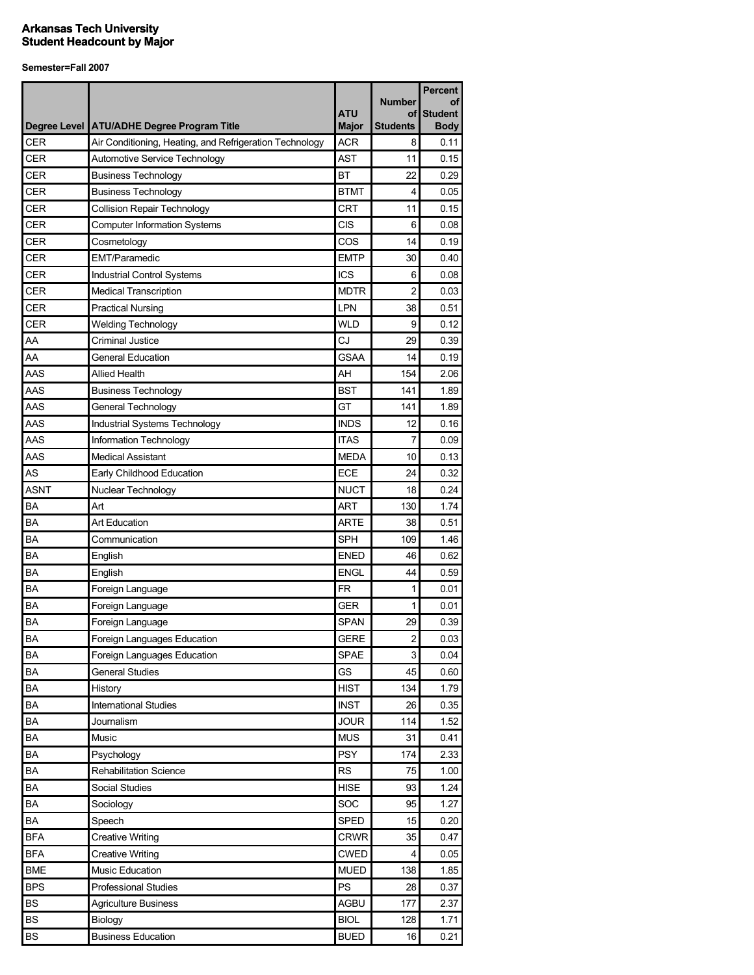|             |                                                         | <b>ATU</b>   | <b>Number</b><br>οf | <b>Percent</b><br>οf<br><b>Student</b> |
|-------------|---------------------------------------------------------|--------------|---------------------|----------------------------------------|
|             | Degree Level   ATU/ADHE Degree Program Title            | <b>Major</b> | <b>Students</b>     | <b>Body</b>                            |
| <b>CER</b>  | Air Conditioning, Heating, and Refrigeration Technology | <b>ACR</b>   | 8                   | 0.11                                   |
| CER         | Automotive Service Technology                           | <b>AST</b>   | 11                  | 0.15                                   |
| <b>CER</b>  | <b>Business Technology</b>                              | <b>BT</b>    | 22                  | 0.29                                   |
| CER         | <b>Business Technology</b>                              | <b>BTMT</b>  | 4                   | 0.05                                   |
| CER         | <b>Collision Repair Technology</b>                      | <b>CRT</b>   | 11                  | 0.15                                   |
| <b>CER</b>  | <b>Computer Information Systems</b>                     | CIS          | 6                   | 0.08                                   |
| <b>CER</b>  | Cosmetology                                             | COS          | 14                  | 0.19                                   |
| <b>CER</b>  | <b>EMT/Paramedic</b>                                    | <b>EMTP</b>  | 30                  | 0.40                                   |
| <b>CER</b>  | Industrial Control Systems                              | <b>ICS</b>   | 6                   | 0.08                                   |
| <b>CER</b>  | <b>Medical Transcription</b>                            | <b>MDTR</b>  | $\overline{c}$      | 0.03                                   |
| <b>CER</b>  | <b>Practical Nursing</b>                                | <b>LPN</b>   | 38                  | 0.51                                   |
| <b>CER</b>  | <b>Welding Technology</b>                               | <b>WLD</b>   | 9                   | 0.12                                   |
| AA          | Criminal Justice                                        | CJ           | 29                  | 0.39                                   |
| AA          | <b>General Education</b>                                | <b>GSAA</b>  | 14                  | 0.19                                   |
| AAS         | <b>Allied Health</b>                                    | AH           | 154                 | 2.06                                   |
| AAS         | <b>Business Technology</b>                              | <b>BST</b>   | 141                 | 1.89                                   |
| AAS         | General Technology                                      | GT           | 141                 | 1.89                                   |
| AAS         | Industrial Systems Technology                           | <b>INDS</b>  | 12                  | 0.16                                   |
| AAS         | Information Technology                                  | <b>ITAS</b>  | 7                   | 0.09                                   |
| AAS         | <b>Medical Assistant</b>                                | <b>MEDA</b>  | 10                  | 0.13                                   |
| AS          | Early Childhood Education                               | ECE          | 24                  | 0.32                                   |
| <b>ASNT</b> | Nuclear Technology                                      | <b>NUCT</b>  | 18                  | 0.24                                   |
| ΒA          | Art                                                     | ART          | 130                 | 1.74                                   |
| BA          | <b>Art Education</b>                                    | <b>ARTE</b>  | 38                  | 0.51                                   |
| BA          | Communication                                           | <b>SPH</b>   | 109                 | 1.46                                   |
| BA          | English                                                 | <b>ENED</b>  | 46                  | 0.62                                   |
| BA          | English                                                 | <b>ENGL</b>  | 44                  | 0.59                                   |
| BA          | Foreign Language                                        | <b>FR</b>    | 1                   | 0.01                                   |
| BA          | Foreign Language                                        | GER          | 1                   | 0.01                                   |
| BA          | Foreign Language                                        | <b>SPAN</b>  | 29                  | 0.39                                   |
| <b>BA</b>   | Foreign Languages Education                             | <b>GERE</b>  | 2                   | 0.03                                   |
| BA          | Foreign Languages Education                             | SPAE         | 3                   | 0.04                                   |
| BA          | <b>General Studies</b>                                  | GS           | 45                  | 0.60                                   |
| BA          | History                                                 | <b>HIST</b>  | 134                 | 1.79                                   |
| BA          | <b>International Studies</b>                            | <b>INST</b>  | 26                  | 0.35                                   |
| BA          | Journalism                                              | <b>JOUR</b>  | 114                 | 1.52                                   |
| BA          | Music                                                   | <b>MUS</b>   | 31                  | 0.41                                   |
| BA          | Psychology                                              | <b>PSY</b>   | 174                 | 2.33                                   |
| BA          | <b>Rehabilitation Science</b>                           | <b>RS</b>    | 75                  | 1.00                                   |
| BA          | Social Studies                                          | <b>HISE</b>  | 93                  | 1.24                                   |
| BA          | Sociology                                               | SOC          | 95                  | 1.27                                   |
| BA          | Speech                                                  | <b>SPED</b>  | 15                  | 0.20                                   |
| <b>BFA</b>  | <b>Creative Writing</b>                                 | <b>CRWR</b>  | 35                  | 0.47                                   |
| <b>BFA</b>  | <b>Creative Writing</b>                                 | <b>CWED</b>  | 4                   | 0.05                                   |
| <b>BME</b>  | Music Education                                         | <b>MUED</b>  | 138                 | 1.85                                   |
| <b>BPS</b>  | <b>Professional Studies</b>                             | PS           | 28                  | 0.37                                   |
| <b>BS</b>   | <b>Agriculture Business</b>                             | AGBU         | 177                 | 2.37                                   |
| BS          | Biology                                                 | <b>BIOL</b>  | 128                 | 1.71                                   |
| BS          | <b>Business Education</b>                               | <b>BUED</b>  | 16                  | 0.21                                   |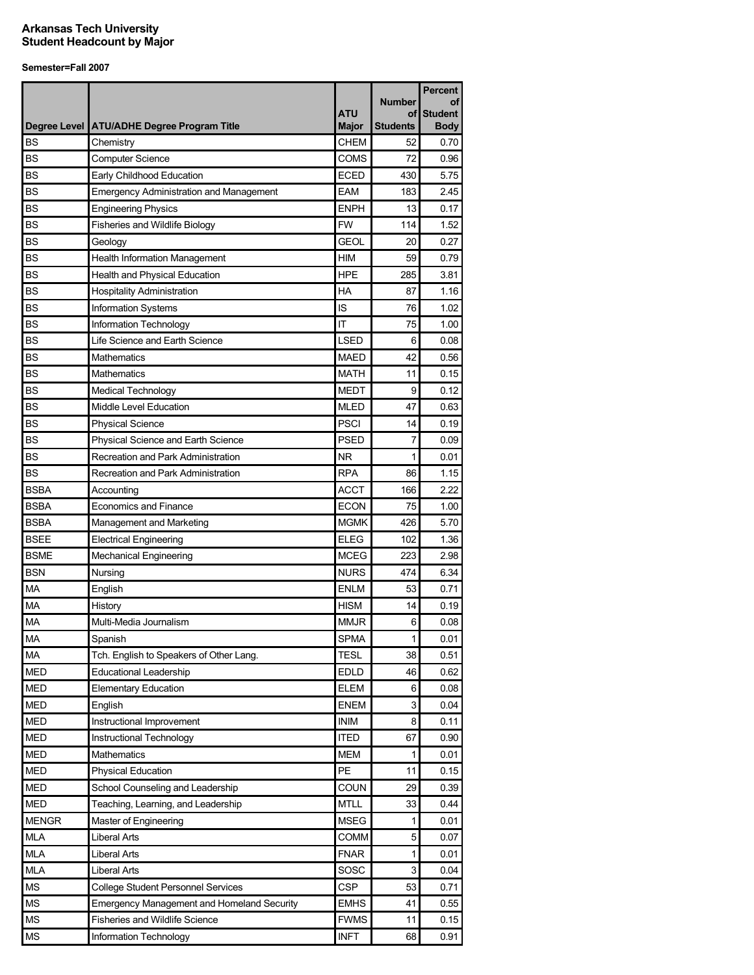|              |                                                   |                            |                       | <b>Percent</b>                |
|--------------|---------------------------------------------------|----------------------------|-----------------------|-------------------------------|
|              |                                                   |                            | <b>Number</b>         | οf                            |
| Degree Level | <b>ATU/ADHE Degree Program Title</b>              | <b>ATU</b><br><b>Major</b> | οf<br><b>Students</b> | <b>Student</b><br><b>Body</b> |
| <b>BS</b>    | Chemistry                                         | <b>CHEM</b>                | 52                    | 0.70                          |
| <b>BS</b>    | <b>Computer Science</b>                           | COMS                       | 72                    | 0.96                          |
| <b>BS</b>    | Early Childhood Education                         | <b>ECED</b>                | 430                   | 5.75                          |
| <b>BS</b>    | <b>Emergency Administration and Management</b>    | <b>EAM</b>                 | 183                   | 2.45                          |
| <b>BS</b>    | <b>Engineering Physics</b>                        | <b>ENPH</b>                | 13                    | 0.17                          |
| <b>BS</b>    | <b>Fisheries and Wildlife Biology</b>             | <b>FW</b>                  | 114                   | 1.52                          |
| <b>BS</b>    | Geology                                           | <b>GEOL</b>                | 20                    | 0.27                          |
| <b>BS</b>    | <b>Health Information Management</b>              | <b>HIM</b>                 | 59                    | 0.79                          |
| <b>BS</b>    | Health and Physical Education                     | <b>HPE</b>                 | 285                   | 3.81                          |
| <b>BS</b>    | <b>Hospitality Administration</b>                 | HA                         | 87                    | 1.16                          |
| <b>BS</b>    | <b>Information Systems</b>                        | IS                         | 76                    | 1.02                          |
| <b>BS</b>    | Information Technology                            | IT                         | 75                    | 1.00                          |
| <b>BS</b>    | Life Science and Earth Science                    | <b>LSED</b>                | 6                     | 0.08                          |
| <b>BS</b>    | <b>Mathematics</b>                                | <b>MAED</b>                | 42                    | 0.56                          |
| <b>BS</b>    | Mathematics                                       | <b>MATH</b>                | 11                    | 0.15                          |
| <b>BS</b>    | <b>Medical Technology</b>                         | <b>MEDT</b>                | 9                     | 0.12                          |
| <b>BS</b>    | Middle Level Education                            | <b>MLED</b>                | 47                    | 0.63                          |
| <b>BS</b>    | <b>Physical Science</b>                           | <b>PSCI</b>                | 14                    | 0.19                          |
| <b>BS</b>    | Physical Science and Earth Science                | <b>PSED</b>                | 7                     | 0.09                          |
| <b>BS</b>    | Recreation and Park Administration                | NR.                        | 1                     | 0.01                          |
| <b>BS</b>    | Recreation and Park Administration                | <b>RPA</b>                 | 86                    | 1.15                          |
| <b>BSBA</b>  | Accounting                                        | <b>ACCT</b>                | 166                   | 2.22                          |
| <b>BSBA</b>  | <b>Economics and Finance</b>                      | ECON                       | 75                    | 1.00                          |
| <b>BSBA</b>  | Management and Marketing                          | <b>MGMK</b>                | 426                   | 5.70                          |
| <b>BSEE</b>  | <b>Electrical Engineering</b>                     | <b>ELEG</b>                | 102                   | 1.36                          |
| <b>BSME</b>  | <b>Mechanical Engineering</b>                     | <b>MCEG</b>                | 223                   | 2.98                          |
| <b>BSN</b>   | Nursing                                           | <b>NURS</b>                | 474                   | 6.34                          |
| MA           | English                                           | <b>ENLM</b>                | 53                    | 0.71                          |
| MA           | History                                           | <b>HISM</b>                | 14                    | 0.19                          |
| <b>MA</b>    | Multi-Media Journalism                            | <b>MMJR</b>                | 6                     | 0.08                          |
| MA           | Spanish                                           | <b>SPMA</b>                | 1                     | 0.01                          |
| <b>MA</b>    | Tch. English to Speakers of Other Lang.           | <b>TESL</b>                | 38                    | 0.51                          |
| <b>MED</b>   | <b>Educational Leadership</b>                     | <b>EDLD</b>                | 46                    | 0.62                          |
| <b>MED</b>   | <b>Elementary Education</b>                       | <b>ELEM</b>                | 6                     | 0.08                          |
| <b>MED</b>   | English                                           | <b>ENEM</b>                | 3                     | 0.04                          |
| <b>MED</b>   | Instructional Improvement                         | <b>INIM</b>                | 8                     | 0.11                          |
| <b>MED</b>   | Instructional Technology                          | <b>ITED</b>                | 67                    | 0.90                          |
| <b>MED</b>   | Mathematics                                       | <b>MEM</b>                 | 1                     | 0.01                          |
| <b>MED</b>   | <b>Physical Education</b>                         | <b>PE</b>                  | 11                    | 0.15                          |
| <b>MED</b>   | School Counseling and Leadership                  | <b>COUN</b>                | 29                    | 0.39                          |
| <b>MED</b>   | Teaching, Learning, and Leadership                | <b>MTLL</b>                | 33                    | 0.44                          |
| <b>MENGR</b> | Master of Engineering                             | <b>MSEG</b>                | 1                     | 0.01                          |
| <b>MLA</b>   | <b>Liberal Arts</b>                               | COMM                       | 5                     | 0.07                          |
| MLA          | Liberal Arts                                      | <b>FNAR</b>                | $\mathbf{1}$          | 0.01                          |
| <b>MLA</b>   | <b>Liberal Arts</b>                               | SOSC                       | 3                     | 0.04                          |
| <b>MS</b>    | <b>College Student Personnel Services</b>         | <b>CSP</b>                 | 53                    | 0.71                          |
| <b>MS</b>    | <b>Emergency Management and Homeland Security</b> | <b>EMHS</b>                | 41                    | 0.55                          |
| <b>MS</b>    | <b>Fisheries and Wildlife Science</b>             | <b>FWMS</b>                | 11                    | 0.15                          |
| <b>MS</b>    | Information Technology                            | <b>INFT</b>                | 68                    | 0.91                          |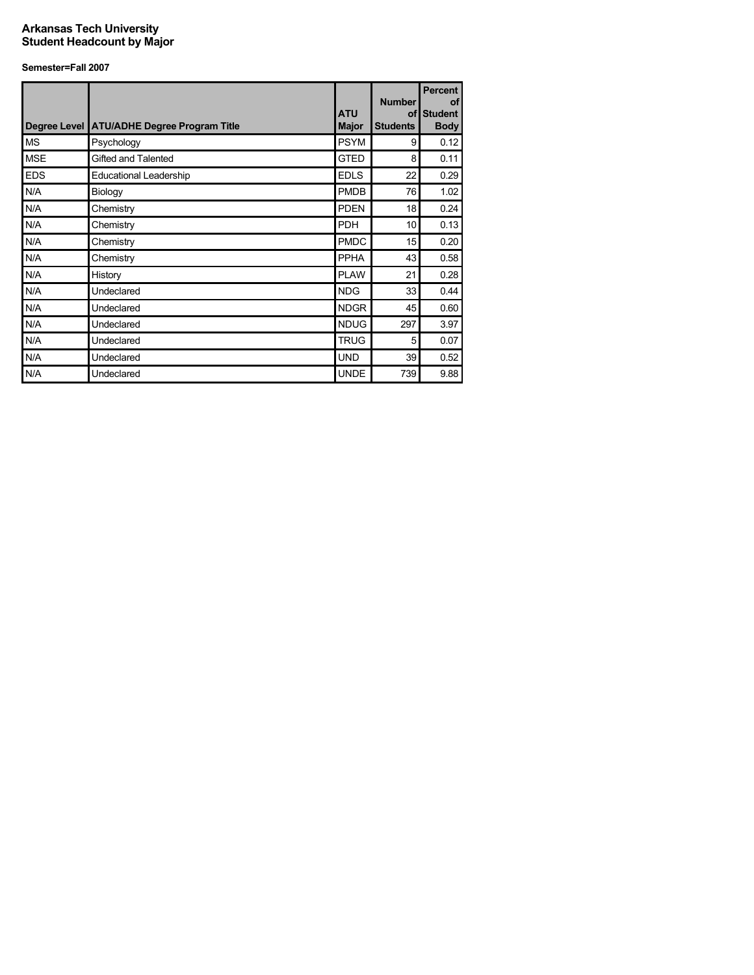|            | Degree Level ATU/ADHE Degree Program Title | <b>ATU</b><br><b>Major</b> | <b>Number</b><br><b>of</b><br><b>Students</b> | <b>Percent</b><br>of<br><b>Student</b><br><b>Body</b> |
|------------|--------------------------------------------|----------------------------|-----------------------------------------------|-------------------------------------------------------|
| <b>MS</b>  | Psychology                                 | <b>PSYM</b>                | 9                                             | 0.12                                                  |
| <b>MSE</b> | Gifted and Talented                        | <b>GTED</b>                | 8                                             | 0.11                                                  |
| <b>EDS</b> | <b>Educational Leadership</b>              | <b>EDLS</b>                | 22                                            | 0.29                                                  |
| N/A        | Biology                                    | <b>PMDB</b>                | 76                                            | 1.02                                                  |
| N/A        | Chemistry                                  | <b>PDEN</b>                | 18                                            | 0.24                                                  |
| N/A        | Chemistry                                  | <b>PDH</b>                 | 10                                            | 0.13                                                  |
| N/A        | Chemistry                                  | <b>PMDC</b>                | 15                                            | 0.20                                                  |
| N/A        | Chemistry                                  | <b>PPHA</b>                | 43                                            | 0.58                                                  |
| N/A        | History                                    | <b>PLAW</b>                | 21                                            | 0.28                                                  |
| N/A        | Undeclared                                 | <b>NDG</b>                 | 33                                            | 0.44                                                  |
| N/A        | Undeclared                                 | <b>NDGR</b>                | 45                                            | 0.60                                                  |
| N/A        | Undeclared                                 | <b>NDUG</b>                | 297                                           | 3.97                                                  |
| N/A        | Undeclared                                 | <b>TRUG</b>                | 5                                             | 0.07                                                  |
| N/A        | Undeclared                                 | <b>UND</b>                 | 39                                            | 0.52                                                  |
| N/A        | Undeclared                                 | <b>UNDE</b>                | 739                                           | 9.88                                                  |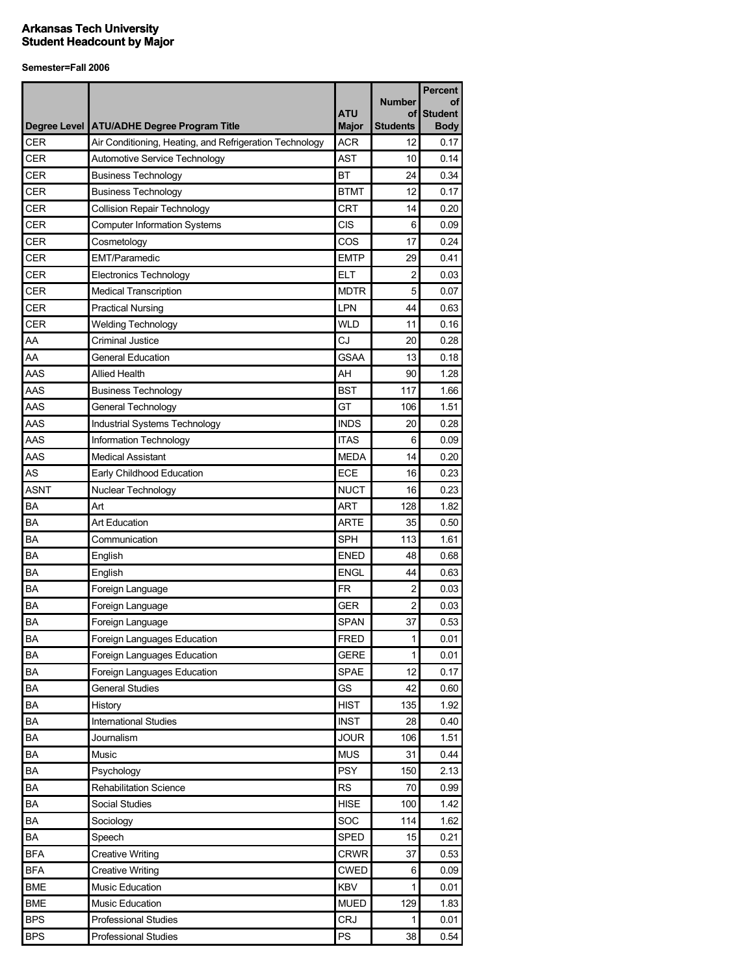|             |                                                         |                            |                       | <b>Percent</b>                |
|-------------|---------------------------------------------------------|----------------------------|-----------------------|-------------------------------|
|             |                                                         |                            | <b>Number</b>         | οf                            |
|             | Degree Level   ATU/ADHE Degree Program Title            | <b>ATU</b><br><b>Major</b> | οf<br><b>Students</b> | <b>Student</b><br><b>Body</b> |
| <b>CER</b>  | Air Conditioning, Heating, and Refrigeration Technology | <b>ACR</b>                 | 12                    | 0.17                          |
| <b>CER</b>  | Automotive Service Technology                           | <b>AST</b>                 | 10                    | 0.14                          |
| <b>CER</b>  | <b>Business Technology</b>                              | <b>BT</b>                  | 24                    | 0.34                          |
| <b>CER</b>  | <b>Business Technology</b>                              | <b>BTMT</b>                | 12                    | 0.17                          |
| <b>CER</b>  | <b>Collision Repair Technology</b>                      | <b>CRT</b>                 | 14                    | 0.20                          |
| <b>CER</b>  | <b>Computer Information Systems</b>                     | <b>CIS</b>                 | 6                     | 0.09                          |
| <b>CER</b>  | Cosmetology                                             | COS                        | 17                    | 0.24                          |
| <b>CER</b>  | <b>EMT/Paramedic</b>                                    | <b>EMTP</b>                | 29                    | 0.41                          |
| CER         | <b>Electronics Technology</b>                           | ELT                        | 2                     | 0.03                          |
| CER         | Medical Transcription                                   | <b>MDTR</b>                | 5                     | 0.07                          |
| <b>CER</b>  | <b>Practical Nursing</b>                                | <b>LPN</b>                 | 44                    | 0.63                          |
| <b>CER</b>  | <b>Welding Technology</b>                               | <b>WLD</b>                 | 11                    | 0.16                          |
| AA          | Criminal Justice                                        | CJ                         | 20                    | 0.28                          |
| AA          | General Education                                       | <b>GSAA</b>                | 13                    | 0.18                          |
| AAS         | <b>Allied Health</b>                                    | AH                         | 90                    | 1.28                          |
| AAS         | <b>Business Technology</b>                              | <b>BST</b>                 | 117                   | 1.66                          |
| AAS         | General Technology                                      | GT                         | 106                   | 1.51                          |
| AAS         | Industrial Systems Technology                           | <b>INDS</b>                | 20                    | 0.28                          |
| AAS         | Information Technology                                  | <b>ITAS</b>                | 6                     | 0.09                          |
| AAS         | <b>Medical Assistant</b>                                | <b>MEDA</b>                | 14                    | 0.20                          |
| AS          | Early Childhood Education                               | ECE                        | 16                    | 0.23                          |
| <b>ASNT</b> | Nuclear Technology                                      | <b>NUCT</b>                | 16                    | 0.23                          |
| BA          | Art                                                     | <b>ART</b>                 | 128                   | 1.82                          |
| BA          | <b>Art Education</b>                                    | <b>ARTE</b>                | 35                    | 0.50                          |
| BA          | Communication                                           | <b>SPH</b>                 | 113                   | 1.61                          |
| BA          | English                                                 | <b>ENED</b>                | 48                    | 0.68                          |
| BA          | English                                                 | <b>ENGL</b>                | 44                    | 0.63                          |
| BA          | Foreign Language                                        | <b>FR</b>                  | $\overline{c}$        | 0.03                          |
| ΒA          | Foreign Language                                        | GER                        | 2                     | 0.03                          |
| <b>BA</b>   | Foreign Language                                        | <b>SPAN</b>                | 37                    | 0.53                          |
| BA          | Foreign Languages Education                             | <b>FRED</b>                | $\mathbf{1}$          | 0.01                          |
| BA          | Foreign Languages Education                             | <b>GERE</b>                | 1                     | 0.01                          |
| BA          | Foreign Languages Education                             | SPAE                       | 12                    | 0.17                          |
| BA          | <b>General Studies</b>                                  | GS                         | 42                    | 0.60                          |
| BA          | History                                                 | <b>HIST</b>                | 135                   | 1.92                          |
| BA          | <b>International Studies</b>                            | <b>INST</b>                | 28                    | 0.40                          |
| BA          | Journalism                                              | <b>JOUR</b>                | 106                   | 1.51                          |
| BA          | Music                                                   | <b>MUS</b>                 | 31                    | 0.44                          |
| BA          | Psychology                                              | <b>PSY</b>                 | 150                   | 2.13                          |
| BA          | <b>Rehabilitation Science</b>                           | <b>RS</b>                  | 70                    | 0.99                          |
| BA          | Social Studies                                          | <b>HISE</b>                | 100                   | 1.42                          |
| BA          | Sociology                                               | SOC                        | 114                   | 1.62                          |
| BA          | Speech                                                  | <b>SPED</b>                | 15                    | 0.21                          |
| <b>BFA</b>  | <b>Creative Writing</b>                                 | <b>CRWR</b>                | 37                    | 0.53                          |
| <b>BFA</b>  | <b>Creative Writing</b>                                 | <b>CWED</b>                | 6                     | 0.09                          |
| <b>BME</b>  | Music Education                                         | <b>KBV</b>                 | 1                     | 0.01                          |
| <b>BME</b>  | Music Education                                         | <b>MUED</b>                | 129                   | 1.83                          |
| <b>BPS</b>  | <b>Professional Studies</b>                             | <b>CRJ</b>                 | 1                     | 0.01                          |
| <b>BPS</b>  | <b>Professional Studies</b>                             | PS                         | 38                    | 0.54                          |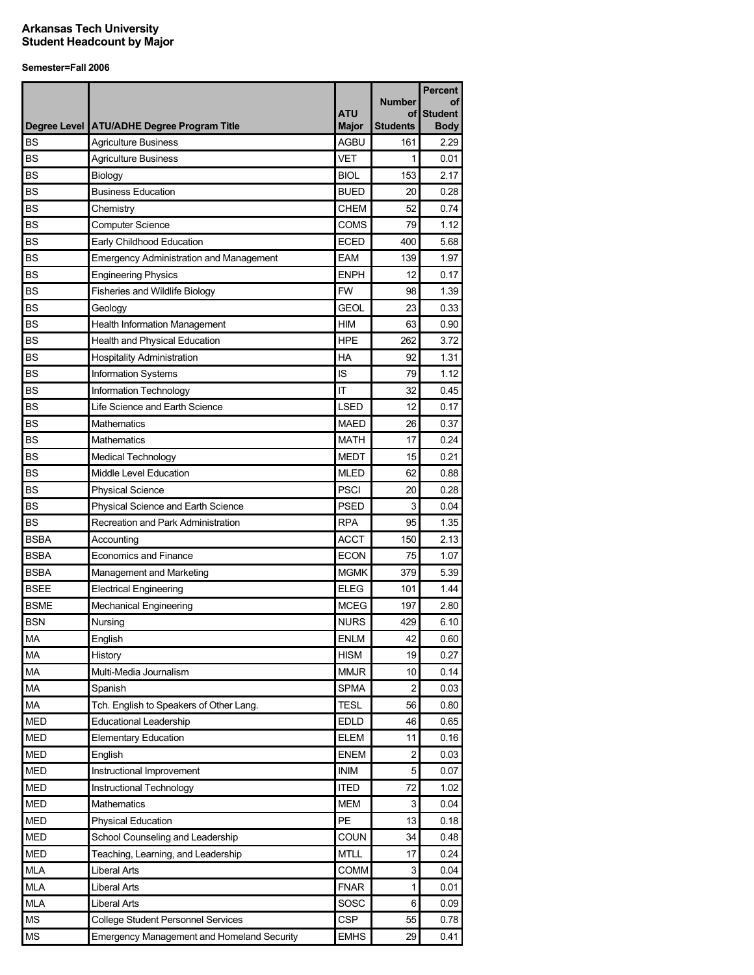|              |                                                   |                     |                       | Percent                       |
|--------------|---------------------------------------------------|---------------------|-----------------------|-------------------------------|
|              |                                                   |                     | <b>Number</b>         | οf                            |
| Degree Level | <b>ATU/ADHE Degree Program Title</b>              | ATU<br><b>Major</b> | of<br><b>Students</b> | <b>Student</b><br><b>Body</b> |
| <b>BS</b>    | <b>Agriculture Business</b>                       | <b>AGBU</b>         | 161                   | 2.29                          |
| <b>BS</b>    | <b>Agriculture Business</b>                       | <b>VET</b>          | 1                     | 0.01                          |
| <b>BS</b>    | Biology                                           | <b>BIOL</b>         | 153                   | 2.17                          |
| <b>BS</b>    | <b>Business Education</b>                         | <b>BUED</b>         | 20                    | 0.28                          |
| <b>BS</b>    | Chemistry                                         | <b>CHEM</b>         | 52                    | 0.74                          |
| <b>BS</b>    | <b>Computer Science</b>                           | <b>COMS</b>         | 79                    | 1.12                          |
| <b>BS</b>    | Early Childhood Education                         | <b>ECED</b>         | 400                   | 5.68                          |
| <b>BS</b>    | <b>Emergency Administration and Management</b>    | <b>EAM</b>          | 139                   | 1.97                          |
| <b>BS</b>    | <b>Engineering Physics</b>                        | <b>ENPH</b>         | 12                    | 0.17                          |
| <b>BS</b>    | Fisheries and Wildlife Biology                    | <b>FW</b>           | 98                    | 1.39                          |
| <b>BS</b>    | Geology                                           | <b>GEOL</b>         | 23                    | 0.33                          |
| <b>BS</b>    | Health Information Management                     | <b>HIM</b>          | 63                    | 0.90                          |
| <b>BS</b>    | Health and Physical Education                     | <b>HPE</b>          | 262                   | 3.72                          |
| <b>BS</b>    | <b>Hospitality Administration</b>                 | HA                  | 92                    | 1.31                          |
| <b>BS</b>    | Information Systems                               | IS                  | 79                    | 1.12                          |
| <b>BS</b>    | Information Technology                            | IT                  | 32                    | 0.45                          |
| <b>BS</b>    | Life Science and Earth Science                    | <b>LSED</b>         | 12                    | 0.17                          |
| <b>BS</b>    | Mathematics                                       | <b>MAED</b>         | 26                    | 0.37                          |
| <b>BS</b>    | Mathematics                                       | <b>MATH</b>         | 17                    | 0.24                          |
| <b>BS</b>    | <b>Medical Technology</b>                         | <b>MEDT</b>         | 15                    | 0.21                          |
| <b>BS</b>    | Middle Level Education                            | <b>MLED</b>         | 62                    | 0.88                          |
| <b>BS</b>    | <b>Physical Science</b>                           | <b>PSCI</b>         | 20                    | 0.28                          |
| <b>BS</b>    | <b>Physical Science and Earth Science</b>         | <b>PSED</b>         | 3                     | 0.04                          |
| <b>BS</b>    | Recreation and Park Administration                | <b>RPA</b>          | 95                    | 1.35                          |
| <b>BSBA</b>  | Accounting                                        | <b>ACCT</b>         | 150                   | 2.13                          |
| <b>BSBA</b>  | Economics and Finance                             | <b>ECON</b>         | 75                    | 1.07                          |
| <b>BSBA</b>  | Management and Marketing                          | <b>MGMK</b>         | 379                   | 5.39                          |
| <b>BSEE</b>  | <b>Electrical Engineering</b>                     | <b>ELEG</b>         | 101                   | 1.44                          |
| <b>BSME</b>  | <b>Mechanical Engineering</b>                     | <b>MCEG</b>         | 197                   | 2.80                          |
| <b>BSN</b>   | Nursing                                           | <b>NURS</b>         | 429                   | 6.10                          |
| MA           | English                                           | <b>ENLM</b>         | 42                    | 0.60                          |
| <b>MA</b>    | History                                           | <b>HISM</b>         | 19                    | 0.27                          |
| MA           | Multi-Media Journalism                            | <b>MMJR</b>         | 10                    | 0.14                          |
| MA           | Spanish                                           | <b>SPMA</b>         | 2                     | 0.03                          |
| MA           | Tch. English to Speakers of Other Lang.           | <b>TESL</b>         | 56                    | 0.80                          |
| <b>MED</b>   | <b>Educational Leadership</b>                     | <b>EDLD</b>         | 46                    | 0.65                          |
| <b>MED</b>   | <b>Elementary Education</b>                       | <b>ELEM</b>         | 11                    | 0.16                          |
| <b>MED</b>   | English                                           | <b>ENEM</b>         | 2                     | 0.03                          |
| <b>MED</b>   | Instructional Improvement                         | <b>INIM</b>         | 5                     | 0.07                          |
| <b>MED</b>   | Instructional Technology                          | <b>ITED</b>         | 72                    | 1.02                          |
| <b>MED</b>   | Mathematics                                       | <b>MEM</b>          | 3                     | 0.04                          |
| <b>MED</b>   | <b>Physical Education</b>                         | PE                  | 13                    | 0.18                          |
| <b>MED</b>   | School Counseling and Leadership                  | <b>COUN</b>         | 34                    | 0.48                          |
| <b>MED</b>   | Teaching, Learning, and Leadership                | MTLL                | 17                    | 0.24                          |
| <b>MLA</b>   | <b>Liberal Arts</b>                               | <b>COMM</b>         | 3                     | 0.04                          |
| MLA          | Liberal Arts                                      | <b>FNAR</b>         | 1                     | 0.01                          |
| <b>MLA</b>   | <b>Liberal Arts</b>                               | SOSC                | 6                     | 0.09                          |
| МS           | <b>College Student Personnel Services</b>         | <b>CSP</b>          | 55                    | 0.78                          |
| <b>MS</b>    | <b>Emergency Management and Homeland Security</b> | <b>EMHS</b>         | 29                    | 0.41                          |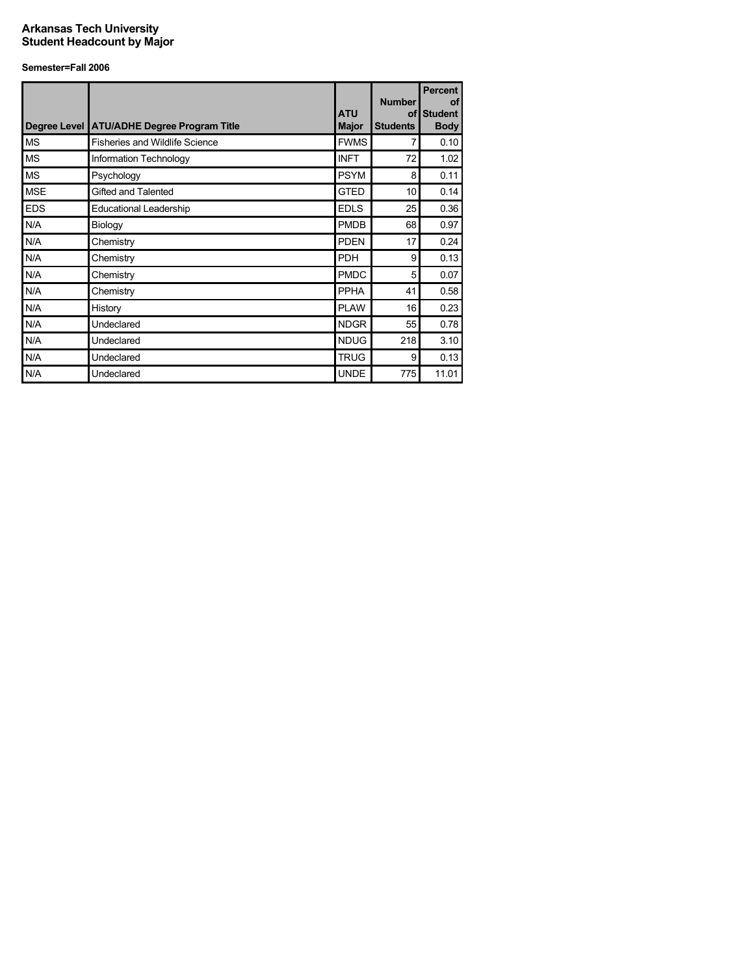|            | Degree Level ATU/ADHE Degree Program Title | <b>ATU</b><br><b>Major</b> | <b>Number</b><br>of l<br><b>Students</b> | <b>Percent</b><br>of<br><b>Student</b><br><b>Body</b> |
|------------|--------------------------------------------|----------------------------|------------------------------------------|-------------------------------------------------------|
| <b>MS</b>  | <b>Fisheries and Wildlife Science</b>      | <b>FWMS</b>                | 7                                        | 0.10                                                  |
| <b>MS</b>  | Information Technology                     | <b>INFT</b>                | 72                                       | 1.02                                                  |
| <b>MS</b>  | Psychology                                 | <b>PSYM</b>                | 8                                        | 0.11                                                  |
| <b>MSE</b> | Gifted and Talented                        | <b>GTED</b>                | 10                                       | 0.14                                                  |
| <b>EDS</b> | <b>Educational Leadership</b>              | <b>EDLS</b>                | 25                                       | 0.36                                                  |
| N/A        | Biology                                    | <b>PMDB</b>                | 68                                       | 0.97                                                  |
| N/A        | Chemistry                                  | <b>PDEN</b>                | 17                                       | 0.24                                                  |
| N/A        | Chemistry                                  | <b>PDH</b>                 | 9                                        | 0.13                                                  |
| N/A        | Chemistry                                  | <b>PMDC</b>                | 5                                        | 0.07                                                  |
| N/A        | Chemistry                                  | <b>PPHA</b>                | 41                                       | 0.58                                                  |
| N/A        | History                                    | <b>PLAW</b>                | 16                                       | 0.23                                                  |
| N/A        | Undeclared                                 | <b>NDGR</b>                | 55                                       | 0.78                                                  |
| N/A        | Undeclared                                 | <b>NDUG</b>                | 218                                      | 3.10                                                  |
| N/A        | Undeclared                                 | <b>TRUG</b>                | 9                                        | 0.13                                                  |
| N/A        | Undeclared                                 | <b>UNDE</b>                | 775                                      | 11.01                                                 |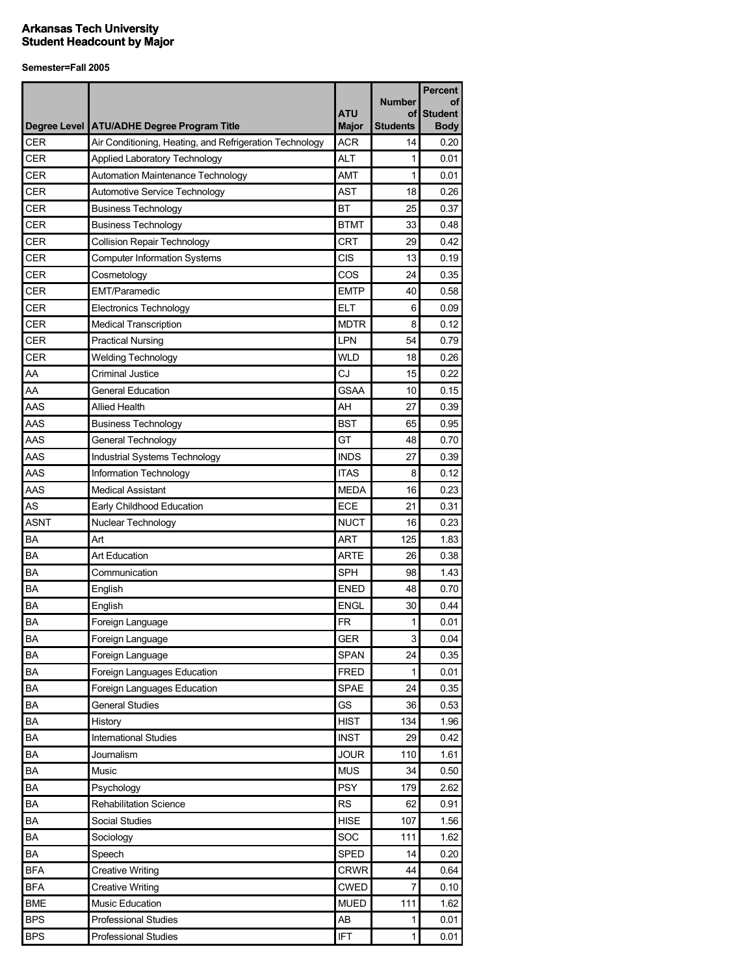| <b>Number</b><br>οf<br>ATU<br><b>Student</b><br>οf<br>Degree Level   ATU/ADHE Degree Program Title<br><b>Major</b><br><b>Students</b><br><b>Body</b><br>CER<br><b>ACR</b><br>Air Conditioning, Heating, and Refrigeration Technology<br>14<br>0.20<br><b>CER</b><br><b>ALT</b><br>Applied Laboratory Technology<br>1<br>0.01<br><b>CER</b><br><b>AMT</b><br>1<br>Automation Maintenance Technology<br>0.01<br>CER<br>AST<br>0.26<br>Automotive Service Technology<br>18<br><b>BT</b><br>CER<br>25<br>0.37<br><b>Business Technology</b><br><b>CER</b><br><b>BTMT</b><br><b>Business Technology</b><br>33<br>0.48<br><b>CER</b><br>CRT<br><b>Collision Repair Technology</b><br>29<br>0.42<br><b>CER</b><br>CIS<br><b>Computer Information Systems</b><br>13<br>0.19<br>CER<br>COS<br>24<br>0.35<br>Cosmetology<br>CER<br><b>EMT/Paramedic</b><br><b>EMTP</b><br>40<br>0.58<br>CER<br><b>ELT</b><br><b>Electronics Technology</b><br>6<br>0.09<br><b>CER</b><br><b>MDTR</b><br>8<br>0.12<br><b>Medical Transcription</b><br>LPN<br>CER<br><b>Practical Nursing</b><br>54<br>0.79<br>CER<br><b>WLD</b><br><b>Welding Technology</b><br>18<br>0.26<br>CJ<br>AA<br><b>Criminal Justice</b><br>15<br>0.22<br><b>GSAA</b><br>AA<br><b>General Education</b><br>10<br>0.15<br>AAS<br><b>Allied Health</b><br>AH<br>27<br>0.39<br><b>BST</b><br>AAS<br><b>Business Technology</b><br>65<br>0.95<br>AAS<br>GT<br>48<br>0.70<br>General Technology<br>AAS<br><b>INDS</b><br>Industrial Systems Technology<br>0.39<br>27<br>AAS<br><b>ITAS</b><br>Information Technology<br>8<br>0.12<br>AAS<br>16<br><b>Medical Assistant</b><br><b>MEDA</b><br>0.23<br>AS<br><b>ECE</b><br>Early Childhood Education<br>21<br>0.31<br><b>ASNT</b><br><b>NUCT</b><br>0.23<br>Nuclear Technology<br>16<br><b>BA</b><br>Art<br><b>ART</b><br>125<br>1.83<br><b>BA</b><br><b>ARTE</b><br>0.38<br>Art Education<br>26<br><b>BA</b><br><b>SPH</b><br>Communication<br>98<br>1.43<br>BA<br><b>ENED</b><br>English<br>48<br>0.70<br><b>BA</b><br><b>ENGL</b><br>English<br>30<br>0.44<br>BA<br><b>FR</b><br>0.01<br>Foreign Language<br>1<br><b>BA</b><br>GER<br>3<br>Foreign Language<br>0.04<br>BA<br>Foreign Language<br><b>SPAN</b><br>24<br>0.35<br>Foreign Languages Education<br><b>FRED</b><br>BA<br>1<br>0.01<br>BA<br>Foreign Languages Education<br><b>SPAE</b><br>24<br>0.35<br><b>General Studies</b><br>ΒA<br>GS<br>36<br>0.53<br><b>HIST</b><br>134<br>BA<br>History<br>1.96<br>International Studies<br><b>INST</b><br>29<br>BA<br>0.42<br>BA<br>Journalism<br><b>JOUR</b><br>110<br>1.61<br>BA<br>Music<br><b>MUS</b><br>34<br>0.50<br><b>PSY</b><br>BA<br>179<br>Psychology<br>2.62<br><b>RS</b><br>62<br>ΒA<br><b>Rehabilitation Science</b><br>0.91<br>BA<br>Social Studies<br><b>HISE</b><br>107<br>1.56<br>BA<br>SOC<br>111<br>1.62<br>Sociology<br>BA<br><b>SPED</b><br>14<br>Speech<br>0.20<br><b>CRWR</b><br><b>BFA</b><br><b>Creative Writing</b><br>44<br>0.64<br><b>CWED</b><br><b>BFA</b><br><b>Creative Writing</b><br>7<br>0.10<br><b>BME</b><br>Music Education<br><b>MUED</b><br>111<br>1.62<br><b>BPS</b><br><b>Professional Studies</b><br>AB<br>1<br>0.01<br><b>BPS</b><br>Professional Studies<br><b>IFT</b><br>1<br>0.01 |  |  | <b>Percent</b> |
|-------------------------------------------------------------------------------------------------------------------------------------------------------------------------------------------------------------------------------------------------------------------------------------------------------------------------------------------------------------------------------------------------------------------------------------------------------------------------------------------------------------------------------------------------------------------------------------------------------------------------------------------------------------------------------------------------------------------------------------------------------------------------------------------------------------------------------------------------------------------------------------------------------------------------------------------------------------------------------------------------------------------------------------------------------------------------------------------------------------------------------------------------------------------------------------------------------------------------------------------------------------------------------------------------------------------------------------------------------------------------------------------------------------------------------------------------------------------------------------------------------------------------------------------------------------------------------------------------------------------------------------------------------------------------------------------------------------------------------------------------------------------------------------------------------------------------------------------------------------------------------------------------------------------------------------------------------------------------------------------------------------------------------------------------------------------------------------------------------------------------------------------------------------------------------------------------------------------------------------------------------------------------------------------------------------------------------------------------------------------------------------------------------------------------------------------------------------------------------------------------------------------------------------------------------------------------------------------------------------------------------------------------------------------------------------------------------------------------------------------------------------------------------------------------------------------------------------------------------------------------------------------------------------------------------------------------------------------------------------------------------------------------------------------------------------------------------------------------------------------------------------------------------------------------------------------------------------------------------|--|--|----------------|
|                                                                                                                                                                                                                                                                                                                                                                                                                                                                                                                                                                                                                                                                                                                                                                                                                                                                                                                                                                                                                                                                                                                                                                                                                                                                                                                                                                                                                                                                                                                                                                                                                                                                                                                                                                                                                                                                                                                                                                                                                                                                                                                                                                                                                                                                                                                                                                                                                                                                                                                                                                                                                                                                                                                                                                                                                                                                                                                                                                                                                                                                                                                                                                                                                               |  |  |                |
|                                                                                                                                                                                                                                                                                                                                                                                                                                                                                                                                                                                                                                                                                                                                                                                                                                                                                                                                                                                                                                                                                                                                                                                                                                                                                                                                                                                                                                                                                                                                                                                                                                                                                                                                                                                                                                                                                                                                                                                                                                                                                                                                                                                                                                                                                                                                                                                                                                                                                                                                                                                                                                                                                                                                                                                                                                                                                                                                                                                                                                                                                                                                                                                                                               |  |  |                |
|                                                                                                                                                                                                                                                                                                                                                                                                                                                                                                                                                                                                                                                                                                                                                                                                                                                                                                                                                                                                                                                                                                                                                                                                                                                                                                                                                                                                                                                                                                                                                                                                                                                                                                                                                                                                                                                                                                                                                                                                                                                                                                                                                                                                                                                                                                                                                                                                                                                                                                                                                                                                                                                                                                                                                                                                                                                                                                                                                                                                                                                                                                                                                                                                                               |  |  |                |
|                                                                                                                                                                                                                                                                                                                                                                                                                                                                                                                                                                                                                                                                                                                                                                                                                                                                                                                                                                                                                                                                                                                                                                                                                                                                                                                                                                                                                                                                                                                                                                                                                                                                                                                                                                                                                                                                                                                                                                                                                                                                                                                                                                                                                                                                                                                                                                                                                                                                                                                                                                                                                                                                                                                                                                                                                                                                                                                                                                                                                                                                                                                                                                                                                               |  |  |                |
|                                                                                                                                                                                                                                                                                                                                                                                                                                                                                                                                                                                                                                                                                                                                                                                                                                                                                                                                                                                                                                                                                                                                                                                                                                                                                                                                                                                                                                                                                                                                                                                                                                                                                                                                                                                                                                                                                                                                                                                                                                                                                                                                                                                                                                                                                                                                                                                                                                                                                                                                                                                                                                                                                                                                                                                                                                                                                                                                                                                                                                                                                                                                                                                                                               |  |  |                |
|                                                                                                                                                                                                                                                                                                                                                                                                                                                                                                                                                                                                                                                                                                                                                                                                                                                                                                                                                                                                                                                                                                                                                                                                                                                                                                                                                                                                                                                                                                                                                                                                                                                                                                                                                                                                                                                                                                                                                                                                                                                                                                                                                                                                                                                                                                                                                                                                                                                                                                                                                                                                                                                                                                                                                                                                                                                                                                                                                                                                                                                                                                                                                                                                                               |  |  |                |
|                                                                                                                                                                                                                                                                                                                                                                                                                                                                                                                                                                                                                                                                                                                                                                                                                                                                                                                                                                                                                                                                                                                                                                                                                                                                                                                                                                                                                                                                                                                                                                                                                                                                                                                                                                                                                                                                                                                                                                                                                                                                                                                                                                                                                                                                                                                                                                                                                                                                                                                                                                                                                                                                                                                                                                                                                                                                                                                                                                                                                                                                                                                                                                                                                               |  |  |                |
|                                                                                                                                                                                                                                                                                                                                                                                                                                                                                                                                                                                                                                                                                                                                                                                                                                                                                                                                                                                                                                                                                                                                                                                                                                                                                                                                                                                                                                                                                                                                                                                                                                                                                                                                                                                                                                                                                                                                                                                                                                                                                                                                                                                                                                                                                                                                                                                                                                                                                                                                                                                                                                                                                                                                                                                                                                                                                                                                                                                                                                                                                                                                                                                                                               |  |  |                |
|                                                                                                                                                                                                                                                                                                                                                                                                                                                                                                                                                                                                                                                                                                                                                                                                                                                                                                                                                                                                                                                                                                                                                                                                                                                                                                                                                                                                                                                                                                                                                                                                                                                                                                                                                                                                                                                                                                                                                                                                                                                                                                                                                                                                                                                                                                                                                                                                                                                                                                                                                                                                                                                                                                                                                                                                                                                                                                                                                                                                                                                                                                                                                                                                                               |  |  |                |
|                                                                                                                                                                                                                                                                                                                                                                                                                                                                                                                                                                                                                                                                                                                                                                                                                                                                                                                                                                                                                                                                                                                                                                                                                                                                                                                                                                                                                                                                                                                                                                                                                                                                                                                                                                                                                                                                                                                                                                                                                                                                                                                                                                                                                                                                                                                                                                                                                                                                                                                                                                                                                                                                                                                                                                                                                                                                                                                                                                                                                                                                                                                                                                                                                               |  |  |                |
|                                                                                                                                                                                                                                                                                                                                                                                                                                                                                                                                                                                                                                                                                                                                                                                                                                                                                                                                                                                                                                                                                                                                                                                                                                                                                                                                                                                                                                                                                                                                                                                                                                                                                                                                                                                                                                                                                                                                                                                                                                                                                                                                                                                                                                                                                                                                                                                                                                                                                                                                                                                                                                                                                                                                                                                                                                                                                                                                                                                                                                                                                                                                                                                                                               |  |  |                |
|                                                                                                                                                                                                                                                                                                                                                                                                                                                                                                                                                                                                                                                                                                                                                                                                                                                                                                                                                                                                                                                                                                                                                                                                                                                                                                                                                                                                                                                                                                                                                                                                                                                                                                                                                                                                                                                                                                                                                                                                                                                                                                                                                                                                                                                                                                                                                                                                                                                                                                                                                                                                                                                                                                                                                                                                                                                                                                                                                                                                                                                                                                                                                                                                                               |  |  |                |
|                                                                                                                                                                                                                                                                                                                                                                                                                                                                                                                                                                                                                                                                                                                                                                                                                                                                                                                                                                                                                                                                                                                                                                                                                                                                                                                                                                                                                                                                                                                                                                                                                                                                                                                                                                                                                                                                                                                                                                                                                                                                                                                                                                                                                                                                                                                                                                                                                                                                                                                                                                                                                                                                                                                                                                                                                                                                                                                                                                                                                                                                                                                                                                                                                               |  |  |                |
|                                                                                                                                                                                                                                                                                                                                                                                                                                                                                                                                                                                                                                                                                                                                                                                                                                                                                                                                                                                                                                                                                                                                                                                                                                                                                                                                                                                                                                                                                                                                                                                                                                                                                                                                                                                                                                                                                                                                                                                                                                                                                                                                                                                                                                                                                                                                                                                                                                                                                                                                                                                                                                                                                                                                                                                                                                                                                                                                                                                                                                                                                                                                                                                                                               |  |  |                |
|                                                                                                                                                                                                                                                                                                                                                                                                                                                                                                                                                                                                                                                                                                                                                                                                                                                                                                                                                                                                                                                                                                                                                                                                                                                                                                                                                                                                                                                                                                                                                                                                                                                                                                                                                                                                                                                                                                                                                                                                                                                                                                                                                                                                                                                                                                                                                                                                                                                                                                                                                                                                                                                                                                                                                                                                                                                                                                                                                                                                                                                                                                                                                                                                                               |  |  |                |
|                                                                                                                                                                                                                                                                                                                                                                                                                                                                                                                                                                                                                                                                                                                                                                                                                                                                                                                                                                                                                                                                                                                                                                                                                                                                                                                                                                                                                                                                                                                                                                                                                                                                                                                                                                                                                                                                                                                                                                                                                                                                                                                                                                                                                                                                                                                                                                                                                                                                                                                                                                                                                                                                                                                                                                                                                                                                                                                                                                                                                                                                                                                                                                                                                               |  |  |                |
|                                                                                                                                                                                                                                                                                                                                                                                                                                                                                                                                                                                                                                                                                                                                                                                                                                                                                                                                                                                                                                                                                                                                                                                                                                                                                                                                                                                                                                                                                                                                                                                                                                                                                                                                                                                                                                                                                                                                                                                                                                                                                                                                                                                                                                                                                                                                                                                                                                                                                                                                                                                                                                                                                                                                                                                                                                                                                                                                                                                                                                                                                                                                                                                                                               |  |  |                |
|                                                                                                                                                                                                                                                                                                                                                                                                                                                                                                                                                                                                                                                                                                                                                                                                                                                                                                                                                                                                                                                                                                                                                                                                                                                                                                                                                                                                                                                                                                                                                                                                                                                                                                                                                                                                                                                                                                                                                                                                                                                                                                                                                                                                                                                                                                                                                                                                                                                                                                                                                                                                                                                                                                                                                                                                                                                                                                                                                                                                                                                                                                                                                                                                                               |  |  |                |
|                                                                                                                                                                                                                                                                                                                                                                                                                                                                                                                                                                                                                                                                                                                                                                                                                                                                                                                                                                                                                                                                                                                                                                                                                                                                                                                                                                                                                                                                                                                                                                                                                                                                                                                                                                                                                                                                                                                                                                                                                                                                                                                                                                                                                                                                                                                                                                                                                                                                                                                                                                                                                                                                                                                                                                                                                                                                                                                                                                                                                                                                                                                                                                                                                               |  |  |                |
|                                                                                                                                                                                                                                                                                                                                                                                                                                                                                                                                                                                                                                                                                                                                                                                                                                                                                                                                                                                                                                                                                                                                                                                                                                                                                                                                                                                                                                                                                                                                                                                                                                                                                                                                                                                                                                                                                                                                                                                                                                                                                                                                                                                                                                                                                                                                                                                                                                                                                                                                                                                                                                                                                                                                                                                                                                                                                                                                                                                                                                                                                                                                                                                                                               |  |  |                |
|                                                                                                                                                                                                                                                                                                                                                                                                                                                                                                                                                                                                                                                                                                                                                                                                                                                                                                                                                                                                                                                                                                                                                                                                                                                                                                                                                                                                                                                                                                                                                                                                                                                                                                                                                                                                                                                                                                                                                                                                                                                                                                                                                                                                                                                                                                                                                                                                                                                                                                                                                                                                                                                                                                                                                                                                                                                                                                                                                                                                                                                                                                                                                                                                                               |  |  |                |
|                                                                                                                                                                                                                                                                                                                                                                                                                                                                                                                                                                                                                                                                                                                                                                                                                                                                                                                                                                                                                                                                                                                                                                                                                                                                                                                                                                                                                                                                                                                                                                                                                                                                                                                                                                                                                                                                                                                                                                                                                                                                                                                                                                                                                                                                                                                                                                                                                                                                                                                                                                                                                                                                                                                                                                                                                                                                                                                                                                                                                                                                                                                                                                                                                               |  |  |                |
|                                                                                                                                                                                                                                                                                                                                                                                                                                                                                                                                                                                                                                                                                                                                                                                                                                                                                                                                                                                                                                                                                                                                                                                                                                                                                                                                                                                                                                                                                                                                                                                                                                                                                                                                                                                                                                                                                                                                                                                                                                                                                                                                                                                                                                                                                                                                                                                                                                                                                                                                                                                                                                                                                                                                                                                                                                                                                                                                                                                                                                                                                                                                                                                                                               |  |  |                |
|                                                                                                                                                                                                                                                                                                                                                                                                                                                                                                                                                                                                                                                                                                                                                                                                                                                                                                                                                                                                                                                                                                                                                                                                                                                                                                                                                                                                                                                                                                                                                                                                                                                                                                                                                                                                                                                                                                                                                                                                                                                                                                                                                                                                                                                                                                                                                                                                                                                                                                                                                                                                                                                                                                                                                                                                                                                                                                                                                                                                                                                                                                                                                                                                                               |  |  |                |
|                                                                                                                                                                                                                                                                                                                                                                                                                                                                                                                                                                                                                                                                                                                                                                                                                                                                                                                                                                                                                                                                                                                                                                                                                                                                                                                                                                                                                                                                                                                                                                                                                                                                                                                                                                                                                                                                                                                                                                                                                                                                                                                                                                                                                                                                                                                                                                                                                                                                                                                                                                                                                                                                                                                                                                                                                                                                                                                                                                                                                                                                                                                                                                                                                               |  |  |                |
|                                                                                                                                                                                                                                                                                                                                                                                                                                                                                                                                                                                                                                                                                                                                                                                                                                                                                                                                                                                                                                                                                                                                                                                                                                                                                                                                                                                                                                                                                                                                                                                                                                                                                                                                                                                                                                                                                                                                                                                                                                                                                                                                                                                                                                                                                                                                                                                                                                                                                                                                                                                                                                                                                                                                                                                                                                                                                                                                                                                                                                                                                                                                                                                                                               |  |  |                |
|                                                                                                                                                                                                                                                                                                                                                                                                                                                                                                                                                                                                                                                                                                                                                                                                                                                                                                                                                                                                                                                                                                                                                                                                                                                                                                                                                                                                                                                                                                                                                                                                                                                                                                                                                                                                                                                                                                                                                                                                                                                                                                                                                                                                                                                                                                                                                                                                                                                                                                                                                                                                                                                                                                                                                                                                                                                                                                                                                                                                                                                                                                                                                                                                                               |  |  |                |
|                                                                                                                                                                                                                                                                                                                                                                                                                                                                                                                                                                                                                                                                                                                                                                                                                                                                                                                                                                                                                                                                                                                                                                                                                                                                                                                                                                                                                                                                                                                                                                                                                                                                                                                                                                                                                                                                                                                                                                                                                                                                                                                                                                                                                                                                                                                                                                                                                                                                                                                                                                                                                                                                                                                                                                                                                                                                                                                                                                                                                                                                                                                                                                                                                               |  |  |                |
|                                                                                                                                                                                                                                                                                                                                                                                                                                                                                                                                                                                                                                                                                                                                                                                                                                                                                                                                                                                                                                                                                                                                                                                                                                                                                                                                                                                                                                                                                                                                                                                                                                                                                                                                                                                                                                                                                                                                                                                                                                                                                                                                                                                                                                                                                                                                                                                                                                                                                                                                                                                                                                                                                                                                                                                                                                                                                                                                                                                                                                                                                                                                                                                                                               |  |  |                |
|                                                                                                                                                                                                                                                                                                                                                                                                                                                                                                                                                                                                                                                                                                                                                                                                                                                                                                                                                                                                                                                                                                                                                                                                                                                                                                                                                                                                                                                                                                                                                                                                                                                                                                                                                                                                                                                                                                                                                                                                                                                                                                                                                                                                                                                                                                                                                                                                                                                                                                                                                                                                                                                                                                                                                                                                                                                                                                                                                                                                                                                                                                                                                                                                                               |  |  |                |
|                                                                                                                                                                                                                                                                                                                                                                                                                                                                                                                                                                                                                                                                                                                                                                                                                                                                                                                                                                                                                                                                                                                                                                                                                                                                                                                                                                                                                                                                                                                                                                                                                                                                                                                                                                                                                                                                                                                                                                                                                                                                                                                                                                                                                                                                                                                                                                                                                                                                                                                                                                                                                                                                                                                                                                                                                                                                                                                                                                                                                                                                                                                                                                                                                               |  |  |                |
|                                                                                                                                                                                                                                                                                                                                                                                                                                                                                                                                                                                                                                                                                                                                                                                                                                                                                                                                                                                                                                                                                                                                                                                                                                                                                                                                                                                                                                                                                                                                                                                                                                                                                                                                                                                                                                                                                                                                                                                                                                                                                                                                                                                                                                                                                                                                                                                                                                                                                                                                                                                                                                                                                                                                                                                                                                                                                                                                                                                                                                                                                                                                                                                                                               |  |  |                |
|                                                                                                                                                                                                                                                                                                                                                                                                                                                                                                                                                                                                                                                                                                                                                                                                                                                                                                                                                                                                                                                                                                                                                                                                                                                                                                                                                                                                                                                                                                                                                                                                                                                                                                                                                                                                                                                                                                                                                                                                                                                                                                                                                                                                                                                                                                                                                                                                                                                                                                                                                                                                                                                                                                                                                                                                                                                                                                                                                                                                                                                                                                                                                                                                                               |  |  |                |
|                                                                                                                                                                                                                                                                                                                                                                                                                                                                                                                                                                                                                                                                                                                                                                                                                                                                                                                                                                                                                                                                                                                                                                                                                                                                                                                                                                                                                                                                                                                                                                                                                                                                                                                                                                                                                                                                                                                                                                                                                                                                                                                                                                                                                                                                                                                                                                                                                                                                                                                                                                                                                                                                                                                                                                                                                                                                                                                                                                                                                                                                                                                                                                                                                               |  |  |                |
|                                                                                                                                                                                                                                                                                                                                                                                                                                                                                                                                                                                                                                                                                                                                                                                                                                                                                                                                                                                                                                                                                                                                                                                                                                                                                                                                                                                                                                                                                                                                                                                                                                                                                                                                                                                                                                                                                                                                                                                                                                                                                                                                                                                                                                                                                                                                                                                                                                                                                                                                                                                                                                                                                                                                                                                                                                                                                                                                                                                                                                                                                                                                                                                                                               |  |  |                |
|                                                                                                                                                                                                                                                                                                                                                                                                                                                                                                                                                                                                                                                                                                                                                                                                                                                                                                                                                                                                                                                                                                                                                                                                                                                                                                                                                                                                                                                                                                                                                                                                                                                                                                                                                                                                                                                                                                                                                                                                                                                                                                                                                                                                                                                                                                                                                                                                                                                                                                                                                                                                                                                                                                                                                                                                                                                                                                                                                                                                                                                                                                                                                                                                                               |  |  |                |
|                                                                                                                                                                                                                                                                                                                                                                                                                                                                                                                                                                                                                                                                                                                                                                                                                                                                                                                                                                                                                                                                                                                                                                                                                                                                                                                                                                                                                                                                                                                                                                                                                                                                                                                                                                                                                                                                                                                                                                                                                                                                                                                                                                                                                                                                                                                                                                                                                                                                                                                                                                                                                                                                                                                                                                                                                                                                                                                                                                                                                                                                                                                                                                                                                               |  |  |                |
|                                                                                                                                                                                                                                                                                                                                                                                                                                                                                                                                                                                                                                                                                                                                                                                                                                                                                                                                                                                                                                                                                                                                                                                                                                                                                                                                                                                                                                                                                                                                                                                                                                                                                                                                                                                                                                                                                                                                                                                                                                                                                                                                                                                                                                                                                                                                                                                                                                                                                                                                                                                                                                                                                                                                                                                                                                                                                                                                                                                                                                                                                                                                                                                                                               |  |  |                |
|                                                                                                                                                                                                                                                                                                                                                                                                                                                                                                                                                                                                                                                                                                                                                                                                                                                                                                                                                                                                                                                                                                                                                                                                                                                                                                                                                                                                                                                                                                                                                                                                                                                                                                                                                                                                                                                                                                                                                                                                                                                                                                                                                                                                                                                                                                                                                                                                                                                                                                                                                                                                                                                                                                                                                                                                                                                                                                                                                                                                                                                                                                                                                                                                                               |  |  |                |
|                                                                                                                                                                                                                                                                                                                                                                                                                                                                                                                                                                                                                                                                                                                                                                                                                                                                                                                                                                                                                                                                                                                                                                                                                                                                                                                                                                                                                                                                                                                                                                                                                                                                                                                                                                                                                                                                                                                                                                                                                                                                                                                                                                                                                                                                                                                                                                                                                                                                                                                                                                                                                                                                                                                                                                                                                                                                                                                                                                                                                                                                                                                                                                                                                               |  |  |                |
|                                                                                                                                                                                                                                                                                                                                                                                                                                                                                                                                                                                                                                                                                                                                                                                                                                                                                                                                                                                                                                                                                                                                                                                                                                                                                                                                                                                                                                                                                                                                                                                                                                                                                                                                                                                                                                                                                                                                                                                                                                                                                                                                                                                                                                                                                                                                                                                                                                                                                                                                                                                                                                                                                                                                                                                                                                                                                                                                                                                                                                                                                                                                                                                                                               |  |  |                |
|                                                                                                                                                                                                                                                                                                                                                                                                                                                                                                                                                                                                                                                                                                                                                                                                                                                                                                                                                                                                                                                                                                                                                                                                                                                                                                                                                                                                                                                                                                                                                                                                                                                                                                                                                                                                                                                                                                                                                                                                                                                                                                                                                                                                                                                                                                                                                                                                                                                                                                                                                                                                                                                                                                                                                                                                                                                                                                                                                                                                                                                                                                                                                                                                                               |  |  |                |
|                                                                                                                                                                                                                                                                                                                                                                                                                                                                                                                                                                                                                                                                                                                                                                                                                                                                                                                                                                                                                                                                                                                                                                                                                                                                                                                                                                                                                                                                                                                                                                                                                                                                                                                                                                                                                                                                                                                                                                                                                                                                                                                                                                                                                                                                                                                                                                                                                                                                                                                                                                                                                                                                                                                                                                                                                                                                                                                                                                                                                                                                                                                                                                                                                               |  |  |                |
|                                                                                                                                                                                                                                                                                                                                                                                                                                                                                                                                                                                                                                                                                                                                                                                                                                                                                                                                                                                                                                                                                                                                                                                                                                                                                                                                                                                                                                                                                                                                                                                                                                                                                                                                                                                                                                                                                                                                                                                                                                                                                                                                                                                                                                                                                                                                                                                                                                                                                                                                                                                                                                                                                                                                                                                                                                                                                                                                                                                                                                                                                                                                                                                                                               |  |  |                |
|                                                                                                                                                                                                                                                                                                                                                                                                                                                                                                                                                                                                                                                                                                                                                                                                                                                                                                                                                                                                                                                                                                                                                                                                                                                                                                                                                                                                                                                                                                                                                                                                                                                                                                                                                                                                                                                                                                                                                                                                                                                                                                                                                                                                                                                                                                                                                                                                                                                                                                                                                                                                                                                                                                                                                                                                                                                                                                                                                                                                                                                                                                                                                                                                                               |  |  |                |
|                                                                                                                                                                                                                                                                                                                                                                                                                                                                                                                                                                                                                                                                                                                                                                                                                                                                                                                                                                                                                                                                                                                                                                                                                                                                                                                                                                                                                                                                                                                                                                                                                                                                                                                                                                                                                                                                                                                                                                                                                                                                                                                                                                                                                                                                                                                                                                                                                                                                                                                                                                                                                                                                                                                                                                                                                                                                                                                                                                                                                                                                                                                                                                                                                               |  |  |                |
|                                                                                                                                                                                                                                                                                                                                                                                                                                                                                                                                                                                                                                                                                                                                                                                                                                                                                                                                                                                                                                                                                                                                                                                                                                                                                                                                                                                                                                                                                                                                                                                                                                                                                                                                                                                                                                                                                                                                                                                                                                                                                                                                                                                                                                                                                                                                                                                                                                                                                                                                                                                                                                                                                                                                                                                                                                                                                                                                                                                                                                                                                                                                                                                                                               |  |  |                |
|                                                                                                                                                                                                                                                                                                                                                                                                                                                                                                                                                                                                                                                                                                                                                                                                                                                                                                                                                                                                                                                                                                                                                                                                                                                                                                                                                                                                                                                                                                                                                                                                                                                                                                                                                                                                                                                                                                                                                                                                                                                                                                                                                                                                                                                                                                                                                                                                                                                                                                                                                                                                                                                                                                                                                                                                                                                                                                                                                                                                                                                                                                                                                                                                                               |  |  |                |
|                                                                                                                                                                                                                                                                                                                                                                                                                                                                                                                                                                                                                                                                                                                                                                                                                                                                                                                                                                                                                                                                                                                                                                                                                                                                                                                                                                                                                                                                                                                                                                                                                                                                                                                                                                                                                                                                                                                                                                                                                                                                                                                                                                                                                                                                                                                                                                                                                                                                                                                                                                                                                                                                                                                                                                                                                                                                                                                                                                                                                                                                                                                                                                                                                               |  |  |                |
|                                                                                                                                                                                                                                                                                                                                                                                                                                                                                                                                                                                                                                                                                                                                                                                                                                                                                                                                                                                                                                                                                                                                                                                                                                                                                                                                                                                                                                                                                                                                                                                                                                                                                                                                                                                                                                                                                                                                                                                                                                                                                                                                                                                                                                                                                                                                                                                                                                                                                                                                                                                                                                                                                                                                                                                                                                                                                                                                                                                                                                                                                                                                                                                                                               |  |  |                |
|                                                                                                                                                                                                                                                                                                                                                                                                                                                                                                                                                                                                                                                                                                                                                                                                                                                                                                                                                                                                                                                                                                                                                                                                                                                                                                                                                                                                                                                                                                                                                                                                                                                                                                                                                                                                                                                                                                                                                                                                                                                                                                                                                                                                                                                                                                                                                                                                                                                                                                                                                                                                                                                                                                                                                                                                                                                                                                                                                                                                                                                                                                                                                                                                                               |  |  |                |
|                                                                                                                                                                                                                                                                                                                                                                                                                                                                                                                                                                                                                                                                                                                                                                                                                                                                                                                                                                                                                                                                                                                                                                                                                                                                                                                                                                                                                                                                                                                                                                                                                                                                                                                                                                                                                                                                                                                                                                                                                                                                                                                                                                                                                                                                                                                                                                                                                                                                                                                                                                                                                                                                                                                                                                                                                                                                                                                                                                                                                                                                                                                                                                                                                               |  |  |                |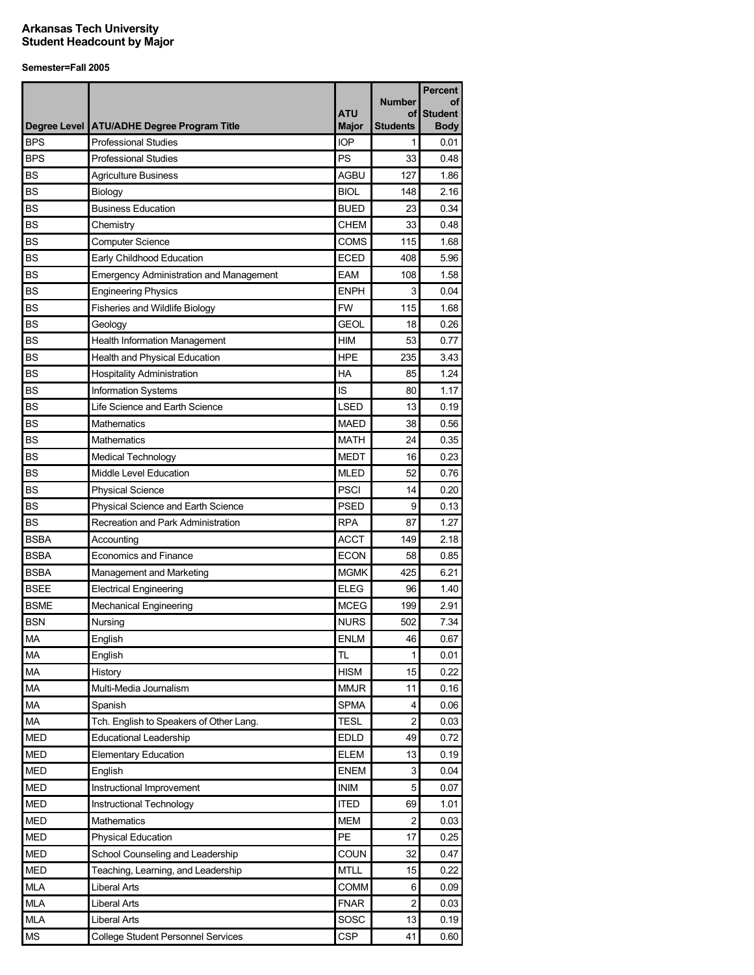|             |                                                |              |                     | <b>Percent</b>       |
|-------------|------------------------------------------------|--------------|---------------------|----------------------|
|             |                                                | <b>ATU</b>   | <b>Number</b><br>οf | οf<br><b>Student</b> |
|             | Degree Level   ATU/ADHE Degree Program Title   | <b>Major</b> | Students            | <b>Body</b>          |
| <b>BPS</b>  | <b>Professional Studies</b>                    | <b>IOP</b>   | 1                   | 0.01                 |
| <b>BPS</b>  | <b>Professional Studies</b>                    | PS           | 33                  | 0.48                 |
| <b>BS</b>   | <b>Agriculture Business</b>                    | <b>AGBU</b>  | 127                 | 1.86                 |
| <b>BS</b>   | Biology                                        | <b>BIOL</b>  | 148                 | 2.16                 |
| <b>BS</b>   | <b>Business Education</b>                      | <b>BUED</b>  | 23                  | 0.34                 |
| <b>BS</b>   | Chemistry                                      | CHEM         | 33                  | 0.48                 |
| <b>BS</b>   | <b>Computer Science</b>                        | COMS         | 115                 | 1.68                 |
| <b>BS</b>   | Early Childhood Education                      | <b>ECED</b>  | 408                 | 5.96                 |
| <b>BS</b>   | <b>Emergency Administration and Management</b> | EAM          | 108                 | 1.58                 |
| <b>BS</b>   | <b>Engineering Physics</b>                     | <b>ENPH</b>  | 3                   | 0.04                 |
| <b>BS</b>   | Fisheries and Wildlife Biology                 | <b>FW</b>    | 115                 | 1.68                 |
| <b>BS</b>   | Geology                                        | <b>GEOL</b>  | 18                  | 0.26                 |
| <b>BS</b>   | <b>Health Information Management</b>           | HIM          | 53                  | 0.77                 |
| <b>BS</b>   | Health and Physical Education                  | <b>HPE</b>   | 235                 | 3.43                 |
| <b>BS</b>   | <b>Hospitality Administration</b>              | HA           | 85                  | 1.24                 |
| <b>BS</b>   | Information Systems                            | IS           | 80                  | 1.17                 |
| <b>BS</b>   | Life Science and Earth Science                 | <b>LSED</b>  | 13                  | 0.19                 |
| <b>BS</b>   | <b>Mathematics</b>                             | <b>MAED</b>  | 38                  | 0.56                 |
| <b>BS</b>   | Mathematics                                    | <b>MATH</b>  | 24                  | 0.35                 |
| <b>BS</b>   | Medical Technology                             | <b>MEDT</b>  | 16                  | 0.23                 |
| <b>BS</b>   | Middle Level Education                         | <b>MLED</b>  | 52                  | 0.76                 |
| <b>BS</b>   | <b>Physical Science</b>                        | <b>PSCI</b>  | 14                  | 0.20                 |
| <b>BS</b>   | Physical Science and Earth Science             | PSED         | 9                   | 0.13                 |
| <b>BS</b>   | Recreation and Park Administration             | <b>RPA</b>   | 87                  | 1.27                 |
| <b>BSBA</b> | Accounting                                     | <b>ACCT</b>  | 149                 | 2.18                 |
| <b>BSBA</b> | <b>Economics and Finance</b>                   | <b>ECON</b>  | 58                  | 0.85                 |
| <b>BSBA</b> | Management and Marketing                       | <b>MGMK</b>  | 425                 | 6.21                 |
| <b>BSEE</b> | <b>Electrical Engineering</b>                  | <b>ELEG</b>  | 96                  | 1.40                 |
| <b>BSME</b> | <b>Mechanical Engineering</b>                  | <b>MCEG</b>  | 199                 | 2.91                 |
| <b>BSN</b>  | Nursing                                        | <b>NURS</b>  | 502                 | 7.34                 |
| <b>MA</b>   | English                                        | <b>ENLM</b>  | 46                  | 0.67                 |
| <b>MA</b>   | English                                        | TL           | 1                   | 0.01                 |
| MA          | History                                        | <b>HISM</b>  | 15                  | 0.22                 |
| MA          | Multi-Media Journalism                         | <b>MMJR</b>  | 11                  | 0.16                 |
| MA          | Spanish                                        | <b>SPMA</b>  | 4                   | 0.06                 |
| MA          | Tch. English to Speakers of Other Lang.        | <b>TESL</b>  | $\overline{c}$      | 0.03                 |
| <b>MED</b>  | <b>Educational Leadership</b>                  | <b>EDLD</b>  | 49                  | 0.72                 |
| <b>MED</b>  | <b>Elementary Education</b>                    | <b>ELEM</b>  | 13                  | 0.19                 |
| <b>MED</b>  | English                                        | <b>ENEM</b>  | 3                   | 0.04                 |
| <b>MED</b>  | Instructional Improvement                      | <b>INIM</b>  | 5                   | 0.07                 |
| <b>MED</b>  | Instructional Technology                       | <b>ITED</b>  | 69                  | 1.01                 |
| <b>MED</b>  | Mathematics                                    | <b>MEM</b>   | $\overline{c}$      | 0.03                 |
| <b>MED</b>  | <b>Physical Education</b>                      | PE           | 17                  | 0.25                 |
| <b>MED</b>  | School Counseling and Leadership               | <b>COUN</b>  | 32                  | 0.47                 |
| <b>MED</b>  | Teaching, Learning, and Leadership             | <b>MTLL</b>  | 15                  | 0.22                 |
| <b>MLA</b>  | <b>Liberal Arts</b>                            | COMM         | 6                   | 0.09                 |
| <b>MLA</b>  | Liberal Arts                                   | <b>FNAR</b>  | 2                   | 0.03                 |
| <b>MLA</b>  | Liberal Arts                                   | SOSC         | 13                  | 0.19                 |
| MS          | <b>College Student Personnel Services</b>      | <b>CSP</b>   | 41                  | 0.60                 |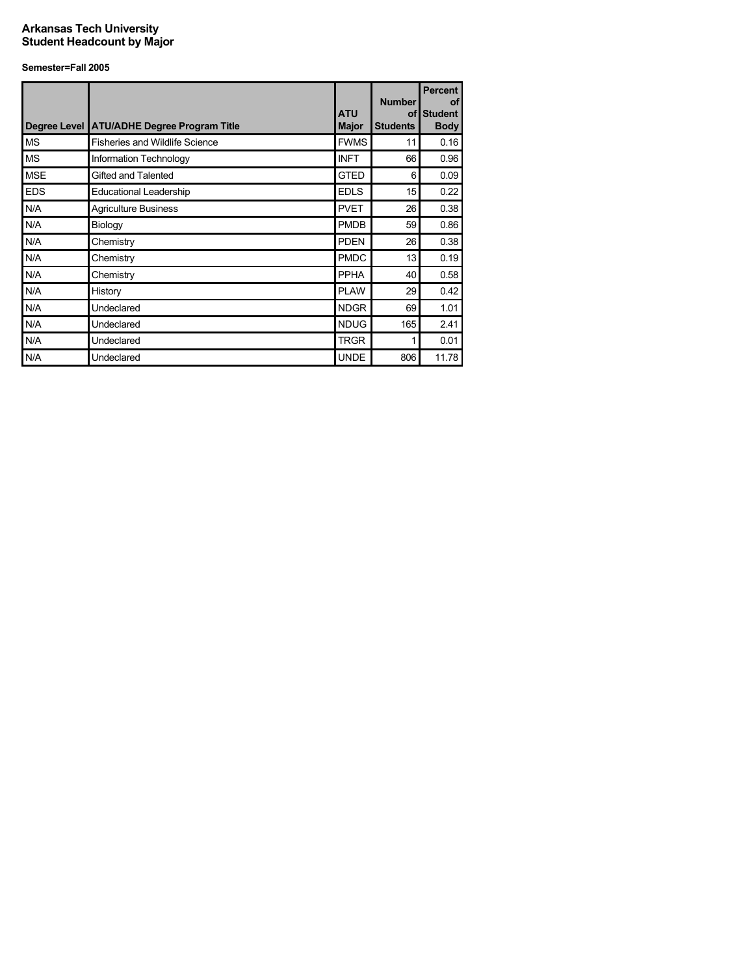|            | Degree Level ATU/ADHE Degree Program Title | <b>ATU</b><br><b>Major</b> | <b>Number</b><br>οf<br><b>Students</b> | <b>Percent</b><br><b>of</b><br><b>Student</b><br><b>Body</b> |
|------------|--------------------------------------------|----------------------------|----------------------------------------|--------------------------------------------------------------|
| <b>MS</b>  | <b>Fisheries and Wildlife Science</b>      | <b>FWMS</b>                | 11                                     | 0.16                                                         |
| <b>MS</b>  | Information Technology                     | <b>INFT</b>                | 66                                     | 0.96                                                         |
| <b>MSE</b> | Gifted and Talented                        | <b>GTED</b>                | 6                                      | 0.09                                                         |
| <b>EDS</b> | <b>Educational Leadership</b>              | <b>EDLS</b>                | 15                                     | 0.22                                                         |
| N/A        | <b>Agriculture Business</b>                | <b>PVET</b>                | 26                                     | 0.38                                                         |
| N/A        | Biology                                    | <b>PMDB</b>                | 59                                     | 0.86                                                         |
| N/A        | Chemistry                                  | <b>PDEN</b>                | 26                                     | 0.38                                                         |
| N/A        | Chemistry                                  | <b>PMDC</b>                | 13                                     | 0.19                                                         |
| N/A        | Chemistry                                  | <b>PPHA</b>                | 40                                     | 0.58                                                         |
| N/A        | History                                    | <b>PLAW</b>                | 29                                     | 0.42                                                         |
| N/A        | Undeclared                                 | <b>NDGR</b>                | 69                                     | 1.01                                                         |
| N/A        | Undeclared                                 | <b>NDUG</b>                | 165                                    | 2.41                                                         |
| N/A        | Undeclared                                 | <b>TRGR</b>                | 1                                      | 0.01                                                         |
| N/A        | Undeclared                                 | <b>UNDE</b>                | 806                                    | 11.78                                                        |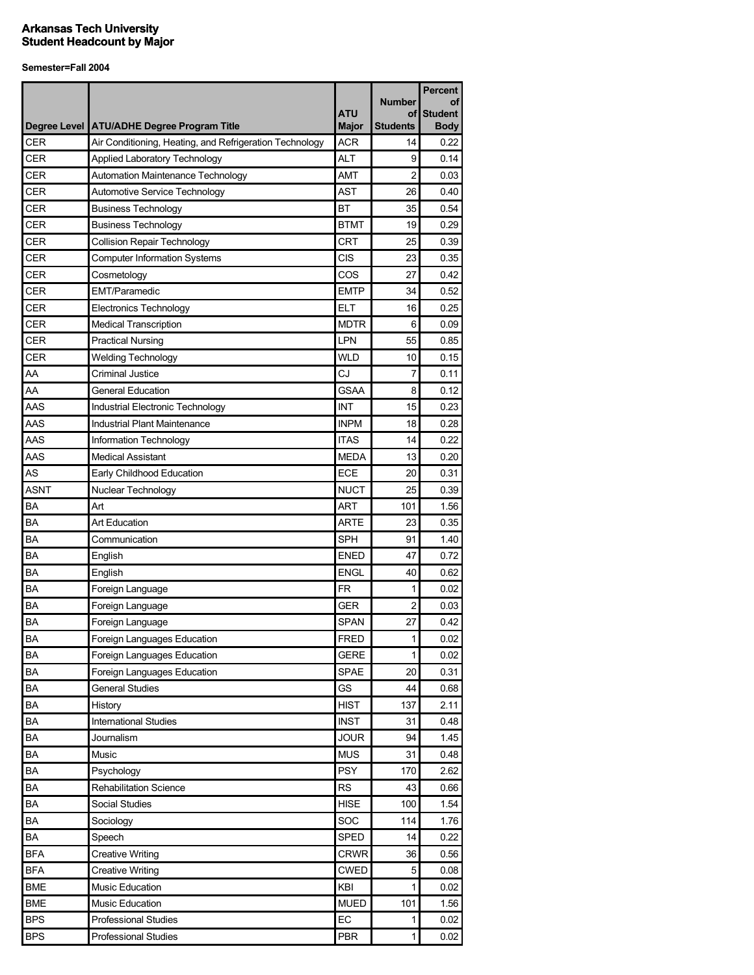|            |                                                         |                            |                       | <b>Percent</b> |
|------------|---------------------------------------------------------|----------------------------|-----------------------|----------------|
|            |                                                         |                            | <b>Number</b>         | οf             |
|            |                                                         | ATU                        | οf<br><b>Students</b> | <b>Student</b> |
| CER        | Degree Level   ATU/ADHE Degree Program Title            | <b>Major</b><br><b>ACR</b> |                       | <b>Body</b>    |
|            | Air Conditioning, Heating, and Refrigeration Technology |                            | 14                    | 0.22           |
| <b>CER</b> | Applied Laboratory Technology                           | <b>ALT</b>                 | 9                     | 0.14           |
| <b>CER</b> | Automation Maintenance Technology                       | <b>AMT</b>                 | $\overline{2}$        | 0.03           |
| CER        | Automotive Service Technology                           | AST                        | 26                    | 0.40           |
| CER        | <b>Business Technology</b>                              | <b>BT</b>                  | 35                    | 0.54           |
| <b>CER</b> | <b>Business Technology</b>                              | <b>BTMT</b>                | 19                    | 0.29           |
| <b>CER</b> | <b>Collision Repair Technology</b>                      | CRT                        | 25                    | 0.39           |
| <b>CER</b> | <b>Computer Information Systems</b>                     | CIS                        | 23                    | 0.35           |
| CER        | Cosmetology                                             | COS                        | 27                    | 0.42           |
| <b>CER</b> | <b>EMT/Paramedic</b>                                    | <b>EMTP</b>                | 34                    | 0.52           |
| CER        | <b>Electronics Technology</b>                           | <b>ELT</b>                 | 16                    | 0.25           |
| <b>CER</b> | <b>Medical Transcription</b>                            | <b>MDTR</b>                | 6                     | 0.09           |
| CER        | <b>Practical Nursing</b>                                | LPN                        | 55                    | 0.85           |
| CER        | <b>Welding Technology</b>                               | <b>WLD</b>                 | 10                    | 0.15           |
| AA         | <b>Criminal Justice</b>                                 | CJ                         | 7                     | 0.11           |
| AA         | <b>General Education</b>                                | <b>GSAA</b>                | 8                     | 0.12           |
| AAS        | Industrial Electronic Technology                        | INT                        | 15                    | 0.23           |
| AAS        | Industrial Plant Maintenance                            | <b>INPM</b>                | 18                    | 0.28           |
| AAS        | Information Technology                                  | <b>ITAS</b>                | 14                    | 0.22           |
| AAS        | <b>Medical Assistant</b>                                | <b>MEDA</b>                | 13                    | 0.20           |
| AS         | Early Childhood Education                               | <b>ECE</b>                 | 20                    | 0.31           |
| ASNT       | Nuclear Technology                                      | <b>NUCT</b>                | 25                    | 0.39           |
| <b>BA</b>  | Art                                                     | ART                        | 101                   | 1.56           |
| BA         | <b>Art Education</b>                                    | <b>ARTE</b>                | 23                    | 0.35           |
| <b>BA</b>  | Communication                                           | <b>SPH</b>                 | 91                    | 1.40           |
| <b>BA</b>  | English                                                 | <b>ENED</b>                | 47                    | 0.72           |
| <b>BA</b>  | English                                                 | <b>ENGL</b>                | 40                    | 0.62           |
| BA         | Foreign Language                                        | FR.                        | 1                     | 0.02           |
| <b>BA</b>  | Foreign Language                                        | <b>GER</b>                 | 2                     | 0.03           |
| BA         | Foreign Language                                        | <b>SPAN</b>                | 27                    | 0.42           |
| BA         | Foreign Languages Education                             | <b>FRED</b>                | $\mathbf{1}$          | 0.02           |
| BA         | Foreign Languages Education                             | <b>GERE</b>                | 1                     | 0.02           |
| BA         | Foreign Languages Education                             | <b>SPAE</b>                | 20                    | 0.31           |
| BA         | <b>General Studies</b>                                  | GS                         | 44                    | 0.68           |
| BA         | History                                                 | <b>HIST</b>                | 137                   | 2.11           |
| BA         | International Studies                                   | <b>INST</b>                | 31                    | 0.48           |
| BA         | Journalism                                              | <b>JOUR</b>                | 94                    | 1.45           |
| BA         | Music                                                   | <b>MUS</b>                 | 31                    | 0.48           |
| BA         | Psychology                                              | <b>PSY</b>                 | 170                   | 2.62           |
| BA         | <b>Rehabilitation Science</b>                           | <b>RS</b>                  | 43                    | 0.66           |
| ΒA         | Social Studies                                          | <b>HISE</b>                | 100                   | 1.54           |
| BA         | Sociology                                               | SOC                        | 114                   | 1.76           |
| BA         | Speech                                                  | <b>SPED</b>                | 14                    | 0.22           |
| <b>BFA</b> | <b>Creative Writing</b>                                 | <b>CRWR</b>                | 36                    | 0.56           |
| <b>BFA</b> | <b>Creative Writing</b>                                 | <b>CWED</b>                | 5                     | 0.08           |
| <b>BME</b> | Music Education                                         | KBI                        | 1                     | 0.02           |
| <b>BME</b> | Music Education                                         | <b>MUED</b>                | 101                   | 1.56           |
| <b>BPS</b> |                                                         |                            | 1                     |                |
| <b>BPS</b> | <b>Professional Studies</b>                             | EC<br><b>PBR</b>           | 1                     | 0.02<br>0.02   |
|            | Professional Studies                                    |                            |                       |                |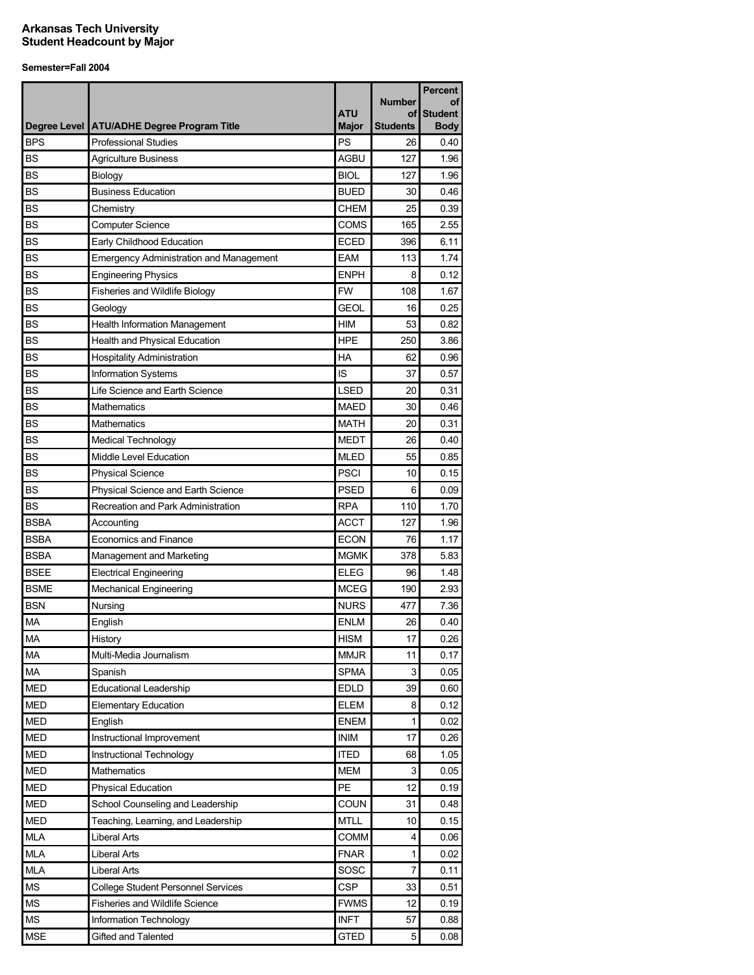|             |                                                | <b>ATU</b>   | <b>Number</b><br>οf | <b>Percent</b><br>οf<br><b>Student</b> |
|-------------|------------------------------------------------|--------------|---------------------|----------------------------------------|
|             | Degree Level   ATU/ADHE Degree Program Title   | <b>Major</b> | <b>Students</b>     | <b>Body</b>                            |
| <b>BPS</b>  | <b>Professional Studies</b>                    | PS           | 26                  | 0.40                                   |
| <b>BS</b>   | <b>Agriculture Business</b>                    | <b>AGBU</b>  | 127                 | 1.96                                   |
| <b>BS</b>   | Biology                                        | <b>BIOL</b>  | 127                 | 1.96                                   |
| <b>BS</b>   | <b>Business Education</b>                      | <b>BUED</b>  | 30                  | 0.46                                   |
| <b>BS</b>   | Chemistry                                      | <b>CHEM</b>  | 25                  | 0.39                                   |
| <b>BS</b>   | <b>Computer Science</b>                        | <b>COMS</b>  | 165                 | 2.55                                   |
| <b>BS</b>   | Early Childhood Education                      | <b>ECED</b>  | 396                 | 6.11                                   |
| <b>BS</b>   | <b>Emergency Administration and Management</b> | <b>EAM</b>   | 113                 | 1.74                                   |
| <b>BS</b>   | <b>Engineering Physics</b>                     | <b>ENPH</b>  | 8                   | 0.12                                   |
| <b>BS</b>   | Fisheries and Wildlife Biology                 | <b>FW</b>    | 108                 | 1.67                                   |
| <b>BS</b>   | Geology                                        | <b>GEOL</b>  | 16                  | 0.25                                   |
| <b>BS</b>   | Health Information Management                  | <b>HIM</b>   | 53                  | 0.82                                   |
| <b>BS</b>   | Health and Physical Education                  | <b>HPE</b>   | 250                 | 3.86                                   |
| <b>BS</b>   | <b>Hospitality Administration</b>              | HA           | 62                  | 0.96                                   |
| <b>BS</b>   | Information Systems                            | IS           | 37                  | 0.57                                   |
| <b>BS</b>   | Life Science and Earth Science                 | <b>LSED</b>  | 20                  | 0.31                                   |
| <b>BS</b>   | <b>Mathematics</b>                             | <b>MAED</b>  | 30                  | 0.46                                   |
| <b>BS</b>   | <b>Mathematics</b>                             | <b>MATH</b>  | 20                  | 0.31                                   |
| <b>BS</b>   | Medical Technology                             | <b>MEDT</b>  | 26                  | 0.40                                   |
| <b>BS</b>   | Middle Level Education                         | <b>MLED</b>  | 55                  | 0.85                                   |
| <b>BS</b>   | <b>Physical Science</b>                        | <b>PSCI</b>  | 10                  | 0.15                                   |
| <b>BS</b>   | <b>Physical Science and Earth Science</b>      | <b>PSED</b>  | 6                   | 0.09                                   |
| <b>BS</b>   | Recreation and Park Administration             | <b>RPA</b>   | 110                 | 1.70                                   |
| <b>BSBA</b> | Accounting                                     | <b>ACCT</b>  | 127                 | 1.96                                   |
| <b>BSBA</b> | Economics and Finance                          | <b>ECON</b>  | 76                  | 1.17                                   |
| <b>BSBA</b> | Management and Marketing                       | <b>MGMK</b>  | 378                 | 5.83                                   |
| <b>BSEE</b> | <b>Electrical Engineering</b>                  | <b>ELEG</b>  | 96                  | 1.48                                   |
| <b>BSME</b> | <b>Mechanical Engineering</b>                  | <b>MCEG</b>  | 190                 | 2.93                                   |
| <b>BSN</b>  | Nursing                                        | <b>NURS</b>  | 477                 | 7.36                                   |
| <b>MA</b>   | English                                        | <b>ENLM</b>  | 26                  | 0.40                                   |
| MA          | History                                        | <b>HISM</b>  | 17                  | 0.26                                   |
| <b>MA</b>   | Multi-Media Journalism                         | <b>MMJR</b>  | 11                  | 0.17                                   |
| MA          | Spanish                                        | <b>SPMA</b>  | 3                   | 0.05                                   |
| <b>MED</b>  | <b>Educational Leadership</b>                  | <b>EDLD</b>  | 39                  | 0.60                                   |
| <b>MED</b>  | <b>Elementary Education</b>                    | <b>ELEM</b>  | 8                   | 0.12                                   |
| <b>MED</b>  | English                                        | <b>ENEM</b>  | 1                   | 0.02                                   |
| <b>MED</b>  | Instructional Improvement                      | <b>INIM</b>  | 17                  | 0.26                                   |
| <b>MED</b>  | Instructional Technology                       | <b>ITED</b>  | 68                  | 1.05                                   |
| <b>MED</b>  | Mathematics                                    | <b>MEM</b>   | 3                   | 0.05                                   |
| <b>MED</b>  | Physical Education                             | PE           | 12                  | 0.19                                   |
| <b>MED</b>  | School Counseling and Leadership               | <b>COUN</b>  | 31                  | 0.48                                   |
| <b>MED</b>  | Teaching, Learning, and Leadership             | <b>MTLL</b>  | 10                  | 0.15                                   |
| <b>MLA</b>  | <b>Liberal Arts</b>                            | COMM         | 4                   | 0.06                                   |
| <b>MLA</b>  | Liberal Arts                                   | <b>FNAR</b>  | 1                   | 0.02                                   |
| <b>MLA</b>  | Liberal Arts                                   | SOSC         | 7                   | 0.11                                   |
| <b>MS</b>   | <b>College Student Personnel Services</b>      | <b>CSP</b>   | 33                  | 0.51                                   |
| <b>MS</b>   | Fisheries and Wildlife Science                 | <b>FWMS</b>  | 12                  | 0.19                                   |
| <b>MS</b>   | Information Technology                         | <b>INFT</b>  | 57                  | 0.88                                   |
| <b>MSE</b>  | Gifted and Talented                            | <b>GTED</b>  | 5                   | 0.08                                   |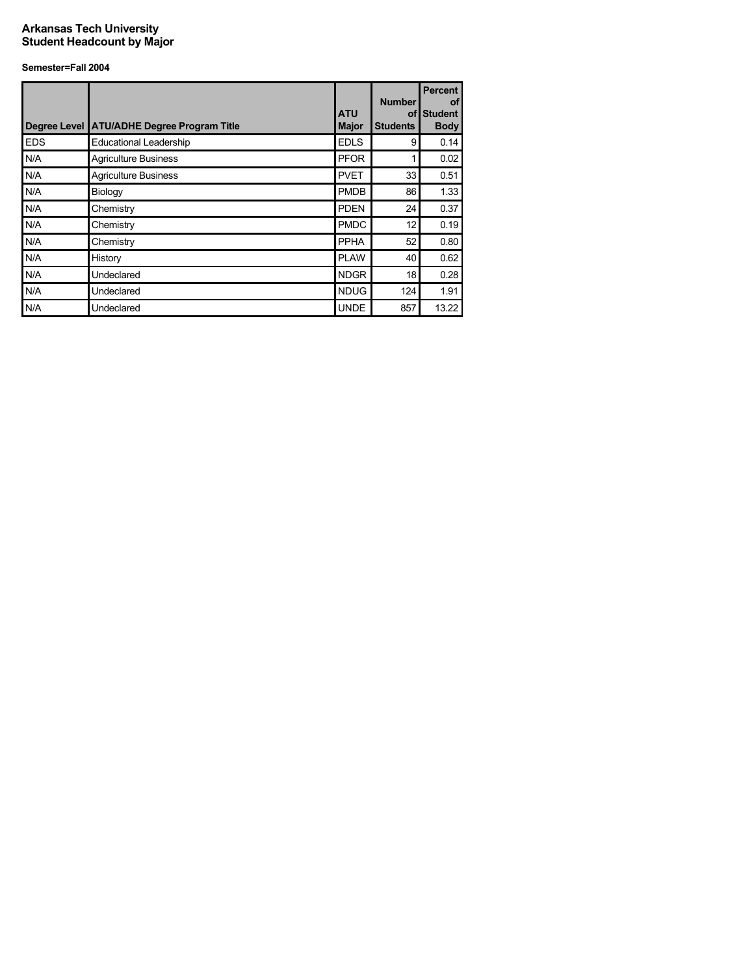|            | Degree Level ATU/ADHE Degree Program Title | <b>ATU</b><br><b>Major</b> | <b>Number</b><br>οf<br><b>Students</b> | <b>Percent</b><br>of<br><b>Student</b><br><b>Body</b> |
|------------|--------------------------------------------|----------------------------|----------------------------------------|-------------------------------------------------------|
| <b>EDS</b> | <b>Educational Leadership</b>              | <b>EDLS</b>                | 9                                      | 0.14                                                  |
| N/A        | <b>Agriculture Business</b>                | <b>PFOR</b>                |                                        | 0.02                                                  |
| N/A        | <b>Agriculture Business</b>                | <b>PVET</b>                | 33                                     | 0.51                                                  |
| N/A        | Biology                                    | <b>PMDB</b>                | 86                                     | 1.33                                                  |
| N/A        | Chemistry                                  | <b>PDEN</b>                | 24                                     | 0.37                                                  |
| N/A        | Chemistry                                  | <b>PMDC</b>                | 12                                     | 0.19                                                  |
| N/A        | Chemistry                                  | <b>PPHA</b>                | 52                                     | 0.80                                                  |
| N/A        | History                                    | <b>PLAW</b>                | 40                                     | 0.62                                                  |
| N/A        | Undeclared                                 | <b>NDGR</b>                | 18                                     | 0.28                                                  |
| N/A        | Undeclared                                 | <b>NDUG</b>                | 124                                    | 1.91                                                  |
| N/A        | Undeclared                                 | <b>UNDE</b>                | 857                                    | 13.22                                                 |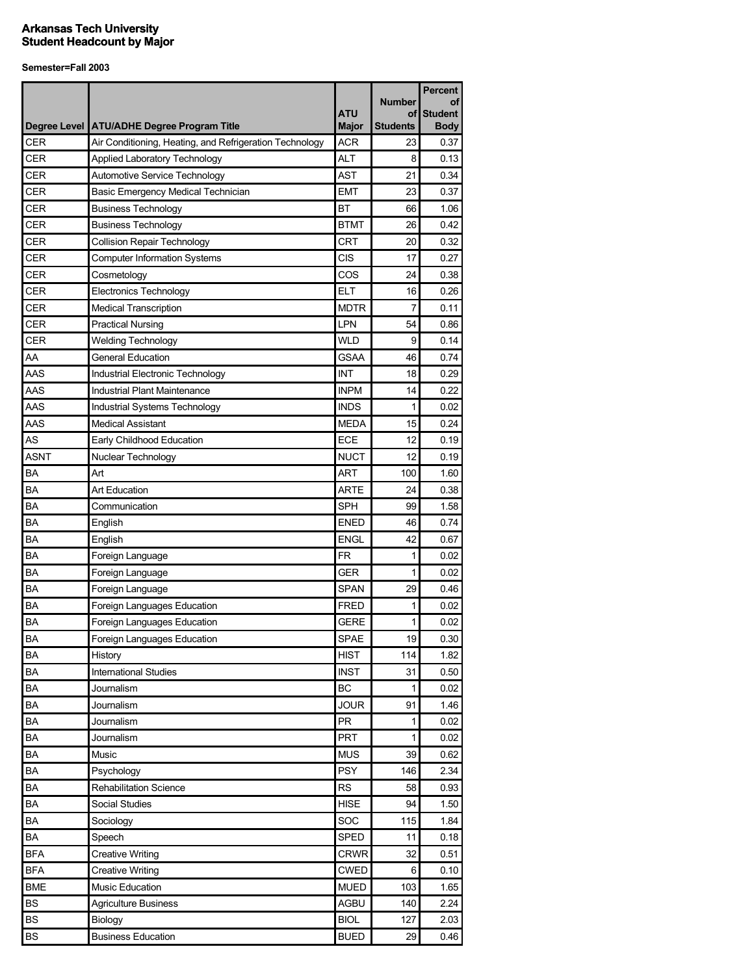|             |                                                         |              |                 | <b>Percent</b> |
|-------------|---------------------------------------------------------|--------------|-----------------|----------------|
|             |                                                         |              | <b>Number</b>   | οf             |
|             |                                                         | <b>ATU</b>   | οf              | <b>Student</b> |
|             | Degree Level   ATU/ADHE Degree Program Title            | <b>Major</b> | <b>Students</b> | <b>Body</b>    |
| <b>CER</b>  | Air Conditioning, Heating, and Refrigeration Technology | <b>ACR</b>   | 23              | 0.37           |
| <b>CER</b>  | <b>Applied Laboratory Technology</b>                    | <b>ALT</b>   | 8               | 0.13           |
| <b>CER</b>  | Automotive Service Technology                           | <b>AST</b>   | 21              | 0.34           |
| <b>CER</b>  | Basic Emergency Medical Technician                      | <b>EMT</b>   | 23              | 0.37           |
| <b>CER</b>  | <b>Business Technology</b>                              | <b>BT</b>    | 66              | 1.06           |
| <b>CER</b>  | <b>Business Technology</b>                              | <b>BTMT</b>  | 26              | 0.42           |
| <b>CER</b>  | <b>Collision Repair Technology</b>                      | <b>CRT</b>   | 20              | 0.32           |
| <b>CER</b>  | <b>Computer Information Systems</b>                     | <b>CIS</b>   | 17              | 0.27           |
| <b>CER</b>  | Cosmetology                                             | COS          | 24              | 0.38           |
| <b>CER</b>  | <b>Electronics Technology</b>                           | <b>ELT</b>   | 16              | 0.26           |
| <b>CER</b>  | <b>Medical Transcription</b>                            | <b>MDTR</b>  | 7               | 0.11           |
| <b>CER</b>  | <b>Practical Nursing</b>                                | <b>LPN</b>   | 54              | 0.86           |
| <b>CER</b>  | <b>Welding Technology</b>                               | <b>WLD</b>   | 9               | 0.14           |
| AA          | <b>General Education</b>                                | GSAA         | 46              | 0.74           |
| AAS         | Industrial Electronic Technology                        | <b>INT</b>   | 18              | 0.29           |
| AAS         | <b>Industrial Plant Maintenance</b>                     | <b>INPM</b>  | 14              | 0.22           |
| AAS         | Industrial Systems Technology                           | <b>INDS</b>  | 1               | 0.02           |
| AAS         | <b>Medical Assistant</b>                                | <b>MEDA</b>  | 15              | 0.24           |
| AS          | Early Childhood Education                               | ECE          | 12              | 0.19           |
| <b>ASNT</b> | Nuclear Technology                                      | <b>NUCT</b>  | 12              | 0.19           |
| <b>BA</b>   | Art                                                     | <b>ART</b>   | 100             | 1.60           |
| <b>BA</b>   | Art Education                                           | ARTE         | 24              | 0.38           |
| <b>BA</b>   | Communication                                           | SPH          | 99              | 1.58           |
| ΒA          | English                                                 | <b>ENED</b>  | 46              | 0.74           |
| BA          | English                                                 | <b>ENGL</b>  | 42              | 0.67           |
| BA          | Foreign Language                                        | <b>FR</b>    | 1               | 0.02           |
| BA          | Foreign Language                                        | <b>GER</b>   | 1               | 0.02           |
| BA          | Foreign Language                                        | <b>SPAN</b>  | 29              | 0.46           |
| ΒA          | Foreign Languages Education                             | <b>FRED</b>  | 1               | 0.02           |
| BA          | Foreign Languages Education                             | <b>GERE</b>  | 1               | 0.02           |
| BA          | Foreign Languages Education                             | <b>SPAE</b>  | 19              | 0.30           |
| BA          | History                                                 | <b>HIST</b>  | 114             | 1.82           |
| BA          | International Studies                                   | <b>INST</b>  | 31              | 0.50           |
| BA          | Journalism                                              | BC           | 1               | 0.02           |
| BA          | Journalism                                              | JOUR         | 91              | 1.46           |
| BA          | Journalism                                              | <b>PR</b>    | $\mathbf{1}$    | 0.02           |
| BA          | Journalism                                              | <b>PRT</b>   | 1               | 0.02           |
| BA          | Music                                                   | <b>MUS</b>   | 39              | 0.62           |
| BA          | Psychology                                              | <b>PSY</b>   | 146             | 2.34           |
| BA          | <b>Rehabilitation Science</b>                           | <b>RS</b>    | 58              | 0.93           |
| BA          | Social Studies                                          | <b>HISE</b>  | 94              | 1.50           |
| BA          | Sociology                                               | SOC          | 115             | 1.84           |
| BA          | Speech                                                  | SPED         | 11              | 0.18           |
| <b>BFA</b>  | <b>Creative Writing</b>                                 | <b>CRWR</b>  | 32              | 0.51           |
| <b>BFA</b>  | Creative Writing                                        | <b>CWED</b>  | 6               | 0.10           |
| <b>BME</b>  | Music Education                                         | <b>MUED</b>  | 103             | 1.65           |
| BS          |                                                         | AGBU         | 140             | 2.24           |
| BS          | <b>Agriculture Business</b>                             |              | 127             |                |
|             | Biology                                                 | <b>BIOL</b>  |                 | 2.03           |
| <b>BS</b>   | <b>Business Education</b>                               | <b>BUED</b>  | 29              | 0.46           |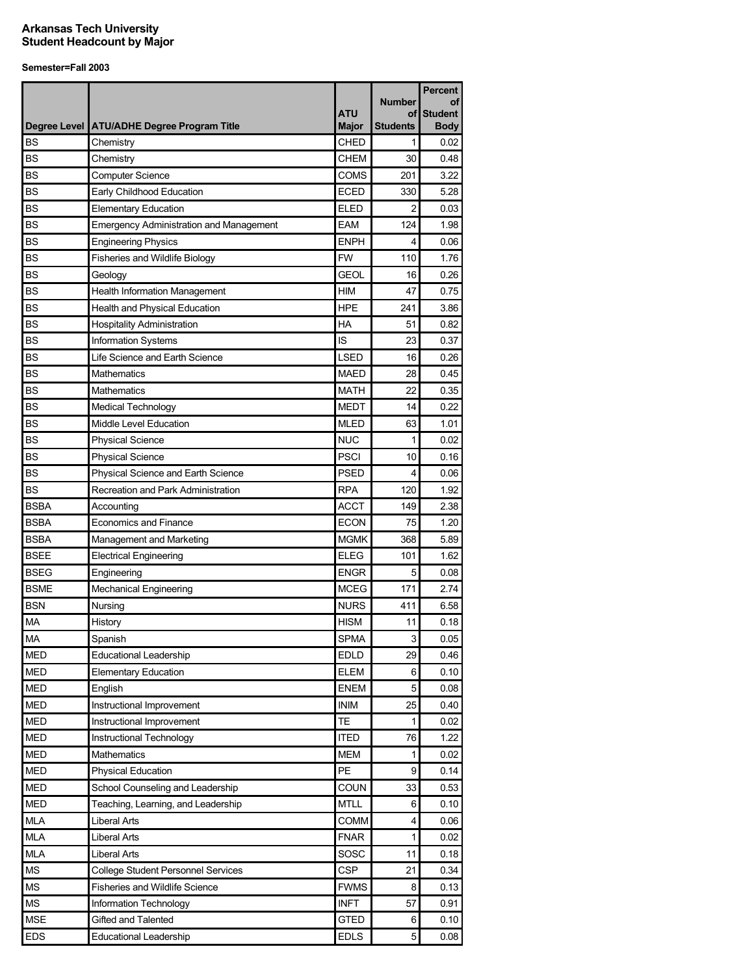|             |                                                |              |                     | <b>Percent</b>       |
|-------------|------------------------------------------------|--------------|---------------------|----------------------|
|             |                                                | ATU          | <b>Number</b><br>οf | οf<br><b>Student</b> |
|             | Degree Level   ATU/ADHE Degree Program Title   | <b>Major</b> | <b>Students</b>     | <b>Body</b>          |
| <b>BS</b>   | Chemistry                                      | CHED         | 1                   | 0.02                 |
| <b>BS</b>   | Chemistry                                      | <b>CHEM</b>  | 30                  | 0.48                 |
| <b>BS</b>   | <b>Computer Science</b>                        | <b>COMS</b>  | 201                 | 3.22                 |
| <b>BS</b>   | Early Childhood Education                      | <b>ECED</b>  | 330                 | 5.28                 |
| <b>BS</b>   | <b>Elementary Education</b>                    | <b>ELED</b>  | 2                   | 0.03                 |
| <b>BS</b>   | <b>Emergency Administration and Management</b> | <b>EAM</b>   | 124                 | 1.98                 |
| <b>BS</b>   | <b>Engineering Physics</b>                     | <b>ENPH</b>  | 4                   | 0.06                 |
| <b>BS</b>   | <b>Fisheries and Wildlife Biology</b>          | <b>FW</b>    | 110                 | 1.76                 |
| <b>BS</b>   | Geology                                        | <b>GEOL</b>  | 16                  | 0.26                 |
| <b>BS</b>   | <b>Health Information Management</b>           | <b>HIM</b>   | 47                  | 0.75                 |
| <b>BS</b>   | Health and Physical Education                  | <b>HPE</b>   | 241                 | 3.86                 |
| <b>BS</b>   | <b>Hospitality Administration</b>              | <b>HA</b>    | 51                  | 0.82                 |
| <b>BS</b>   | Information Systems                            | IS           | 23                  | 0.37                 |
| <b>BS</b>   | Life Science and Earth Science                 | <b>LSED</b>  | 16                  | 0.26                 |
| <b>BS</b>   | <b>Mathematics</b>                             | <b>MAED</b>  | 28                  | 0.45                 |
| <b>BS</b>   | Mathematics                                    | <b>MATH</b>  | 22                  | 0.35                 |
| BS          | Medical Technology                             | <b>MEDT</b>  | 14                  | 0.22                 |
| <b>BS</b>   | Middle Level Education                         | <b>MLED</b>  | 63                  | 1.01                 |
| <b>BS</b>   | <b>Physical Science</b>                        | <b>NUC</b>   | 1                   | 0.02                 |
| <b>BS</b>   | <b>Physical Science</b>                        | <b>PSCI</b>  | 10                  | 0.16                 |
| <b>BS</b>   | Physical Science and Earth Science             | <b>PSED</b>  | 4                   | 0.06                 |
| <b>BS</b>   | Recreation and Park Administration             | <b>RPA</b>   | 120                 | 1.92                 |
| <b>BSBA</b> | Accounting                                     | ACCT         | 149                 | 2.38                 |
| <b>BSBA</b> | <b>Economics and Finance</b>                   | <b>ECON</b>  | 75                  | 1.20                 |
| <b>BSBA</b> | Management and Marketing                       | <b>MGMK</b>  | 368                 | 5.89                 |
| <b>BSEE</b> | <b>Electrical Engineering</b>                  | <b>ELEG</b>  | 101                 | 1.62                 |
| <b>BSEG</b> | Engineering                                    | <b>ENGR</b>  | 5                   | 0.08                 |
| <b>BSME</b> | <b>Mechanical Engineering</b>                  | <b>MCEG</b>  | 171                 | 2.74                 |
| <b>BSN</b>  | Nursing                                        | <b>NURS</b>  | 411                 | 6.58                 |
| <b>MA</b>   | History                                        | <b>HISM</b>  | 11                  | 0.18                 |
| <b>MA</b>   | Spanish                                        | <b>SPMA</b>  | 3                   | 0.05                 |
| <b>MED</b>  | <b>Educational Leadership</b>                  | <b>EDLD</b>  | 29                  | 0.46                 |
| <b>MED</b>  | <b>Elementary Education</b>                    | <b>ELEM</b>  | 6                   | 0.10                 |
| <b>MED</b>  | English                                        | <b>ENEM</b>  | 5                   | 0.08                 |
| <b>MED</b>  | Instructional Improvement                      | <b>INIM</b>  | 25                  | 0.40                 |
| <b>MED</b>  | Instructional Improvement                      | <b>TE</b>    | 1                   | 0.02                 |
| <b>MED</b>  | Instructional Technology                       | <b>ITED</b>  | 76                  | 1.22                 |
| <b>MED</b>  | <b>Mathematics</b>                             | <b>MEM</b>   | 1                   | 0.02                 |
| <b>MED</b>  | <b>Physical Education</b>                      | PE           | 9                   | 0.14                 |
| <b>MED</b>  | School Counseling and Leadership               | <b>COUN</b>  | 33                  | 0.53                 |
| <b>MED</b>  | Teaching, Learning, and Leadership             | <b>MTLL</b>  | 6                   | 0.10                 |
| MLA         | Liberal Arts                                   | <b>COMM</b>  | 4                   | 0.06                 |
| <b>MLA</b>  | Liberal Arts                                   | <b>FNAR</b>  | 1                   | 0.02                 |
| <b>MLA</b>  | Liberal Arts                                   | SOSC         | 11                  | 0.18                 |
| <b>MS</b>   | <b>College Student Personnel Services</b>      | <b>CSP</b>   | 21                  | 0.34                 |
| MS          | Fisheries and Wildlife Science                 | <b>FWMS</b>  | 8                   | 0.13                 |
| <b>MS</b>   | Information Technology                         | <b>INFT</b>  | 57                  | 0.91                 |
| <b>MSE</b>  | Gifted and Talented                            | <b>GTED</b>  | 6                   | 0.10                 |
| <b>EDS</b>  | <b>Educational Leadership</b>                  | <b>EDLS</b>  | 5                   | 0.08                 |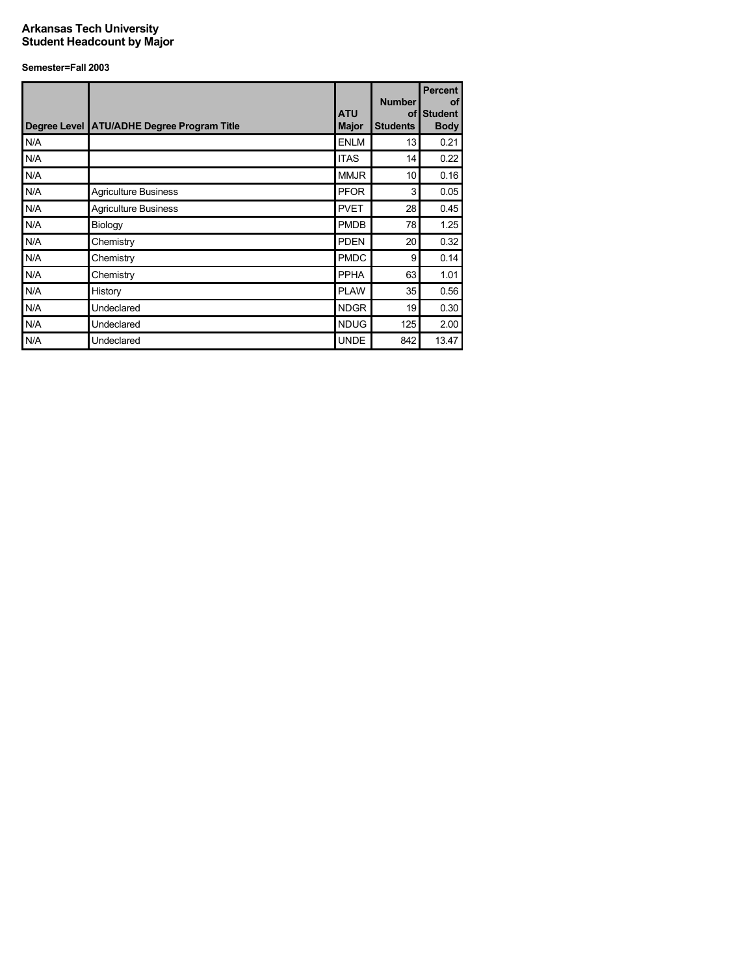|     | Degree Level ATU/ADHE Degree Program Title | <b>ATU</b><br><b>Major</b> | <b>Number</b><br><b>Students</b> | <b>Percent</b><br><b>of</b><br>of Student<br><b>Body</b> |
|-----|--------------------------------------------|----------------------------|----------------------------------|----------------------------------------------------------|
| N/A |                                            | <b>ENLM</b>                | 13                               | 0.21                                                     |
| N/A |                                            | <b>ITAS</b>                | 14                               | 0.22                                                     |
| N/A |                                            | <b>MMJR</b>                | 10                               | 0.16                                                     |
| N/A | <b>Agriculture Business</b>                | <b>PFOR</b>                | 3                                | 0.05                                                     |
| N/A | <b>Agriculture Business</b>                | <b>PVET</b>                | 28                               | 0.45                                                     |
| N/A | Biology                                    | <b>PMDB</b>                | 78                               | 1.25                                                     |
| N/A | Chemistry                                  | <b>PDEN</b>                | 20                               | 0.32                                                     |
| N/A | Chemistry                                  | <b>PMDC</b>                | 9                                | 0.14                                                     |
| N/A | Chemistry                                  | <b>PPHA</b>                | 63                               | 1.01                                                     |
| N/A | History                                    | <b>PLAW</b>                | 35                               | 0.56                                                     |
| N/A | Undeclared                                 | <b>NDGR</b>                | 19                               | 0.30                                                     |
| N/A | Undeclared                                 | <b>NDUG</b>                | 125                              | 2.00                                                     |
| N/A | Undeclared                                 | <b>UNDE</b>                | 842                              | 13.47                                                    |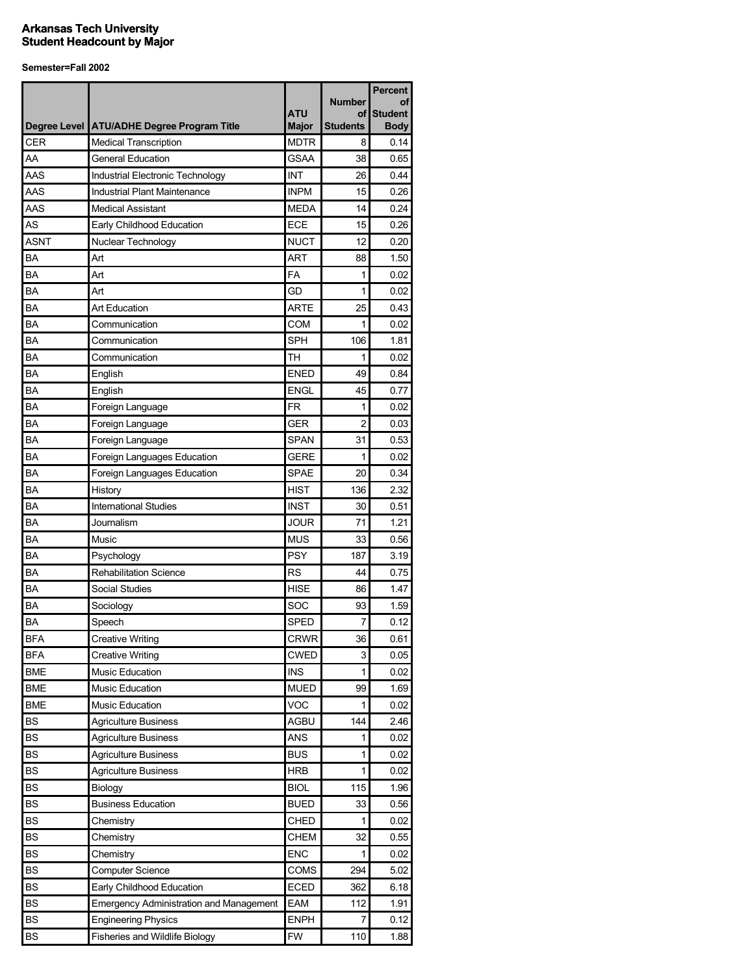|             |                                                |              |                     | <b>Percent</b>       |
|-------------|------------------------------------------------|--------------|---------------------|----------------------|
|             |                                                | <b>ATU</b>   | <b>Number</b><br>οf | οf<br><b>Student</b> |
|             | Degree Level ATU/ADHE Degree Program Title     | <b>Major</b> | <b>Students</b>     | <b>Body</b>          |
| <b>CER</b>  | <b>Medical Transcription</b>                   | <b>MDTR</b>  | 8                   | 0.14                 |
| AA          | <b>General Education</b>                       | <b>GSAA</b>  | 38                  | 0.65                 |
| AAS         | Industrial Electronic Technology               | <b>INT</b>   | 26                  | 0.44                 |
| AAS         | Industrial Plant Maintenance                   | <b>INPM</b>  | 15                  | 0.26                 |
| AAS         | <b>Medical Assistant</b>                       | <b>MEDA</b>  | 14                  | 0.24                 |
| AS          | Early Childhood Education                      | ECE          | 15                  | 0.26                 |
| <b>ASNT</b> | Nuclear Technology                             | <b>NUCT</b>  | 12                  | 0.20                 |
| ΒA          | Art                                            | <b>ART</b>   | 88                  | 1.50                 |
| BA          | Art                                            | <b>FA</b>    | 1                   | 0.02                 |
| ΒA          | Art                                            | GD           | 1                   | 0.02                 |
| BA          | <b>Art Education</b>                           | <b>ARTE</b>  | 25                  | 0.43                 |
| <b>BA</b>   | Communication                                  | <b>COM</b>   | 1                   | 0.02                 |
| BA          | Communication                                  | <b>SPH</b>   | 106                 | 1.81                 |
| BA          | Communication                                  | TH           | 1                   | 0.02                 |
| BA          | English                                        | <b>ENED</b>  | 49                  | 0.84                 |
| BA          | English                                        | <b>ENGL</b>  | 45                  | 0.77                 |
| BA          | Foreign Language                               | <b>FR</b>    | 1                   | 0.02                 |
| BA          | Foreign Language                               | <b>GER</b>   | 2                   | 0.03                 |
| BA          | Foreign Language                               | <b>SPAN</b>  | 31                  | 0.53                 |
| BA          | Foreign Languages Education                    | <b>GERE</b>  | 1                   | 0.02                 |
| BA          | Foreign Languages Education                    | <b>SPAE</b>  | 20                  | 0.34                 |
| ΒA          | History                                        | <b>HIST</b>  | 136                 | 2.32                 |
| ΒA          | <b>International Studies</b>                   | <b>INST</b>  | 30                  | 0.51                 |
| BA          | Journalism                                     | <b>JOUR</b>  | 71                  | 1.21                 |
| ΒA          | Music                                          | <b>MUS</b>   | 33                  | 0.56                 |
| <b>BA</b>   | Psychology                                     | <b>PSY</b>   | 187                 | 3.19                 |
| ΒA          | <b>Rehabilitation Science</b>                  | <b>RS</b>    | 44                  | 0.75                 |
| BA          | <b>Social Studies</b>                          | <b>HISE</b>  | 86                  | 1.47                 |
| BA          | Sociology                                      | SOC          | 93                  | 1.59                 |
| BA          | Speech                                         | SPED         | 7                   | 0.12                 |
| <b>BFA</b>  | <b>Creative Writing</b>                        | <b>CRWR</b>  | 36                  | 0.61                 |
| <b>BFA</b>  | <b>Creative Writing</b>                        | <b>CWED</b>  | 3                   | 0.05                 |
| <b>BME</b>  | Music Education                                | <b>INS</b>   | 1                   | 0.02                 |
| <b>BME</b>  | Music Education                                | <b>MUED</b>  | 99                  | 1.69                 |
| <b>BME</b>  | Music Education                                | <b>VOC</b>   | 1                   | 0.02                 |
| <b>BS</b>   | <b>Agriculture Business</b>                    | AGBU         | 144                 | 2.46                 |
| <b>BS</b>   | <b>Agriculture Business</b>                    | <b>ANS</b>   | 1                   | 0.02                 |
| <b>BS</b>   | <b>Agriculture Business</b>                    | <b>BUS</b>   | 1                   | 0.02                 |
| <b>BS</b>   | <b>Agriculture Business</b>                    | <b>HRB</b>   | 1                   | 0.02                 |
| <b>BS</b>   | Biology                                        | <b>BIOL</b>  | 115                 | 1.96                 |
| <b>BS</b>   | <b>Business Education</b>                      | <b>BUED</b>  | 33                  | 0.56                 |
| <b>BS</b>   | Chemistry                                      | CHED         | 1                   | 0.02                 |
| <b>BS</b>   | Chemistry                                      | CHEM         | 32                  | 0.55                 |
| <b>BS</b>   | Chemistry                                      | <b>ENC</b>   | 1                   | 0.02                 |
| <b>BS</b>   | <b>Computer Science</b>                        | COMS         | 294                 | 5.02                 |
| <b>BS</b>   | Early Childhood Education                      | <b>ECED</b>  | 362                 | 6.18                 |
| <b>BS</b>   | <b>Emergency Administration and Management</b> | EAM          | 112                 | 1.91                 |
| BS          | <b>Engineering Physics</b>                     | <b>ENPH</b>  | 7                   | 0.12                 |
| BS          | Fisheries and Wildlife Biology                 | FW           | 110                 | 1.88                 |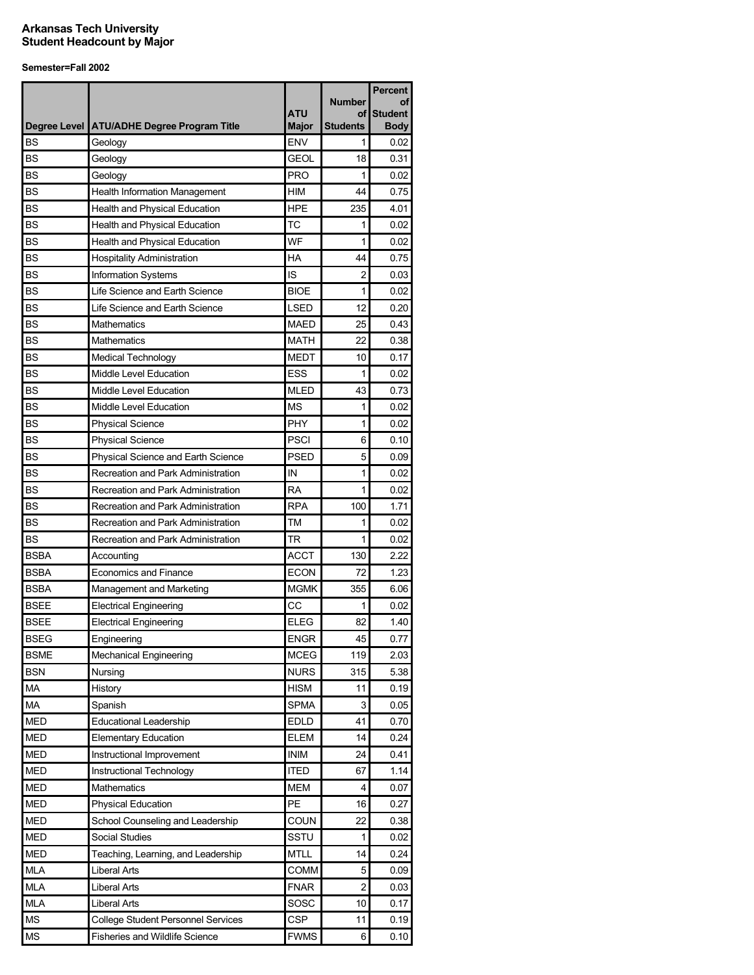|              |                                           |              | <b>Number</b>   | <b>Percent</b><br>Οt |
|--------------|-------------------------------------------|--------------|-----------------|----------------------|
|              |                                           | <b>ATU</b>   | οf              | <b>Student</b>       |
| Degree Level | <b>ATU/ADHE Degree Program Title</b>      | <b>Major</b> | <b>Students</b> | <b>Body</b>          |
| <b>BS</b>    | Geology                                   | <b>ENV</b>   | 1               | 0.02                 |
| <b>BS</b>    | Geology                                   | <b>GEOL</b>  | 18              | 0.31                 |
| BS           | Geology                                   | <b>PRO</b>   | 1               | 0.02                 |
| <b>BS</b>    | <b>Health Information Management</b>      | НM           | 44              | 0.75                 |
| <b>BS</b>    | Health and Physical Education             | <b>HPE</b>   | 235             | 4.01                 |
| <b>BS</b>    | Health and Physical Education             | TC           | 1               | 0.02                 |
| <b>BS</b>    | Health and Physical Education             | WF           | 1               | 0.02                 |
| <b>BS</b>    | <b>Hospitality Administration</b>         | HA           | 44              | 0.75                 |
| <b>BS</b>    | Information Systems                       | IS           | $\overline{c}$  | 0.03                 |
| <b>BS</b>    | Life Science and Earth Science            | <b>BIOE</b>  | 1               | 0.02                 |
| <b>BS</b>    | Life Science and Earth Science            | <b>LSED</b>  | 12              | 0.20                 |
| <b>BS</b>    | <b>Mathematics</b>                        | <b>MAED</b>  | 25              | 0.43                 |
| <b>BS</b>    | Mathematics                               | <b>MATH</b>  | 22              | 0.38                 |
| <b>BS</b>    | <b>Medical Technology</b>                 | <b>MEDT</b>  | 10              | 0.17                 |
| <b>BS</b>    | Middle Level Education                    | ESS          | 1               | 0.02                 |
| <b>BS</b>    | Middle Level Education                    | <b>MLED</b>  | 43              | 0.73                 |
| <b>BS</b>    | Middle Level Education                    | <b>MS</b>    | 1               | 0.02                 |
| <b>BS</b>    | <b>Physical Science</b>                   | <b>PHY</b>   | 1               | 0.02                 |
| <b>BS</b>    | <b>Physical Science</b>                   | <b>PSCI</b>  | 6               | 0.10                 |
| <b>BS</b>    | Physical Science and Earth Science        | <b>PSED</b>  | 5               | 0.09                 |
| <b>BS</b>    | Recreation and Park Administration        | IN           | 1               | 0.02                 |
| <b>BS</b>    | Recreation and Park Administration        | <b>RA</b>    | 1               | 0.02                 |
| <b>BS</b>    | Recreation and Park Administration        | <b>RPA</b>   | 100             | 1.71                 |
| <b>BS</b>    | Recreation and Park Administration        | <b>TM</b>    | 1               | 0.02                 |
| <b>BS</b>    | Recreation and Park Administration        | <b>TR</b>    | 1               | 0.02                 |
| <b>BSBA</b>  | Accounting                                | <b>ACCT</b>  | 130             | 2.22                 |
| <b>BSBA</b>  | <b>Economics and Finance</b>              | <b>ECON</b>  | 72              | 1.23                 |
| <b>BSBA</b>  | Management and Marketing                  | <b>MGMK</b>  | 355             | 6.06                 |
| <b>BSEE</b>  | <b>Electrical Engineering</b>             | CC           | 1               | 0.02                 |
| <b>BSEE</b>  | <b>Electrical Engineering</b>             | <b>ELEG</b>  | 82              | 1.40                 |
| <b>BSEG</b>  | Engineering                               | <b>ENGR</b>  | 45              | 0.77                 |
| <b>BSME</b>  | <b>Mechanical Engineering</b>             | <b>MCEG</b>  | 119             | 2.03                 |
| <b>BSN</b>   | Nursing                                   | <b>NURS</b>  | 315             | 5.38                 |
| MA           | History                                   | <b>HISM</b>  | 11              | 0.19                 |
| MA           | Spanish                                   | <b>SPMA</b>  | 3               | 0.05                 |
| <b>MED</b>   | <b>Educational Leadership</b>             | <b>EDLD</b>  | 41              | 0.70                 |
| <b>MED</b>   | <b>Elementary Education</b>               | <b>ELEM</b>  | 14              | 0.24                 |
| <b>MED</b>   | Instructional Improvement                 | <b>INIM</b>  | 24              | 0.41                 |
| <b>MED</b>   | Instructional Technology                  | <b>ITED</b>  | 67              | 1.14                 |
| <b>MED</b>   | Mathematics                               | <b>MEM</b>   | 4               | 0.07                 |
| <b>MED</b>   | <b>Physical Education</b>                 | PE           | 16              | 0.27                 |
| <b>MED</b>   | School Counseling and Leadership          | COUN         | 22              | 0.38                 |
| <b>MED</b>   | <b>Social Studies</b>                     | SSTU         | 1               | 0.02                 |
| <b>MED</b>   | Teaching, Learning, and Leadership        | <b>MTLL</b>  | 14              | 0.24                 |
| <b>MLA</b>   | <b>Liberal Arts</b>                       | COMM         | 5               | 0.09                 |
| <b>MLA</b>   | <b>Liberal Arts</b>                       | <b>FNAR</b>  | $\overline{c}$  | 0.03                 |
| <b>MLA</b>   | <b>Liberal Arts</b>                       | SOSC         | 10              | 0.17                 |
| <b>MS</b>    | <b>College Student Personnel Services</b> | <b>CSP</b>   | 11              | 0.19                 |
| MS           | Fisheries and Wildlife Science            | <b>FWMS</b>  | 6               | 0.10                 |
|              |                                           |              |                 |                      |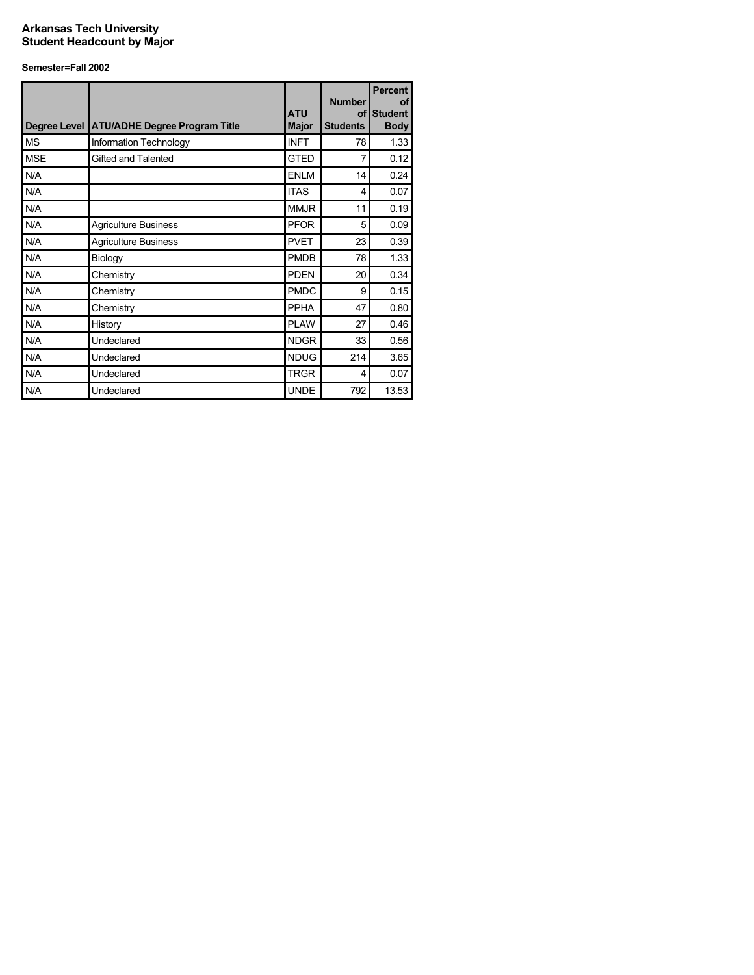| Degree Level | <b>ATU/ADHE Degree Program Title</b> | <b>ATU</b><br><b>Major</b> | <b>Number</b><br><b>Students</b> | <b>Percent</b><br>οf<br>of Student<br><b>Body</b> |
|--------------|--------------------------------------|----------------------------|----------------------------------|---------------------------------------------------|
| <b>MS</b>    | Information Technology               | <b>INFT</b>                | 78                               | 1.33                                              |
| <b>MSE</b>   | Gifted and Talented                  | <b>GTED</b>                | 7                                | 0.12                                              |
| N/A          |                                      | <b>ENLM</b>                | 14                               | 0.24                                              |
| N/A          |                                      | <b>ITAS</b>                | 4                                | 0.07                                              |
| N/A          |                                      | <b>MMJR</b>                | 11                               | 0.19                                              |
| N/A          | <b>Agriculture Business</b>          | <b>PFOR</b>                | 5                                | 0.09                                              |
| N/A          | <b>Agriculture Business</b>          | <b>PVET</b>                | 23                               | 0.39                                              |
| N/A          | Biology                              | <b>PMDB</b>                | 78                               | 1.33                                              |
| N/A          | Chemistry                            | <b>PDEN</b>                | 20                               | 0.34                                              |
| N/A          | Chemistry                            | <b>PMDC</b>                | 9                                | 0.15                                              |
| N/A          | Chemistry                            | <b>PPHA</b>                | 47                               | 0.80                                              |
| N/A          | History                              | <b>PLAW</b>                | 27                               | 0.46                                              |
| N/A          | Undeclared                           | <b>NDGR</b>                | 33                               | 0.56                                              |
| N/A          | Undeclared                           | <b>NDUG</b>                | 214                              | 3.65                                              |
| N/A          | Undeclared                           | <b>TRGR</b>                | 4                                | 0.07                                              |
| N/A          | Undeclared                           | <b>UNDE</b>                | 792                              | 13.53                                             |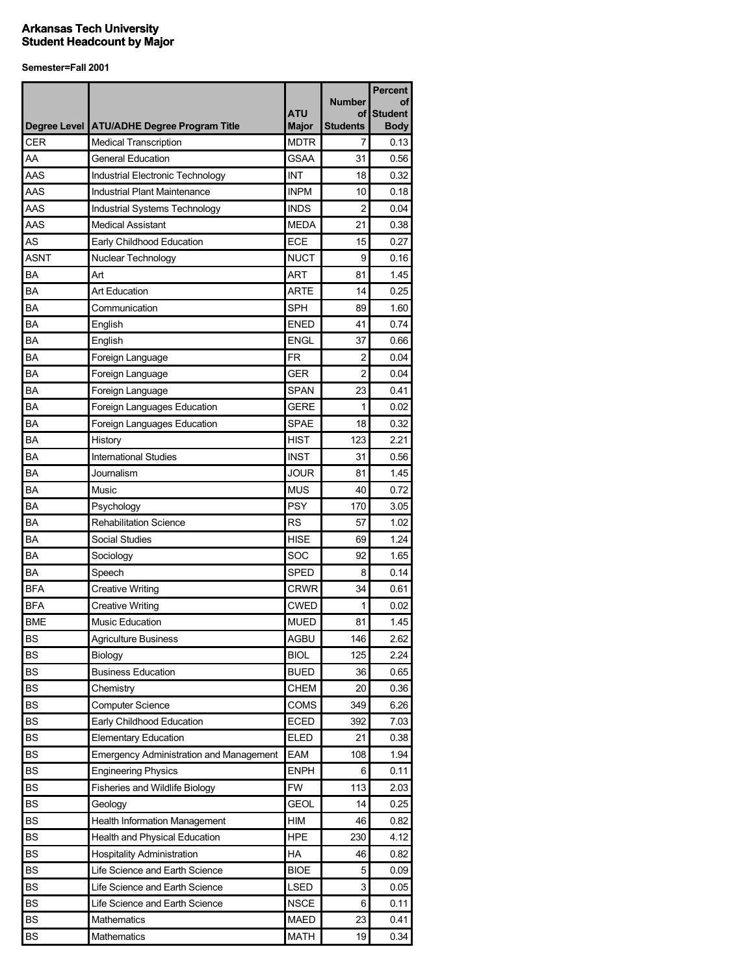|            |                                                |              | <b>Number</b>   | <b>Percent</b><br>Οt |
|------------|------------------------------------------------|--------------|-----------------|----------------------|
|            |                                                | <b>ATU</b>   | οf              | <b>Student</b>       |
|            | Degree Level   ATU/ADHE Degree Program Title   | <b>Major</b> | <b>Students</b> | <b>Body</b>          |
| <b>CER</b> | <b>Medical Transcription</b>                   | <b>MDTR</b>  | 7               | 0.13                 |
| AA         | <b>General Education</b>                       | <b>GSAA</b>  | 31              | 0.56                 |
| AAS        | Industrial Electronic Technology               | INT          | 18              | 0.32                 |
| AAS        | Industrial Plant Maintenance                   | INPM         | 10              | 0.18                 |
| AAS        | Industrial Systems Technology                  | <b>INDS</b>  | 2               | 0.04                 |
| AAS        | <b>Medical Assistant</b>                       | <b>MEDA</b>  | 21              | 0.38                 |
| AS         | Early Childhood Education                      | ECE          | 15              | 0.27                 |
| ASNT       | Nuclear Technology                             | <b>NUCT</b>  | 9               | 0.16                 |
| BA         | Art                                            | <b>ART</b>   | 81              | 1.45                 |
| BA         | <b>Art Education</b>                           | <b>ARTE</b>  | 14              | 0.25                 |
| BA         | Communication                                  | <b>SPH</b>   | 89              | 1.60                 |
| BA         | English                                        | <b>ENED</b>  | 41              | 0.74                 |
| BA         | English                                        | <b>ENGL</b>  | 37              | 0.66                 |
| BA         | Foreign Language                               | <b>FR</b>    | 2               | 0.04                 |
| BA         | Foreign Language                               | <b>GER</b>   | $\overline{2}$  | 0.04                 |
| BA         | Foreign Language                               | <b>SPAN</b>  | 23              | 0.41                 |
| BA         | Foreign Languages Education                    | <b>GERE</b>  | 1               | 0.02                 |
| BA         | Foreign Languages Education                    | <b>SPAE</b>  | 18              | 0.32                 |
| BA         | History                                        | <b>HIST</b>  | 123             | 2.21                 |
| BA         | <b>International Studies</b>                   | <b>INST</b>  | 31              | 0.56                 |
| BA         | Journalism                                     | <b>JOUR</b>  | 81              | 1.45                 |
| ΒA         | Music                                          | <b>MUS</b>   | 40              | 0.72                 |
| ΒA         | Psychology                                     | PSY          | 170             | 3.05                 |
| ΒA         | <b>Rehabilitation Science</b>                  | <b>RS</b>    | 57              | 1.02                 |
| BA         | <b>Social Studies</b>                          | <b>HISE</b>  | 69              | 1.24                 |
| BA         | Sociology                                      | SOC          | 92              | 1.65                 |
| BA         | Speech                                         | <b>SPED</b>  | 8               | 0.14                 |
| <b>BFA</b> | <b>Creative Writing</b>                        | <b>CRWR</b>  | 34              | 0.61                 |
| BFA        | <b>Creative Writing</b>                        | <b>CWED</b>  | 1               | 0.02                 |
| <b>BME</b> | <b>Music Education</b>                         | <b>MUED</b>  | 81              | 1.45                 |
| <b>BS</b>  | <b>Agriculture Business</b>                    | AGBU         | 146             | 2.62                 |
| <b>BS</b>  | Biology                                        | <b>BIOL</b>  | 125             | 2.24                 |
| <b>BS</b>  | <b>Business Education</b>                      | <b>BUED</b>  | 36              | 0.65                 |
| <b>BS</b>  | Chemistry                                      | <b>CHEM</b>  | 20              | 0.36                 |
| <b>BS</b>  | <b>Computer Science</b>                        | COMS         | 349             | 6.26                 |
| BS         | Early Childhood Education                      | <b>ECED</b>  | 392             | 7.03                 |
| <b>BS</b>  | <b>Elementary Education</b>                    | <b>ELED</b>  | 21              | 0.38                 |
| <b>BS</b>  | <b>Emergency Administration and Management</b> | EAM          | 108             | 1.94                 |
| <b>BS</b>  | <b>Engineering Physics</b>                     | <b>ENPH</b>  | 6               | 0.11                 |
| <b>BS</b>  | Fisheries and Wildlife Biology                 | <b>FW</b>    | 113             | 2.03                 |
| <b>BS</b>  | Geology                                        | <b>GEOL</b>  | 14              | 0.25                 |
| <b>BS</b>  | <b>Health Information Management</b>           | <b>HIM</b>   | 46              | 0.82                 |
| <b>BS</b>  | Health and Physical Education                  | <b>HPE</b>   | 230             | 4.12                 |
| <b>BS</b>  | <b>Hospitality Administration</b>              | HA           | 46              | 0.82                 |
| <b>BS</b>  | Life Science and Earth Science                 | <b>BIOE</b>  | 5               | 0.09                 |
| <b>BS</b>  | Life Science and Earth Science                 | <b>LSED</b>  | 3               | 0.05                 |
| <b>BS</b>  | Life Science and Earth Science                 | <b>NSCE</b>  | 6               | 0.11                 |
| <b>BS</b>  | Mathematics                                    | <b>MAED</b>  | 23              | 0.41                 |
| BS         | Mathematics                                    | <b>MATH</b>  | 19              | 0.34                 |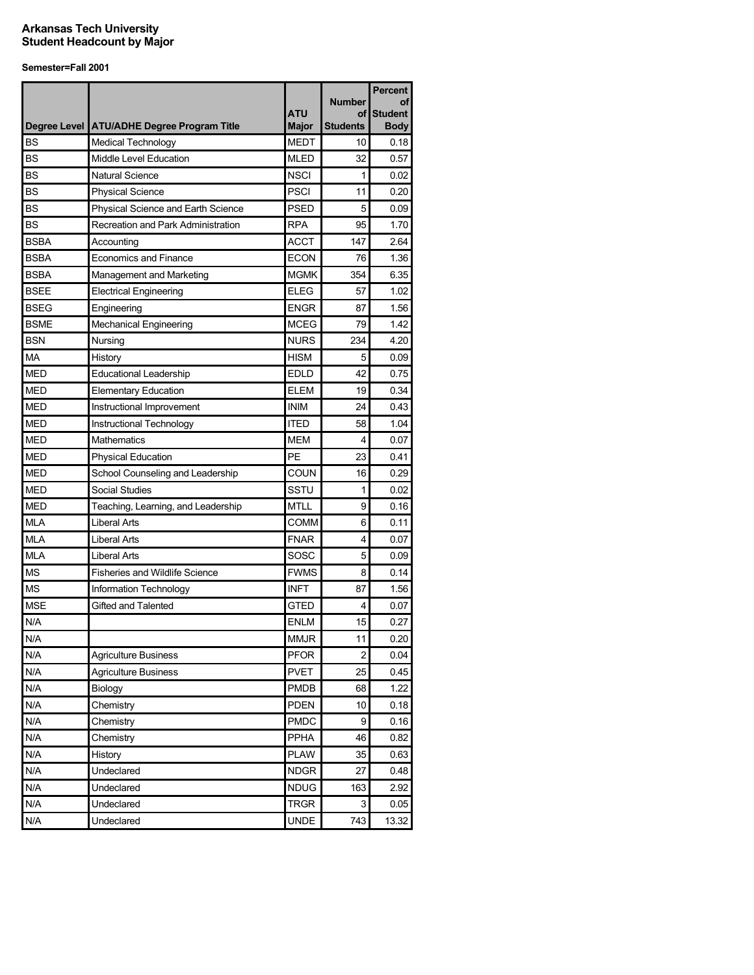|             | Degree Level   ATU/ADHE Degree Program Title              | <b>ATU</b><br>Major | <b>Number</b><br>οf<br><b>Students</b> | <b>Percent</b><br>οf<br><b>Student</b><br><b>Body</b> |
|-------------|-----------------------------------------------------------|---------------------|----------------------------------------|-------------------------------------------------------|
| <b>BS</b>   | <b>Medical Technology</b>                                 | <b>MEDT</b>         | 10                                     | 0.18                                                  |
| <b>BS</b>   | Middle Level Education                                    | <b>MLED</b>         | 32                                     | 0.57                                                  |
| <b>BS</b>   | <b>Natural Science</b>                                    | <b>NSCI</b>         | 1                                      | 0.02                                                  |
| <b>BS</b>   | <b>Physical Science</b>                                   | <b>PSCI</b>         | 11                                     | 0.20                                                  |
| <b>BS</b>   | Physical Science and Earth Science                        | <b>PSED</b>         | 5                                      | 0.09                                                  |
| <b>BS</b>   | Recreation and Park Administration                        | <b>RPA</b>          | 95                                     | 1.70                                                  |
| <b>BSBA</b> | Accounting                                                | <b>ACCT</b>         | 147                                    | 2.64                                                  |
| <b>BSBA</b> | <b>Economics and Finance</b>                              | <b>ECON</b>         | 76                                     | 1.36                                                  |
| <b>BSBA</b> | Management and Marketing                                  | <b>MGMK</b>         | 354                                    | 6.35                                                  |
| <b>BSEE</b> | <b>Electrical Engineering</b>                             | <b>ELEG</b>         | 57                                     | 1.02                                                  |
| <b>BSEG</b> | Engineering                                               | <b>ENGR</b>         | 87                                     | 1.56                                                  |
| <b>BSME</b> | <b>Mechanical Engineering</b>                             | <b>MCEG</b>         | 79                                     | 1.42                                                  |
| <b>BSN</b>  | Nursing                                                   | <b>NURS</b>         | 234                                    | 4.20                                                  |
| MA          | History                                                   | <b>HISM</b>         | 5                                      | 0.09                                                  |
| <b>MED</b>  | <b>Educational Leadership</b>                             | <b>EDLD</b>         | 42                                     | 0.75                                                  |
| <b>MED</b>  |                                                           | <b>ELEM</b>         | 19                                     |                                                       |
| <b>MED</b>  | <b>Elementary Education</b>                               | <b>INIM</b>         | 24                                     | 0.34                                                  |
| <b>MED</b>  | Instructional Improvement<br>Instructional Technology     | <b>ITED</b>         | 58                                     | 0.43<br>1.04                                          |
| <b>MED</b>  | <b>Mathematics</b>                                        | <b>MEM</b>          | 4                                      | 0.07                                                  |
| <b>MED</b>  |                                                           | PE                  | 23                                     | 0.41                                                  |
| <b>MED</b>  | <b>Physical Education</b>                                 | COUN                | 16                                     | 0.29                                                  |
| <b>MED</b>  | School Counseling and Leadership<br>Social Studies        | SSTU                | 1                                      | 0.02                                                  |
| <b>MED</b>  |                                                           | <b>MTLL</b>         |                                        | 0.16                                                  |
| <b>MLA</b>  | Teaching, Learning, and Leadership<br><b>Liberal Arts</b> | <b>COMM</b>         | 9                                      |                                                       |
| <b>MLA</b>  | <b>Liberal Arts</b>                                       | <b>FNAR</b>         | 6                                      | 0.11                                                  |
| <b>MLA</b>  |                                                           | SOSC                | 4                                      | 0.07                                                  |
|             | <b>Liberal Arts</b>                                       |                     | 5                                      | 0.09                                                  |
| <b>MS</b>   | <b>Fisheries and Wildlife Science</b>                     | <b>FWMS</b>         | 8                                      | 0.14                                                  |
| <b>MS</b>   | Information Technology                                    | <b>INFT</b>         | 87                                     | 1.56                                                  |
| <b>MSE</b>  | Gifted and Talented                                       | GTED                | 4                                      | 0.07                                                  |
| N/A         |                                                           | <b>ENLM</b>         | 15                                     | 0.27                                                  |
| N/A         |                                                           | <b>MMJR</b>         | 11                                     | 0.20                                                  |
| N/A         | <b>Agriculture Business</b>                               | <b>PFOR</b>         | $\overline{2}$                         | 0.04                                                  |
| N/A         | <b>Agriculture Business</b>                               | <b>PVET</b>         | 25                                     | 0.45                                                  |
| N/A         | Biology                                                   | <b>PMDB</b>         | 68                                     | 1.22                                                  |
| N/A         | Chemistry                                                 | <b>PDEN</b>         | 10                                     | 0.18                                                  |
| N/A         | Chemistry                                                 | <b>PMDC</b>         | 9                                      | 0.16                                                  |
| N/A         | Chemistry                                                 | PPHA                | 46                                     | 0.82                                                  |
| N/A         | History                                                   | <b>PLAW</b>         | 35                                     | 0.63                                                  |
| N/A         | Undeclared                                                | <b>NDGR</b>         | 27                                     | 0.48                                                  |
| N/A         | Undeclared                                                | <b>NDUG</b>         | 163                                    | 2.92                                                  |
| N/A         | Undeclared                                                | <b>TRGR</b>         | 3                                      | 0.05                                                  |
| N/A         | Undeclared                                                | <b>UNDE</b>         | 743                                    | 13.32                                                 |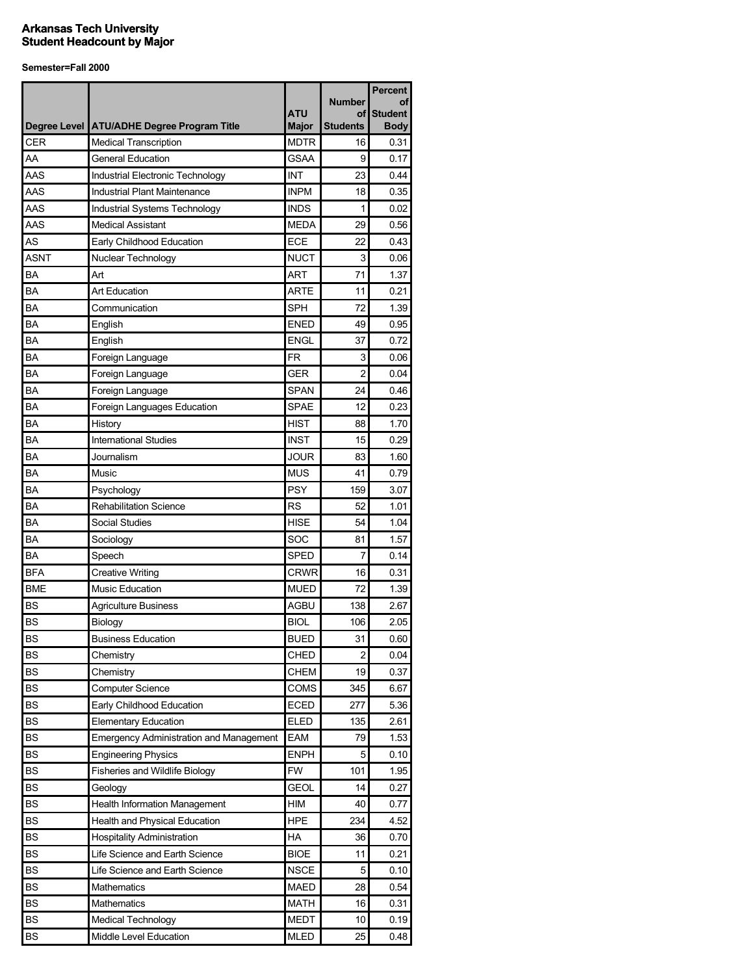|            |                                                |                            | <b>Number</b>         | <b>Percent</b><br>Οt          |
|------------|------------------------------------------------|----------------------------|-----------------------|-------------------------------|
|            | Degree Level ATU/ADHE Degree Program Title     | <b>ATU</b><br><b>Major</b> | οf<br><b>Students</b> | <b>Student</b><br><b>Body</b> |
| <b>CER</b> | <b>Medical Transcription</b>                   | <b>MDTR</b>                | 16                    | 0.31                          |
| AA         | <b>General Education</b>                       | <b>GSAA</b>                | 9                     | 0.17                          |
| AAS        | Industrial Electronic Technology               | INT                        | 23                    | 0.44                          |
| AAS        | Industrial Plant Maintenance                   | <b>INPM</b>                | 18                    | 0.35                          |
| AAS        | Industrial Systems Technology                  | <b>INDS</b>                | 1                     | 0.02                          |
| AAS        | <b>Medical Assistant</b>                       | <b>MEDA</b>                | 29                    | 0.56                          |
| AS         | Early Childhood Education                      | ECE                        | 22                    | 0.43                          |
| ASNT       | Nuclear Technology                             | <b>NUCT</b>                | 3                     | 0.06                          |
| BA         | Art                                            | <b>ART</b>                 | 71                    | 1.37                          |
| BA         | <b>Art Education</b>                           | <b>ARTE</b>                | 11                    | 0.21                          |
| BA         | Communication                                  | <b>SPH</b>                 | 72                    | 1.39                          |
| BA         | English                                        | <b>ENED</b>                | 49                    | 0.95                          |
| BA         | English                                        | <b>ENGL</b>                | 37                    | 0.72                          |
| BA         | Foreign Language                               | <b>FR</b>                  | 3                     | 0.06                          |
| BA         | Foreign Language                               | <b>GER</b>                 | $\overline{2}$        | 0.04                          |
| BA         | Foreign Language                               | <b>SPAN</b>                | 24                    | 0.46                          |
| BA         | Foreign Languages Education                    | <b>SPAE</b>                | 12                    | 0.23                          |
| BA         | History                                        | <b>HIST</b>                | 88                    | 1.70                          |
| BA         | <b>International Studies</b>                   | <b>INST</b>                | 15                    | 0.29                          |
| BA         | Journalism                                     | <b>JOUR</b>                | 83                    | 1.60                          |
| BA         | Music                                          | <b>MUS</b>                 | 41                    | 0.79                          |
| ΒA         | Psychology                                     | <b>PSY</b>                 | 159                   | 3.07                          |
| ΒA         | <b>Rehabilitation Science</b>                  | <b>RS</b>                  | 52                    | 1.01                          |
| ΒA         | <b>Social Studies</b>                          | <b>HISE</b>                | 54                    | 1.04                          |
| BA         | Sociology                                      | SOC                        | 81                    | 1.57                          |
| BA         | Speech                                         | <b>SPED</b>                | 7                     | 0.14                          |
| <b>BFA</b> | <b>Creative Writing</b>                        | <b>CRWR</b>                | 16                    | 0.31                          |
| <b>BME</b> | <b>Music Education</b>                         | <b>MUED</b>                | 72                    | 1.39                          |
| BS         | <b>Agriculture Business</b>                    | <b>AGBU</b>                | 138                   | 2.67                          |
| <b>BS</b>  | Biology                                        | <b>BIOL</b>                | 106                   | 2.05                          |
| <b>BS</b>  | <b>Business Education</b>                      | <b>BUED</b>                | 31                    | 0.60                          |
| <b>BS</b>  | Chemistry                                      | CHED                       | 2                     | 0.04                          |
| <b>BS</b>  | Chemistry                                      | <b>CHEM</b>                | 19                    | 0.37                          |
| <b>BS</b>  | <b>Computer Science</b>                        | COMS                       | 345                   | 6.67                          |
| <b>BS</b>  | Early Childhood Education                      | ECED                       | 277                   | 5.36                          |
| <b>BS</b>  | <b>Elementary Education</b>                    | <b>ELED</b>                | 135                   | 2.61                          |
| <b>BS</b>  | <b>Emergency Administration and Management</b> | EAM                        | 79                    | 1.53                          |
| <b>BS</b>  | <b>Engineering Physics</b>                     | <b>ENPH</b>                | 5                     | 0.10                          |
| <b>BS</b>  | Fisheries and Wildlife Biology                 | <b>FW</b>                  | 101                   | 1.95                          |
| <b>BS</b>  | Geology                                        | <b>GEOL</b>                | 14                    | 0.27                          |
| <b>BS</b>  | <b>Health Information Management</b>           | HIM                        | 40                    | 0.77                          |
| <b>BS</b>  | Health and Physical Education                  | <b>HPE</b>                 | 234                   | 4.52                          |
| <b>BS</b>  | <b>Hospitality Administration</b>              | HA                         | 36                    | 0.70                          |
| <b>BS</b>  | Life Science and Earth Science                 | <b>BIOE</b>                | 11                    | 0.21                          |
| <b>BS</b>  | Life Science and Earth Science                 | <b>NSCE</b>                | 5                     | 0.10                          |
| <b>BS</b>  | Mathematics                                    | <b>MAED</b>                | 28                    | 0.54                          |
| <b>BS</b>  | Mathematics                                    | <b>MATH</b>                | 16                    | 0.31                          |
| <b>BS</b>  | <b>Medical Technology</b>                      | <b>MEDT</b>                | 10                    | 0.19                          |
| BS         | Middle Level Education                         | <b>MLED</b>                | 25                    | 0.48                          |